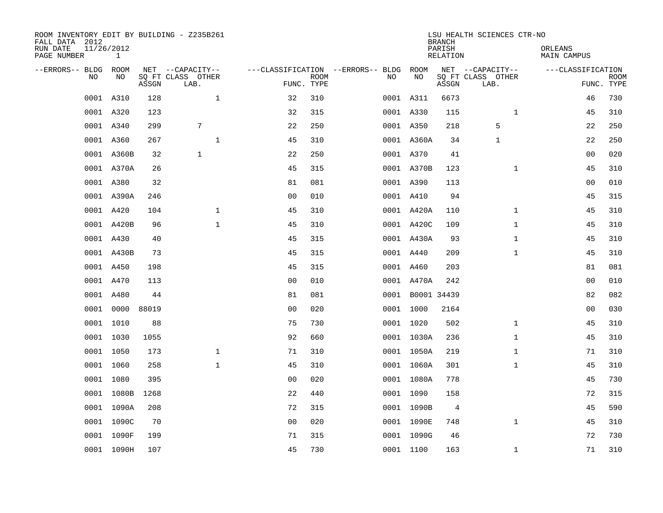| ROOM INVENTORY EDIT BY BUILDING - Z235B261<br>FALL DATA 2012<br>RUN DATE<br>PAGE NUMBER | 11/26/2012<br>$\mathbf{1}$ |       |                                               |                |                           |                                              |                  | <b>BRANCH</b><br>PARISH<br><b>RELATION</b> | LSU HEALTH SCIENCES CTR-NO                    | ORLEANS<br><b>MAIN CAMPUS</b> |                           |
|-----------------------------------------------------------------------------------------|----------------------------|-------|-----------------------------------------------|----------------|---------------------------|----------------------------------------------|------------------|--------------------------------------------|-----------------------------------------------|-------------------------------|---------------------------|
| --ERRORS-- BLDG ROOM<br>NO                                                              | NO                         | ASSGN | NET --CAPACITY--<br>SQ FT CLASS OTHER<br>LAB. |                | <b>ROOM</b><br>FUNC. TYPE | ---CLASSIFICATION --ERRORS-- BLDG ROOM<br>NO | NO               | ASSGN                                      | NET --CAPACITY--<br>SQ FT CLASS OTHER<br>LAB. | ---CLASSIFICATION             | <b>ROOM</b><br>FUNC. TYPE |
|                                                                                         | 0001 A310                  | 128   | $\mathbf{1}$                                  | 32             | 310                       |                                              | 0001 A311        | 6673                                       |                                               | 46                            | 730                       |
|                                                                                         | 0001 A320                  | 123   |                                               | 32             | 315                       |                                              | 0001 A330        | 115                                        | $\mathbf{1}$                                  | 45                            | 310                       |
|                                                                                         | 0001 A340                  | 299   | 7                                             | 22             | 250                       |                                              | 0001 A350        | 218                                        | 5                                             | 22                            | 250                       |
|                                                                                         | 0001 A360                  | 267   | $\mathbf 1$                                   | 45             | 310                       |                                              | 0001 A360A       | 34                                         | $\mathbf 1$                                   | 22                            | 250                       |
|                                                                                         | 0001 A360B                 | 32    | $\mathbf{1}$                                  | 22             | 250                       |                                              | 0001 A370        | 41                                         |                                               | 0 <sub>0</sub>                | 020                       |
|                                                                                         | 0001 A370A                 | 26    |                                               | 45             | 315                       |                                              | 0001 A370B       | 123                                        | $\mathbf{1}$                                  | 45                            | 310                       |
|                                                                                         | 0001 A380                  | 32    |                                               | 81             | 081                       |                                              | 0001 A390        | 113                                        |                                               | 0 <sub>0</sub>                | 010                       |
|                                                                                         | 0001 A390A                 | 246   |                                               | 0 <sub>0</sub> | 010                       |                                              | 0001 A410        | 94                                         |                                               | 45                            | 315                       |
|                                                                                         | 0001 A420                  | 104   | $\mathbf{1}$                                  | 45             | 310                       |                                              | 0001 A420A       | 110                                        | $\mathbf{1}$                                  | 45                            | 310                       |
|                                                                                         | 0001 A420B                 | 96    | $\mathbf{1}$                                  | 45             | 310                       |                                              | 0001 A420C       | 109                                        | $\mathbf{1}$                                  | 45                            | 310                       |
|                                                                                         | 0001 A430                  | 40    |                                               | 45             | 315                       |                                              | 0001 A430A       | 93                                         | $\mathbf{1}$                                  | 45                            | 310                       |
|                                                                                         | 0001 A430B                 | 73    |                                               | 45             | 315                       |                                              | 0001 A440        | 209                                        | $\mathbf{1}$                                  | 45                            | 310                       |
|                                                                                         | 0001 A450                  | 198   |                                               | 45             | 315                       |                                              | 0001 A460        | 203                                        |                                               | 81                            | 081                       |
|                                                                                         | 0001 A470                  | 113   |                                               | 0 <sub>0</sub> | 010                       |                                              | 0001 A470A       | 242                                        |                                               | 00                            | 010                       |
|                                                                                         | 0001 A480                  | 44    |                                               | 81             | 081                       |                                              | 0001 B0001 34439 |                                            |                                               | 82                            | 082                       |
| 0001                                                                                    | 0000                       | 88019 |                                               | 0 <sub>0</sub> | 020                       |                                              | 0001 1000        | 2164                                       |                                               | 0 <sub>0</sub>                | 030                       |
|                                                                                         | 0001 1010                  | 88    |                                               | 75             | 730                       |                                              | 0001 1020        | 502                                        | $\mathbf{1}$                                  | 45                            | 310                       |
|                                                                                         | 0001 1030                  | 1055  |                                               | 92             | 660                       |                                              | 0001 1030A       | 236                                        | $\mathbf{1}$                                  | 45                            | 310                       |
|                                                                                         | 0001 1050                  | 173   | $\mathbf 1$                                   | 71             | 310                       |                                              | 0001 1050A       | 219                                        | $\mathbf{1}$                                  | 71                            | 310                       |
|                                                                                         | 0001 1060                  | 258   | $\mathbf{1}$                                  | 45             | 310                       |                                              | 0001 1060A       | 301                                        | $\mathbf{1}$                                  | 45                            | 310                       |
|                                                                                         | 0001 1080                  | 395   |                                               | 0 <sub>0</sub> | 020                       |                                              | 0001 1080A       | 778                                        |                                               | 45                            | 730                       |
|                                                                                         | 0001 1080B                 | 1268  |                                               | 22             | 440                       |                                              | 0001 1090        | 158                                        |                                               | 72                            | 315                       |
|                                                                                         | 0001 1090A                 | 208   |                                               | 72             | 315                       |                                              | 0001 1090B       | 4                                          |                                               | 45                            | 590                       |
|                                                                                         | 0001 1090C                 | 70    |                                               | 0 <sub>0</sub> | 020                       |                                              | 0001 1090E       | 748                                        | $\mathbf{1}$                                  | 45                            | 310                       |
|                                                                                         | 0001 1090F                 | 199   |                                               | 71             | 315                       |                                              | 0001 1090G       | 46                                         |                                               | 72                            | 730                       |
|                                                                                         | 0001 1090H                 | 107   |                                               | 45             | 730                       |                                              | 0001 1100        | 163                                        | $\mathbf{1}$                                  | 71                            | 310                       |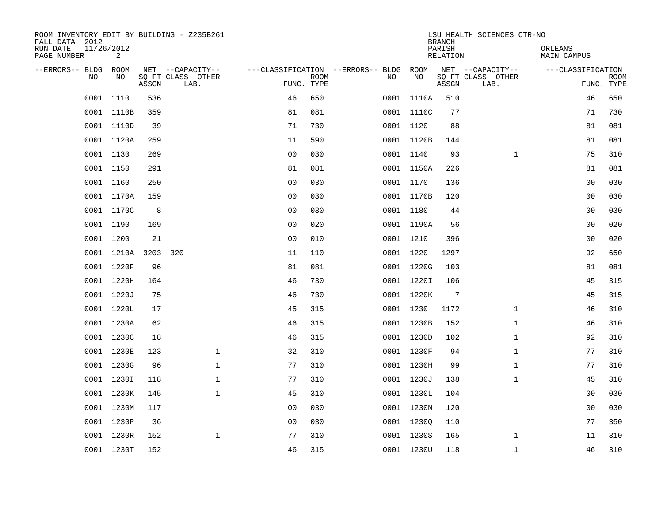| ROOM INVENTORY EDIT BY BUILDING - Z235B261<br>FALL DATA 2012 |                 |       |                           |                                        |             |    |            | <b>BRANCH</b>             | LSU HEALTH SCIENCES CTR-NO |                               |                           |
|--------------------------------------------------------------|-----------------|-------|---------------------------|----------------------------------------|-------------|----|------------|---------------------------|----------------------------|-------------------------------|---------------------------|
| RUN DATE<br>PAGE NUMBER                                      | 11/26/2012<br>2 |       |                           |                                        |             |    |            | PARISH<br><b>RELATION</b> |                            | ORLEANS<br><b>MAIN CAMPUS</b> |                           |
| --ERRORS-- BLDG ROOM                                         |                 |       | NET --CAPACITY--          | ---CLASSIFICATION --ERRORS-- BLDG ROOM |             |    |            |                           | NET --CAPACITY--           | ---CLASSIFICATION             |                           |
| NO                                                           | NO              | ASSGN | SQ FT CLASS OTHER<br>LAB. | FUNC. TYPE                             | <b>ROOM</b> | NO | NO         | ASSGN                     | SQ FT CLASS OTHER<br>LAB.  |                               | <b>ROOM</b><br>FUNC. TYPE |
|                                                              | 0001 1110       | 536   |                           | 46                                     | 650         |    | 0001 1110A | 510                       |                            | 46                            | 650                       |
|                                                              | 0001 1110B      | 359   |                           | 81                                     | 081         |    | 0001 1110C | 77                        |                            | 71                            | 730                       |
|                                                              | 0001 1110D      | 39    |                           | 71                                     | 730         |    | 0001 1120  | 88                        |                            | 81                            | 081                       |
|                                                              | 0001 1120A      | 259   |                           | 11                                     | 590         |    | 0001 1120B | 144                       |                            | 81                            | 081                       |
| 0001                                                         | 1130            | 269   |                           | 0 <sub>0</sub>                         | 030         |    | 0001 1140  | 93                        | $\mathbf{1}$               | 75                            | 310                       |
|                                                              | 0001 1150       | 291   |                           | 81                                     | 081         |    | 0001 1150A | 226                       |                            | 81                            | 081                       |
|                                                              | 0001 1160       | 250   |                           | 0 <sub>0</sub>                         | 030         |    | 0001 1170  | 136                       |                            | 00                            | 030                       |
|                                                              | 0001 1170A      | 159   |                           | 0 <sub>0</sub>                         | 030         |    | 0001 1170B | 120                       |                            | 0 <sub>0</sub>                | 030                       |
|                                                              | 0001 1170C      | 8     |                           | 0 <sub>0</sub>                         | 030         |    | 0001 1180  | 44                        |                            | 00                            | 030                       |
|                                                              | 0001 1190       | 169   |                           | 0 <sub>0</sub>                         | 020         |    | 0001 1190A | 56                        |                            | 0 <sub>0</sub>                | 020                       |
|                                                              | 0001 1200       | 21    |                           | 0 <sub>0</sub>                         | 010         |    | 0001 1210  | 396                       |                            | 0 <sub>0</sub>                | 020                       |
|                                                              | 0001 1210A 3203 |       | 320                       | 11                                     | 110         |    | 0001 1220  | 1297                      |                            | 92                            | 650                       |
|                                                              | 0001 1220F      | 96    |                           | 81                                     | 081         |    | 0001 1220G | 103                       |                            | 81                            | 081                       |
|                                                              | 0001 1220H      | 164   |                           | 46                                     | 730         |    | 0001 1220I | 106                       |                            | 45                            | 315                       |
|                                                              | 0001 1220J      | 75    |                           | 46                                     | 730         |    | 0001 1220K | 7                         |                            | 45                            | 315                       |
|                                                              | 0001 1220L      | 17    |                           | 45                                     | 315         |    | 0001 1230  | 1172                      | $\mathbf{1}$               | 46                            | 310                       |
|                                                              | 0001 1230A      | 62    |                           | 46                                     | 315         |    | 0001 1230B | 152                       | $\mathbf{1}$               | 46                            | 310                       |
|                                                              | 0001 1230C      | 18    |                           | 46                                     | 315         |    | 0001 1230D | 102                       | $\mathbf{1}$               | 92                            | 310                       |
|                                                              | 0001 1230E      | 123   | $\mathbf{1}$              | 32                                     | 310         |    | 0001 1230F | 94                        | $\mathbf{1}$               | 77                            | 310                       |
|                                                              | 0001 1230G      | 96    | $\mathbf 1$               | 77                                     | 310         |    | 0001 1230H | 99                        | $\mathbf{1}$               | 77                            | 310                       |
|                                                              | 0001 1230I      | 118   | $\mathbf 1$               | 77                                     | 310         |    | 0001 1230J | 138                       | $\mathbf{1}$               | 45                            | 310                       |
|                                                              | 0001 1230K      | 145   | $\mathbf 1$               | 45                                     | 310         |    | 0001 1230L | 104                       |                            | 00                            | 030                       |
|                                                              | 0001 1230M      | 117   |                           | 0 <sub>0</sub>                         | 030         |    | 0001 1230N | 120                       |                            | 0 <sub>0</sub>                | 030                       |
|                                                              | 0001 1230P      | 36    |                           | 0 <sub>0</sub>                         | 030         |    | 0001 12300 | 110                       |                            | 77                            | 350                       |
|                                                              | 0001 1230R      | 152   | $\mathbf 1$               | 77                                     | 310         |    | 0001 1230S | 165                       | $\mathbf{1}$               | 11                            | 310                       |
|                                                              | 0001 1230T      | 152   |                           | 46                                     | 315         |    | 0001 1230U | 118                       | $\mathbf{1}$               | 46                            | 310                       |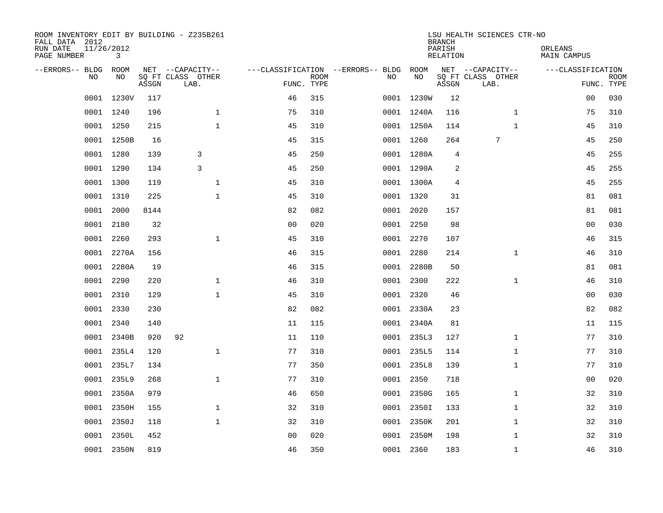| ROOM INVENTORY EDIT BY BUILDING - Z235B261<br>FALL DATA 2012<br>RUN DATE<br>PAGE NUMBER | 11/26/2012<br>3 |       |                                               |                |                           |                                              |            | <b>BRANCH</b><br>PARISH<br><b>RELATION</b> | LSU HEALTH SCIENCES CTR-NO                    | ORLEANS<br><b>MAIN CAMPUS</b> |                           |
|-----------------------------------------------------------------------------------------|-----------------|-------|-----------------------------------------------|----------------|---------------------------|----------------------------------------------|------------|--------------------------------------------|-----------------------------------------------|-------------------------------|---------------------------|
| --ERRORS-- BLDG ROOM<br>NO                                                              | NO              | ASSGN | NET --CAPACITY--<br>SQ FT CLASS OTHER<br>LAB. |                | <b>ROOM</b><br>FUNC. TYPE | ---CLASSIFICATION --ERRORS-- BLDG ROOM<br>NO | NO         | ASSGN                                      | NET --CAPACITY--<br>SQ FT CLASS OTHER<br>LAB. | ---CLASSIFICATION             | <b>ROOM</b><br>FUNC. TYPE |
|                                                                                         | 0001 1230V      | 117   |                                               | 46             | 315                       |                                              | 0001 1230W | 12                                         |                                               | 00                            | 030                       |
|                                                                                         | 0001 1240       | 196   | $\mathbf 1$                                   | 75             | 310                       |                                              | 0001 1240A | 116                                        | $\mathbf{1}$                                  | 75                            | 310                       |
|                                                                                         | 0001 1250       | 215   | $\mathbf 1$                                   | 45             | 310                       |                                              | 0001 1250A | 114                                        | $\mathbf{1}$                                  | 45                            | 310                       |
|                                                                                         | 0001 1250B      | 16    |                                               | 45             | 315                       |                                              | 0001 1260  | 264                                        | 7                                             | 45                            | 250                       |
| 0001                                                                                    | 1280            | 139   | 3                                             | 45             | 250                       |                                              | 0001 1280A | 4                                          |                                               | 45                            | 255                       |
|                                                                                         | 0001 1290       | 134   | 3                                             | 45             | 250                       |                                              | 0001 1290A | $\overline{2}$                             |                                               | 45                            | 255                       |
| 0001                                                                                    | 1300            | 119   | $\mathbf{1}$                                  | 45             | 310                       |                                              | 0001 1300A | 4                                          |                                               | 45                            | 255                       |
|                                                                                         | 0001 1310       | 225   | $\mathbf{1}$                                  | 45             | 310                       |                                              | 0001 1320  | 31                                         |                                               | 81                            | 081                       |
| 0001                                                                                    | 2000            | 8144  |                                               | 82             | 082                       |                                              | 0001 2020  | 157                                        |                                               | 81                            | 081                       |
|                                                                                         | 0001 2180       | 32    |                                               | 0 <sub>0</sub> | 020                       |                                              | 0001 2250  | 98                                         |                                               | 0 <sub>0</sub>                | 030                       |
| 0001                                                                                    | 2260            | 293   | $\mathbf{1}$                                  | 45             | 310                       |                                              | 0001 2270  | 107                                        |                                               | 46                            | 315                       |
|                                                                                         | 0001 2270A      | 156   |                                               | 46             | 315                       |                                              | 0001 2280  | 214                                        | $\mathbf{1}$                                  | 46                            | 310                       |
| 0001                                                                                    | 2280A           | 19    |                                               | 46             | 315                       |                                              | 0001 2280B | 50                                         |                                               | 81                            | 081                       |
| 0001                                                                                    | 2290            | 220   | $\mathbf 1$                                   | 46             | 310                       |                                              | 0001 2300  | 222                                        | $\mathbf{1}$                                  | 46                            | 310                       |
| 0001                                                                                    | 2310            | 129   | $\mathbf 1$                                   | 45             | 310                       |                                              | 0001 2320  | 46                                         |                                               | 0 <sub>0</sub>                | 030                       |
| 0001                                                                                    | 2330            | 230   |                                               | 82             | 082                       |                                              | 0001 2330A | 23                                         |                                               | 82                            | 082                       |
| 0001                                                                                    | 2340            | 140   |                                               | 11             | 115                       |                                              | 0001 2340A | 81                                         |                                               | 11                            | 115                       |
| 0001                                                                                    | 2340B           | 920   | 92                                            | 11             | 110                       |                                              | 0001 235L3 | 127                                        | $\mathbf{1}$                                  | 77                            | 310                       |
| 0001                                                                                    | 235L4           | 120   | $\mathbf{1}$                                  | 77             | 310                       |                                              | 0001 235L5 | 114                                        | $\mathbf{1}$                                  | 77                            | 310                       |
| 0001                                                                                    | 235L7           | 134   |                                               | 77             | 350                       |                                              | 0001 235L8 | 139                                        | $\mathbf{1}$                                  | 77                            | 310                       |
| 0001                                                                                    | 235L9           | 268   | $\mathbf 1$                                   | 77             | 310                       |                                              | 0001 2350  | 718                                        |                                               | 00                            | 020                       |
| 0001                                                                                    | 2350A           | 979   |                                               | 46             | 650                       |                                              | 0001 2350G | 165                                        | $\mathbf{1}$                                  | 32                            | 310                       |
| 0001                                                                                    | 2350H           | 155   | $\mathbf 1$                                   | 32             | 310                       |                                              | 0001 23501 | 133                                        | $\mathbf{1}$                                  | 32                            | 310                       |
| 0001                                                                                    | 2350J           | 118   | $\mathbf{1}$                                  | 32             | 310                       |                                              | 0001 2350K | 201                                        | $\mathbf{1}$                                  | 32                            | 310                       |
| 0001                                                                                    | 2350L           | 452   |                                               | 0 <sub>0</sub> | 020                       |                                              | 0001 2350M | 198                                        | $\mathbf{1}$                                  | 32                            | 310                       |
|                                                                                         | 0001 2350N      | 819   |                                               | 46             | 350                       |                                              | 0001 2360  | 183                                        | $\mathbf{1}$                                  | 46                            | 310                       |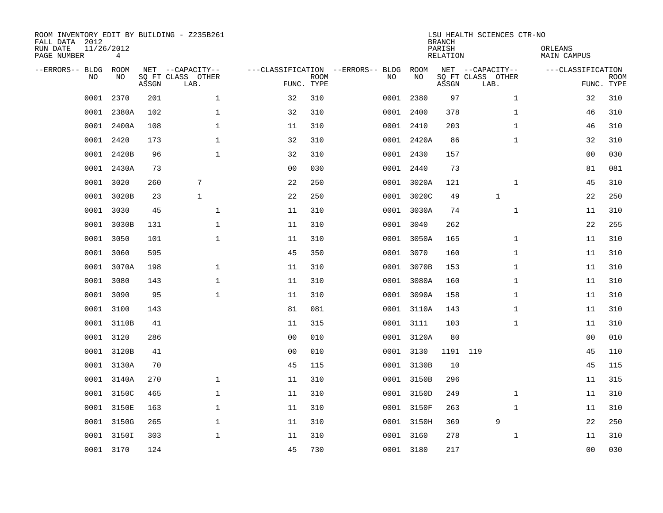| ROOM INVENTORY EDIT BY BUILDING - Z235B261<br>FALL DATA 2012<br>RUN DATE<br>PAGE NUMBER | 11/26/2012<br>4 |       |                                               |                |                           |                                         |            | <b>BRANCH</b><br>PARISH<br><b>RELATION</b> | LSU HEALTH SCIENCES CTR-NO                    | ORLEANS<br><b>MAIN CAMPUS</b> |                           |
|-----------------------------------------------------------------------------------------|-----------------|-------|-----------------------------------------------|----------------|---------------------------|-----------------------------------------|------------|--------------------------------------------|-----------------------------------------------|-------------------------------|---------------------------|
| --ERRORS-- BLDG<br>NO                                                                   | ROOM<br>NO      | ASSGN | NET --CAPACITY--<br>SQ FT CLASS OTHER<br>LAB. |                | <b>ROOM</b><br>FUNC. TYPE | ---CLASSIFICATION --ERRORS-- BLDG<br>NO | ROOM<br>NO | ASSGN                                      | NET --CAPACITY--<br>SQ FT CLASS OTHER<br>LAB. | ---CLASSIFICATION             | <b>ROOM</b><br>FUNC. TYPE |
| 0001                                                                                    | 2370            | 201   | $\mathbf{1}$                                  | 32             | 310                       | 0001                                    | 2380       | 97                                         | $\mathbf{1}$                                  | 32                            | 310                       |
| 0001                                                                                    | 2380A           | 102   | $\mathbf 1$                                   | 32             | 310                       | 0001                                    | 2400       | 378                                        | $\mathbf{1}$                                  | 46                            | 310                       |
| 0001                                                                                    | 2400A           | 108   | $\mathbf 1$                                   | 11             | 310                       |                                         | 0001 2410  | 203                                        | $\mathbf{1}$                                  | 46                            | 310                       |
| 0001                                                                                    | 2420            | 173   | $\mathbf 1$                                   | 32             | 310                       |                                         | 0001 2420A | 86                                         | $\mathbf{1}$                                  | 32                            | 310                       |
| 0001                                                                                    | 2420B           | 96    | $\mathbf{1}$                                  | 32             | 310                       |                                         | 0001 2430  | 157                                        |                                               | 00                            | 030                       |
|                                                                                         | 0001 2430A      | 73    |                                               | 0 <sub>0</sub> | 030                       |                                         | 0001 2440  | 73                                         |                                               | 81                            | 081                       |
| 0001                                                                                    | 3020            | 260   | 7                                             | 22             | 250                       |                                         | 0001 3020A | 121                                        | $\mathbf{1}$                                  | 45                            | 310                       |
| 0001                                                                                    | 3020B           | 23    | $\mathbf{1}$                                  | 22             | 250                       |                                         | 0001 3020C | 49                                         | $\mathbf{1}$                                  | 22                            | 250                       |
| 0001                                                                                    | 3030            | 45    | $\mathbf{1}$                                  | 11             | 310                       |                                         | 0001 3030A | 74                                         | $\mathbf{1}$                                  | 11                            | 310                       |
| 0001                                                                                    | 3030B           | 131   | $\mathbf 1$                                   | 11             | 310                       |                                         | 0001 3040  | 262                                        |                                               | 22                            | 255                       |
| 0001                                                                                    | 3050            | 101   | $\mathbf{1}$                                  | 11             | 310                       |                                         | 0001 3050A | 165                                        | $\mathbf{1}$                                  | 11                            | 310                       |
| 0001                                                                                    | 3060            | 595   |                                               | 45             | 350                       |                                         | 0001 3070  | 160                                        | $\mathbf{1}$                                  | 11                            | 310                       |
| 0001                                                                                    | 3070A           | 198   | $\mathbf{1}$                                  | 11             | 310                       |                                         | 0001 3070B | 153                                        | $\mathbf{1}$                                  | 11                            | 310                       |
| 0001                                                                                    | 3080            | 143   | $\mathbf{1}$                                  | 11             | 310                       |                                         | 0001 3080A | 160                                        | $\mathbf{1}$                                  | 11                            | 310                       |
| 0001                                                                                    | 3090            | 95    | $\mathbf 1$                                   | 11             | 310                       |                                         | 0001 3090A | 158                                        | $\mathbf{1}$                                  | 11                            | 310                       |
| 0001                                                                                    | 3100            | 143   |                                               | 81             | 081                       |                                         | 0001 3110A | 143                                        | $\mathbf{1}$                                  | 11                            | 310                       |
| 0001                                                                                    | 3110B           | 41    |                                               | 11             | 315                       |                                         | 0001 3111  | 103                                        | $\mathbf{1}$                                  | 11                            | 310                       |
| 0001                                                                                    | 3120            | 286   |                                               | 0 <sub>0</sub> | 010                       |                                         | 0001 3120A | 80                                         |                                               | 00                            | 010                       |
|                                                                                         | 0001 3120B      | 41    |                                               | 0 <sub>0</sub> | 010                       |                                         | 0001 3130  | 1191 119                                   |                                               | 45                            | 110                       |
|                                                                                         | 0001 3130A      | 70    |                                               | 45             | 115                       |                                         | 0001 3130B | 10                                         |                                               | 45                            | 115                       |
|                                                                                         | 0001 3140A      | 270   | $\mathbf{1}$                                  | 11             | 310                       |                                         | 0001 3150B | 296                                        |                                               | 11                            | 315                       |
| 0001                                                                                    | 3150C           | 465   | $\mathbf{1}$                                  | 11             | 310                       |                                         | 0001 3150D | 249                                        | $\mathbf{1}$                                  | 11                            | 310                       |
|                                                                                         | 0001 3150E      | 163   | $\mathbf{1}$                                  | 11             | 310                       |                                         | 0001 3150F | 263                                        | $\mathbf{1}$                                  | 11                            | 310                       |
| 0001                                                                                    | 3150G           | 265   | $\mathbf 1$                                   | 11             | 310                       |                                         | 0001 3150H | 369                                        | 9                                             | 22                            | 250                       |
|                                                                                         | 0001 3150I      | 303   | $\mathbf 1$                                   | 11             | 310                       |                                         | 0001 3160  | 278                                        | $\mathbf{1}$                                  | 11                            | 310                       |
|                                                                                         | 0001 3170       | 124   |                                               | 45             | 730                       |                                         | 0001 3180  | 217                                        |                                               | 00                            | 030                       |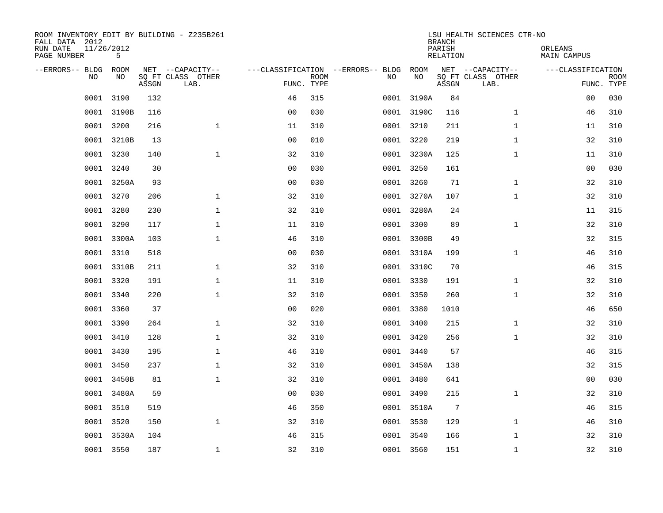| ROOM INVENTORY EDIT BY BUILDING - Z235B261<br>FALL DATA 2012<br>RUN DATE<br>PAGE NUMBER | 11/26/2012<br>5 |       |                                               |                                                 |             |           |            | <b>BRANCH</b><br>PARISH<br><b>RELATION</b> | LSU HEALTH SCIENCES CTR-NO                    | ORLEANS<br><b>MAIN CAMPUS</b> |                           |
|-----------------------------------------------------------------------------------------|-----------------|-------|-----------------------------------------------|-------------------------------------------------|-------------|-----------|------------|--------------------------------------------|-----------------------------------------------|-------------------------------|---------------------------|
| --ERRORS-- BLDG ROOM<br>NO                                                              | NO              | ASSGN | NET --CAPACITY--<br>SQ FT CLASS OTHER<br>LAB. | ---CLASSIFICATION --ERRORS-- BLDG<br>FUNC. TYPE | <b>ROOM</b> | NO        | ROOM<br>NO | ASSGN                                      | NET --CAPACITY--<br>SQ FT CLASS OTHER<br>LAB. | ---CLASSIFICATION             | <b>ROOM</b><br>FUNC. TYPE |
| 0001                                                                                    | 3190            | 132   |                                               | 46                                              | 315         |           | 0001 3190A | 84                                         |                                               | 0 <sub>0</sub>                | 030                       |
|                                                                                         | 0001 3190B      | 116   |                                               | 0 <sub>0</sub>                                  | 030         |           | 0001 3190C | 116                                        | $\mathbf{1}$                                  | 46                            | 310                       |
| 0001                                                                                    | 3200            | 216   | $\mathbf 1$                                   | 11                                              | 310         | 0001 3210 |            | 211                                        | $\mathbf{1}$                                  | 11                            | 310                       |
| 0001                                                                                    | 3210B           | 13    |                                               | 0 <sub>0</sub>                                  | 010         |           | 0001 3220  | 219                                        | $\mathbf{1}$                                  | 32                            | 310                       |
| 0001                                                                                    | 3230            | 140   | $\mathbf{1}$                                  | 32                                              | 310         |           | 0001 3230A | 125                                        | $\mathbf{1}$                                  | 11                            | 310                       |
| 0001                                                                                    | 3240            | 30    |                                               | 0 <sub>0</sub>                                  | 030         |           | 0001 3250  | 161                                        |                                               | 0 <sub>0</sub>                | 030                       |
| 0001                                                                                    | 3250A           | 93    |                                               | 0 <sub>0</sub>                                  | 030         | 0001 3260 |            | 71                                         | $\mathbf{1}$                                  | 32                            | 310                       |
|                                                                                         | 0001 3270       | 206   | $\mathbf{1}$                                  | 32                                              | 310         |           | 0001 3270A | 107                                        | $\mathbf{1}$                                  | 32                            | 310                       |
| 0001                                                                                    | 3280            | 230   | $\mathbf{1}$                                  | 32                                              | 310         |           | 0001 3280A | 24                                         |                                               | 11                            | 315                       |
| 0001                                                                                    | 3290            | 117   | $\mathbf 1$                                   | 11                                              | 310         |           | 0001 3300  | 89                                         | $\mathbf{1}$                                  | 32                            | 310                       |
| 0001                                                                                    | 3300A           | 103   | $\mathbf{1}$                                  | 46                                              | 310         |           | 0001 3300B | 49                                         |                                               | 32                            | 315                       |
|                                                                                         | 0001 3310       | 518   |                                               | 0 <sub>0</sub>                                  | 030         |           | 0001 3310A | 199                                        | $\mathbf{1}$                                  | 46                            | 310                       |
| 0001                                                                                    | 3310B           | 211   | $\mathbf{1}$                                  | 32                                              | 310         |           | 0001 3310C | 70                                         |                                               | 46                            | 315                       |
| 0001                                                                                    | 3320            | 191   | $\mathbf 1$                                   | 11                                              | 310         |           | 0001 3330  | 191                                        | $\mathbf{1}$                                  | 32                            | 310                       |
| 0001                                                                                    | 3340            | 220   | $\mathbf{1}$                                  | 32                                              | 310         | 0001 3350 |            | 260                                        | $\mathbf{1}$                                  | 32                            | 310                       |
|                                                                                         | 0001 3360       | 37    |                                               | 00                                              | 020         | 0001 3380 |            | 1010                                       |                                               | 46                            | 650                       |
| 0001                                                                                    | 3390            | 264   | $\mathbf{1}$                                  | 32                                              | 310         |           | 0001 3400  | 215                                        | $\mathbf{1}$                                  | 32                            | 310                       |
| 0001                                                                                    | 3410            | 128   | $\mathbf 1$                                   | 32                                              | 310         |           | 0001 3420  | 256                                        | $\mathbf{1}$                                  | 32                            | 310                       |
|                                                                                         | 0001 3430       | 195   | $\mathbf 1$                                   | 46                                              | 310         | 0001 3440 |            | 57                                         |                                               | 46                            | 315                       |
|                                                                                         | 0001 3450       | 237   | $\mathbf 1$                                   | 32                                              | 310         |           | 0001 3450A | 138                                        |                                               | 32                            | 315                       |
|                                                                                         | 0001 3450B      | 81    | $\mathbf{1}$                                  | 32                                              | 310         | 0001 3480 |            | 641                                        |                                               | 0 <sub>0</sub>                | 030                       |
|                                                                                         | 0001 3480A      | 59    |                                               | 00                                              | 030         |           | 0001 3490  | 215                                        | $\mathbf{1}$                                  | 32                            | 310                       |
|                                                                                         | 0001 3510       | 519   |                                               | 46                                              | 350         |           | 0001 3510A | 7                                          |                                               | 46                            | 315                       |
| 0001                                                                                    | 3520            | 150   | $\mathbf 1$                                   | 32                                              | 310         | 0001 3530 |            | 129                                        | $\mathbf{1}$                                  | 46                            | 310                       |
|                                                                                         | 0001 3530A      | 104   |                                               | 46                                              | 315         |           | 0001 3540  | 166                                        | $\mathbf{1}$                                  | 32                            | 310                       |
|                                                                                         | 0001 3550       | 187   | $\mathbf 1$                                   | 32                                              | 310         | 0001 3560 |            | 151                                        | $\mathbf{1}$                                  | 32                            | 310                       |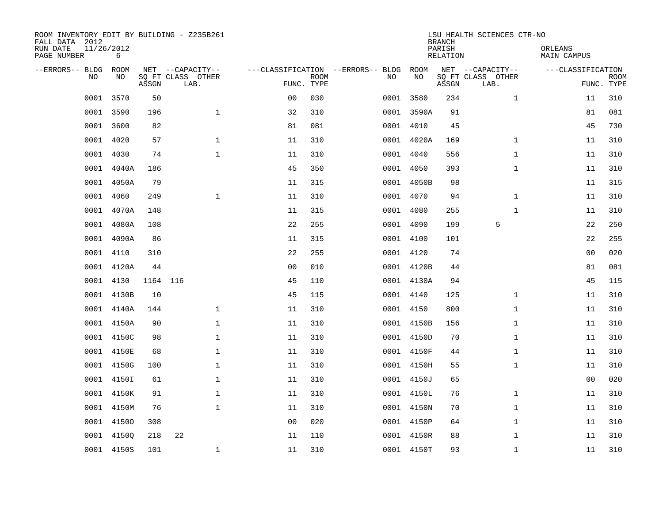| FALL DATA 2012<br>RUN DATE<br>PAGE NUMBER | 11/26/2012 | 6           |          | ROOM INVENTORY EDIT BY BUILDING - Z235B261    |                                                 |             |      |            | <b>BRANCH</b><br>PARISH<br>RELATION | LSU HEALTH SCIENCES CTR-NO                    | ORLEANS<br>MAIN CAMPUS |                           |
|-------------------------------------------|------------|-------------|----------|-----------------------------------------------|-------------------------------------------------|-------------|------|------------|-------------------------------------|-----------------------------------------------|------------------------|---------------------------|
| --ERRORS-- BLDG                           | <b>NO</b>  | ROOM<br>NO. | ASSGN    | NET --CAPACITY--<br>SQ FT CLASS OTHER<br>LAB. | ---CLASSIFICATION --ERRORS-- BLDG<br>FUNC. TYPE | <b>ROOM</b> | NO   | ROOM<br>NO | ASSGN                               | NET --CAPACITY--<br>SQ FT CLASS OTHER<br>LAB. | ---CLASSIFICATION      | <b>ROOM</b><br>FUNC. TYPE |
|                                           | 0001       | 3570        | 50       |                                               | 0 <sub>0</sub>                                  | 030         | 0001 | 3580       | 234                                 | $\mathbf{1}$                                  | 11                     | 310                       |
|                                           | 0001       | 3590        | 196      | $\mathbf{1}$                                  | 32                                              | 310         |      | 0001 3590A | 91                                  |                                               | 81                     | 081                       |
|                                           | 0001       | 3600        | 82       |                                               | 81                                              | 081         |      | 0001 4010  | 45                                  |                                               | 45                     | 730                       |
|                                           | 0001 4020  |             | 57       | $\mathbf{1}$                                  | 11                                              | 310         |      | 0001 4020A | 169                                 | $\mathbf{1}$                                  | 11                     | 310                       |
|                                           | 0001       | 4030        | 74       | $\mathbf{1}$                                  | 11                                              | 310         |      | 0001 4040  | 556                                 | $\mathbf{1}$                                  | 11                     | 310                       |
|                                           | 0001       | 4040A       | 186      |                                               | 45                                              | 350         |      | 0001 4050  | 393                                 | $\mathbf{1}$                                  | 11                     | 310                       |
|                                           | 0001       | 4050A       | 79       |                                               | 11                                              | 315         |      | 0001 4050B | 98                                  |                                               | 11                     | 315                       |
|                                           | 0001 4060  |             | 249      | $\mathbf{1}$                                  | 11                                              | 310         |      | 0001 4070  | 94                                  | $\mathbf{1}$                                  | 11                     | 310                       |
|                                           | 0001       | 4070A       | 148      |                                               | 11                                              | 315         | 0001 | 4080       | 255                                 | $\mathbf{1}$                                  | 11                     | 310                       |
|                                           | 0001       | 4080A       | 108      |                                               | 22                                              | 255         |      | 0001 4090  | 199                                 | 5                                             | 22                     | 250                       |
|                                           | 0001       | 4090A       | 86       |                                               | 11                                              | 315         | 0001 | 4100       | 101                                 |                                               | 22                     | 255                       |
|                                           | 0001       | 4110        | 310      |                                               | 22                                              | 255         |      | 0001 4120  | 74                                  |                                               | 0 <sub>0</sub>         | 020                       |
|                                           | 0001       | 4120A       | 44       |                                               | 0 <sub>0</sub>                                  | 010         |      | 0001 4120B | 44                                  |                                               | 81                     | 081                       |
|                                           | 0001       | 4130        | 1164 116 |                                               | 45                                              | 110         |      | 0001 4130A | 94                                  |                                               | 45                     | 115                       |
|                                           | 0001       | 4130B       | 10       |                                               | 45                                              | 115         |      | 0001 4140  | 125                                 | $\mathbf{1}$                                  | 11                     | 310                       |
|                                           | 0001       | 4140A       | 144      | $\mathbf 1$                                   | 11                                              | 310         |      | 0001 4150  | 800                                 | $\mathbf{1}$                                  | 11                     | 310                       |
|                                           |            | 0001 4150A  | 90       | $\mathbf 1$                                   | 11                                              | 310         |      | 0001 4150B | 156                                 | $\mathbf{1}$                                  | 11                     | 310                       |
|                                           | 0001       | 4150C       | 98       | $\mathbf{1}$                                  | 11                                              | 310         |      | 0001 4150D | 70                                  | $\mathbf{1}$                                  | 11                     | 310                       |
|                                           | 0001       | 4150E       | 68       | $\mathbf 1$                                   | 11                                              | 310         |      | 0001 4150F | 44                                  | $\mathbf{1}$                                  | 11                     | 310                       |
|                                           | 0001       | 4150G       | 100      | $\mathbf 1$                                   | 11                                              | 310         |      | 0001 4150H | 55                                  | $\mathbf{1}$                                  | 11                     | 310                       |
|                                           |            | 0001 4150I  | 61       | $\mathbf{1}$                                  | 11                                              | 310         |      | 0001 4150J | 65                                  |                                               | 0 <sub>0</sub>         | 020                       |
|                                           | 0001       | 4150K       | 91       | $\mathbf{1}$                                  | 11                                              | 310         |      | 0001 4150L | 76                                  | $\mathbf{1}$                                  | 11                     | 310                       |
|                                           |            | 0001 4150M  | 76       | $\mathbf{1}$                                  | 11                                              | 310         |      | 0001 4150N | 70                                  | $\mathbf{1}$                                  | 11                     | 310                       |
|                                           | 0001       | 41500       | 308      |                                               | 0 <sub>0</sub>                                  | 020         |      | 0001 4150P | 64                                  | $\mathbf{1}$                                  | 11                     | 310                       |
|                                           | 0001       | 41500       | 218      | 22                                            | 11                                              | 110         |      | 0001 4150R | 88                                  | $\mathbf{1}$                                  | 11                     | 310                       |
|                                           |            | 0001 4150S  | 101      | $\mathbf 1$                                   | 11                                              | 310         |      | 0001 4150T | 93                                  | $\mathbf{1}$                                  | 11                     | 310                       |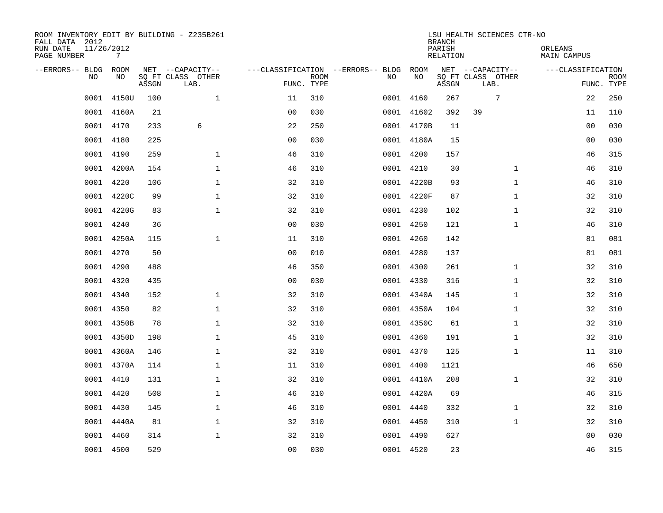| FALL DATA 2012<br>RUN DATE<br>PAGE NUMBER | 11/26/2012<br>7          |       | ROOM INVENTORY EDIT BY BUILDING - Z235B261    |                                   |                           |      |            | <b>BRANCH</b><br>PARISH<br>RELATION | LSU HEALTH SCIENCES CTR-NO                    | ORLEANS<br><b>MAIN CAMPUS</b> |                           |
|-------------------------------------------|--------------------------|-------|-----------------------------------------------|-----------------------------------|---------------------------|------|------------|-------------------------------------|-----------------------------------------------|-------------------------------|---------------------------|
| --ERRORS-- BLDG                           | ROOM<br><b>NO</b><br>NO. | ASSGN | NET --CAPACITY--<br>SO FT CLASS OTHER<br>LAB. | ---CLASSIFICATION --ERRORS-- BLDG | <b>ROOM</b><br>FUNC. TYPE | NO   | ROOM<br>NO | ASSGN                               | NET --CAPACITY--<br>SQ FT CLASS OTHER<br>LAB. | ---CLASSIFICATION             | <b>ROOM</b><br>FUNC. TYPE |
|                                           | 0001<br>4150U            | 100   | $\mathbf{1}$                                  | 11                                | 310                       | 0001 | 4160       | 267                                 | 7                                             | 22                            | 250                       |
|                                           | 4160A<br>0001            | 21    |                                               | 0 <sub>0</sub>                    | 030                       |      | 0001 41602 | 392                                 | 39                                            | 11                            | 110                       |
|                                           | 0001<br>4170             | 233   | 6                                             | 22                                | 250                       |      | 0001 4170B | 11                                  |                                               | 0 <sub>0</sub>                | 030                       |
|                                           | 0001 4180                | 225   |                                               | 0 <sub>0</sub>                    | 030                       |      | 0001 4180A | 15                                  |                                               | 0 <sub>0</sub>                | 030                       |
|                                           | 0001<br>4190             | 259   | $\mathbf{1}$                                  | 46                                | 310                       |      | 0001 4200  | 157                                 |                                               | 46                            | 315                       |
|                                           | 0001 4200A               | 154   | $\mathbf{1}$                                  | 46                                | 310                       |      | 0001 4210  | 30                                  | $\mathbf{1}$                                  | 46                            | 310                       |
|                                           | 0001<br>4220             | 106   | $\mathbf{1}$                                  | 32                                | 310                       |      | 0001 4220B | 93                                  | $\mathbf{1}$                                  | 46                            | 310                       |
|                                           | 0001 4220C               | 99    | $\mathbf 1$                                   | 32                                | 310                       |      | 0001 4220F | 87                                  | $\mathbf{1}$                                  | 32                            | 310                       |
|                                           | 0001<br>4220G            | 83    | $\mathbf{1}$                                  | 32                                | 310                       |      | 0001 4230  | 102                                 | $\mathbf{1}$                                  | 32                            | 310                       |
|                                           | 0001 4240                | 36    |                                               | 0 <sub>0</sub>                    | 030                       |      | 0001 4250  | 121                                 | $\mathbf{1}$                                  | 46                            | 310                       |
|                                           | 0001 4250A               | 115   | $\mathbf 1$                                   | 11                                | 310                       |      | 0001 4260  | 142                                 |                                               | 81                            | 081                       |
|                                           | 0001 4270                | 50    |                                               | 0 <sub>0</sub>                    | 010                       |      | 0001 4280  | 137                                 |                                               | 81                            | 081                       |
|                                           | 4290<br>0001             | 488   |                                               | 46                                | 350                       | 0001 | 4300       | 261                                 | $\mathbf{1}$                                  | 32                            | 310                       |
|                                           | 0001<br>4320             | 435   |                                               | 0 <sub>0</sub>                    | 030                       |      | 0001 4330  | 316                                 | $\mathbf{1}$                                  | 32                            | 310                       |
|                                           | 0001<br>4340             | 152   | $\mathbf 1$                                   | 32                                | 310                       |      | 0001 4340A | 145                                 | $\mathbf{1}$                                  | 32                            | 310                       |
|                                           | 4350<br>0001             | 82    | $\mathbf 1$                                   | 32                                | 310                       |      | 0001 4350A | 104                                 | $\mathbf{1}$                                  | 32                            | 310                       |
|                                           | 0001<br>4350B            | 78    | $\mathbf{1}$                                  | 32                                | 310                       |      | 0001 4350C | 61                                  | $\mathbf{1}$                                  | 32                            | 310                       |
|                                           | 4350D<br>0001            | 198   | $\mathbf{1}$                                  | 45                                | 310                       |      | 0001 4360  | 191                                 | $\mathbf{1}$                                  | 32                            | 310                       |
|                                           | 0001 4360A               | 146   | $\mathbf{1}$                                  | 32                                | 310                       |      | 0001 4370  | 125                                 | $\mathbf{1}$                                  | 11                            | 310                       |
|                                           | 0001 4370A               | 114   | $\mathbf{1}$                                  | 11                                | 310                       |      | 0001 4400  | 1121                                |                                               | 46                            | 650                       |
|                                           | 0001<br>4410             | 131   | $\mathbf{1}$                                  | 32                                | 310                       |      | 0001 4410A | 208                                 | $\mathbf{1}$                                  | 32                            | 310                       |
|                                           | 0001<br>4420             | 508   | $\mathbf{1}$                                  | 46                                | 310                       |      | 0001 4420A | 69                                  |                                               | 46                            | 315                       |
|                                           | 0001<br>4430             | 145   | $\mathbf{1}$                                  | 46                                | 310                       |      | 0001 4440  | 332                                 | $\mathbf{1}$                                  | 32                            | 310                       |
|                                           | 0001 4440A               | 81    | $\mathbf{1}$                                  | 32                                | 310                       |      | 0001 4450  | 310                                 | $\mathbf{1}$                                  | 32                            | 310                       |
|                                           | 0001 4460                | 314   | $\mathbf 1$                                   | 32                                | 310                       |      | 0001 4490  | 627                                 |                                               | 00                            | 030                       |
|                                           | 0001 4500                | 529   |                                               | 00                                | 030                       |      | 0001 4520  | 23                                  |                                               | 46                            | 315                       |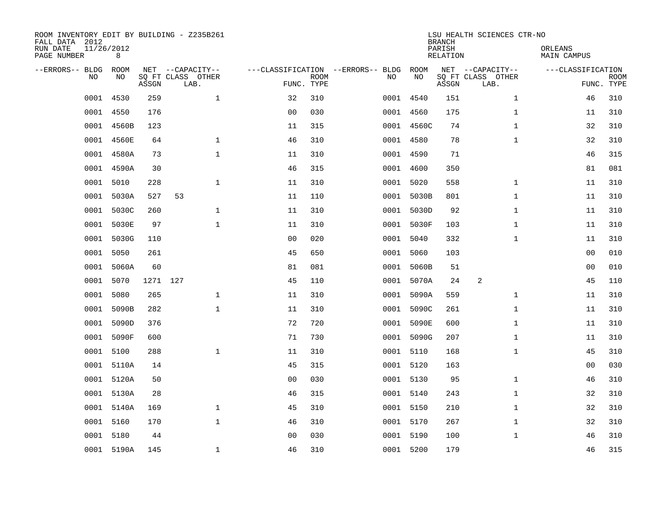| ROOM INVENTORY EDIT BY BUILDING - Z235B261<br>FALL DATA 2012<br>RUN DATE<br>PAGE NUMBER | 11/26/2012<br>8 |          |                                               |                |             |                                         |            | <b>BRANCH</b><br>PARISH<br><b>RELATION</b> | LSU HEALTH SCIENCES CTR-NO                    | ORLEANS<br><b>MAIN CAMPUS</b> |                           |
|-----------------------------------------------------------------------------------------|-----------------|----------|-----------------------------------------------|----------------|-------------|-----------------------------------------|------------|--------------------------------------------|-----------------------------------------------|-------------------------------|---------------------------|
| --ERRORS-- BLDG<br>NO                                                                   | ROOM<br>NO      | ASSGN    | NET --CAPACITY--<br>SQ FT CLASS OTHER<br>LAB. | FUNC. TYPE     | <b>ROOM</b> | ---CLASSIFICATION --ERRORS-- BLDG<br>NO | ROOM<br>NO | ASSGN                                      | NET --CAPACITY--<br>SQ FT CLASS OTHER<br>LAB. | ---CLASSIFICATION             | <b>ROOM</b><br>FUNC. TYPE |
| 0001                                                                                    | 4530            | 259      | $\mathbf 1$                                   | 32             | 310         |                                         | 0001 4540  | 151                                        | $\mathbf{1}$                                  | 46                            | 310                       |
| 0001                                                                                    | 4550            | 176      |                                               | 0 <sub>0</sub> | 030         |                                         | 0001 4560  | 175                                        | $\mathbf{1}$                                  | 11                            | 310                       |
| 0001                                                                                    | 4560B           | 123      |                                               | 11             | 315         |                                         | 0001 4560C | 74                                         | $\mathbf{1}$                                  | 32                            | 310                       |
| 0001                                                                                    | 4560E           | 64       | $\mathbf 1$                                   | 46             | 310         |                                         | 0001 4580  | 78                                         | $\mathbf{1}$                                  | 32                            | 310                       |
| 0001                                                                                    | 4580A           | 73       | $\mathbf{1}$                                  | 11             | 310         |                                         | 0001 4590  | 71                                         |                                               | 46                            | 315                       |
| 0001                                                                                    | 4590A           | 30       |                                               | 46             | 315         |                                         | 0001 4600  | 350                                        |                                               | 81                            | 081                       |
| 0001                                                                                    | 5010            | 228      | $\mathbf{1}$                                  | 11             | 310         |                                         | 0001 5020  | 558                                        | $\mathbf{1}$                                  | 11                            | 310                       |
| 0001                                                                                    | 5030A           | 527      | 53                                            | 11             | 110         |                                         | 0001 5030B | 801                                        | $\mathbf{1}$                                  | 11                            | 310                       |
| 0001                                                                                    | 5030C           | 260      | $\mathbf{1}$                                  | 11             | 310         |                                         | 0001 5030D | 92                                         | $\mathbf{1}$                                  | 11                            | 310                       |
| 0001                                                                                    | 5030E           | 97       | $\mathbf{1}$                                  | 11             | 310         |                                         | 0001 5030F | 103                                        | $\mathbf{1}$                                  | 11                            | 310                       |
| 0001                                                                                    | 5030G           | 110      |                                               | 0 <sub>0</sub> | 020         |                                         | 0001 5040  | 332                                        | $\mathbf{1}$                                  | 11                            | 310                       |
| 0001                                                                                    | 5050            | 261      |                                               | 45             | 650         |                                         | 0001 5060  | 103                                        |                                               | 00                            | 010                       |
| 0001                                                                                    | 5060A           | 60       |                                               | 81             | 081         | 0001                                    | 5060B      | 51                                         |                                               | 0 <sub>0</sub>                | 010                       |
| 0001                                                                                    | 5070            | 1271 127 |                                               | 45             | 110         |                                         | 0001 5070A | 24                                         | 2                                             | 45                            | 110                       |
| 0001                                                                                    | 5080            | 265      | $\mathbf{1}$                                  | 11             | 310         | 0001                                    | 5090A      | 559                                        | $\mathbf{1}$                                  | 11                            | 310                       |
| 0001                                                                                    | 5090B           | 282      | $\mathbf{1}$                                  | 11             | 310         | 0001                                    | 5090C      | 261                                        | $\mathbf{1}$                                  | 11                            | 310                       |
| 0001                                                                                    | 5090D           | 376      |                                               | 72             | 720         | 0001                                    | 5090E      | 600                                        | $\mathbf{1}$                                  | 11                            | 310                       |
| 0001                                                                                    | 5090F           | 600      |                                               | 71             | 730         |                                         | 0001 5090G | 207                                        | $\mathbf{1}$                                  | 11                            | 310                       |
|                                                                                         | 0001 5100       | 288      | $\mathbf{1}$                                  | 11             | 310         |                                         | 0001 5110  | 168                                        | $\mathbf{1}$                                  | 45                            | 310                       |
|                                                                                         | 0001 5110A      | 14       |                                               | 45             | 315         |                                         | 0001 5120  | 163                                        |                                               | 00                            | 030                       |
|                                                                                         | 0001 5120A      | 50       |                                               | 0 <sub>0</sub> | 030         |                                         | 0001 5130  | 95                                         | $\mathbf{1}$                                  | 46                            | 310                       |
|                                                                                         | 0001 5130A      | 28       |                                               | 46             | 315         |                                         | 0001 5140  | 243                                        | $\mathbf{1}$                                  | 32                            | 310                       |
|                                                                                         | 0001 5140A      | 169      | $\mathbf{1}$                                  | 45             | 310         |                                         | 0001 5150  | 210                                        | $\mathbf{1}$                                  | 32                            | 310                       |
| 0001                                                                                    | 5160            | 170      | $\mathbf{1}$                                  | 46             | 310         |                                         | 0001 5170  | 267                                        | $\mathbf{1}$                                  | 32                            | 310                       |
|                                                                                         | 0001 5180       | 44       |                                               | 0 <sub>0</sub> | 030         |                                         | 0001 5190  | 100                                        | $\mathbf{1}$                                  | 46                            | 310                       |
|                                                                                         | 0001 5190A      | 145      | $\mathbf 1$                                   | 46             | 310         |                                         | 0001 5200  | 179                                        |                                               | 46                            | 315                       |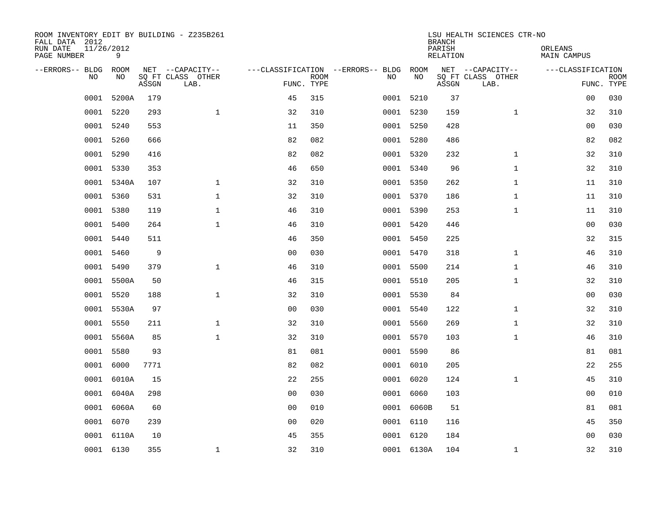| ROOM INVENTORY EDIT BY BUILDING - Z235B261<br>FALL DATA 2012<br>RUN DATE<br>PAGE NUMBER | 11/26/2012<br>9 |       |                                               |                |             |                                         |            | <b>BRANCH</b><br>PARISH<br><b>RELATION</b> | LSU HEALTH SCIENCES CTR-NO                    | ORLEANS<br><b>MAIN CAMPUS</b>   |             |
|-----------------------------------------------------------------------------------------|-----------------|-------|-----------------------------------------------|----------------|-------------|-----------------------------------------|------------|--------------------------------------------|-----------------------------------------------|---------------------------------|-------------|
| --ERRORS-- BLDG<br>NO                                                                   | ROOM<br>NO      | ASSGN | NET --CAPACITY--<br>SQ FT CLASS OTHER<br>LAB. | FUNC. TYPE     | <b>ROOM</b> | ---CLASSIFICATION --ERRORS-- BLDG<br>NO | ROOM<br>NO | ASSGN                                      | NET --CAPACITY--<br>SQ FT CLASS OTHER<br>LAB. | ---CLASSIFICATION<br>FUNC. TYPE | <b>ROOM</b> |
| 0001                                                                                    | 5200A           | 179   |                                               | 45             | 315         |                                         | 0001 5210  | 37                                         |                                               | 0 <sub>0</sub>                  | 030         |
| 0001                                                                                    | 5220            | 293   | $\mathbf{1}$                                  | 32             | 310         |                                         | 0001 5230  | 159                                        | $\mathbf{1}$                                  | 32                              | 310         |
| 0001                                                                                    | 5240            | 553   |                                               | 11             | 350         |                                         | 0001 5250  | 428                                        |                                               | 0 <sub>0</sub>                  | 030         |
| 0001                                                                                    | 5260            | 666   |                                               | 82             | 082         |                                         | 0001 5280  | 486                                        |                                               | 82                              | 082         |
| 0001                                                                                    | 5290            | 416   |                                               | 82             | 082         |                                         | 0001 5320  | 232                                        | $\mathbf{1}$                                  | 32                              | 310         |
|                                                                                         | 0001 5330       | 353   |                                               | 46             | 650         |                                         | 0001 5340  | 96                                         | $\mathbf{1}$                                  | 32                              | 310         |
| 0001                                                                                    | 5340A           | 107   | $\mathbf{1}$                                  | 32             | 310         |                                         | 0001 5350  | 262                                        | $\mathbf{1}$                                  | 11                              | 310         |
|                                                                                         | 0001 5360       | 531   | $\mathbf 1$                                   | 32             | 310         |                                         | 0001 5370  | 186                                        | $\mathbf{1}$                                  | 11                              | 310         |
| 0001                                                                                    | 5380            | 119   | $\mathbf{1}$                                  | 46             | 310         |                                         | 0001 5390  | 253                                        | $\mathbf{1}$                                  | 11                              | 310         |
| 0001                                                                                    | 5400            | 264   | $\mathbf{1}$                                  | 46             | 310         |                                         | 0001 5420  | 446                                        |                                               | 00                              | 030         |
| 0001                                                                                    | 5440            | 511   |                                               | 46             | 350         |                                         | 0001 5450  | 225                                        |                                               | 32                              | 315         |
|                                                                                         | 0001 5460       | 9     |                                               | 0 <sub>0</sub> | 030         |                                         | 0001 5470  | 318                                        | $\mathbf{1}$                                  | 46                              | 310         |
| 0001                                                                                    | 5490            | 379   | $\mathbf{1}$                                  | 46             | 310         |                                         | 0001 5500  | 214                                        | $\mathbf{1}$                                  | 46                              | 310         |
| 0001                                                                                    | 5500A           | 50    |                                               | 46             | 315         |                                         | 0001 5510  | 205                                        | $\mathbf{1}$                                  | 32                              | 310         |
| 0001                                                                                    | 5520            | 188   | $\mathbf 1$                                   | 32             | 310         |                                         | 0001 5530  | 84                                         |                                               | 0 <sub>0</sub>                  | 030         |
| 0001                                                                                    | 5530A           | 97    |                                               | 0 <sub>0</sub> | 030         |                                         | 0001 5540  | 122                                        | $\mathbf{1}$                                  | 32                              | 310         |
| 0001                                                                                    | 5550            | 211   | $\mathbf 1$                                   | 32             | 310         | 0001                                    | 5560       | 269                                        | $\mathbf{1}$                                  | 32                              | 310         |
| 0001                                                                                    | 5560A           | 85    | $\mathbf{1}$                                  | 32             | 310         |                                         | 0001 5570  | 103                                        | $\mathbf{1}$                                  | 46                              | 310         |
|                                                                                         | 0001 5580       | 93    |                                               | 81             | 081         |                                         | 0001 5590  | 86                                         |                                               | 81                              | 081         |
| 0001                                                                                    | 6000            | 7771  |                                               | 82             | 082         |                                         | 0001 6010  | 205                                        |                                               | 22                              | 255         |
| 0001                                                                                    | 6010A           | 15    |                                               | 22             | 255         |                                         | 0001 6020  | 124                                        | $\mathbf{1}$                                  | 45                              | 310         |
| 0001                                                                                    | 6040A           | 298   |                                               | 0 <sub>0</sub> | 030         |                                         | 0001 6060  | 103                                        |                                               | 0 <sub>0</sub>                  | 010         |
| 0001                                                                                    | 6060A           | 60    |                                               | 0 <sub>0</sub> | 010         |                                         | 0001 6060B | 51                                         |                                               | 81                              | 081         |
| 0001                                                                                    | 6070            | 239   |                                               | 0 <sub>0</sub> | 020         |                                         | 0001 6110  | 116                                        |                                               | 45                              | 350         |
|                                                                                         | 0001 6110A      | 10    |                                               | 45             | 355         |                                         | 0001 6120  | 184                                        |                                               | 0 <sub>0</sub>                  | 030         |
|                                                                                         | 0001 6130       | 355   | $\mathbf 1$                                   | 32             | 310         |                                         | 0001 6130A | 104                                        | $\mathbf{1}$                                  | 32                              | 310         |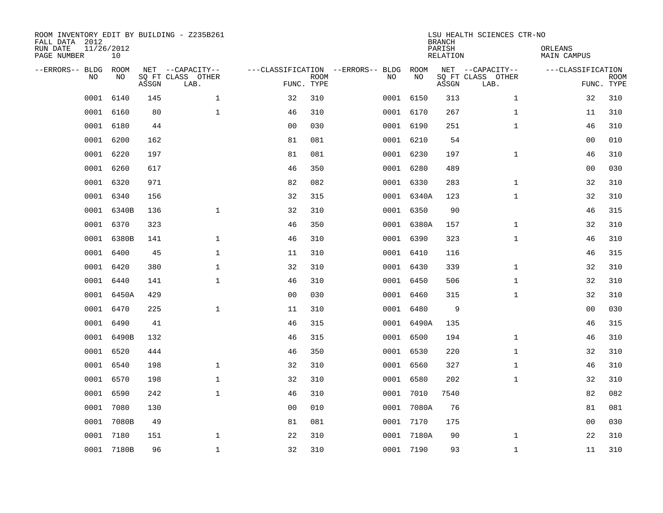| FALL DATA 2012<br>RUN DATE<br>PAGE NUMBER | 11/26/2012 | 10          |       | ROOM INVENTORY EDIT BY BUILDING - Z235B261    |                                                 |             |      |            | <b>BRANCH</b><br>PARISH<br>RELATION | LSU HEALTH SCIENCES CTR-NO                    | ORLEANS<br>MAIN CAMPUS |                           |
|-------------------------------------------|------------|-------------|-------|-----------------------------------------------|-------------------------------------------------|-------------|------|------------|-------------------------------------|-----------------------------------------------|------------------------|---------------------------|
| --ERRORS-- BLDG                           | <b>NO</b>  | ROOM<br>NO. | ASSGN | NET --CAPACITY--<br>SQ FT CLASS OTHER<br>LAB. | ---CLASSIFICATION --ERRORS-- BLDG<br>FUNC. TYPE | <b>ROOM</b> | NO   | ROOM<br>NO | ASSGN                               | NET --CAPACITY--<br>SQ FT CLASS OTHER<br>LAB. | ---CLASSIFICATION      | <b>ROOM</b><br>FUNC. TYPE |
|                                           | 0001       | 6140        | 145   | $\mathbf{1}$                                  | 32                                              | 310         |      | 0001 6150  | 313                                 | $\mathbf{1}$                                  | 32                     | 310                       |
|                                           | 0001       | 6160        | 80    | $\mathbf{1}$                                  | 46                                              | 310         |      | 0001 6170  | 267                                 | $\mathbf{1}$                                  | 11                     | 310                       |
|                                           | 0001       | 6180        | 44    |                                               | 0 <sub>0</sub>                                  | 030         |      | 0001 6190  | 251                                 | $\mathbf{1}$                                  | 46                     | 310                       |
|                                           | 0001       | 6200        | 162   |                                               | 81                                              | 081         |      | 0001 6210  | 54                                  |                                               | 0 <sub>0</sub>         | 010                       |
|                                           | 0001       | 6220        | 197   |                                               | 81                                              | 081         |      | 0001 6230  | 197                                 | $\mathbf{1}$                                  | 46                     | 310                       |
|                                           | 0001 6260  |             | 617   |                                               | 46                                              | 350         |      | 0001 6280  | 489                                 |                                               | 00                     | 030                       |
|                                           | 0001       | 6320        | 971   |                                               | 82                                              | 082         |      | 0001 6330  | 283                                 | $\mathbf{1}$                                  | 32                     | 310                       |
|                                           | 0001 6340  |             | 156   |                                               | 32                                              | 315         |      | 0001 6340A | 123                                 | $\mathbf{1}$                                  | 32                     | 310                       |
|                                           | 0001       | 6340B       | 136   | $\mathbf{1}$                                  | 32                                              | 310         |      | 0001 6350  | 90                                  |                                               | 46                     | 315                       |
|                                           | 0001 6370  |             | 323   |                                               | 46                                              | 350         |      | 0001 6380A | 157                                 | $\mathbf{1}$                                  | 32                     | 310                       |
|                                           | 0001       | 6380B       | 141   | $\mathbf 1$                                   | 46                                              | 310         |      | 0001 6390  | 323                                 | $\mathbf{1}$                                  | 46                     | 310                       |
|                                           | 0001 6400  |             | 45    | $\mathbf{1}$                                  | 11                                              | 310         |      | 0001 6410  | 116                                 |                                               | 46                     | 315                       |
|                                           | 0001       | 6420        | 380   | $\mathbf{1}$                                  | 32                                              | 310         |      | 0001 6430  | 339                                 | $\mathbf{1}$                                  | 32                     | 310                       |
|                                           | 0001       | 6440        | 141   | $\mathbf{1}$                                  | 46                                              | 310         |      | 0001 6450  | 506                                 | $\mathbf{1}$                                  | 32                     | 310                       |
|                                           | 0001       | 6450A       | 429   |                                               | 0 <sub>0</sub>                                  | 030         |      | 0001 6460  | 315                                 | $\mathbf{1}$                                  | 32                     | 310                       |
|                                           | 0001       | 6470        | 225   | $\mathbf 1$                                   | 11                                              | 310         |      | 0001 6480  | $\mathsf 9$                         |                                               | 00                     | 030                       |
|                                           | 0001       | 6490        | 41    |                                               | 46                                              | 315         |      | 0001 6490A | 135                                 |                                               | 46                     | 315                       |
|                                           | 0001       | 6490B       | 132   |                                               | 46                                              | 315         |      | 0001 6500  | 194                                 | $\mathbf{1}$                                  | 46                     | 310                       |
|                                           | 0001       | 6520        | 444   |                                               | 46                                              | 350         |      | 0001 6530  | 220                                 | $\mathbf{1}$                                  | 32                     | 310                       |
|                                           | 0001       | 6540        | 198   | $\mathbf 1$                                   | 32                                              | 310         |      | 0001 6560  | 327                                 | $\mathbf{1}$                                  | 46                     | 310                       |
|                                           | 0001       | 6570        | 198   | $\mathbf{1}$                                  | 32                                              | 310         |      | 0001 6580  | 202                                 | $\mathbf{1}$                                  | 32                     | 310                       |
|                                           | 0001       | 6590        | 242   | $\mathbf{1}$                                  | 46                                              | 310         |      | 0001 7010  | 7540                                |                                               | 82                     | 082                       |
|                                           | 0001       | 7080        | 130   |                                               | 0 <sub>0</sub>                                  | 010         |      | 0001 7080A | 76                                  |                                               | 81                     | 081                       |
|                                           | 0001       | 7080B       | 49    |                                               | 81                                              | 081         |      | 0001 7170  | 175                                 |                                               | 0 <sub>0</sub>         | 030                       |
|                                           | 0001       | 7180        | 151   | $\mathbf 1$                                   | 22                                              | 310         | 0001 | 7180A      | 90                                  | $\mathbf{1}$                                  | 22                     | 310                       |
|                                           |            | 0001 7180B  | 96    | $\mathbf{1}$                                  | 32                                              | 310         |      | 0001 7190  | 93                                  | $\mathbf{1}$                                  | 11                     | 310                       |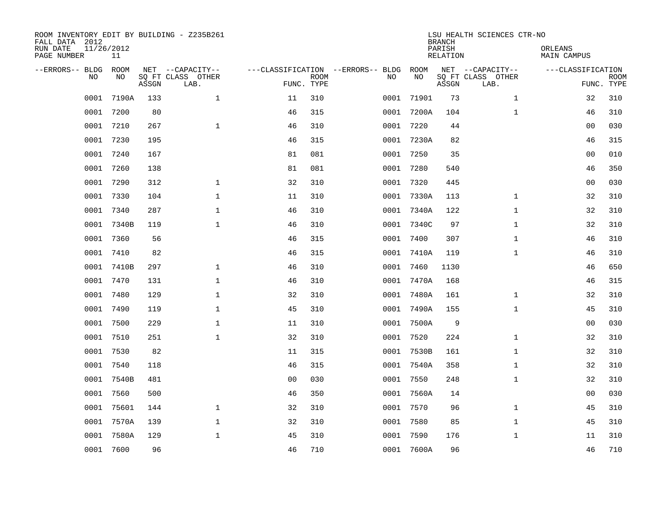| FALL DATA 2012<br>RUN DATE<br>PAGE NUMBER | 11/26/2012<br>11 |       | ROOM INVENTORY EDIT BY BUILDING - Z235B261    |                                                 |             |      |            | <b>BRANCH</b><br>PARISH<br>RELATION | LSU HEALTH SCIENCES CTR-NO                    | ORLEANS<br><b>MAIN CAMPUS</b>   |             |
|-------------------------------------------|------------------|-------|-----------------------------------------------|-------------------------------------------------|-------------|------|------------|-------------------------------------|-----------------------------------------------|---------------------------------|-------------|
| --ERRORS-- BLDG<br><b>NO</b>              | ROOM<br>NO.      | ASSGN | NET --CAPACITY--<br>SO FT CLASS OTHER<br>LAB. | ---CLASSIFICATION --ERRORS-- BLDG<br>FUNC. TYPE | <b>ROOM</b> | NO   | ROOM<br>NO | ASSGN                               | NET --CAPACITY--<br>SQ FT CLASS OTHER<br>LAB. | ---CLASSIFICATION<br>FUNC. TYPE | <b>ROOM</b> |
| 0001                                      | 7190A            | 133   | $\mathbf{1}$                                  | 11                                              | 310         | 0001 | 71901      | 73                                  | $\mathbf{1}$                                  | 32                              | 310         |
| 0001                                      | 7200             | 80    |                                               | 46                                              | 315         | 0001 | 7200A      | 104                                 | $\mathbf{1}$                                  | 46                              | 310         |
| 0001                                      | 7210             | 267   | $\mathbf{1}$                                  | 46                                              | 310         | 0001 | 7220       | 44                                  |                                               | 0 <sub>0</sub>                  | 030         |
| 0001                                      | 7230             | 195   |                                               | 46                                              | 315         |      | 0001 7230A | 82                                  |                                               | 46                              | 315         |
| 0001                                      | 7240             | 167   |                                               | 81                                              | 081         |      | 0001 7250  | 35                                  |                                               | 0 <sub>0</sub>                  | 010         |
| 0001                                      | 7260             | 138   |                                               | 81                                              | 081         |      | 0001 7280  | 540                                 |                                               | 46                              | 350         |
| 0001                                      | 7290             | 312   | $\mathbf{1}$                                  | 32                                              | 310         | 0001 | 7320       | 445                                 |                                               | 0 <sub>0</sub>                  | 030         |
| 0001                                      | 7330             | 104   | $\mathbf 1$                                   | 11                                              | 310         |      | 0001 7330A | 113                                 | $\mathbf{1}$                                  | 32                              | 310         |
| 0001                                      | 7340             | 287   | $\mathbf{1}$                                  | 46                                              | 310         | 0001 | 7340A      | 122                                 | $\mathbf{1}$                                  | 32                              | 310         |
| 0001                                      | 7340B            | 119   | $\mathbf{1}$                                  | 46                                              | 310         |      | 0001 7340C | 97                                  | $\mathbf{1}$                                  | 32                              | 310         |
| 0001                                      | 7360             | 56    |                                               | 46                                              | 315         | 0001 | 7400       | 307                                 | $\mathbf{1}$                                  | 46                              | 310         |
| 0001                                      | 7410             | 82    |                                               | 46                                              | 315         |      | 0001 7410A | 119                                 | $\mathbf{1}$                                  | 46                              | 310         |
| 0001                                      | 7410B            | 297   | $\mathbf 1$                                   | 46                                              | 310         | 0001 | 7460       | 1130                                |                                               | 46                              | 650         |
| 0001                                      | 7470             | 131   | $\mathbf 1$                                   | 46                                              | 310         | 0001 | 7470A      | 168                                 |                                               | 46                              | 315         |
| 0001                                      | 7480             | 129   | $\mathbf 1$                                   | 32                                              | 310         | 0001 | 7480A      | 161                                 | $\mathbf{1}$                                  | 32                              | 310         |
| 0001                                      | 7490             | 119   | $\mathbf 1$                                   | 45                                              | 310         |      | 0001 7490A | 155                                 | $\mathbf{1}$                                  | 45                              | 310         |
| 0001                                      | 7500             | 229   | $\mathbf 1$                                   | 11                                              | 310         | 0001 | 7500A      | 9                                   |                                               | 00                              | 030         |
| 0001                                      | 7510             | 251   | $\mathbf{1}$                                  | 32                                              | 310         |      | 0001 7520  | 224                                 | $\mathbf{1}$                                  | 32                              | 310         |
| 0001                                      | 7530             | 82    |                                               | 11                                              | 315         |      | 0001 7530B | 161                                 | $\mathbf{1}$                                  | 32                              | 310         |
| 0001                                      | 7540             | 118   |                                               | 46                                              | 315         |      | 0001 7540A | 358                                 | $\mathbf{1}$                                  | 32                              | 310         |
| 0001                                      | 7540B            | 481   |                                               | 0 <sub>0</sub>                                  | 030         |      | 0001 7550  | 248                                 | $\mathbf{1}$                                  | 32                              | 310         |
| 0001                                      | 7560             | 500   |                                               | 46                                              | 350         |      | 0001 7560A | 14                                  |                                               | 0 <sub>0</sub>                  | 030         |
| 0001                                      | 75601            | 144   | $\mathbf{1}$                                  | 32                                              | 310         |      | 0001 7570  | 96                                  | $\mathbf{1}$                                  | 45                              | 310         |
| 0001                                      | 7570A            | 139   | $\mathbf{1}$                                  | 32                                              | 310         |      | 0001 7580  | 85                                  | $\mathbf{1}$                                  | 45                              | 310         |
| 0001                                      | 7580A            | 129   | $\mathbf 1$                                   | 45                                              | 310         |      | 0001 7590  | 176                                 | $\mathbf{1}$                                  | 11                              | 310         |
|                                           | 0001 7600        | 96    |                                               | 46                                              | 710         |      | 0001 7600A | 96                                  |                                               | 46                              | 710         |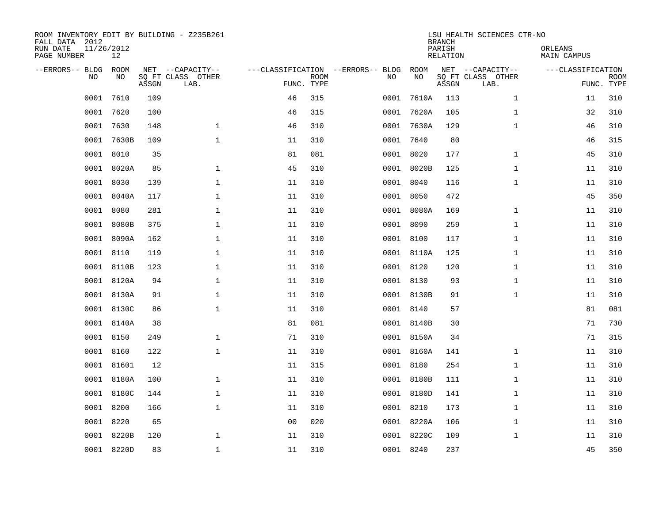| ROOM INVENTORY EDIT BY BUILDING - Z235B261<br>FALL DATA 2012<br>RUN DATE<br>PAGE NUMBER | 11/26/2012<br>12 |       |                                               |                |             |                                         |            | <b>BRANCH</b><br>PARISH<br><b>RELATION</b> | LSU HEALTH SCIENCES CTR-NO                    | ORLEANS<br><b>MAIN CAMPUS</b> |                           |
|-----------------------------------------------------------------------------------------|------------------|-------|-----------------------------------------------|----------------|-------------|-----------------------------------------|------------|--------------------------------------------|-----------------------------------------------|-------------------------------|---------------------------|
| --ERRORS-- BLDG<br>NO.                                                                  | ROOM<br>NO       | ASSGN | NET --CAPACITY--<br>SQ FT CLASS OTHER<br>LAB. | FUNC. TYPE     | <b>ROOM</b> | ---CLASSIFICATION --ERRORS-- BLDG<br>NO | ROOM<br>NO | ASSGN                                      | NET --CAPACITY--<br>SQ FT CLASS OTHER<br>LAB. | ---CLASSIFICATION             | <b>ROOM</b><br>FUNC. TYPE |
| 0001                                                                                    | 7610             | 109   |                                               | 46             | 315         | 0001                                    | 7610A      | 113                                        | $\mathbf{1}$                                  | 11                            | 310                       |
| 0001                                                                                    | 7620             | 100   |                                               | 46             | 315         | 0001                                    | 7620A      | 105                                        | $\mathbf{1}$                                  | 32                            | 310                       |
| 0001                                                                                    | 7630             | 148   | $\mathbf{1}$                                  | 46             | 310         |                                         | 0001 7630A | 129                                        | $\mathbf{1}$                                  | 46                            | 310                       |
| 0001                                                                                    | 7630B            | 109   | $\mathbf{1}$                                  | 11             | 310         |                                         | 0001 7640  | 80                                         |                                               | 46                            | 315                       |
| 0001                                                                                    | 8010             | 35    |                                               | 81             | 081         |                                         | 0001 8020  | 177                                        | $\mathbf{1}$                                  | 45                            | 310                       |
| 0001                                                                                    | 8020A            | 85    | $\mathbf{1}$                                  | 45             | 310         |                                         | 0001 8020B | 125                                        | $\mathbf{1}$                                  | 11                            | 310                       |
| 0001                                                                                    | 8030             | 139   | $\mathbf{1}$                                  | 11             | 310         |                                         | 0001 8040  | 116                                        | $\mathbf{1}$                                  | 11                            | 310                       |
|                                                                                         | 0001 8040A       | 117   | $\mathbf{1}$                                  | 11             | 310         |                                         | 0001 8050  | 472                                        |                                               | 45                            | 350                       |
| 0001                                                                                    | 8080             | 281   | $\mathbf{1}$                                  | 11             | 310         |                                         | 0001 8080A | 169                                        | $\mathbf{1}$                                  | 11                            | 310                       |
| 0001                                                                                    | 8080B            | 375   | $\mathbf{1}$                                  | 11             | 310         |                                         | 0001 8090  | 259                                        | $\mathbf{1}$                                  | 11                            | 310                       |
| 0001                                                                                    | 8090A            | 162   | $\mathbf{1}$                                  | 11             | 310         |                                         | 0001 8100  | 117                                        | $\mathbf{1}$                                  | 11                            | 310                       |
|                                                                                         | 0001 8110        | 119   | $\mathbf{1}$                                  | 11             | 310         |                                         | 0001 8110A | 125                                        | $\mathbf{1}$                                  | 11                            | 310                       |
| 0001                                                                                    | 8110B            | 123   | $\mathbf{1}$                                  | 11             | 310         |                                         | 0001 8120  | 120                                        | $\mathbf{1}$                                  | 11                            | 310                       |
| 0001                                                                                    | 8120A            | 94    | $\mathbf{1}$                                  | 11             | 310         |                                         | 0001 8130  | 93                                         | $\mathbf{1}$                                  | 11                            | 310                       |
| 0001                                                                                    | 8130A            | 91    | 1                                             | 11             | 310         |                                         | 0001 8130B | 91                                         | $\mathbf{1}$                                  | 11                            | 310                       |
| 0001                                                                                    | 8130C            | 86    | $\mathbf 1$                                   | 11             | 310         |                                         | 0001 8140  | 57                                         |                                               | 81                            | 081                       |
| 0001                                                                                    | 8140A            | 38    |                                               | 81             | 081         |                                         | 0001 8140B | 30                                         |                                               | 71                            | 730                       |
| 0001                                                                                    | 8150             | 249   | $\mathbf 1$                                   | 71             | 310         |                                         | 0001 8150A | 34                                         |                                               | 71                            | 315                       |
|                                                                                         | 0001 8160        | 122   | $\mathbf{1}$                                  | 11             | 310         |                                         | 0001 8160A | 141                                        | $\mathbf{1}$                                  | 11                            | 310                       |
|                                                                                         | 0001 81601       | 12    |                                               | 11             | 315         |                                         | 0001 8180  | 254                                        | $\mathbf{1}$                                  | 11                            | 310                       |
|                                                                                         | 0001 8180A       | 100   | $\mathbf{1}$                                  | 11             | 310         |                                         | 0001 8180B | 111                                        | $\mathbf{1}$                                  | 11                            | 310                       |
| 0001                                                                                    | 8180C            | 144   | $\mathbf{1}$                                  | 11             | 310         |                                         | 0001 8180D | 141                                        | $\mathbf{1}$                                  | 11                            | 310                       |
| 0001                                                                                    | 8200             | 166   | $\mathbf{1}$                                  | 11             | 310         |                                         | 0001 8210  | 173                                        | $\mathbf{1}$                                  | 11                            | 310                       |
| 0001                                                                                    | 8220             | 65    |                                               | 0 <sub>0</sub> | 020         |                                         | 0001 8220A | 106                                        | $\mathbf{1}$                                  | 11                            | 310                       |
|                                                                                         | 0001 8220B       | 120   | $\mathbf 1$                                   | 11             | 310         |                                         | 0001 8220C | 109                                        | $\mathbf{1}$                                  | 11                            | 310                       |
|                                                                                         | 0001 8220D       | 83    | $\mathbf 1$                                   | 11             | 310         |                                         | 0001 8240  | 237                                        |                                               | 45                            | 350                       |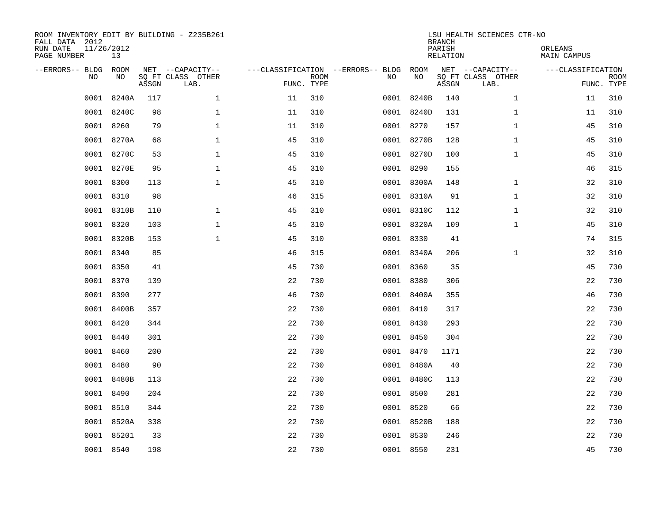| FALL DATA 2012<br>RUN DATE<br>PAGE NUMBER | 11/26/2012<br>13         |       | ROOM INVENTORY EDIT BY BUILDING - Z235B261    |                                   |                           |      |            | <b>BRANCH</b><br>PARISH<br>RELATION | LSU HEALTH SCIENCES CTR-NO                    | ORLEANS<br><b>MAIN CAMPUS</b> |                           |
|-------------------------------------------|--------------------------|-------|-----------------------------------------------|-----------------------------------|---------------------------|------|------------|-------------------------------------|-----------------------------------------------|-------------------------------|---------------------------|
| --ERRORS-- BLDG                           | ROOM<br><b>NO</b><br>NO. | ASSGN | NET --CAPACITY--<br>SO FT CLASS OTHER<br>LAB. | ---CLASSIFICATION --ERRORS-- BLDG | <b>ROOM</b><br>FUNC. TYPE | NO   | ROOM<br>NO | ASSGN                               | NET --CAPACITY--<br>SQ FT CLASS OTHER<br>LAB. | ---CLASSIFICATION             | <b>ROOM</b><br>FUNC. TYPE |
|                                           | 0001<br>8240A            | 117   | $\mathbf{1}$                                  | 11                                | 310                       | 0001 | 8240B      | 140                                 | $\mathbf{1}$                                  | 11                            | 310                       |
|                                           | 8240C<br>0001            | 98    | $\mathbf{1}$                                  | 11                                | 310                       |      | 0001 8240D | 131                                 | $\mathbf{1}$                                  | 11                            | 310                       |
|                                           | 8260<br>0001             | 79    | $\mathbf{1}$                                  | 11                                | 310                       |      | 0001 8270  | 157                                 | $\mathbf{1}$                                  | 45                            | 310                       |
|                                           | 0001 8270A               | 68    | $\mathbf{1}$                                  | 45                                | 310                       |      | 0001 8270B | 128                                 | $\mathbf{1}$                                  | 45                            | 310                       |
|                                           | 0001<br>8270C            | 53    | $\mathbf{1}$                                  | 45                                | 310                       |      | 0001 8270D | 100                                 | $\mathbf{1}$                                  | 45                            | 310                       |
|                                           | 0001 8270E               | 95    | $\mathbf{1}$                                  | 45                                | 310                       |      | 0001 8290  | 155                                 |                                               | 46                            | 315                       |
|                                           | 0001 8300                | 113   | $\mathbf{1}$                                  | 45                                | 310                       |      | 0001 8300A | 148                                 | $\mathbf{1}$                                  | 32                            | 310                       |
|                                           | 0001 8310                | 98    |                                               | 46                                | 315                       |      | 0001 8310A | 91                                  | $\mathbf{1}$                                  | 32                            | 310                       |
|                                           | 0001 8310B               | 110   | $\mathbf{1}$                                  | 45                                | 310                       |      | 0001 8310C | 112                                 | $\mathbf{1}$                                  | 32                            | 310                       |
|                                           | 0001 8320                | 103   | $\mathbf 1$                                   | 45                                | 310                       |      | 0001 8320A | 109                                 | $\mathbf{1}$                                  | 45                            | 310                       |
|                                           | 0001 8320B               | 153   | $\mathbf 1$                                   | 45                                | 310                       |      | 0001 8330  | 41                                  |                                               | 74                            | 315                       |
|                                           | 0001 8340                | 85    |                                               | 46                                | 315                       |      | 0001 8340A | 206                                 | $\mathbf{1}$                                  | 32                            | 310                       |
|                                           | 0001<br>8350             | 41    |                                               | 45                                | 730                       |      | 0001 8360  | 35                                  |                                               | 45                            | 730                       |
|                                           | 0001<br>8370             | 139   |                                               | 22                                | 730                       |      | 0001 8380  | 306                                 |                                               | 22                            | 730                       |
|                                           | 0001<br>8390             | 277   |                                               | 46                                | 730                       |      | 0001 8400A | 355                                 |                                               | 46                            | 730                       |
|                                           | 0001<br>8400B            | 357   |                                               | 22                                | 730                       |      | 0001 8410  | 317                                 |                                               | 22                            | 730                       |
|                                           | 0001<br>8420             | 344   |                                               | 22                                | 730                       |      | 0001 8430  | 293                                 |                                               | 22                            | 730                       |
|                                           | 0001<br>8440             | 301   |                                               | 22                                | 730                       |      | 0001 8450  | 304                                 |                                               | 22                            | 730                       |
|                                           | 0001 8460                | 200   |                                               | 22                                | 730                       |      | 0001 8470  | 1171                                |                                               | 22                            | 730                       |
|                                           | 0001 8480                | 90    |                                               | 22                                | 730                       |      | 0001 8480A | 40                                  |                                               | 22                            | 730                       |
|                                           | 0001 8480B               | 113   |                                               | 22                                | 730                       |      | 0001 8480C | 113                                 |                                               | 22                            | 730                       |
|                                           | 0001<br>8490             | 204   |                                               | 22                                | 730                       |      | 0001 8500  | 281                                 |                                               | 22                            | 730                       |
|                                           | 0001 8510                | 344   |                                               | 22                                | 730                       |      | 0001 8520  | 66                                  |                                               | 22                            | 730                       |
|                                           | 0001 8520A               | 338   |                                               | 22                                | 730                       |      | 0001 8520B | 188                                 |                                               | 22                            | 730                       |
|                                           | 0001 85201               | 33    |                                               | 22                                | 730                       |      | 0001 8530  | 246                                 |                                               | 22                            | 730                       |
|                                           | 0001 8540                | 198   |                                               | 22                                | 730                       |      | 0001 8550  | 231                                 |                                               | 45                            | 730                       |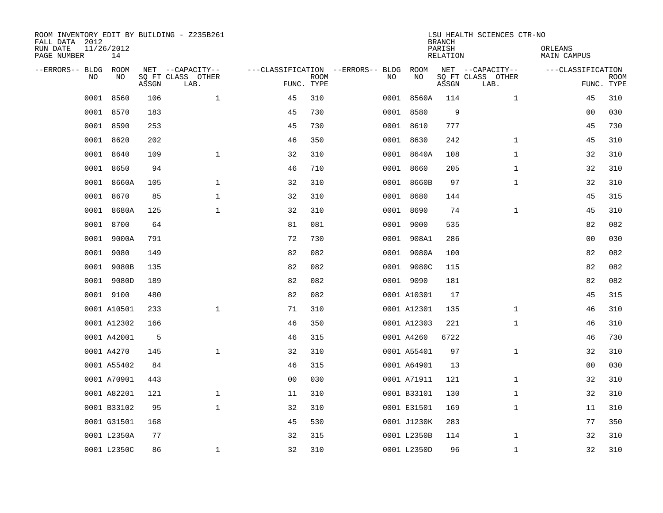| FALL DATA 2012<br>RUN DATE<br>PAGE NUMBER |           | 11/26/2012<br>14 |       | ROOM INVENTORY EDIT BY BUILDING - Z235B261    |                                                 |             |      |             | <b>BRANCH</b><br>PARISH<br>RELATION | LSU HEALTH SCIENCES CTR-NO                    | ORLEANS<br>MAIN CAMPUS |                           |
|-------------------------------------------|-----------|------------------|-------|-----------------------------------------------|-------------------------------------------------|-------------|------|-------------|-------------------------------------|-----------------------------------------------|------------------------|---------------------------|
| --ERRORS-- BLDG                           | <b>NO</b> | ROOM<br>NO       | ASSGN | NET --CAPACITY--<br>SQ FT CLASS OTHER<br>LAB. | ---CLASSIFICATION --ERRORS-- BLDG<br>FUNC. TYPE | <b>ROOM</b> | NO   | ROOM<br>NO  | ASSGN                               | NET --CAPACITY--<br>SQ FT CLASS OTHER<br>LAB. | ---CLASSIFICATION      | <b>ROOM</b><br>FUNC. TYPE |
|                                           | 0001      | 8560             | 106   | $\mathbf{1}$                                  | 45                                              | 310         | 0001 | 8560A       | 114                                 | $\mathbf{1}$                                  | 45                     | 310                       |
|                                           | 0001      | 8570             | 183   |                                               | 45                                              | 730         |      | 0001 8580   | 9                                   |                                               | 0 <sub>0</sub>         | 030                       |
|                                           | 0001      | 8590             | 253   |                                               | 45                                              | 730         |      | 0001 8610   | 777                                 |                                               | 45                     | 730                       |
|                                           |           | 0001 8620        | 202   |                                               | 46                                              | 350         |      | 0001 8630   | 242                                 | $\mathbf{1}$                                  | 45                     | 310                       |
|                                           | 0001      | 8640             | 109   | $\mathbf 1$                                   | 32                                              | 310         |      | 0001 8640A  | 108                                 | $\mathbf{1}$                                  | 32                     | 310                       |
|                                           | 0001      | 8650             | 94    |                                               | 46                                              | 710         |      | 0001 8660   | 205                                 | $\mathbf{1}$                                  | 32                     | 310                       |
|                                           | 0001      | 8660A            | 105   | $\mathbf 1$                                   | 32                                              | 310         |      | 0001 8660B  | 97                                  | $\mathbf{1}$                                  | 32                     | 310                       |
|                                           |           | 0001 8670        | 85    | $\mathbf 1$                                   | 32                                              | 310         |      | 0001 8680   | 144                                 |                                               | 45                     | 315                       |
|                                           | 0001      | 8680A            | 125   | $\mathbf 1$                                   | 32                                              | 310         |      | 0001 8690   | 74                                  | $\mathbf{1}$                                  | 45                     | 310                       |
|                                           |           | 0001 8700        | 64    |                                               | 81                                              | 081         |      | 0001 9000   | 535                                 |                                               | 82                     | 082                       |
|                                           | 0001      | 9000A            | 791   |                                               | 72                                              | 730         |      | 0001 908A1  | 286                                 |                                               | 00                     | 030                       |
|                                           |           | 0001 9080        | 149   |                                               | 82                                              | 082         |      | 0001 9080A  | 100                                 |                                               | 82                     | 082                       |
|                                           | 0001      | 9080B            | 135   |                                               | 82                                              | 082         |      | 0001 9080C  | 115                                 |                                               | 82                     | 082                       |
|                                           |           | 0001 9080D       | 189   |                                               | 82                                              | 082         |      | 0001 9090   | 181                                 |                                               | 82                     | 082                       |
|                                           |           | 0001 9100        | 480   |                                               | 82                                              | 082         |      | 0001 A10301 | 17                                  |                                               | 45                     | 315                       |
|                                           |           | 0001 A10501      | 233   | $\mathbf 1$                                   | 71                                              | 310         |      | 0001 A12301 | 135                                 | $\mathbf{1}$                                  | 46                     | 310                       |
|                                           |           | 0001 A12302      | 166   |                                               | 46                                              | 350         |      | 0001 A12303 | 221                                 | $\mathbf{1}$                                  | 46                     | 310                       |
|                                           |           | 0001 A42001      | 5     |                                               | 46                                              | 315         |      | 0001 A4260  | 6722                                |                                               | 46                     | 730                       |
|                                           |           | 0001 A4270       | 145   | $\mathbf 1$                                   | 32                                              | 310         |      | 0001 A55401 | 97                                  | $\mathbf{1}$                                  | 32                     | 310                       |
|                                           |           | 0001 A55402      | 84    |                                               | 46                                              | 315         |      | 0001 A64901 | 13                                  |                                               | 0 <sub>0</sub>         | 030                       |
|                                           |           | 0001 A70901      | 443   |                                               | 0 <sub>0</sub>                                  | 030         |      | 0001 A71911 | 121                                 | $\mathbf{1}$                                  | 32                     | 310                       |
|                                           |           | 0001 A82201      | 121   | $\mathbf{1}$                                  | 11                                              | 310         |      | 0001 B33101 | 130                                 | $\mathbf{1}$                                  | 32                     | 310                       |
|                                           |           | 0001 B33102      | 95    | $\mathbf{1}$                                  | 32                                              | 310         |      | 0001 E31501 | 169                                 | $\mathbf{1}$                                  | 11                     | 310                       |
|                                           |           | 0001 G31501      | 168   |                                               | 45                                              | 530         |      | 0001 J1230K | 283                                 |                                               | 77                     | 350                       |
|                                           |           | 0001 L2350A      | 77    |                                               | 32                                              | 315         |      | 0001 L2350B | 114                                 | $\mathbf{1}$                                  | 32                     | 310                       |
|                                           |           | 0001 L2350C      | 86    | $\mathbf 1$                                   | 32                                              | 310         |      | 0001 L2350D | 96                                  | $\mathbf{1}$                                  | 32                     | 310                       |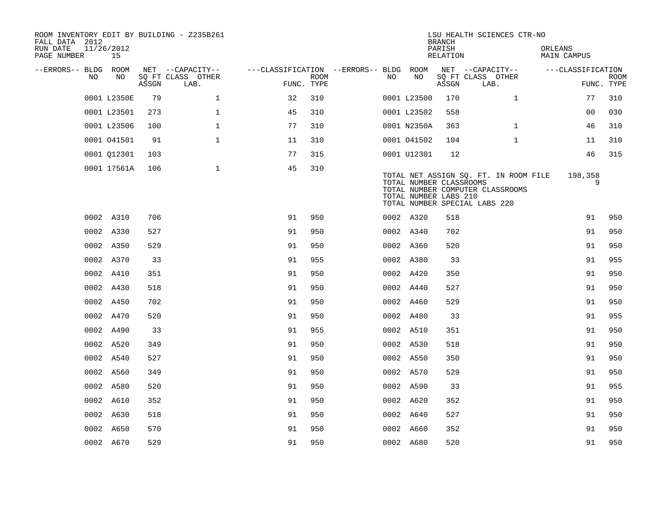| ROOM INVENTORY EDIT BY BUILDING - Z235B261<br>FALL DATA 2012<br>RUN DATE<br>PAGE NUMBER |    | 11/26/2012<br>15 |       |                           |              |                                                         |                           |      |                                                                                   | <b>BRANCH</b><br>PARISH<br>RELATION |      | LSU HEALTH SCIENCES CTR-NO                                                | ORLEANS | MAIN CAMPUS       |                           |
|-----------------------------------------------------------------------------------------|----|------------------|-------|---------------------------|--------------|---------------------------------------------------------|---------------------------|------|-----------------------------------------------------------------------------------|-------------------------------------|------|---------------------------------------------------------------------------|---------|-------------------|---------------------------|
| --ERRORS-- BLDG ROOM                                                                    |    |                  |       | NET --CAPACITY--          |              | ---CLASSIFICATION --ERRORS-- BLDG ROOM NET --CAPACITY-- |                           |      |                                                                                   |                                     |      |                                                                           |         | ---CLASSIFICATION |                           |
|                                                                                         | NO | NO               | ASSGN | SQ FT CLASS OTHER<br>LAB. |              |                                                         | <b>ROOM</b><br>FUNC. TYPE | NO . | NO                                                                                | ASSGN                               | LAB. | SQ FT CLASS OTHER                                                         |         |                   | <b>ROOM</b><br>FUNC. TYPE |
|                                                                                         |    | 0001 L2350E      | 79    |                           | $\mathbf{1}$ | 32                                                      | 310                       |      | 0001 L23500                                                                       | 170                                 |      | $\mathbf{1}$                                                              |         | 77                | 310                       |
|                                                                                         |    | 0001 L23501      | 273   | $\mathbf{1}$              |              | 45                                                      | 310                       |      | 0001 L23502                                                                       | 558                                 |      |                                                                           |         | 0 <sub>0</sub>    | 030                       |
|                                                                                         |    | 0001 L23506      | 100   | $\mathbf{1}$              |              | 77                                                      | 310                       |      | 0001 N2350A                                                                       | 363                                 |      | $\mathbf{1}$                                                              |         | 46                | 310                       |
|                                                                                         |    | 0001 041501      | 91    | $\mathbf{1}$              |              | 11                                                      | 310                       |      | 0001 041502                                                                       | 104                                 |      | $\mathbf{1}$                                                              |         | 11                | 310                       |
|                                                                                         |    | 0001 012301      | 103   |                           |              | 77                                                      | 315                       |      | 0001 U12301                                                                       | 12                                  |      |                                                                           |         | 46                | 315                       |
|                                                                                         |    | 0001 17561A      | 106   |                           | $\mathbf{1}$ | 45                                                      | 310                       |      | TOTAL NUMBER CLASSROOMS<br>TOTAL NUMBER LABS 210<br>TOTAL NUMBER SPECIAL LABS 220 |                                     |      | TOTAL NET ASSIGN SQ. FT. IN ROOM FILE<br>TOTAL NUMBER COMPUTER CLASSROOMS |         | 198,358<br>9      |                           |
|                                                                                         |    | 0002 A310        | 706   |                           |              | 91                                                      | 950                       |      | 0002 A320                                                                         | 518                                 |      |                                                                           |         | 91                | 950                       |
|                                                                                         |    | 0002 A330        | 527   |                           |              | 91                                                      | 950                       |      | 0002 A340                                                                         | 702                                 |      |                                                                           |         | 91                | 950                       |
|                                                                                         |    | 0002 A350        | 529   |                           |              | 91                                                      | 950                       |      | 0002 A360                                                                         | 520                                 |      |                                                                           |         | 91                | 950                       |
|                                                                                         |    | 0002 A370        | 33    |                           |              | 91                                                      | 955                       |      | 0002 A380                                                                         | 33                                  |      |                                                                           |         | 91                | 955                       |
|                                                                                         |    | 0002 A410        | 351   |                           |              | 91                                                      | 950                       |      | 0002 A420                                                                         | 350                                 |      |                                                                           |         | 91                | 950                       |
|                                                                                         |    | 0002 A430        | 518   |                           |              | 91                                                      | 950                       |      | 0002 A440                                                                         | 527                                 |      |                                                                           |         | 91                | 950                       |
|                                                                                         |    | 0002 A450        | 702   |                           |              | 91                                                      | 950                       |      | 0002 A460                                                                         | 529                                 |      |                                                                           |         | 91                | 950                       |
|                                                                                         |    | 0002 A470        | 520   |                           |              | 91                                                      | 950                       |      | 0002 A480                                                                         | 33                                  |      |                                                                           |         | 91                | 955                       |
|                                                                                         |    | 0002 A490        | 33    |                           |              | 91                                                      | 955                       |      | 0002 A510                                                                         | 351                                 |      |                                                                           |         | 91                | 950                       |
|                                                                                         |    | 0002 A520        | 349   |                           |              | 91                                                      | 950                       |      | 0002 A530                                                                         | 518                                 |      |                                                                           |         | 91                | 950                       |
|                                                                                         |    | 0002 A540        | 527   |                           |              | 91                                                      | 950                       |      | 0002 A550                                                                         | 350                                 |      |                                                                           |         | 91                | 950                       |
|                                                                                         |    | 0002 A560        | 349   |                           |              | 91                                                      | 950                       |      | 0002 A570                                                                         | 529                                 |      |                                                                           |         | 91                | 950                       |
|                                                                                         |    | 0002 A580        | 520   |                           |              | 91                                                      | 950                       |      | 0002 A590                                                                         | 33                                  |      |                                                                           |         | 91                | 955                       |
|                                                                                         |    | 0002 A610        | 352   |                           |              | 91                                                      | 950                       |      | 0002 A620                                                                         | 352                                 |      |                                                                           |         | 91                | 950                       |
|                                                                                         |    | 0002 A630        | 518   |                           |              | 91                                                      | 950                       |      | 0002 A640                                                                         | 527                                 |      |                                                                           |         | 91                | 950                       |
|                                                                                         |    | 0002 A650        | 570   |                           |              | 91                                                      | 950                       |      | 0002 A660                                                                         | 352                                 |      |                                                                           |         | 91                | 950                       |
|                                                                                         |    | 0002 A670        | 529   |                           |              | 91                                                      | 950                       |      | 0002 A680                                                                         | 520                                 |      |                                                                           |         | 91                | 950                       |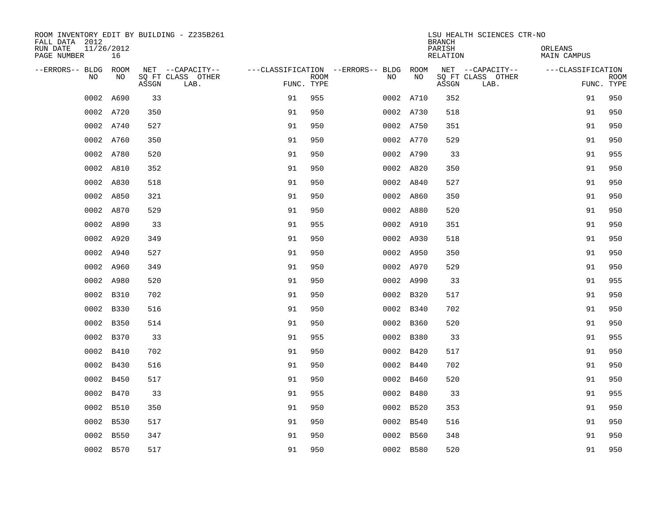| ROOM INVENTORY EDIT BY BUILDING - Z235B261<br>FALL DATA 2012 |                  |       |                           |                                        |                           |           |           | <b>BRANCH</b>      | LSU HEALTH SCIENCES CTR-NO |                               |                           |
|--------------------------------------------------------------|------------------|-------|---------------------------|----------------------------------------|---------------------------|-----------|-----------|--------------------|----------------------------|-------------------------------|---------------------------|
| RUN DATE<br>PAGE NUMBER                                      | 11/26/2012<br>16 |       |                           |                                        |                           |           |           | PARISH<br>RELATION |                            | ORLEANS<br><b>MAIN CAMPUS</b> |                           |
| --ERRORS-- BLDG ROOM                                         |                  |       | NET --CAPACITY--          | ---CLASSIFICATION --ERRORS-- BLDG ROOM |                           |           |           |                    | NET --CAPACITY--           | ---CLASSIFICATION             |                           |
| NO                                                           | NO               | ASSGN | SQ FT CLASS OTHER<br>LAB. |                                        | <b>ROOM</b><br>FUNC. TYPE | NO        | NO        | ASSGN              | SQ FT CLASS OTHER<br>LAB.  |                               | <b>ROOM</b><br>FUNC. TYPE |
|                                                              | 0002 A690        | 33    |                           | 91                                     | 955                       |           | 0002 A710 | 352                |                            | 91                            | 950                       |
|                                                              | 0002 A720        | 350   |                           | 91                                     | 950                       |           | 0002 A730 | 518                |                            | 91                            | 950                       |
|                                                              | 0002 A740        | 527   |                           | 91                                     | 950                       |           | 0002 A750 | 351                |                            | 91                            | 950                       |
|                                                              | 0002 A760        | 350   |                           | 91                                     | 950                       | 0002 A770 |           | 529                |                            | 91                            | 950                       |
|                                                              | 0002 A780        | 520   |                           | 91                                     | 950                       | 0002 A790 |           | 33                 |                            | 91                            | 955                       |
|                                                              | 0002 A810        | 352   |                           | 91                                     | 950                       | 0002 A820 |           | 350                |                            | 91                            | 950                       |
|                                                              | 0002 A830        | 518   |                           | 91                                     | 950                       | 0002 A840 |           | 527                |                            | 91                            | 950                       |
|                                                              | 0002 A850        | 321   |                           | 91                                     | 950                       | 0002 A860 |           | 350                |                            | 91                            | 950                       |
|                                                              | 0002 A870        | 529   |                           | 91                                     | 950                       |           | 0002 A880 | 520                |                            | 91                            | 950                       |
|                                                              | 0002 A890        | 33    |                           | 91                                     | 955                       | 0002 A910 |           | 351                |                            | 91                            | 950                       |
|                                                              | 0002 A920        | 349   |                           | 91                                     | 950                       |           | 0002 A930 | 518                |                            | 91                            | 950                       |
|                                                              | 0002 A940        | 527   |                           | 91                                     | 950                       |           | 0002 A950 | 350                |                            | 91                            | 950                       |
|                                                              | 0002 A960        | 349   |                           | 91                                     | 950                       |           | 0002 A970 | 529                |                            | 91                            | 950                       |
|                                                              | 0002 A980        | 520   |                           | 91                                     | 950                       | 0002 A990 |           | 33                 |                            | 91                            | 955                       |
|                                                              | 0002 B310        | 702   |                           | 91                                     | 950                       |           | 0002 B320 | 517                |                            | 91                            | 950                       |
|                                                              | 0002 B330        | 516   |                           | 91                                     | 950                       | 0002 B340 |           | 702                |                            | 91                            | 950                       |
|                                                              | 0002 B350        | 514   |                           | 91                                     | 950                       |           | 0002 B360 | 520                |                            | 91                            | 950                       |
|                                                              | 0002 B370        | 33    |                           | 91                                     | 955                       | 0002 B380 |           | 33                 |                            | 91                            | 955                       |
|                                                              | 0002 B410        | 702   |                           | 91                                     | 950                       |           | 0002 B420 | 517                |                            | 91                            | 950                       |
|                                                              | 0002 B430        | 516   |                           | 91                                     | 950                       |           | 0002 B440 | 702                |                            | 91                            | 950                       |
|                                                              | 0002 B450        | 517   |                           | 91                                     | 950                       |           | 0002 B460 | 520                |                            | 91                            | 950                       |
| 0002                                                         | B470             | 33    |                           | 91                                     | 955                       |           | 0002 B480 | 33                 |                            | 91                            | 955                       |
|                                                              | 0002 B510        | 350   |                           | 91                                     | 950                       | 0002 B520 |           | 353                |                            | 91                            | 950                       |
| 0002                                                         | B530             | 517   |                           | 91                                     | 950                       |           | 0002 B540 | 516                |                            | 91                            | 950                       |
| 0002                                                         | B550             | 347   |                           | 91                                     | 950                       |           | 0002 B560 | 348                |                            | 91                            | 950                       |
|                                                              | 0002 B570        | 517   |                           | 91                                     | 950                       |           | 0002 B580 | 520                |                            | 91                            | 950                       |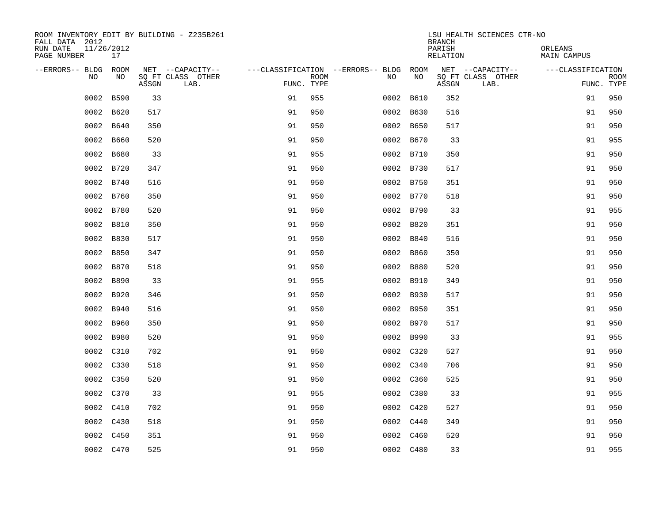| ROOM INVENTORY EDIT BY BUILDING - Z235B261<br>FALL DATA 2012 |                  |       |                           |                                        |             |      |             | <b>BRANCH</b>             | LSU HEALTH SCIENCES CTR-NO |                               |                           |
|--------------------------------------------------------------|------------------|-------|---------------------------|----------------------------------------|-------------|------|-------------|---------------------------|----------------------------|-------------------------------|---------------------------|
| RUN DATE<br>PAGE NUMBER                                      | 11/26/2012<br>17 |       |                           |                                        |             |      |             | PARISH<br><b>RELATION</b> |                            | ORLEANS<br><b>MAIN CAMPUS</b> |                           |
| --ERRORS-- BLDG ROOM                                         |                  |       | NET --CAPACITY--          | ---CLASSIFICATION --ERRORS-- BLDG ROOM |             |      |             |                           | NET --CAPACITY--           | ---CLASSIFICATION             |                           |
| NO                                                           | NO               | ASSGN | SQ FT CLASS OTHER<br>LAB. | FUNC. TYPE                             | <b>ROOM</b> | NO   | NO          | ASSGN                     | SQ FT CLASS OTHER<br>LAB.  |                               | <b>ROOM</b><br>FUNC. TYPE |
| 0002                                                         | B590             | 33    |                           | 91                                     | 955         |      | 0002 B610   | 352                       |                            | 91                            | 950                       |
| 0002                                                         | B620             | 517   |                           | 91                                     | 950         |      | 0002 B630   | 516                       |                            | 91                            | 950                       |
| 0002                                                         | B640             | 350   |                           | 91                                     | 950         |      | 0002 B650   | 517                       |                            | 91                            | 950                       |
| 0002                                                         | B660             | 520   |                           | 91                                     | 950         |      | 0002 B670   | 33                        |                            | 91                            | 955                       |
| 0002                                                         | B680             | 33    |                           | 91                                     | 955         |      | 0002 B710   | 350                       |                            | 91                            | 950                       |
|                                                              | 0002 B720        | 347   |                           | 91                                     | 950         |      | 0002 B730   | 517                       |                            | 91                            | 950                       |
| 0002                                                         | B740             | 516   |                           | 91                                     | 950         |      | 0002 B750   | 351                       |                            | 91                            | 950                       |
|                                                              | 0002 B760        | 350   |                           | 91                                     | 950         |      | 0002 B770   | 518                       |                            | 91                            | 950                       |
| 0002                                                         | B780             | 520   |                           | 91                                     | 950         |      | 0002 B790   | 33                        |                            | 91                            | 955                       |
| 0002                                                         | B810             | 350   |                           | 91                                     | 950         |      | 0002 B820   | 351                       |                            | 91                            | 950                       |
| 0002                                                         | B830             | 517   |                           | 91                                     | 950         |      | 0002 B840   | 516                       |                            | 91                            | 950                       |
|                                                              | 0002 B850        | 347   |                           | 91                                     | 950         |      | 0002 B860   | 350                       |                            | 91                            | 950                       |
| 0002                                                         | B870             | 518   |                           | 91                                     | 950         | 0002 | <b>B880</b> | 520                       |                            | 91                            | 950                       |
| 0002                                                         | B890             | 33    |                           | 91                                     | 955         |      | 0002 B910   | 349                       |                            | 91                            | 950                       |
| 0002                                                         | B920             | 346   |                           | 91                                     | 950         |      | 0002 B930   | 517                       |                            | 91                            | 950                       |
|                                                              | 0002 B940        | 516   |                           | 91                                     | 950         |      | 0002 B950   | 351                       |                            | 91                            | 950                       |
| 0002                                                         | B960             | 350   |                           | 91                                     | 950         |      | 0002 B970   | 517                       |                            | 91                            | 950                       |
|                                                              | 0002 B980        | 520   |                           | 91                                     | 950         |      | 0002 B990   | 33                        |                            | 91                            | 955                       |
|                                                              | 0002 C310        | 702   |                           | 91                                     | 950         |      | 0002 C320   | 527                       |                            | 91                            | 950                       |
|                                                              | 0002 C330        | 518   |                           | 91                                     | 950         |      | 0002 C340   | 706                       |                            | 91                            | 950                       |
|                                                              | 0002 C350        | 520   |                           | 91                                     | 950         |      | 0002 C360   | 525                       |                            | 91                            | 950                       |
|                                                              | 0002 C370        | 33    |                           | 91                                     | 955         |      | 0002 C380   | 33                        |                            | 91                            | 955                       |
|                                                              | 0002 C410        | 702   |                           | 91                                     | 950         |      | 0002 C420   | 527                       |                            | 91                            | 950                       |
|                                                              | 0002 C430        | 518   |                           | 91                                     | 950         |      | 0002 C440   | 349                       |                            | 91                            | 950                       |
|                                                              | 0002 C450        | 351   |                           | 91                                     | 950         |      | 0002 C460   | 520                       |                            | 91                            | 950                       |
|                                                              | 0002 C470        | 525   |                           | 91                                     | 950         |      | 0002 C480   | 33                        |                            | 91                            | 955                       |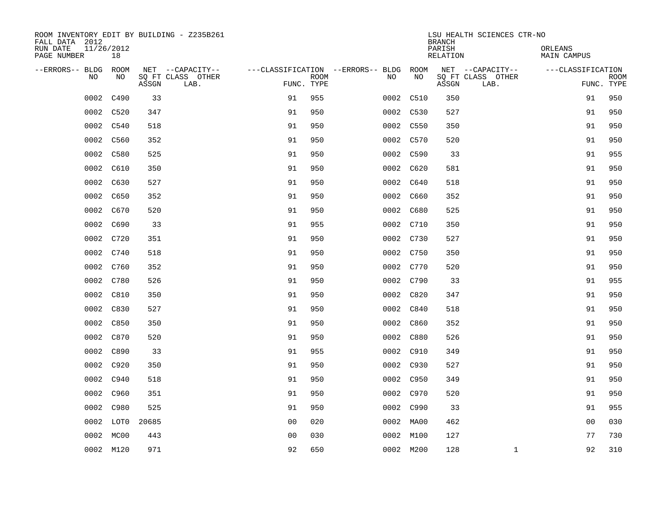| ROOM INVENTORY EDIT BY BUILDING - Z235B261<br>FALL DATA 2012 |                  |       |                           |                |             |                                        |           | <b>BRANCH</b>             | LSU HEALTH SCIENCES CTR-NO |                               |                           |
|--------------------------------------------------------------|------------------|-------|---------------------------|----------------|-------------|----------------------------------------|-----------|---------------------------|----------------------------|-------------------------------|---------------------------|
| RUN DATE<br>PAGE NUMBER                                      | 11/26/2012<br>18 |       |                           |                |             |                                        |           | PARISH<br><b>RELATION</b> |                            | ORLEANS<br><b>MAIN CAMPUS</b> |                           |
| --ERRORS-- BLDG ROOM                                         |                  |       | NET --CAPACITY--          |                |             | ---CLASSIFICATION --ERRORS-- BLDG ROOM |           |                           | NET --CAPACITY--           | ---CLASSIFICATION             |                           |
| NO                                                           | NO               | ASSGN | SQ FT CLASS OTHER<br>LAB. | FUNC. TYPE     | <b>ROOM</b> | NO                                     | NO        | ASSGN                     | SQ FT CLASS OTHER<br>LAB.  |                               | <b>ROOM</b><br>FUNC. TYPE |
| 0002                                                         | C490             | 33    |                           | 91             | 955         |                                        | 0002 C510 | 350                       |                            | 91                            | 950                       |
|                                                              | 0002 C520        | 347   |                           | 91             | 950         |                                        | 0002 C530 | 527                       |                            | 91                            | 950                       |
|                                                              | 0002 C540        | 518   |                           | 91             | 950         |                                        | 0002 C550 | 350                       |                            | 91                            | 950                       |
|                                                              | 0002 C560        | 352   |                           | 91             | 950         |                                        | 0002 C570 | 520                       |                            | 91                            | 950                       |
| 0002                                                         | C580             | 525   |                           | 91             | 950         |                                        | 0002 C590 | 33                        |                            | 91                            | 955                       |
|                                                              | 0002 C610        | 350   |                           | 91             | 950         |                                        | 0002 C620 | 581                       |                            | 91                            | 950                       |
|                                                              | 0002 C630        | 527   |                           | 91             | 950         |                                        | 0002 C640 | 518                       |                            | 91                            | 950                       |
|                                                              | 0002 C650        | 352   |                           | 91             | 950         |                                        | 0002 C660 | 352                       |                            | 91                            | 950                       |
|                                                              | 0002 C670        | 520   |                           | 91             | 950         |                                        | 0002 C680 | 525                       |                            | 91                            | 950                       |
|                                                              | 0002 C690        | 33    |                           | 91             | 955         |                                        | 0002 C710 | 350                       |                            | 91                            | 950                       |
|                                                              | 0002 C720        | 351   |                           | 91             | 950         |                                        | 0002 C730 | 527                       |                            | 91                            | 950                       |
|                                                              | 0002 C740        | 518   |                           | 91             | 950         |                                        | 0002 C750 | 350                       |                            | 91                            | 950                       |
|                                                              | 0002 C760        | 352   |                           | 91             | 950         |                                        | 0002 C770 | 520                       |                            | 91                            | 950                       |
|                                                              | 0002 C780        | 526   |                           | 91             | 950         |                                        | 0002 C790 | 33                        |                            | 91                            | 955                       |
|                                                              | 0002 C810        | 350   |                           | 91             | 950         |                                        | 0002 C820 | 347                       |                            | 91                            | 950                       |
|                                                              | 0002 C830        | 527   |                           | 91             | 950         |                                        | 0002 C840 | 518                       |                            | 91                            | 950                       |
|                                                              | 0002 C850        | 350   |                           | 91             | 950         |                                        | 0002 C860 | 352                       |                            | 91                            | 950                       |
|                                                              | 0002 C870        | 520   |                           | 91             | 950         |                                        | 0002 C880 | 526                       |                            | 91                            | 950                       |
|                                                              | 0002 C890        | 33    |                           | 91             | 955         |                                        | 0002 C910 | 349                       |                            | 91                            | 950                       |
|                                                              | 0002 C920        | 350   |                           | 91             | 950         |                                        | 0002 C930 | 527                       |                            | 91                            | 950                       |
|                                                              | 0002 C940        | 518   |                           | 91             | 950         |                                        | 0002 C950 | 349                       |                            | 91                            | 950                       |
|                                                              | 0002 C960        | 351   |                           | 91             | 950         |                                        | 0002 C970 | 520                       |                            | 91                            | 950                       |
| 0002                                                         | C980             | 525   |                           | 91             | 950         |                                        | 0002 C990 | 33                        |                            | 91                            | 955                       |
| 0002                                                         | LOT0             | 20685 |                           | 0 <sub>0</sub> | 020         |                                        | 0002 MA00 | 462                       |                            | 0 <sub>0</sub>                | 030                       |
| 0002                                                         | MC00             | 443   |                           | 0 <sub>0</sub> | 030         |                                        | 0002 M100 | 127                       |                            | 77                            | 730                       |
|                                                              | 0002 M120        | 971   |                           | 92             | 650         |                                        | 0002 M200 | 128                       | $\mathbf{1}$               | 92                            | 310                       |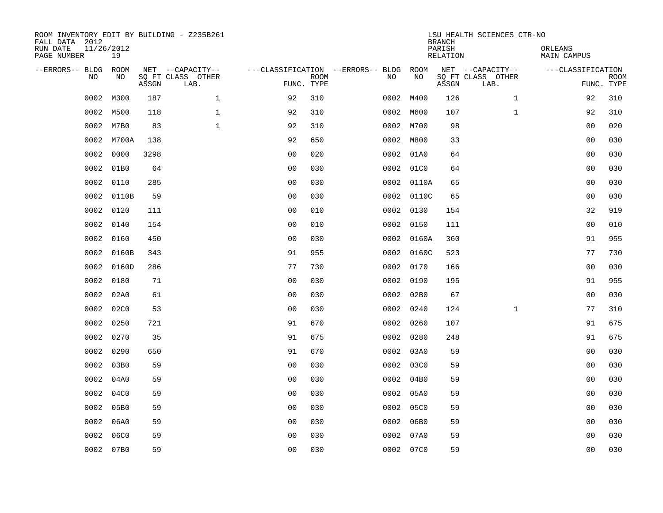| FALL DATA 2012<br>RUN DATE<br>PAGE NUMBER | 11/26/2012<br>19 |       | ROOM INVENTORY EDIT BY BUILDING - Z235B261    |                                        |                           |      |            | <b>BRANCH</b><br>PARISH<br>RELATION | LSU HEALTH SCIENCES CTR-NO                    | ORLEANS<br>MAIN CAMPUS |                           |
|-------------------------------------------|------------------|-------|-----------------------------------------------|----------------------------------------|---------------------------|------|------------|-------------------------------------|-----------------------------------------------|------------------------|---------------------------|
| --ERRORS-- BLDG<br><b>NO</b>              | ROOM<br>NO.      | ASSGN | NET --CAPACITY--<br>SQ FT CLASS OTHER<br>LAB. | ---CLASSIFICATION --ERRORS-- BLDG ROOM | <b>ROOM</b><br>FUNC. TYPE | NO.  | NO         | ASSGN                               | NET --CAPACITY--<br>SQ FT CLASS OTHER<br>LAB. | ---CLASSIFICATION      | <b>ROOM</b><br>FUNC. TYPE |
| 0002                                      | M300             | 187   | $\mathbf{1}$                                  | 92                                     | 310                       |      | 0002 M400  | 126                                 | $\mathbf{1}$                                  | 92                     | 310                       |
| 0002                                      | M500             | 118   | $\mathbf{1}$                                  | 92                                     | 310                       |      | 0002 M600  | 107                                 | $\mathbf{1}$                                  | 92                     | 310                       |
| 0002                                      | M7B0             | 83    | $\mathbf{1}$                                  | 92                                     | 310                       |      | 0002 M700  | 98                                  |                                               | 0 <sub>0</sub>         | 020                       |
| 0002                                      | M700A            | 138   |                                               | 92                                     | 650                       |      | 0002 M800  | 33                                  |                                               | 0 <sub>0</sub>         | 030                       |
| 0002                                      | 0000             | 3298  |                                               | 0 <sub>0</sub>                         | 020                       | 0002 | 01A0       | 64                                  |                                               | 0 <sub>0</sub>         | 030                       |
| 0002                                      | 01B0             | 64    |                                               | 0 <sub>0</sub>                         | 030                       |      | 0002 01C0  | 64                                  |                                               | 00                     | 030                       |
| 0002                                      | 0110             | 285   |                                               | 0 <sub>0</sub>                         | 030                       |      | 0002 0110A | 65                                  |                                               | 0 <sub>0</sub>         | 030                       |
| 0002                                      | 0110B            | 59    |                                               | 0 <sub>0</sub>                         | 030                       |      | 0002 0110C | 65                                  |                                               | 0 <sub>0</sub>         | 030                       |
| 0002                                      | 0120             | 111   |                                               | 0 <sub>0</sub>                         | 010                       | 0002 | 0130       | 154                                 |                                               | 32                     | 919                       |
| 0002                                      | 0140             | 154   |                                               | 0 <sub>0</sub>                         | 010                       |      | 0002 0150  | 111                                 |                                               | 00                     | 010                       |
| 0002                                      | 0160             | 450   |                                               | 0 <sub>0</sub>                         | 030                       |      | 0002 0160A | 360                                 |                                               | 91                     | 955                       |
| 0002                                      | 0160B            | 343   |                                               | 91                                     | 955                       |      | 0002 0160C | 523                                 |                                               | 77                     | 730                       |
| 0002                                      | 0160D            | 286   |                                               | 77                                     | 730                       | 0002 | 0170       | 166                                 |                                               | 0 <sub>0</sub>         | 030                       |
| 0002                                      | 0180             | 71    |                                               | 0 <sub>0</sub>                         | 030                       |      | 0002 0190  | 195                                 |                                               | 91                     | 955                       |
| 0002                                      | 02A0             | 61    |                                               | 0 <sub>0</sub>                         | 030                       |      | 0002 02B0  | 67                                  |                                               | 0 <sub>0</sub>         | 030                       |
| 0002                                      | 02C0             | 53    |                                               | 0 <sub>0</sub>                         | 030                       |      | 0002 0240  | 124                                 | $\mathbf{1}$                                  | 77                     | 310                       |
| 0002                                      | 0250             | 721   |                                               | 91                                     | 670                       |      | 0002 0260  | 107                                 |                                               | 91                     | 675                       |
| 0002                                      | 0270             | 35    |                                               | 91                                     | 675                       |      | 0002 0280  | 248                                 |                                               | 91                     | 675                       |
| 0002                                      | 0290             | 650   |                                               | 91                                     | 670                       |      | 0002 03A0  | 59                                  |                                               | 00                     | 030                       |
| 0002                                      | 03B0             | 59    |                                               | 0 <sub>0</sub>                         | 030                       |      | 0002 03C0  | 59                                  |                                               | 0 <sub>0</sub>         | 030                       |
| 0002                                      | 04A0             | 59    |                                               | 0 <sub>0</sub>                         | 030                       |      | 0002 04B0  | 59                                  |                                               | 0 <sub>0</sub>         | 030                       |
| 0002                                      | 04C0             | 59    |                                               | 0 <sub>0</sub>                         | 030                       |      | 0002 05A0  | 59                                  |                                               | 0 <sub>0</sub>         | 030                       |
| 0002                                      | 05B0             | 59    |                                               | 0 <sub>0</sub>                         | 030                       |      | 0002 05C0  | 59                                  |                                               | 0 <sub>0</sub>         | 030                       |
| 0002                                      | 06A0             | 59    |                                               | 0 <sub>0</sub>                         | 030                       |      | 0002 06B0  | 59                                  |                                               | 0 <sub>0</sub>         | 030                       |
| 0002                                      | 06C0             | 59    |                                               | 0 <sub>0</sub>                         | 030                       | 0002 | 07A0       | 59                                  |                                               | 0 <sub>0</sub>         | 030                       |
|                                           | 0002 07B0        | 59    |                                               | 0 <sub>0</sub>                         | 030                       |      | 0002 07C0  | 59                                  |                                               | 0 <sub>0</sub>         | 030                       |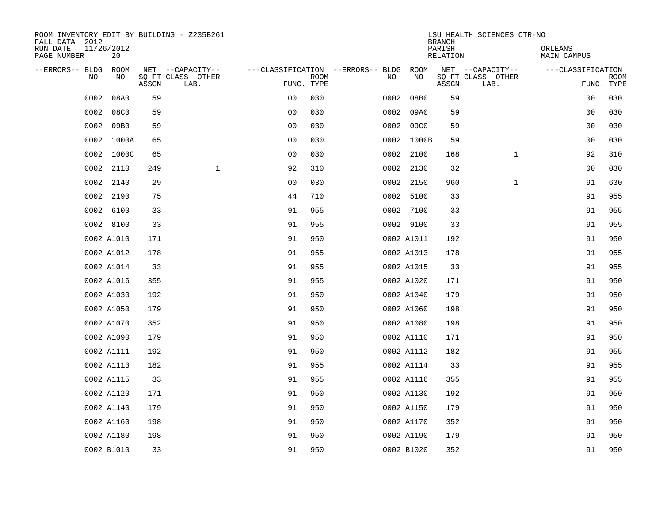| ROOM INVENTORY EDIT BY BUILDING - Z235B261<br>FALL DATA 2012<br>RUN DATE | 11/26/2012 |       |                           |                |             |                                   |      |            | <b>BRANCH</b><br>PARISH | LSU HEALTH SCIENCES CTR-NO | ORLEANS            |                           |
|--------------------------------------------------------------------------|------------|-------|---------------------------|----------------|-------------|-----------------------------------|------|------------|-------------------------|----------------------------|--------------------|---------------------------|
| PAGE NUMBER                                                              | 20         |       |                           |                |             |                                   |      |            | <b>RELATION</b>         |                            | <b>MAIN CAMPUS</b> |                           |
| --ERRORS-- BLDG                                                          | ROOM<br>NO |       | NET --CAPACITY--          |                |             | ---CLASSIFICATION --ERRORS-- BLDG |      | ROOM<br>NO |                         | NET --CAPACITY--           | ---CLASSIFICATION  |                           |
| NO.                                                                      |            | ASSGN | SQ FT CLASS OTHER<br>LAB. | FUNC. TYPE     | <b>ROOM</b> | NO                                |      |            | ASSGN                   | SQ FT CLASS OTHER<br>LAB.  |                    | <b>ROOM</b><br>FUNC. TYPE |
| 0002                                                                     | 08A0       | 59    |                           | 0 <sub>0</sub> | 030         | 0002                              |      | 08B0       | 59                      |                            | 00                 | 030                       |
| 0002                                                                     | 08C0       | 59    |                           | 0 <sub>0</sub> | 030         |                                   |      | 0002 09A0  | 59                      |                            | 00                 | 030                       |
| 0002                                                                     | 09B0       | 59    |                           | 0 <sub>0</sub> | 030         |                                   | 0002 | 09C0       | 59                      |                            | 00                 | 030                       |
| 0002                                                                     | 1000A      | 65    |                           | 0 <sub>0</sub> | 030         |                                   |      | 0002 1000B | 59                      |                            | 00                 | 030                       |
| 0002                                                                     | 1000C      | 65    |                           | 0 <sub>0</sub> | 030         |                                   |      | 0002 2100  | 168                     | $\mathbf{1}$               | 92                 | 310                       |
| 0002                                                                     | 2110       | 249   | $\mathbf{1}$              | 92             | 310         |                                   |      | 0002 2130  | 32                      |                            | 0 <sub>0</sub>     | 030                       |
| 0002                                                                     | 2140       | 29    |                           | 0 <sub>0</sub> | 030         |                                   |      | 0002 2150  | 960                     | $\mathbf{1}$               | 91                 | 630                       |
|                                                                          | 0002 2190  | 75    |                           | 44             | 710         |                                   |      | 0002 5100  | 33                      |                            | 91                 | 955                       |
| 0002                                                                     | 6100       | 33    |                           | 91             | 955         |                                   |      | 0002 7100  | 33                      |                            | 91                 | 955                       |
|                                                                          | 0002 8100  | 33    |                           | 91             | 955         |                                   |      | 0002 9100  | 33                      |                            | 91                 | 955                       |
|                                                                          | 0002 A1010 | 171   |                           | 91             | 950         |                                   |      | 0002 A1011 | 192                     |                            | 91                 | 950                       |
|                                                                          | 0002 A1012 | 178   |                           | 91             | 955         |                                   |      | 0002 A1013 | 178                     |                            | 91                 | 955                       |
|                                                                          | 0002 A1014 | 33    |                           | 91             | 955         |                                   |      | 0002 A1015 | 33                      |                            | 91                 | 955                       |
|                                                                          | 0002 A1016 | 355   |                           | 91             | 955         |                                   |      | 0002 A1020 | 171                     |                            | 91                 | 950                       |
|                                                                          | 0002 A1030 | 192   |                           | 91             | 950         |                                   |      | 0002 A1040 | 179                     |                            | 91                 | 950                       |
|                                                                          | 0002 A1050 | 179   |                           | 91             | 950         |                                   |      | 0002 A1060 | 198                     |                            | 91                 | 950                       |
|                                                                          | 0002 A1070 | 352   |                           | 91             | 950         |                                   |      | 0002 A1080 | 198                     |                            | 91                 | 950                       |
|                                                                          | 0002 A1090 | 179   |                           | 91             | 950         |                                   |      | 0002 A1110 | 171                     |                            | 91                 | 950                       |
|                                                                          | 0002 A1111 | 192   |                           | 91             | 950         |                                   |      | 0002 A1112 | 182                     |                            | 91                 | 955                       |
|                                                                          | 0002 A1113 | 182   |                           | 91             | 955         |                                   |      | 0002 A1114 | 33                      |                            | 91                 | 955                       |
|                                                                          | 0002 A1115 | 33    |                           | 91             | 955         |                                   |      | 0002 A1116 | 355                     |                            | 91                 | 955                       |
|                                                                          | 0002 A1120 | 171   |                           | 91             | 950         |                                   |      | 0002 A1130 | 192                     |                            | 91                 | 950                       |
|                                                                          | 0002 A1140 | 179   |                           | 91             | 950         |                                   |      | 0002 A1150 | 179                     |                            | 91                 | 950                       |
|                                                                          | 0002 A1160 | 198   |                           | 91             | 950         |                                   |      | 0002 A1170 | 352                     |                            | 91                 | 950                       |
|                                                                          | 0002 A1180 | 198   |                           | 91             | 950         |                                   |      | 0002 A1190 | 179                     |                            | 91                 | 950                       |
|                                                                          | 0002 B1010 | 33    |                           | 91             | 950         |                                   |      | 0002 B1020 | 352                     |                            | 91                 | 950                       |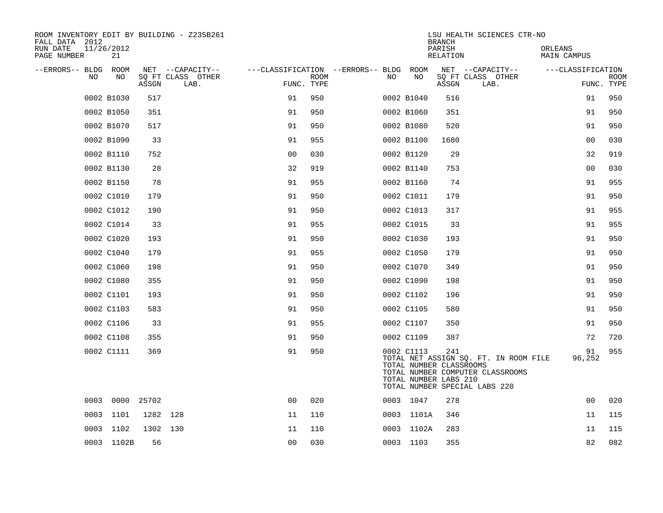| ROOM INVENTORY EDIT BY BUILDING - Z235B261<br>FALL DATA 2012<br>RUN DATE<br>11/26/2012<br>PAGE NUMBER<br>21 |                                       |                |                                                       |            |            | <b>BRANCH</b><br>PARISH<br>RELATION                     | LSU HEALTH SCIENCES CTR-NO                                                                                 | ORLEANS<br>MAIN CAMPUS |             |
|-------------------------------------------------------------------------------------------------------------|---------------------------------------|----------------|-------------------------------------------------------|------------|------------|---------------------------------------------------------|------------------------------------------------------------------------------------------------------------|------------------------|-------------|
| --ERRORS-- BLDG ROOM<br>NO.<br>NO.                                                                          | NET --CAPACITY--<br>SQ FT CLASS OTHER |                | ---CLASSIFICATION --ERRORS-- BLDG ROOM<br><b>ROOM</b> | NO.        | NO         |                                                         | NET --CAPACITY--<br>SQ FT CLASS OTHER                                                                      | ---CLASSIFICATION      | <b>ROOM</b> |
|                                                                                                             | ASSGN<br>LAB.                         | FUNC. TYPE     |                                                       |            |            | ASSGN                                                   | LAB.                                                                                                       |                        | FUNC. TYPE  |
| 0002 B1030                                                                                                  | 517                                   | 91             | 950                                                   | 0002 B1040 |            | 516                                                     |                                                                                                            | 91                     | 950         |
| 0002 B1050                                                                                                  | 351                                   | 91             | 950                                                   | 0002 B1060 |            | 351                                                     |                                                                                                            | 91                     | 950         |
| 0002 B1070                                                                                                  | 517                                   | 91             | 950                                                   | 0002 B1080 |            | 520                                                     |                                                                                                            | 91                     | 950         |
| 0002 B1090                                                                                                  | 33                                    | 91             | 955                                                   | 0002 B1100 |            | 1680                                                    |                                                                                                            | 0 <sub>0</sub>         | 030         |
| 0002 B1110                                                                                                  | 752                                   | 0 <sub>0</sub> | 030                                                   |            | 0002 B1120 | 29                                                      |                                                                                                            | 32                     | 919         |
| 0002 B1130                                                                                                  | 28                                    | 32             | 919                                                   | 0002 B1140 |            | 753                                                     |                                                                                                            | 0 <sub>0</sub>         | 030         |
| 0002 B1150                                                                                                  | 78                                    | 91             | 955                                                   |            | 0002 B1160 | 74                                                      |                                                                                                            | 91                     | 955         |
| 0002 C1010                                                                                                  | 179                                   | 91             | 950                                                   | 0002 C1011 |            | 179                                                     |                                                                                                            | 91                     | 950         |
| 0002 C1012                                                                                                  | 190                                   | 91             | 950                                                   | 0002 C1013 |            | 317                                                     |                                                                                                            | 91                     | 955         |
| 0002 C1014                                                                                                  | 33                                    | 91             | 955                                                   | 0002 C1015 |            | 33                                                      |                                                                                                            | 91                     | 955         |
| 0002 C1020                                                                                                  | 193                                   | 91             | 950                                                   | 0002 C1030 |            | 193                                                     |                                                                                                            | 91                     | 950         |
| 0002 C1040                                                                                                  | 179                                   | 91             | 955                                                   | 0002 C1050 |            | 179                                                     |                                                                                                            | 91                     | 950         |
| 0002 C1060                                                                                                  | 198                                   | 91             | 950                                                   | 0002 C1070 |            | 349                                                     |                                                                                                            | 91                     | 950         |
| 0002 C1080                                                                                                  | 355                                   | 91             | 950                                                   | 0002 C1090 |            | 198                                                     |                                                                                                            | 91                     | 950         |
| 0002 C1101                                                                                                  | 193                                   | 91             | 950                                                   | 0002 C1102 |            | 196                                                     |                                                                                                            | 91                     | 950         |
| 0002 C1103                                                                                                  | 583                                   | 91             | 950                                                   | 0002 C1105 |            | 580                                                     |                                                                                                            | 91                     | 950         |
| 0002 C1106                                                                                                  | 33                                    | 91             | 955                                                   | 0002 C1107 |            | 350                                                     |                                                                                                            | 91                     | 950         |
| 0002 C1108                                                                                                  | 355                                   | 91             | 950                                                   | 0002 C1109 |            | 387                                                     |                                                                                                            | 72                     | 720         |
| 0002 C1111                                                                                                  | 369                                   | 91             | 950                                                   | 0002 C1113 |            | 241<br>TOTAL NUMBER CLASSROOMS<br>TOTAL NUMBER LABS 210 | TOTAL NET ASSIGN SQ. FT. IN ROOM FILE<br>TOTAL NUMBER COMPUTER CLASSROOMS<br>TOTAL NUMBER SPECIAL LABS 220 | 91<br>96,252           | 955         |
| 0003<br>0000 25702                                                                                          |                                       | 0 <sub>0</sub> | 020                                                   | 0003 1047  |            | 278                                                     |                                                                                                            | 00                     | 020         |
| 0003<br>1101                                                                                                | 1282 128                              | 11             | 110                                                   |            | 0003 1101A | 346                                                     |                                                                                                            | 11                     | 115         |
| 0003 1102                                                                                                   | 1302 130                              | 11             | 110                                                   |            | 0003 1102A | 283                                                     |                                                                                                            | 11                     | 115         |
| 0003 1102B                                                                                                  | 56                                    | 0 <sub>0</sub> | 030                                                   | 0003 1103  |            | 355                                                     |                                                                                                            | 82                     | 082         |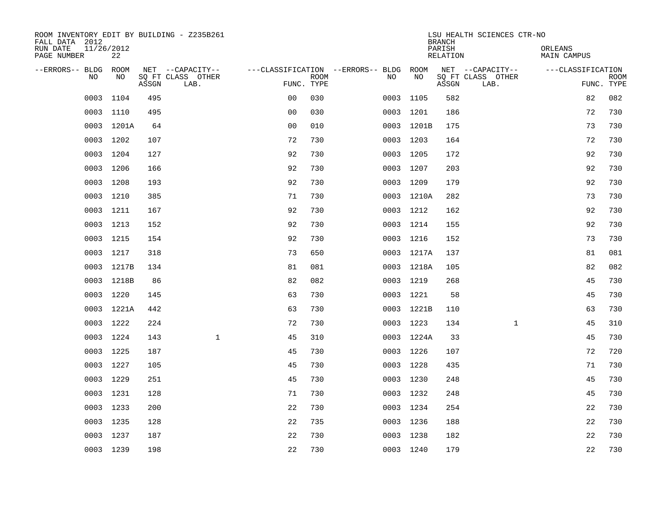| ROOM INVENTORY EDIT BY BUILDING - Z235B261<br>FALL DATA 2012 |                  |       |                           |                                        |      |     |            | <b>BRANCH</b>      | LSU HEALTH SCIENCES CTR-NO |                        |                           |
|--------------------------------------------------------------|------------------|-------|---------------------------|----------------------------------------|------|-----|------------|--------------------|----------------------------|------------------------|---------------------------|
| RUN DATE<br>PAGE NUMBER                                      | 11/26/2012<br>22 |       |                           |                                        |      |     |            | PARISH<br>RELATION |                            | ORLEANS<br>MAIN CAMPUS |                           |
| --ERRORS-- BLDG ROOM                                         |                  |       | NET --CAPACITY--          | ---CLASSIFICATION --ERRORS-- BLDG ROOM |      |     |            |                    | NET --CAPACITY--           | ---CLASSIFICATION      |                           |
| NO.                                                          | NO.              | ASSGN | SO FT CLASS OTHER<br>LAB. | FUNC. TYPE                             | ROOM | NO. | <b>NO</b>  | ASSGN              | SQ FT CLASS OTHER<br>LAB.  |                        | <b>ROOM</b><br>FUNC. TYPE |
| 0003                                                         | 1104             | 495   |                           | 0 <sub>0</sub>                         | 030  |     | 0003 1105  | 582                |                            | 82                     | 082                       |
|                                                              | 0003 1110        | 495   |                           | 0 <sub>0</sub>                         | 030  |     | 0003 1201  | 186                |                            | 72                     | 730                       |
|                                                              | 0003 1201A       | 64    |                           | 0 <sub>0</sub>                         | 010  |     | 0003 1201B | 175                |                            | 73                     | 730                       |
|                                                              | 0003 1202        | 107   |                           | 72                                     | 730  |     | 0003 1203  | 164                |                            | 72                     | 730                       |
| 0003                                                         | 1204             | 127   |                           | 92                                     | 730  |     | 0003 1205  | 172                |                            | 92                     | 730                       |
|                                                              | 0003 1206        | 166   |                           | 92                                     | 730  |     | 0003 1207  | 203                |                            | 92                     | 730                       |
| 0003                                                         | 1208             | 193   |                           | 92                                     | 730  |     | 0003 1209  | 179                |                            | 92                     | 730                       |
|                                                              | 0003 1210        | 385   |                           | 71                                     | 730  |     | 0003 1210A | 282                |                            | 73                     | 730                       |
| 0003                                                         | 1211             | 167   |                           | 92                                     | 730  |     | 0003 1212  | 162                |                            | 92                     | 730                       |
|                                                              | 0003 1213        | 152   |                           | 92                                     | 730  |     | 0003 1214  | 155                |                            | 92                     | 730                       |
|                                                              | 0003 1215        | 154   |                           | 92                                     | 730  |     | 0003 1216  | 152                |                            | 73                     | 730                       |
|                                                              | 0003 1217        | 318   |                           | 73                                     | 650  |     | 0003 1217A | 137                |                            | 81                     | 081                       |
| 0003                                                         | 1217B            | 134   |                           | 81                                     | 081  |     | 0003 1218A | 105                |                            | 82                     | 082                       |
|                                                              | 0003 1218B       | 86    |                           | 82                                     | 082  |     | 0003 1219  | 268                |                            | 45                     | 730                       |
|                                                              | 0003 1220        | 145   |                           | 63                                     | 730  |     | 0003 1221  | 58                 |                            | 45                     | 730                       |
|                                                              | 0003 1221A       | 442   |                           | 63                                     | 730  |     | 0003 1221B | 110                |                            | 63                     | 730                       |
|                                                              | 0003 1222        | 224   |                           | 72                                     | 730  |     | 0003 1223  | 134                | $\mathbf{1}$               | 45                     | 310                       |
|                                                              | 0003 1224        | 143   | $\mathbf{1}$              | 45                                     | 310  |     | 0003 1224A | 33                 |                            | 45                     | 730                       |
|                                                              | 0003 1225        | 187   |                           | 45                                     | 730  |     | 0003 1226  | 107                |                            | 72                     | 720                       |
|                                                              | 0003 1227        | 105   |                           | 45                                     | 730  |     | 0003 1228  | 435                |                            | 71                     | 730                       |
|                                                              | 0003 1229        | 251   |                           | 45                                     | 730  |     | 0003 1230  | 248                |                            | 45                     | 730                       |
| 0003                                                         | 1231             | 128   |                           | 71                                     | 730  |     | 0003 1232  | 248                |                            | 45                     | 730                       |
|                                                              | 0003 1233        | 200   |                           | 22                                     | 730  |     | 0003 1234  | 254                |                            | 22                     | 730                       |
| 0003                                                         | 1235             | 128   |                           | 22                                     | 735  |     | 0003 1236  | 188                |                            | 22                     | 730                       |
|                                                              | 0003 1237        | 187   |                           | 22                                     | 730  |     | 0003 1238  | 182                |                            | 22                     | 730                       |
|                                                              | 0003 1239        | 198   |                           | 22                                     | 730  |     | 0003 1240  | 179                |                            | 22                     | 730                       |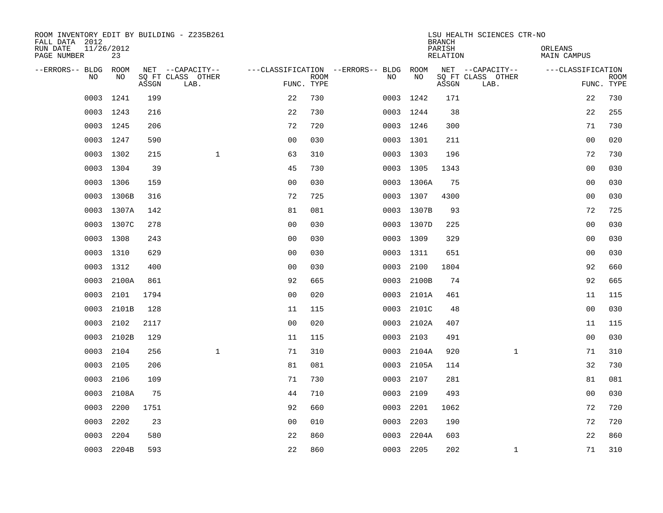| ROOM INVENTORY EDIT BY BUILDING - Z235B261<br>FALL DATA 2012 |            |       |                           |                |             |                                   |            | <b>BRANCH</b>      | LSU HEALTH SCIENCES CTR-NO |                        |                           |
|--------------------------------------------------------------|------------|-------|---------------------------|----------------|-------------|-----------------------------------|------------|--------------------|----------------------------|------------------------|---------------------------|
| RUN DATE<br>11/26/2012<br>PAGE NUMBER                        | 23         |       |                           |                |             |                                   |            | PARISH<br>RELATION |                            | ORLEANS<br>MAIN CAMPUS |                           |
| --ERRORS-- BLDG ROOM                                         |            |       | NET --CAPACITY--          |                |             | ---CLASSIFICATION --ERRORS-- BLDG | ROOM       |                    | NET --CAPACITY--           | ---CLASSIFICATION      |                           |
| N <sub>O</sub>                                               | NO.        | ASSGN | SO FT CLASS OTHER<br>LAB. | FUNC. TYPE     | <b>ROOM</b> | NO.                               | <b>NO</b>  | ASSGN              | SQ FT CLASS OTHER<br>LAB.  |                        | <b>ROOM</b><br>FUNC. TYPE |
| 0003                                                         | 1241       | 199   |                           | 22             | 730         |                                   | 0003 1242  | 171                |                            | 22                     | 730                       |
|                                                              | 0003 1243  | 216   |                           | 22             | 730         |                                   | 0003 1244  | 38                 |                            | 22                     | 255                       |
| 0003                                                         | 1245       | 206   |                           | 72             | 720         |                                   | 0003 1246  | 300                |                            | 71                     | 730                       |
|                                                              | 0003 1247  | 590   |                           | 0 <sub>0</sub> | 030         |                                   | 0003 1301  | 211                |                            | 0 <sub>0</sub>         | 020                       |
| 0003                                                         | 1302       | 215   | $\mathbf{1}$              | 63             | 310         |                                   | 0003 1303  | 196                |                            | 72                     | 730                       |
|                                                              | 0003 1304  | 39    |                           | 45             | 730         |                                   | 0003 1305  | 1343               |                            | 0 <sub>0</sub>         | 030                       |
| 0003                                                         | 1306       | 159   |                           | 0 <sub>0</sub> | 030         |                                   | 0003 1306A | 75                 |                            | 00                     | 030                       |
|                                                              | 0003 1306B | 316   |                           | 72             | 725         |                                   | 0003 1307  | 4300               |                            | 0 <sub>0</sub>         | 030                       |
| 0003                                                         | 1307A      | 142   |                           | 81             | 081         |                                   | 0003 1307B | 93                 |                            | 72                     | 725                       |
| 0003                                                         | 1307C      | 278   |                           | 0 <sub>0</sub> | 030         |                                   | 0003 1307D | 225                |                            | 0 <sub>0</sub>         | 030                       |
| 0003                                                         | 1308       | 243   |                           | 0 <sub>0</sub> | 030         |                                   | 0003 1309  | 329                |                            | 00                     | 030                       |
| 0003                                                         | 1310       | 629   |                           | 0 <sub>0</sub> | 030         |                                   | 0003 1311  | 651                |                            | 00                     | 030                       |
| 0003                                                         | 1312       | 400   |                           | 0 <sub>0</sub> | 030         | 0003                              | 2100       | 1804               |                            | 92                     | 660                       |
| 0003                                                         | 2100A      | 861   |                           | 92             | 665         | 0003                              | 2100B      | 74                 |                            | 92                     | 665                       |
| 0003                                                         | 2101       | 1794  |                           | 0 <sub>0</sub> | 020         |                                   | 0003 2101A | 461                |                            | 11                     | 115                       |
| 0003                                                         | 2101B      | 128   |                           | 11             | 115         | 0003                              | 2101C      | 48                 |                            | 0 <sub>0</sub>         | 030                       |
| 0003                                                         | 2102       | 2117  |                           | 0 <sub>0</sub> | 020         |                                   | 0003 2102A | 407                |                            | 11                     | 115                       |
| 0003                                                         | 2102B      | 129   |                           | 11             | 115         | 0003                              | 2103       | 491                |                            | 0 <sub>0</sub>         | 030                       |
| 0003                                                         | 2104       | 256   | $\mathbf{1}$              | 71             | 310         |                                   | 0003 2104A | 920                | $\mathbf{1}$               | 71                     | 310                       |
| 0003                                                         | 2105       | 206   |                           | 81             | 081         | 0003                              | 2105A      | 114                |                            | 32                     | 730                       |
| 0003                                                         | 2106       | 109   |                           | 71             | 730         | 0003                              | 2107       | 281                |                            | 81                     | 081                       |
| 0003                                                         | 2108A      | 75    |                           | 44             | 710         | 0003                              | 2109       | 493                |                            | 0 <sub>0</sub>         | 030                       |
| 0003                                                         | 2200       | 1751  |                           | 92             | 660         | 0003                              | 2201       | 1062               |                            | 72                     | 720                       |
| 0003                                                         | 2202       | 23    |                           | 0 <sub>0</sub> | 010         | 0003                              | 2203       | 190                |                            | 72                     | 720                       |
| 0003                                                         | 2204       | 580   |                           | 22             | 860         | 0003                              | 2204A      | 603                |                            | 22                     | 860                       |
|                                                              | 0003 2204B | 593   |                           | 22             | 860         |                                   | 0003 2205  | 202                | $\mathbf{1}$               | 71                     | 310                       |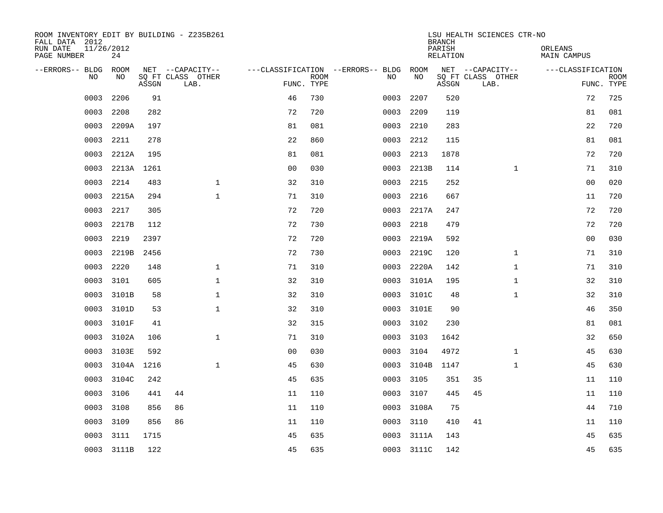| ROOM INVENTORY EDIT BY BUILDING - Z235B261<br>FALL DATA 2012 |                  |       |                           |                |             |                                   |            | <b>BRANCH</b>      | LSU HEALTH SCIENCES CTR-NO |                        |                           |
|--------------------------------------------------------------|------------------|-------|---------------------------|----------------|-------------|-----------------------------------|------------|--------------------|----------------------------|------------------------|---------------------------|
| RUN DATE<br>PAGE NUMBER                                      | 11/26/2012<br>24 |       |                           |                |             |                                   |            | PARISH<br>RELATION |                            | ORLEANS<br>MAIN CAMPUS |                           |
| --ERRORS-- BLDG                                              | ROOM             |       | NET --CAPACITY--          |                |             | ---CLASSIFICATION --ERRORS-- BLDG | ROOM       |                    | NET --CAPACITY--           | ---CLASSIFICATION      |                           |
| N <sub>O</sub>                                               | NO.              | ASSGN | SO FT CLASS OTHER<br>LAB. | FUNC. TYPE     | <b>ROOM</b> | NO.                               | NO         | ASSGN              | SQ FT CLASS OTHER<br>LAB.  |                        | <b>ROOM</b><br>FUNC. TYPE |
| 0003                                                         | 2206             | 91    |                           | 46             | 730         | 0003                              | 2207       | 520                |                            | 72                     | 725                       |
| 0003                                                         | 2208             | 282   |                           | 72             | 720         | 0003                              | 2209       | 119                |                            | 81                     | 081                       |
| 0003                                                         | 2209A            | 197   |                           | 81             | 081         | 0003                              | 2210       | 283                |                            | 22                     | 720                       |
| 0003                                                         | 2211             | 278   |                           | 22             | 860         | 0003                              | 2212       | 115                |                            | 81                     | 081                       |
| 0003                                                         | 2212A            | 195   |                           | 81             | 081         | 0003                              | 2213       | 1878               |                            | 72                     | 720                       |
| 0003                                                         | 2213A 1261       |       |                           | 0 <sub>0</sub> | 030         |                                   | 0003 2213B | 114                | $\mathbf{1}$               | 71                     | 310                       |
| 0003                                                         | 2214             | 483   | $\mathbf{1}$              | 32             | 310         | 0003                              | 2215       | 252                |                            | 0 <sub>0</sub>         | 020                       |
| 0003                                                         | 2215A            | 294   | $\mathbf{1}$              | 71             | 310         | 0003                              | 2216       | 667                |                            | 11                     | 720                       |
| 0003                                                         | 2217             | 305   |                           | 72             | 720         | 0003                              | 2217A      | 247                |                            | 72                     | 720                       |
| 0003                                                         | 2217B            | 112   |                           | 72             | 730         | 0003                              | 2218       | 479                |                            | 72                     | 720                       |
| 0003                                                         | 2219             | 2397  |                           | 72             | 720         | 0003                              | 2219A      | 592                |                            | 0 <sub>0</sub>         | 030                       |
| 0003                                                         | 2219B            | 2456  |                           | 72             | 730         | 0003                              | 2219C      | 120                | $\mathbf{1}$               | 71                     | 310                       |
| 0003                                                         | 2220             | 148   | $\mathbf{1}$              | 71             | 310         | 0003                              | 2220A      | 142                | $\mathbf{1}$               | 71                     | 310                       |
| 0003                                                         | 3101             | 605   | $\mathbf{1}$              | 32             | 310         | 0003                              | 3101A      | 195                | $\mathbf{1}$               | 32                     | 310                       |
| 0003                                                         | 3101B            | 58    | $\mathbf 1$               | 32             | 310         | 0003                              | 3101C      | 48                 | $\mathbf{1}$               | 32                     | 310                       |
| 0003                                                         | 3101D            | 53    | $\mathbf 1$               | 32             | 310         | 0003                              | 3101E      | 90                 |                            | 46                     | 350                       |
| 0003                                                         | 3101F            | 41    |                           | 32             | 315         | 0003                              | 3102       | 230                |                            | 81                     | 081                       |
| 0003                                                         | 3102A            | 106   | $\mathbf 1$               | 71             | 310         | 0003                              | 3103       | 1642               |                            | 32                     | 650                       |
| 0003                                                         | 3103E            | 592   |                           | 0 <sub>0</sub> | 030         | 0003                              | 3104       | 4972               | $\mathbf{1}$               | 45                     | 630                       |
| 0003                                                         | 3104A            | 1216  | $\mathbf{1}$              | 45             | 630         | 0003                              | 3104B      | 1147               | $\mathbf{1}$               | 45                     | 630                       |
| 0003                                                         | 3104C            | 242   |                           | 45             | 635         | 0003                              | 3105       | 351                | 35                         | 11                     | 110                       |
| 0003                                                         | 3106             | 441   | 44                        | 11             | 110         | 0003                              | 3107       | 445                | 45                         | 11                     | 110                       |
| 0003                                                         | 3108             | 856   | 86                        | 11             | 110         |                                   | 0003 3108A | 75                 |                            | 44                     | 710                       |
| 0003                                                         | 3109             | 856   | 86                        | 11             | 110         | 0003                              | 3110       | 410                | 41                         | 11                     | 110                       |
| 0003                                                         | 3111             | 1715  |                           | 45             | 635         | 0003                              | 3111A      | 143                |                            | 45                     | 635                       |
|                                                              | 0003 3111B       | 122   |                           | 45             | 635         |                                   | 0003 3111C | 142                |                            | 45                     | 635                       |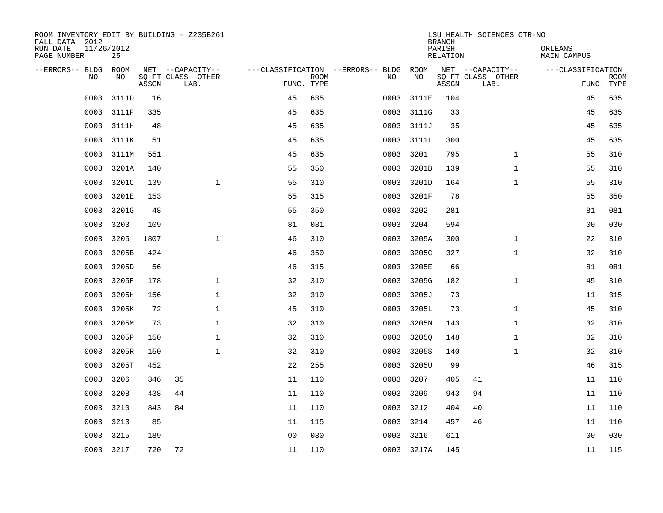| ROOM INVENTORY EDIT BY BUILDING - Z235B261<br>FALL DATA 2012<br>RUN DATE | 11/26/2012 |       |                           |                |             |                                        |            | <b>BRANCH</b><br>PARISH | LSU HEALTH SCIENCES CTR-NO | ORLEANS            |                           |
|--------------------------------------------------------------------------|------------|-------|---------------------------|----------------|-------------|----------------------------------------|------------|-------------------------|----------------------------|--------------------|---------------------------|
| PAGE NUMBER                                                              | 25         |       |                           |                |             |                                        |            | <b>RELATION</b>         |                            | <b>MAIN CAMPUS</b> |                           |
| --ERRORS-- BLDG                                                          | ROOM       |       | NET --CAPACITY--          |                |             | ---CLASSIFICATION --ERRORS-- BLDG ROOM |            |                         | NET --CAPACITY--           | ---CLASSIFICATION  |                           |
| NO.                                                                      | NO         | ASSGN | SQ FT CLASS OTHER<br>LAB. | FUNC. TYPE     | <b>ROOM</b> | NO                                     | NO         | ASSGN                   | SQ FT CLASS OTHER<br>LAB.  |                    | <b>ROOM</b><br>FUNC. TYPE |
| 0003                                                                     | 3111D      | 16    |                           | 45             | 635         | 0003                                   | 3111E      | 104                     |                            | 45                 | 635                       |
| 0003                                                                     | 3111F      | 335   |                           | 45             | 635         | 0003                                   | 3111G      | 33                      |                            | 45                 | 635                       |
| 0003                                                                     | 3111H      | 48    |                           | 45             | 635         | 0003                                   | 3111J      | 35                      |                            | 45                 | 635                       |
| 0003                                                                     | 3111K      | 51    |                           | 45             | 635         | 0003                                   | 3111L      | 300                     |                            | 45                 | 635                       |
| 0003                                                                     | 3111M      | 551   |                           | 45             | 635         | 0003                                   | 3201       | 795                     | $\mathbf{1}$               | 55                 | 310                       |
| 0003                                                                     | 3201A      | 140   |                           | 55             | 350         | 0003                                   | 3201B      | 139                     | $\mathbf{1}$               | 55                 | 310                       |
| 0003                                                                     | 3201C      | 139   | $\mathbf{1}$              | 55             | 310         | 0003                                   | 3201D      | 164                     | $\mathbf{1}$               | 55                 | 310                       |
| 0003                                                                     | 3201E      | 153   |                           | 55             | 315         | 0003                                   | 3201F      | 78                      |                            | 55                 | 350                       |
| 0003                                                                     | 3201G      | 48    |                           | 55             | 350         | 0003                                   | 3202       | 281                     |                            | 81                 | 081                       |
| 0003                                                                     | 3203       | 109   |                           | 81             | 081         | 0003                                   | 3204       | 594                     |                            | 0 <sub>0</sub>     | 030                       |
| 0003                                                                     | 3205       | 1807  | $\mathbf{1}$              | 46             | 310         | 0003                                   | 3205A      | 300                     | $\mathbf{1}$               | 22                 | 310                       |
| 0003                                                                     | 3205B      | 424   |                           | 46             | 350         | 0003                                   | 3205C      | 327                     | $\mathbf{1}$               | 32                 | 310                       |
| 0003                                                                     | 3205D      | 56    |                           | 46             | 315         | 0003                                   | 3205E      | 66                      |                            | 81                 | 081                       |
| 0003                                                                     | 3205F      | 178   | $\mathbf 1$               | 32             | 310         | 0003                                   | 3205G      | 182                     | $\mathbf{1}$               | 45                 | 310                       |
| 0003                                                                     | 3205H      | 156   | $\mathbf 1$               | 32             | 310         | 0003                                   | 3205J      | 73                      |                            | 11                 | 315                       |
| 0003                                                                     | 3205K      | 72    | $\mathbf{1}$              | 45             | 310         | 0003                                   | 3205L      | 73                      | $\mathbf{1}$               | 45                 | 310                       |
| 0003                                                                     | 3205M      | 73    | $\mathbf 1$               | 32             | 310         | 0003                                   | 3205N      | 143                     | $\mathbf{1}$               | 32                 | 310                       |
| 0003                                                                     | 3205P      | 150   | $\mathbf{1}$              | 32             | 310         | 0003                                   | 32050      | 148                     | $\mathbf{1}$               | 32                 | 310                       |
| 0003                                                                     | 3205R      | 150   | $\mathbf{1}$              | 32             | 310         | 0003                                   | 3205S      | 140                     | $\mathbf{1}$               | 32                 | 310                       |
| 0003                                                                     | 3205T      | 452   |                           | 22             | 255         | 0003                                   | 3205U      | 99                      |                            | 46                 | 315                       |
| 0003                                                                     | 3206       | 346   | 35                        | 11             | 110         | 0003                                   | 3207       | 405                     | 41                         | 11                 | 110                       |
| 0003                                                                     | 3208       | 438   | 44                        | 11             | 110         | 0003                                   | 3209       | 943                     | 94                         | 11                 | 110                       |
| 0003                                                                     | 3210       | 843   | 84                        | 11             | 110         | 0003                                   | 3212       | 404                     | 40                         | 11                 | 110                       |
| 0003                                                                     | 3213       | 85    |                           | 11             | 115         | 0003                                   | 3214       | 457                     | 46                         | 11                 | 110                       |
| 0003                                                                     | 3215       | 189   |                           | 0 <sub>0</sub> | 030         | 0003                                   | 3216       | 611                     |                            | 00                 | 030                       |
|                                                                          | 0003 3217  | 720   | 72                        | 11             | 110         |                                        | 0003 3217A | 145                     |                            | 11                 | 115                       |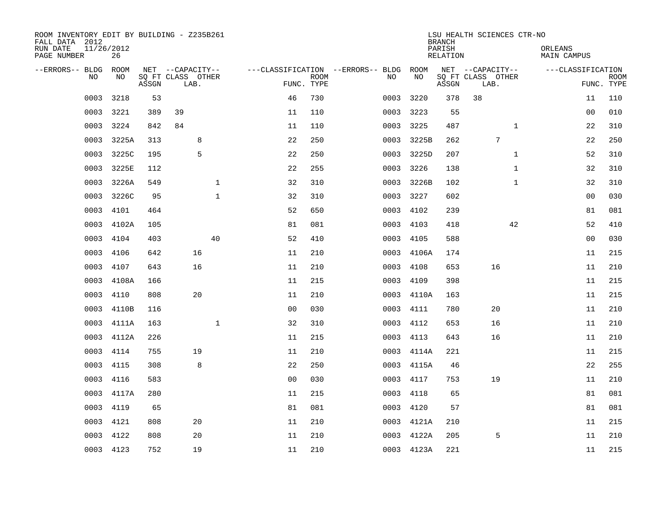| ROOM INVENTORY EDIT BY BUILDING - Z235B261<br>FALL DATA 2012<br>RUN DATE<br>PAGE NUMBER | 11/26/2012<br>26 |       |                           |              |                                        |             |           |            | <b>BRANCH</b><br>PARISH<br>RELATION | LSU HEALTH SCIENCES CTR-NO |              | ORLEANS<br>MAIN CAMPUS |                           |
|-----------------------------------------------------------------------------------------|------------------|-------|---------------------------|--------------|----------------------------------------|-------------|-----------|------------|-------------------------------------|----------------------------|--------------|------------------------|---------------------------|
| --ERRORS-- BLDG ROOM                                                                    |                  |       | NET --CAPACITY--          |              | ---CLASSIFICATION --ERRORS-- BLDG ROOM |             |           |            |                                     | NET --CAPACITY--           |              | ---CLASSIFICATION      |                           |
| NO.                                                                                     | NO.              | ASSGN | SO FT CLASS OTHER<br>LAB. |              | FUNC. TYPE                             | <b>ROOM</b> | NO.       | NO         | ASSGN                               | SQ FT CLASS OTHER<br>LAB.  |              |                        | <b>ROOM</b><br>FUNC. TYPE |
| 0003                                                                                    | 3218             | 53    |                           |              | 46                                     | 730         | 0003      | 3220       | 378                                 | 38                         |              | 11                     | 110                       |
| 0003                                                                                    | 3221             | 389   | 39                        |              | 11                                     | 110         | 0003 3223 |            | 55                                  |                            |              | 0 <sub>0</sub>         | 010                       |
| 0003                                                                                    | 3224             | 842   | 84                        |              | 11                                     | 110         | 0003      | 3225       | 487                                 |                            | $\mathbf{1}$ | 22                     | 310                       |
| 0003                                                                                    | 3225A            | 313   | 8                         |              | 22                                     | 250         |           | 0003 3225B | 262                                 | 7                          |              | 22                     | 250                       |
| 0003                                                                                    | 3225C            | 195   | 5                         |              | 22                                     | 250         | 0003      | 3225D      | 207                                 |                            | $\mathbf{1}$ | 52                     | 310                       |
| 0003                                                                                    | 3225E            | 112   |                           |              | 22                                     | 255         | 0003 3226 |            | 138                                 |                            | $\mathbf{1}$ | 32                     | 310                       |
| 0003                                                                                    | 3226A            | 549   |                           | $\mathbf{1}$ | 32                                     | 310         |           | 0003 3226B | 102                                 |                            | $\mathbf{1}$ | 32                     | 310                       |
| 0003                                                                                    | 3226C            | 95    |                           | $\mathbf 1$  | 32                                     | 310         | 0003      | 3227       | 602                                 |                            |              | 00                     | 030                       |
| 0003                                                                                    | 4101             | 464   |                           |              | 52                                     | 650         | 0003      | 4102       | 239                                 |                            |              | 81                     | 081                       |
| 0003                                                                                    | 4102A            | 105   |                           |              | 81                                     | 081         | 0003 4103 |            | 418                                 |                            | 42           | 52                     | 410                       |
| 0003                                                                                    | 4104             | 403   |                           | 40           | 52                                     | 410         | 0003      | 4105       | 588                                 |                            |              | 0 <sub>0</sub>         | 030                       |
| 0003                                                                                    | 4106             | 642   | 16                        |              | 11                                     | 210         |           | 0003 4106A | 174                                 |                            |              | 11                     | 215                       |
| 0003                                                                                    | 4107             | 643   | 16                        |              | 11                                     | 210         | 0003      | 4108       | 653                                 | 16                         |              | 11                     | 210                       |
| 0003                                                                                    | 4108A            | 166   |                           |              | 11                                     | 215         | 0003      | 4109       | 398                                 |                            |              | 11                     | 215                       |
| 0003                                                                                    | 4110             | 808   | 20                        |              | 11                                     | 210         | 0003      | 4110A      | 163                                 |                            |              | 11                     | 215                       |
| 0003                                                                                    | 4110B            | 116   |                           |              | 0 <sub>0</sub>                         | 030         | 0003      | 4111       | 780                                 | 20                         |              | 11                     | 210                       |
| 0003                                                                                    | 4111A            | 163   |                           | $\mathbf{1}$ | 32                                     | 310         | 0003      | 4112       | 653                                 | 16                         |              | 11                     | 210                       |
| 0003                                                                                    | 4112A            | 226   |                           |              | 11                                     | 215         | 0003      | 4113       | 643                                 | 16                         |              | 11                     | 210                       |
|                                                                                         | 0003 4114        | 755   | 19                        |              | 11                                     | 210         |           | 0003 4114A | 221                                 |                            |              | 11                     | 215                       |
| 0003                                                                                    | 4115             | 308   | 8                         |              | 22                                     | 250         |           | 0003 4115A | 46                                  |                            |              | 22                     | 255                       |
| 0003                                                                                    | 4116             | 583   |                           |              | 0 <sub>0</sub>                         | 030         | 0003 4117 |            | 753                                 | 19                         |              | 11                     | 210                       |
| 0003                                                                                    | 4117A            | 280   |                           |              | 11                                     | 215         | 0003      | 4118       | 65                                  |                            |              | 81                     | 081                       |
| 0003                                                                                    | 4119             | 65    |                           |              | 81                                     | 081         | 0003      | 4120       | 57                                  |                            |              | 81                     | 081                       |
| 0003                                                                                    | 4121             | 808   | 20                        |              | 11                                     | 210         |           | 0003 4121A | 210                                 |                            |              | 11                     | 215                       |
| 0003                                                                                    | 4122             | 808   | 20                        |              | 11                                     | 210         |           | 0003 4122A | 205                                 | 5                          |              | 11                     | 210                       |
|                                                                                         | 0003 4123        | 752   | 19                        |              | 11                                     | 210         |           | 0003 4123A | 221                                 |                            |              | 11                     | 215                       |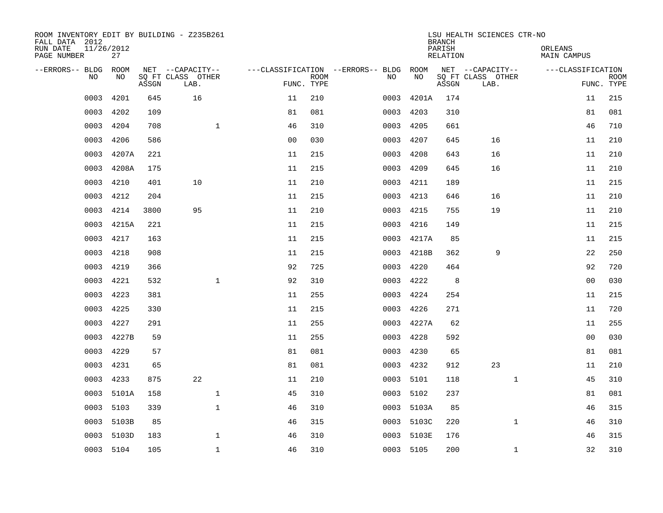| ROOM INVENTORY EDIT BY BUILDING - Z235B261<br>FALL DATA 2012<br>RUN DATE | 11/26/2012 |       |                           |                |             |                                   |            | <b>BRANCH</b><br>PARISH | LSU HEALTH SCIENCES CTR-NO | ORLEANS            |                           |
|--------------------------------------------------------------------------|------------|-------|---------------------------|----------------|-------------|-----------------------------------|------------|-------------------------|----------------------------|--------------------|---------------------------|
| PAGE NUMBER                                                              | 27         |       |                           |                |             |                                   |            | <b>RELATION</b>         |                            | <b>MAIN CAMPUS</b> |                           |
| --ERRORS-- BLDG<br>NO                                                    | ROOM<br>NO |       | NET --CAPACITY--          |                | <b>ROOM</b> | ---CLASSIFICATION --ERRORS-- BLDG | ROOM<br>NO |                         | NET --CAPACITY--           | ---CLASSIFICATION  |                           |
|                                                                          |            | ASSGN | SQ FT CLASS OTHER<br>LAB. |                | FUNC. TYPE  | NO                                |            | ASSGN                   | SQ FT CLASS OTHER<br>LAB.  |                    | <b>ROOM</b><br>FUNC. TYPE |
| 0003                                                                     | 4201       | 645   | 16                        | 11             | 210         | 0003                              | 4201A      | 174                     |                            | 11                 | 215                       |
| 0003                                                                     | 4202       | 109   |                           | 81             | 081         | 0003                              | 4203       | 310                     |                            | 81                 | 081                       |
| 0003                                                                     | 4204       | 708   | $\mathbf{1}$              | 46             | 310         | 0003                              | 4205       | 661                     |                            | 46                 | 710                       |
| 0003                                                                     | 4206       | 586   |                           | 0 <sub>0</sub> | 030         | 0003                              | 4207       | 645                     | 16                         | 11                 | 210                       |
| 0003                                                                     | 4207A      | 221   |                           | 11             | 215         | 0003                              | 4208       | 643                     | 16                         | 11                 | 210                       |
| 0003                                                                     | 4208A      | 175   |                           | 11             | 215         | 0003                              | 4209       | 645                     | 16                         | 11                 | 210                       |
| 0003                                                                     | 4210       | 401   | 10                        | 11             | 210         | 0003                              | 4211       | 189                     |                            | 11                 | 215                       |
| 0003                                                                     | 4212       | 204   |                           | 11             | 215         | 0003                              | 4213       | 646                     | 16                         | 11                 | 210                       |
| 0003                                                                     | 4214       | 3800  | 95                        | 11             | 210         | 0003                              | 4215       | 755                     | 19                         | 11                 | 210                       |
| 0003                                                                     | 4215A      | 221   |                           | 11             | 215         | 0003                              | 4216       | 149                     |                            | 11                 | 215                       |
| 0003                                                                     | 4217       | 163   |                           | 11             | 215         | 0003                              | 4217A      | 85                      |                            | 11                 | 215                       |
| 0003                                                                     | 4218       | 908   |                           | 11             | 215         | 0003                              | 4218B      | 362                     | 9                          | 22                 | 250                       |
| 0003                                                                     | 4219       | 366   |                           | 92             | 725         | 0003                              | 4220       | 464                     |                            | 92                 | 720                       |
| 0003                                                                     | 4221       | 532   | $\mathbf 1$               | 92             | 310         | 0003                              | 4222       | 8                       |                            | 0 <sub>0</sub>     | 030                       |
| 0003                                                                     | 4223       | 381   |                           | 11             | 255         | 0003                              | 4224       | 254                     |                            | 11                 | 215                       |
| 0003                                                                     | 4225       | 330   |                           | 11             | 215         | 0003                              | 4226       | 271                     |                            | 11                 | 720                       |
| 0003                                                                     | 4227       | 291   |                           | 11             | 255         | 0003                              | 4227A      | 62                      |                            | 11                 | 255                       |
| 0003                                                                     | 4227B      | 59    |                           | 11             | 255         | 0003                              | 4228       | 592                     |                            | 0 <sub>0</sub>     | 030                       |
| 0003                                                                     | 4229       | 57    |                           | 81             | 081         | 0003                              | 4230       | 65                      |                            | 81                 | 081                       |
| 0003                                                                     | 4231       | 65    |                           | 81             | 081         | 0003                              | 4232       | 912                     | 23                         | 11                 | 210                       |
| 0003                                                                     | 4233       | 875   | 22                        | 11             | 210         | 0003                              | 5101       | 118                     | $\mathbf{1}$               | 45                 | 310                       |
| 0003                                                                     | 5101A      | 158   | $\mathbf{1}$              | 45             | 310         | 0003                              | 5102       | 237                     |                            | 81                 | 081                       |
| 0003                                                                     | 5103       | 339   | $\mathbf{1}$              | 46             | 310         |                                   | 0003 5103A | 85                      |                            | 46                 | 315                       |
| 0003                                                                     | 5103B      | 85    |                           | 46             | 315         | 0003                              | 5103C      | 220                     | $\mathbf{1}$               | 46                 | 310                       |
| 0003                                                                     | 5103D      | 183   | $\mathbf 1$               | 46             | 310         | 0003                              | 5103E      | 176                     |                            | 46                 | 315                       |
|                                                                          | 0003 5104  | 105   | $\mathbf{1}$              | 46             | 310         |                                   | 0003 5105  | 200                     | $\mathbf{1}$               | 32                 | 310                       |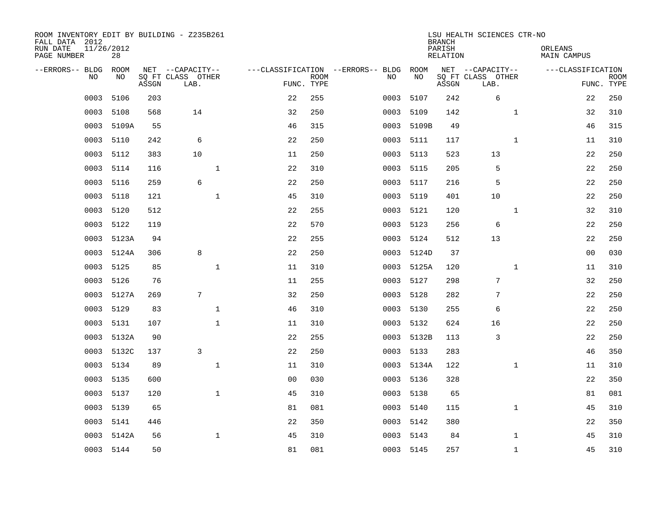| ROOM INVENTORY EDIT BY BUILDING - Z235B261<br>FALL DATA 2012<br>RUN DATE<br>PAGE NUMBER | 11/26/2012<br>28 |       |                           |              |                                   |             |      |            | <b>BRANCH</b><br>PARISH<br>RELATION | LSU HEALTH SCIENCES CTR-NO |              | ORLEANS<br>MAIN CAMPUS |                           |
|-----------------------------------------------------------------------------------------|------------------|-------|---------------------------|--------------|-----------------------------------|-------------|------|------------|-------------------------------------|----------------------------|--------------|------------------------|---------------------------|
| --ERRORS-- BLDG                                                                         | <b>ROOM</b>      |       | NET --CAPACITY--          |              | ---CLASSIFICATION --ERRORS-- BLDG |             |      | ROOM       |                                     | NET --CAPACITY--           |              | ---CLASSIFICATION      |                           |
| N <sub>O</sub>                                                                          | NO.              | ASSGN | SO FT CLASS OTHER<br>LAB. |              | FUNC. TYPE                        | <b>ROOM</b> | NO.  | NO         | ASSGN                               | SQ FT CLASS OTHER<br>LAB.  |              |                        | <b>ROOM</b><br>FUNC. TYPE |
| 0003                                                                                    | 5106             | 203   |                           |              | 22                                | 255         | 0003 | 5107       | 242                                 | 6                          |              | 22                     | 250                       |
| 0003                                                                                    | 5108             | 568   | 14                        |              | 32                                | 250         | 0003 | 5109       | 142                                 |                            | $\mathbf{1}$ | 32                     | 310                       |
| 0003                                                                                    | 5109A            | 55    |                           |              | 46                                | 315         | 0003 | 5109B      | 49                                  |                            |              | 46                     | 315                       |
| 0003                                                                                    | 5110             | 242   | 6                         |              | 22                                | 250         | 0003 | 5111       | 117                                 |                            | $\mathbf{1}$ | 11                     | 310                       |
| 0003                                                                                    | 5112             | 383   | 10                        |              | 11                                | 250         | 0003 | 5113       | 523                                 | 13                         |              | 22                     | 250                       |
| 0003                                                                                    | 5114             | 116   |                           | $\mathbf{1}$ | 22                                | 310         |      | 0003 5115  | 205                                 | 5                          |              | $2\sqrt{2}$            | 250                       |
| 0003                                                                                    | 5116             | 259   | 6                         |              | 22                                | 250         | 0003 | 5117       | 216                                 | 5                          |              | 22                     | 250                       |
| 0003                                                                                    | 5118             | 121   |                           | $\mathbf{1}$ | 45                                | 310         | 0003 | 5119       | 401                                 | 10                         |              | 22                     | 250                       |
| 0003                                                                                    | 5120             | 512   |                           |              | 22                                | 255         | 0003 | 5121       | 120                                 |                            | $\mathbf{1}$ | 32                     | 310                       |
| 0003                                                                                    | 5122             | 119   |                           |              | 22                                | 570         |      | 0003 5123  | 256                                 | 6                          |              | 22                     | 250                       |
| 0003                                                                                    | 5123A            | 94    |                           |              | 22                                | 255         | 0003 | 5124       | 512                                 | 13                         |              | 22                     | 250                       |
| 0003                                                                                    | 5124A            | 306   | 8                         |              | 22                                | 250         |      | 0003 5124D | 37                                  |                            |              | 0 <sub>0</sub>         | 030                       |
| 0003                                                                                    | 5125             | 85    |                           | $\mathbf{1}$ | 11                                | 310         | 0003 | 5125A      | 120                                 |                            | $\mathbf{1}$ | 11                     | 310                       |
| 0003                                                                                    | 5126             | 76    |                           |              | 11                                | 255         | 0003 | 5127       | 298                                 | 7                          |              | 32                     | 250                       |
| 0003                                                                                    | 5127A            | 269   | 7                         |              | 32                                | 250         | 0003 | 5128       | 282                                 | 7                          |              | 22                     | 250                       |
| 0003                                                                                    | 5129             | 83    |                           | $\mathbf 1$  | 46                                | 310         | 0003 | 5130       | 255                                 | 6                          |              | 22                     | 250                       |
| 0003                                                                                    | 5131             | 107   |                           | $\mathbf{1}$ | 11                                | 310         | 0003 | 5132       | 624                                 | 16                         |              | 22                     | 250                       |
| 0003                                                                                    | 5132A            | 90    |                           |              | 22                                | 255         | 0003 | 5132B      | 113                                 | 3                          |              | 22                     | 250                       |
| 0003                                                                                    | 5132C            | 137   | 3                         |              | 22                                | 250         |      | 0003 5133  | 283                                 |                            |              | 46                     | 350                       |
| 0003                                                                                    | 5134             | 89    |                           | $\mathbf{1}$ | 11                                | 310         |      | 0003 5134A | 122                                 |                            | $\mathbf{1}$ | 11                     | 310                       |
| 0003                                                                                    | 5135             | 600   |                           |              | 0 <sub>0</sub>                    | 030         | 0003 | 5136       | 328                                 |                            |              | 22                     | 350                       |
| 0003                                                                                    | 5137             | 120   |                           | $\mathbf{1}$ | 45                                | 310         | 0003 | 5138       | 65                                  |                            |              | 81                     | 081                       |
| 0003                                                                                    | 5139             | 65    |                           |              | 81                                | 081         | 0003 | 5140       | 115                                 |                            | $\mathbf{1}$ | 45                     | 310                       |
| 0003                                                                                    | 5141             | 446   |                           |              | 22                                | 350         | 0003 | 5142       | 380                                 |                            |              | 22                     | 350                       |
| 0003                                                                                    | 5142A            | 56    |                           | $\mathbf 1$  | 45                                | 310         |      | 0003 5143  | 84                                  |                            | $\mathbf{1}$ | 45                     | 310                       |
|                                                                                         | 0003 5144        | 50    |                           |              | 81                                | 081         |      | 0003 5145  | 257                                 |                            | $\mathbf{1}$ | 45                     | 310                       |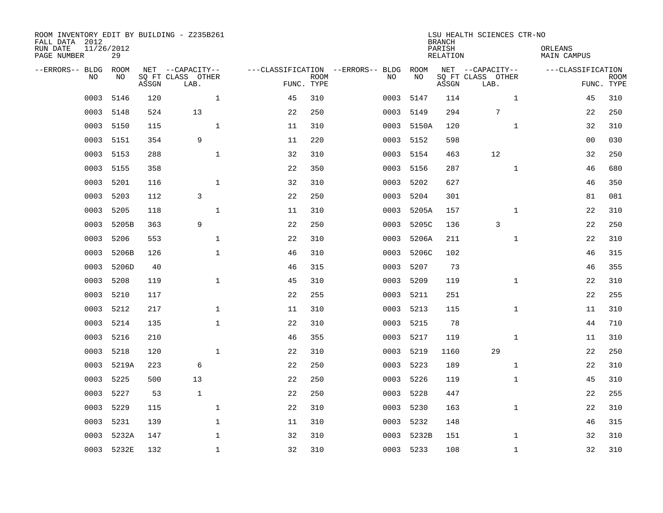| ROOM INVENTORY EDIT BY BUILDING - Z235B261<br>FALL DATA 2012<br>RUN DATE<br>PAGE NUMBER | 11/26/2012<br>29 |       |                                               |    |                           |                                         |            | <b>BRANCH</b><br>PARISH<br><b>RELATION</b> | LSU HEALTH SCIENCES CTR-NO                    | ORLEANS<br><b>MAIN CAMPUS</b> |                           |
|-----------------------------------------------------------------------------------------|------------------|-------|-----------------------------------------------|----|---------------------------|-----------------------------------------|------------|--------------------------------------------|-----------------------------------------------|-------------------------------|---------------------------|
| --ERRORS-- BLDG<br>NO                                                                   | ROOM<br>NO       | ASSGN | NET --CAPACITY--<br>SQ FT CLASS OTHER<br>LAB. |    | <b>ROOM</b><br>FUNC. TYPE | ---CLASSIFICATION --ERRORS-- BLDG<br>NO | ROOM<br>NO | ASSGN                                      | NET --CAPACITY--<br>SQ FT CLASS OTHER<br>LAB. | ---CLASSIFICATION             | <b>ROOM</b><br>FUNC. TYPE |
| 0003                                                                                    | 5146             | 120   | $\mathbf{1}$                                  | 45 | 310                       | 0003                                    | 5147       | 114                                        | $\mathbf{1}$                                  | 45                            | 310                       |
| 0003                                                                                    | 5148             | 524   | 13                                            | 22 | 250                       | 0003                                    | 5149       | 294                                        | $\overline{7}$                                | 22                            | 250                       |
| 0003                                                                                    | 5150             | 115   | $\mathbf 1$                                   | 11 | 310                       | 0003                                    | 5150A      | 120                                        | $\mathbf{1}$                                  | 32                            | 310                       |
| 0003                                                                                    | 5151             | 354   | 9                                             | 11 | 220                       | 0003                                    | 5152       | 598                                        |                                               | 0 <sub>0</sub>                | 030                       |
| 0003                                                                                    | 5153             | 288   | $\mathbf{1}$                                  | 32 | 310                       | 0003                                    | 5154       | 463                                        | 12                                            | 32                            | 250                       |
| 0003                                                                                    | 5155             | 358   |                                               | 22 | 350                       | 0003                                    | 5156       | 287                                        | $\mathbf{1}$                                  | 46                            | 680                       |
| 0003                                                                                    | 5201             | 116   | $\mathbf{1}$                                  | 32 | 310                       | 0003                                    | 5202       | 627                                        |                                               | 46                            | 350                       |
| 0003                                                                                    | 5203             | 112   | 3                                             | 22 | 250                       | 0003                                    | 5204       | 301                                        |                                               | 81                            | 081                       |
| 0003                                                                                    | 5205             | 118   | $\mathbf 1$                                   | 11 | 310                       | 0003                                    | 5205A      | 157                                        | $\mathbf{1}$                                  | 22                            | 310                       |
| 0003                                                                                    | 5205B            | 363   | 9                                             | 22 | 250                       | 0003                                    | 5205C      | 136                                        | 3                                             | 22                            | 250                       |
| 0003                                                                                    | 5206             | 553   | $\mathbf{1}$                                  | 22 | 310                       | 0003                                    | 5206A      | 211                                        | $\mathbf{1}$                                  | 22                            | 310                       |
| 0003                                                                                    | 5206B            | 126   | $\mathbf{1}$                                  | 46 | 310                       | 0003                                    | 5206C      | 102                                        |                                               | 46                            | 315                       |
| 0003                                                                                    | 5206D            | 40    |                                               | 46 | 315                       | 0003                                    | 5207       | 73                                         |                                               | 46                            | 355                       |
| 0003                                                                                    | 5208             | 119   | $\mathbf 1$                                   | 45 | 310                       | 0003                                    | 5209       | 119                                        | $\mathbf{1}$                                  | 22                            | 310                       |
| 0003                                                                                    | 5210             | 117   |                                               | 22 | 255                       | 0003                                    | 5211       | 251                                        |                                               | 22                            | 255                       |
| 0003                                                                                    | 5212             | 217   | $\mathbf 1$                                   | 11 | 310                       | 0003                                    | 5213       | 115                                        | $\mathbf{1}$                                  | 11                            | 310                       |
| 0003                                                                                    | 5214             | 135   | $\mathbf{1}$                                  | 22 | 310                       | 0003                                    | 5215       | 78                                         |                                               | 44                            | 710                       |
| 0003                                                                                    | 5216             | 210   |                                               | 46 | 355                       | 0003                                    | 5217       | 119                                        | $\mathbf{1}$                                  | 11                            | 310                       |
| 0003                                                                                    | 5218             | 120   | $\mathbf{1}$                                  | 22 | 310                       |                                         | 0003 5219  | 1160                                       | 29                                            | 22                            | 250                       |
| 0003                                                                                    | 5219A            | 223   | 6                                             | 22 | 250                       | 0003                                    | 5223       | 189                                        | $\mathbf{1}$                                  | 22                            | 310                       |
| 0003                                                                                    | 5225             | 500   | 13                                            | 22 | 250                       | 0003                                    | 5226       | 119                                        | $\mathbf{1}$                                  | 45                            | 310                       |
| 0003                                                                                    | 5227             | 53    | $\mathbf{1}$                                  | 22 | 250                       | 0003                                    | 5228       | 447                                        |                                               | 22                            | 255                       |
| 0003                                                                                    | 5229             | 115   | $\mathbf 1$                                   | 22 | 310                       | 0003                                    | 5230       | 163                                        | $\mathbf{1}$                                  | 22                            | 310                       |
| 0003                                                                                    | 5231             | 139   | $\mathbf 1$                                   | 11 | 310                       | 0003                                    | 5232       | 148                                        |                                               | 46                            | 315                       |
| 0003                                                                                    | 5232A            | 147   | $\mathbf 1$                                   | 32 | 310                       | 0003                                    | 5232B      | 151                                        | $\mathbf{1}$                                  | 32                            | 310                       |
|                                                                                         | 0003 5232E       | 132   | $\mathbf{1}$                                  | 32 | 310                       |                                         | 0003 5233  | 108                                        | $\mathbf{1}$                                  | 32                            | 310                       |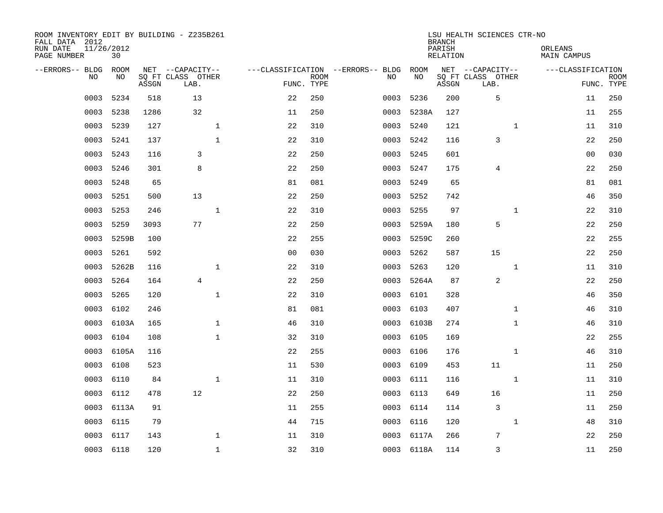| ROOM INVENTORY EDIT BY BUILDING - Z235B261<br>FALL DATA 2012<br>RUN DATE<br>PAGE NUMBER | 11/26/2012<br>30 |       |                           |                                   |                           |      |            | <b>BRANCH</b><br>PARISH<br><b>RELATION</b> | LSU HEALTH SCIENCES CTR-NO |              | ORLEANS<br><b>MAIN CAMPUS</b> |                           |
|-----------------------------------------------------------------------------------------|------------------|-------|---------------------------|-----------------------------------|---------------------------|------|------------|--------------------------------------------|----------------------------|--------------|-------------------------------|---------------------------|
| --ERRORS-- BLDG                                                                         | ROOM             |       | NET --CAPACITY--          | ---CLASSIFICATION --ERRORS-- BLDG |                           |      | ROOM       |                                            | NET --CAPACITY--           |              | ---CLASSIFICATION             |                           |
| NO.                                                                                     | NO               | ASSGN | SQ FT CLASS OTHER<br>LAB. |                                   | <b>ROOM</b><br>FUNC. TYPE | NO   | NO         | ASSGN                                      | SQ FT CLASS OTHER<br>LAB.  |              |                               | <b>ROOM</b><br>FUNC. TYPE |
| 0003                                                                                    | 5234             | 518   | 13                        | 22                                | 250                       | 0003 | 5236       | 200                                        | 5                          |              | 11                            | 250                       |
| 0003                                                                                    | 5238             | 1286  | 32                        | 11                                | 250                       | 0003 | 5238A      | 127                                        |                            |              | 11                            | 255                       |
| 0003                                                                                    | 5239             | 127   | $\mathbf{1}$              | 22                                | 310                       | 0003 | 5240       | 121                                        |                            | $\mathbf{1}$ | 11                            | 310                       |
| 0003                                                                                    | 5241             | 137   | $\mathbf{1}$              | 22                                | 310                       | 0003 | 5242       | 116                                        | 3                          |              | 22                            | 250                       |
| 0003                                                                                    | 5243             | 116   | 3                         | 22                                | 250                       | 0003 | 5245       | 601                                        |                            |              | 0 <sub>0</sub>                | 030                       |
| 0003                                                                                    | 5246             | 301   | 8                         | 22                                | 250                       | 0003 | 5247       | 175                                        | 4                          |              | 22                            | 250                       |
| 0003                                                                                    | 5248             | 65    |                           | 81                                | 081                       | 0003 | 5249       | 65                                         |                            |              | 81                            | 081                       |
| 0003                                                                                    | 5251             | 500   | 13                        | 22                                | 250                       | 0003 | 5252       | 742                                        |                            |              | 46                            | 350                       |
| 0003                                                                                    | 5253             | 246   | $\mathbf{1}$              | 22                                | 310                       | 0003 | 5255       | 97                                         |                            | $\mathbf{1}$ | 22                            | 310                       |
| 0003                                                                                    | 5259             | 3093  | 77                        | 22                                | 250                       | 0003 | 5259A      | 180                                        | 5                          |              | 22                            | 250                       |
| 0003                                                                                    | 5259B            | 100   |                           | 22                                | 255                       | 0003 | 5259C      | 260                                        |                            |              | 22                            | 255                       |
| 0003                                                                                    | 5261             | 592   |                           | 0 <sub>0</sub>                    | 030                       | 0003 | 5262       | 587                                        | 15                         |              | 22                            | 250                       |
| 0003                                                                                    | 5262B            | 116   | $\mathbf{1}$              | 22                                | 310                       | 0003 | 5263       | 120                                        |                            | $\mathbf{1}$ | 11                            | 310                       |
| 0003                                                                                    | 5264             | 164   | 4                         | 22                                | 250                       | 0003 | 5264A      | 87                                         | 2                          |              | 22                            | 250                       |
| 0003                                                                                    | 5265             | 120   | $\mathbf{1}$              | 22                                | 310                       | 0003 | 6101       | 328                                        |                            |              | 46                            | 350                       |
| 0003                                                                                    | 6102             | 246   |                           | 81                                | 081                       | 0003 | 6103       | 407                                        |                            | $\mathbf{1}$ | 46                            | 310                       |
| 0003                                                                                    | 6103A            | 165   | $\mathbf{1}$              | 46                                | 310                       | 0003 | 6103B      | 274                                        |                            | $\mathbf{1}$ | 46                            | 310                       |
| 0003                                                                                    | 6104             | 108   | $\mathbf{1}$              | 32                                | 310                       | 0003 | 6105       | 169                                        |                            |              | 22                            | 255                       |
| 0003                                                                                    | 6105A            | 116   |                           | 22                                | 255                       | 0003 | 6106       | 176                                        |                            | $\mathbf{1}$ | 46                            | 310                       |
| 0003                                                                                    | 6108             | 523   |                           | 11                                | 530                       | 0003 | 6109       | 453                                        | 11                         |              | 11                            | 250                       |
| 0003                                                                                    | 6110             | 84    | $\mathbf{1}$              | 11                                | 310                       |      | 0003 6111  | 116                                        |                            | $\mathbf{1}$ | 11                            | 310                       |
| 0003                                                                                    | 6112             | 478   | 12                        | 22                                | 250                       | 0003 | 6113       | 649                                        | 16                         |              | 11                            | 250                       |
| 0003                                                                                    | 6113A            | 91    |                           | 11                                | 255                       |      | 0003 6114  | 114                                        | $\overline{3}$             |              | 11                            | 250                       |
| 0003                                                                                    | 6115             | 79    |                           | 44                                | 715                       | 0003 | 6116       | 120                                        |                            | $\mathbf{1}$ | 48                            | 310                       |
| 0003                                                                                    | 6117             | 143   | $\mathbf{1}$              | 11                                | 310                       |      | 0003 6117A | 266                                        | 7                          |              | 22                            | 250                       |
|                                                                                         | 0003 6118        | 120   | $\mathbf 1$               | 32                                | 310                       |      | 0003 6118A | 114                                        | 3                          |              | 11                            | 250                       |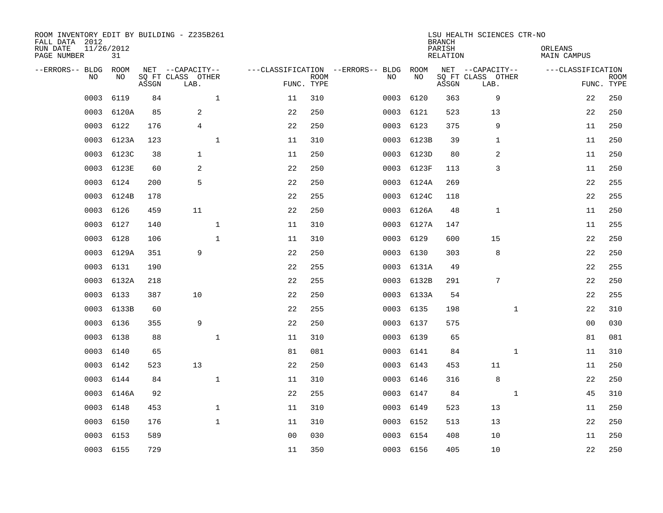| ROOM INVENTORY EDIT BY BUILDING - Z235B261<br>FALL DATA 2012<br>RUN DATE<br>PAGE NUMBER | 11/26/2012 | 31         |       |                                               |              |                                   |                           |      |            | <b>BRANCH</b><br>PARISH<br>RELATION | LSU HEALTH SCIENCES CTR-NO                    | ORLEANS<br>MAIN CAMPUS |                           |
|-----------------------------------------------------------------------------------------|------------|------------|-------|-----------------------------------------------|--------------|-----------------------------------|---------------------------|------|------------|-------------------------------------|-----------------------------------------------|------------------------|---------------------------|
| --ERRORS-- BLDG                                                                         | NO.        | ROOM<br>NO | ASSGN | NET --CAPACITY--<br>SQ FT CLASS OTHER<br>LAB. |              | ---CLASSIFICATION --ERRORS-- BLDG | <b>ROOM</b><br>FUNC. TYPE | NO   | ROOM<br>NO | ASSGN                               | NET --CAPACITY--<br>SQ FT CLASS OTHER<br>LAB. | ---CLASSIFICATION      | <b>ROOM</b><br>FUNC. TYPE |
|                                                                                         | 0003       | 6119       | 84    |                                               | $\mathbf{1}$ | 11                                | 310                       | 0003 | 6120       | 363                                 | 9                                             | 22                     | 250                       |
|                                                                                         | 0003       | 6120A      | 85    | 2                                             |              | 22                                | 250                       | 0003 | 6121       | 523                                 | 13                                            | 22                     | 250                       |
|                                                                                         | 0003       | 6122       | 176   | $\overline{4}$                                |              | 22                                | 250                       | 0003 | 6123       | 375                                 | 9                                             | 11                     | 250                       |
|                                                                                         | 0003       | 6123A      | 123   |                                               | $\mathbf{1}$ | 11                                | 310                       | 0003 | 6123B      | 39                                  | 1                                             | 11                     | 250                       |
|                                                                                         | 0003       | 6123C      | 38    | $\mathbf{1}$                                  |              | 11                                | 250                       | 0003 | 6123D      | 80                                  | 2                                             | 11                     | 250                       |
|                                                                                         | 0003       | 6123E      | 60    | 2                                             |              | 22                                | 250                       | 0003 | 6123F      | 113                                 | 3                                             | 11                     | 250                       |
|                                                                                         | 0003       | 6124       | 200   | 5                                             |              | 22                                | 250                       | 0003 | 6124A      | 269                                 |                                               | 22                     | 255                       |
|                                                                                         | 0003       | 6124B      | 178   |                                               |              | 22                                | 255                       | 0003 | 6124C      | 118                                 |                                               | 22                     | 255                       |
|                                                                                         | 0003       | 6126       | 459   | 11                                            |              | 22                                | 250                       | 0003 | 6126A      | 48                                  | 1                                             | 11                     | 250                       |
|                                                                                         | 0003       | 6127       | 140   |                                               | $\mathbf 1$  | 11                                | 310                       |      | 0003 6127A | 147                                 |                                               | 11                     | 255                       |
|                                                                                         | 0003       | 6128       | 106   |                                               | 1            | 11                                | 310                       | 0003 | 6129       | 600                                 | 15                                            | 22                     | 250                       |
|                                                                                         | 0003       | 6129A      | 351   | 9                                             |              | 22                                | 250                       | 0003 | 6130       | 303                                 | 8                                             | 22                     | 250                       |
|                                                                                         | 0003       | 6131       | 190   |                                               |              | 22                                | 255                       | 0003 | 6131A      | 49                                  |                                               | 22                     | 255                       |
|                                                                                         | 0003       | 6132A      | 218   |                                               |              | 22                                | 255                       | 0003 | 6132B      | 291                                 | 7                                             | 22                     | 250                       |
|                                                                                         | 0003       | 6133       | 387   | 10                                            |              | 22                                | 250                       | 0003 | 6133A      | 54                                  |                                               | 22                     | 255                       |
|                                                                                         | 0003       | 6133B      | 60    |                                               |              | 22                                | 255                       | 0003 | 6135       | 198                                 | $\mathbf{1}$                                  | 22                     | 310                       |
|                                                                                         | 0003       | 6136       | 355   | 9                                             |              | 22                                | 250                       | 0003 | 6137       | 575                                 |                                               | 00                     | 030                       |
|                                                                                         | 0003       | 6138       | 88    |                                               | $\mathbf 1$  | 11                                | 310                       | 0003 | 6139       | 65                                  |                                               | 81                     | 081                       |
|                                                                                         | 0003       | 6140       | 65    |                                               |              | 81                                | 081                       |      | 0003 6141  | 84                                  | $\mathbf{1}$                                  | 11                     | 310                       |
|                                                                                         | 0003       | 6142       | 523   | 13                                            |              | 22                                | 250                       | 0003 | 6143       | 453                                 | 11                                            | 11                     | 250                       |
|                                                                                         | 0003       | 6144       | 84    |                                               | $\mathbf{1}$ | 11                                | 310                       |      | 0003 6146  | 316                                 | 8                                             | 22                     | 250                       |
|                                                                                         | 0003       | 6146A      | 92    |                                               |              | 22                                | 255                       | 0003 | 6147       | 84                                  | $\mathbf{1}$                                  | 45                     | 310                       |
|                                                                                         | 0003       | 6148       | 453   |                                               | $\mathbf{1}$ | 11                                | 310                       |      | 0003 6149  | 523                                 | 13                                            | 11                     | 250                       |
|                                                                                         | 0003       | 6150       | 176   |                                               | $\mathbf{1}$ | 11                                | 310                       | 0003 | 6152       | 513                                 | 13                                            | 22                     | 250                       |
|                                                                                         | 0003       | 6153       | 589   |                                               |              | 0 <sub>0</sub>                    | 030                       | 0003 | 6154       | 408                                 | 10                                            | 11                     | 250                       |
|                                                                                         | 0003 6155  |            | 729   |                                               |              | 11                                | 350                       |      | 0003 6156  | 405                                 | 10                                            | 22                     | 250                       |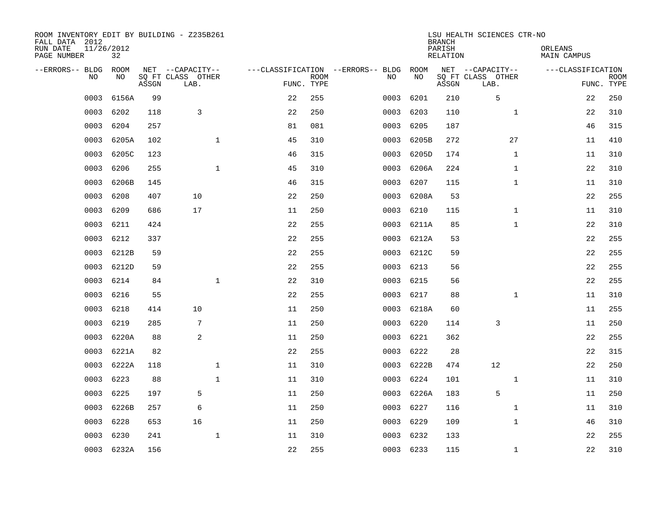| ROOM INVENTORY EDIT BY BUILDING - Z235B261<br>FALL DATA 2012<br>RUN DATE<br>PAGE NUMBER | 11/26/2012<br>32 |       |                                               |    |                           |                                         |            | <b>BRANCH</b><br>PARISH<br><b>RELATION</b> | LSU HEALTH SCIENCES CTR-NO                    | ORLEANS<br><b>MAIN CAMPUS</b> |                           |
|-----------------------------------------------------------------------------------------|------------------|-------|-----------------------------------------------|----|---------------------------|-----------------------------------------|------------|--------------------------------------------|-----------------------------------------------|-------------------------------|---------------------------|
| --ERRORS-- BLDG<br>NO                                                                   | ROOM<br>NO       | ASSGN | NET --CAPACITY--<br>SQ FT CLASS OTHER<br>LAB. |    | <b>ROOM</b><br>FUNC. TYPE | ---CLASSIFICATION --ERRORS-- BLDG<br>NO | ROOM<br>NO | ASSGN                                      | NET --CAPACITY--<br>SQ FT CLASS OTHER<br>LAB. | ---CLASSIFICATION             | <b>ROOM</b><br>FUNC. TYPE |
| 0003                                                                                    | 6156A            | 99    |                                               | 22 | 255                       | 0003                                    | 6201       | 210                                        | 5                                             | 22                            | 250                       |
| 0003                                                                                    | 6202             | 118   | 3                                             | 22 | 250                       | 0003                                    | 6203       | 110                                        | $\mathbf{1}$                                  | 22                            | 310                       |
| 0003                                                                                    | 6204             | 257   |                                               | 81 | 081                       | 0003                                    | 6205       | 187                                        |                                               | 46                            | 315                       |
| 0003                                                                                    | 6205A            | 102   | $\mathbf 1$                                   | 45 | 310                       | 0003                                    | 6205B      | 272                                        | 27                                            | 11                            | 410                       |
| 0003                                                                                    | 6205C            | 123   |                                               | 46 | 315                       | 0003                                    | 6205D      | 174                                        | $\mathbf{1}$                                  | 11                            | 310                       |
| 0003                                                                                    | 6206             | 255   | $\mathbf{1}$                                  | 45 | 310                       | 0003                                    | 6206A      | 224                                        | $\mathbf{1}$                                  | 22                            | 310                       |
| 0003                                                                                    | 6206B            | 145   |                                               | 46 | 315                       | 0003                                    | 6207       | 115                                        | $\mathbf{1}$                                  | 11                            | 310                       |
| 0003                                                                                    | 6208             | 407   | 10                                            | 22 | 250                       | 0003                                    | 6208A      | 53                                         |                                               | 22                            | 255                       |
| 0003                                                                                    | 6209             | 686   | 17                                            | 11 | 250                       | 0003                                    | 6210       | 115                                        | $\mathbf{1}$                                  | 11                            | 310                       |
| 0003                                                                                    | 6211             | 424   |                                               | 22 | 255                       | 0003                                    | 6211A      | 85                                         | $\mathbf{1}$                                  | 22                            | 310                       |
| 0003                                                                                    | 6212             | 337   |                                               | 22 | 255                       |                                         | 0003 6212A | 53                                         |                                               | 22                            | 255                       |
| 0003                                                                                    | 6212B            | 59    |                                               | 22 | 255                       |                                         | 0003 6212C | 59                                         |                                               | 22                            | 255                       |
| 0003                                                                                    | 6212D            | 59    |                                               | 22 | 255                       | 0003                                    | 6213       | 56                                         |                                               | 22                            | 255                       |
| 0003                                                                                    | 6214             | 84    | $\mathbf 1$                                   | 22 | 310                       | 0003                                    | 6215       | 56                                         |                                               | 22                            | 255                       |
| 0003                                                                                    | 6216             | 55    |                                               | 22 | 255                       | 0003                                    | 6217       | 88                                         | $\mathbf{1}$                                  | 11                            | 310                       |
| 0003                                                                                    | 6218             | 414   | 10                                            | 11 | 250                       | 0003                                    | 6218A      | 60                                         |                                               | 11                            | 255                       |
| 0003                                                                                    | 6219             | 285   | 7                                             | 11 | 250                       | 0003                                    | 6220       | 114                                        | 3                                             | 11                            | 250                       |
| 0003                                                                                    | 6220A            | 88    | 2                                             | 11 | 250                       | 0003                                    | 6221       | 362                                        |                                               | 22                            | 255                       |
| 0003                                                                                    | 6221A            | 82    |                                               | 22 | 255                       | 0003                                    | 6222       | 28                                         |                                               | 22                            | 315                       |
| 0003                                                                                    | 6222A            | 118   | $\mathbf 1$                                   | 11 | 310                       | 0003                                    | 6222B      | 474                                        | 12                                            | 22                            | 250                       |
| 0003                                                                                    | 6223             | 88    | $\mathbf 1$                                   | 11 | 310                       | 0003                                    | 6224       | 101                                        | $\mathbf{1}$                                  | 11                            | 310                       |
| 0003                                                                                    | 6225             | 197   | 5                                             | 11 | 250                       | 0003                                    | 6226A      | 183                                        | 5                                             | 11                            | 250                       |
| 0003                                                                                    | 6226B            | 257   | 6                                             | 11 | 250                       | 0003                                    | 6227       | 116                                        | $\mathbf{1}$                                  | 11                            | 310                       |
| 0003                                                                                    | 6228             | 653   | 16                                            | 11 | 250                       | 0003                                    | 6229       | 109                                        | $\mathbf{1}$                                  | 46                            | 310                       |
| 0003                                                                                    | 6230             | 241   | $\mathbf 1$                                   | 11 | 310                       | 0003                                    | 6232       | 133                                        |                                               | 22                            | 255                       |
|                                                                                         | 0003 6232A       | 156   |                                               | 22 | 255                       |                                         | 0003 6233  | 115                                        | $\mathbf{1}$                                  | 22                            | 310                       |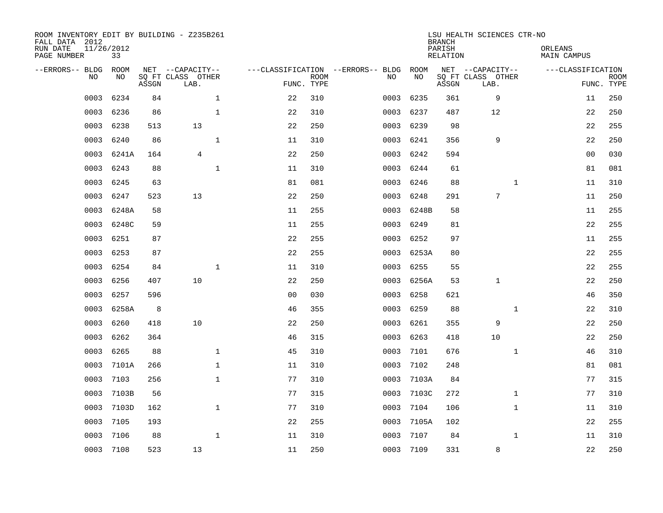| ROOM INVENTORY EDIT BY BUILDING - Z235B261<br>FALL DATA 2012<br>RUN DATE<br>PAGE NUMBER | 11/26/2012<br>33 |       |                           |              |                |                           |                                   |           | <b>BRANCH</b><br>PARISH<br><b>RELATION</b> | LSU HEALTH SCIENCES CTR-NO | ORLEANS<br><b>MAIN CAMPUS</b> |                |             |
|-----------------------------------------------------------------------------------------|------------------|-------|---------------------------|--------------|----------------|---------------------------|-----------------------------------|-----------|--------------------------------------------|----------------------------|-------------------------------|----------------|-------------|
| --ERRORS-- BLDG                                                                         | ROOM             |       | NET --CAPACITY--          |              |                |                           | ---CLASSIFICATION --ERRORS-- BLDG | ROOM      |                                            | NET --CAPACITY--           | ---CLASSIFICATION             |                |             |
| NO                                                                                      | NO               | ASSGN | SQ FT CLASS OTHER<br>LAB. |              |                | <b>ROOM</b><br>FUNC. TYPE | NO                                | NO        | ASSGN                                      | SQ FT CLASS OTHER<br>LAB.  |                               | FUNC. TYPE     | <b>ROOM</b> |
| 0003                                                                                    | 6234             | 84    |                           | $\mathbf 1$  | 22             | 310                       | 0003                              | 6235      | 361                                        | 9                          | 11                            |                | 250         |
| 0003                                                                                    | 6236             | 86    |                           | $\mathbf 1$  | 22             | 310                       | 0003                              | 6237      | 487                                        | 12                         |                               | 22             | 250         |
| 0003                                                                                    | 6238             | 513   | 13                        |              | 22             | 250                       | 0003                              | 6239      | 98                                         |                            |                               | 22             | 255         |
| 0003                                                                                    | 6240             | 86    |                           | $\mathbf{1}$ | 11             | 310                       | 0003                              | 6241      | 356                                        | 9                          |                               | 22             | 250         |
| 0003                                                                                    | 6241A            | 164   | $\overline{4}$            |              | 22             | 250                       | 0003                              | 6242      | 594                                        |                            |                               | 0 <sub>0</sub> | 030         |
| 0003                                                                                    | 6243             | 88    |                           | $\mathbf{1}$ | 11             | 310                       | 0003                              | 6244      | 61                                         |                            |                               | 81             | 081         |
| 0003                                                                                    | 6245             | 63    |                           |              | 81             | 081                       | 0003                              | 6246      | 88                                         | $\mathbf{1}$               | 11                            |                | 310         |
| 0003                                                                                    | 6247             | 523   | 13                        |              | 22             | 250                       | 0003                              | 6248      | 291                                        | $7\phantom{.0}$            | 11                            |                | 250         |
| 0003                                                                                    | 6248A            | 58    |                           |              | 11             | 255                       | 0003                              | 6248B     | 58                                         |                            | 11                            |                | 255         |
| 0003                                                                                    | 6248C            | 59    |                           |              | 11             | 255                       | 0003                              | 6249      | 81                                         |                            |                               | 22             | 255         |
| 0003                                                                                    | 6251             | 87    |                           |              | 22             | 255                       | 0003                              | 6252      | 97                                         |                            | 11                            |                | 255         |
| 0003                                                                                    | 6253             | 87    |                           |              | 22             | 255                       | 0003                              | 6253A     | 80                                         |                            |                               | 22             | 255         |
| 0003                                                                                    | 6254             | 84    |                           | $\mathbf 1$  | 11             | 310                       | 0003                              | 6255      | 55                                         |                            |                               | 22             | 255         |
| 0003                                                                                    | 6256             | 407   | 10                        |              | 22             | 250                       | 0003                              | 6256A     | 53                                         | 1                          |                               | 22             | 250         |
| 0003                                                                                    | 6257             | 596   |                           |              | 0 <sub>0</sub> | 030                       | 0003                              | 6258      | 621                                        |                            |                               | 46             | 350         |
| 0003                                                                                    | 6258A            | 8     |                           |              | 46             | 355                       | 0003                              | 6259      | 88                                         | $\mathbf{1}$               |                               | 22             | 310         |
| 0003                                                                                    | 6260             | 418   | 10                        |              | 22             | 250                       | 0003                              | 6261      | 355                                        | 9                          |                               | 22             | 250         |
| 0003                                                                                    | 6262             | 364   |                           |              | 46             | 315                       | 0003                              | 6263      | 418                                        | 10                         |                               | 22             | 250         |
| 0003                                                                                    | 6265             | 88    |                           | $\mathbf 1$  | 45             | 310                       | 0003                              | 7101      | 676                                        | $\mathbf{1}$               |                               | 46             | 310         |
| 0003                                                                                    | 7101A            | 266   |                           | $\mathbf 1$  | 11             | 310                       | 0003                              | 7102      | 248                                        |                            | 81                            |                | 081         |
| 0003                                                                                    | 7103             | 256   |                           | $\mathbf 1$  | 77             | 310                       | 0003                              | 7103A     | 84                                         |                            | 77                            |                | 315         |
| 0003                                                                                    | 7103B            | 56    |                           |              | 77             | 315                       | 0003                              | 7103C     | 272                                        | $\mathbf{1}$               | 77                            |                | 310         |
| 0003                                                                                    | 7103D            | 162   |                           | $\mathbf{1}$ | 77             | 310                       | 0003                              | 7104      | 106                                        | $\mathbf{1}$               | 11                            |                | 310         |
| 0003                                                                                    | 7105             | 193   |                           |              | 22             | 255                       | 0003                              | 7105A     | 102                                        |                            |                               | 22             | 255         |
| 0003                                                                                    | 7106             | 88    |                           | $\mathbf{1}$ | 11             | 310                       | 0003                              | 7107      | 84                                         | $\mathbf{1}$               | 11                            |                | 310         |
|                                                                                         | 0003 7108        | 523   | 13                        |              | 11             | 250                       |                                   | 0003 7109 | 331                                        | 8                          |                               | 22             | 250         |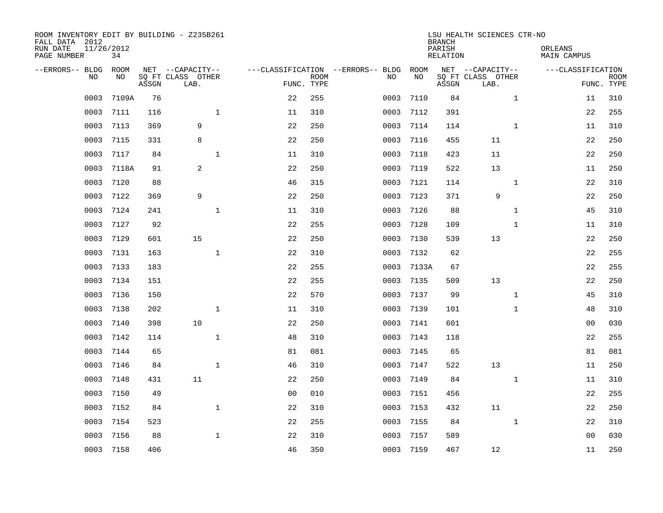| ROOM INVENTORY EDIT BY BUILDING - Z235B261<br>FALL DATA 2012<br>RUN DATE<br>PAGE NUMBER | 11/26/2012<br>34 |       |                           |                |                           |                                   |       | <b>BRANCH</b><br>PARISH<br><b>RELATION</b> | LSU HEALTH SCIENCES CTR-NO | ORLEANS<br><b>MAIN CAMPUS</b> |                           |
|-----------------------------------------------------------------------------------------|------------------|-------|---------------------------|----------------|---------------------------|-----------------------------------|-------|--------------------------------------------|----------------------------|-------------------------------|---------------------------|
| --ERRORS-- BLDG                                                                         | ROOM             |       | NET --CAPACITY--          |                |                           | ---CLASSIFICATION --ERRORS-- BLDG | ROOM  |                                            | NET --CAPACITY--           | ---CLASSIFICATION             |                           |
| NO.                                                                                     | NO               | ASSGN | SQ FT CLASS OTHER<br>LAB. |                | <b>ROOM</b><br>FUNC. TYPE | NO                                | NO    | ASSGN                                      | SQ FT CLASS OTHER<br>LAB.  |                               | <b>ROOM</b><br>FUNC. TYPE |
| 0003                                                                                    | 7109A            | 76    |                           | 22             | 255                       | 0003                              | 7110  | 84                                         | $\mathbf{1}$               | 11                            | 310                       |
| 0003                                                                                    | 7111             | 116   | $\mathbf 1$               | 11             | 310                       | 0003                              | 7112  | 391                                        |                            | 22                            | 255                       |
| 0003                                                                                    | 7113             | 369   | 9                         | 22             | 250                       | 0003                              | 7114  | 114                                        | $\mathbf{1}$               | 11                            | 310                       |
| 0003                                                                                    | 7115             | 331   | 8                         | 22             | 250                       | 0003                              | 7116  | 455                                        | 11                         | 22                            | 250                       |
| 0003                                                                                    | 7117             | 84    | $\mathbf 1$               | 11             | 310                       | 0003                              | 7118  | 423                                        | 11                         | 22                            | 250                       |
| 0003                                                                                    | 7118A            | 91    | 2                         | 22             | 250                       | 0003                              | 7119  | 522                                        | 13                         | 11                            | 250                       |
| 0003                                                                                    | 7120             | 88    |                           | 46             | 315                       | 0003                              | 7121  | 114                                        | $\mathbf{1}$               | 22                            | 310                       |
| 0003                                                                                    | 7122             | 369   | 9                         | 22             | 250                       | 0003                              | 7123  | 371                                        | 9                          | 22                            | 250                       |
| 0003                                                                                    | 7124             | 241   | $\mathbf 1$               | 11             | 310                       | 0003                              | 7126  | 88                                         | $\mathbf{1}$               | 45                            | 310                       |
| 0003                                                                                    | 7127             | 92    |                           | 22             | 255                       | 0003                              | 7128  | 109                                        | $\mathbf{1}$               | 11                            | 310                       |
| 0003                                                                                    | 7129             | 601   | 15                        | 22             | 250                       | 0003                              | 7130  | 539                                        | 13                         | 22                            | 250                       |
| 0003                                                                                    | 7131             | 163   | $\mathbf{1}$              | 22             | 310                       | 0003                              | 7132  | 62                                         |                            | 22                            | 255                       |
| 0003                                                                                    | 7133             | 183   |                           | 22             | 255                       | 0003                              | 7133A | 67                                         |                            | 22                            | 255                       |
| 0003                                                                                    | 7134             | 151   |                           | 22             | 255                       | 0003                              | 7135  | 509                                        | 13                         | 22                            | 250                       |
| 0003                                                                                    | 7136             | 150   |                           | 22             | 570                       | 0003                              | 7137  | 99                                         | $\mathbf{1}$               | 45                            | 310                       |
| 0003                                                                                    | 7138             | 202   | $\mathbf{1}$              | 11             | 310                       | 0003                              | 7139  | 101                                        | $\mathbf{1}$               | 48                            | 310                       |
| 0003                                                                                    | 7140             | 398   | 10                        | 22             | 250                       | 0003                              | 7141  | 601                                        |                            | 0 <sub>0</sub>                | 030                       |
| 0003                                                                                    | 7142             | 114   | $\mathbf 1$               | 48             | 310                       | 0003                              | 7143  | 118                                        |                            | 22                            | 255                       |
| 0003                                                                                    | 7144             | 65    |                           | 81             | 081                       | 0003                              | 7145  | 65                                         |                            | 81                            | 081                       |
| 0003                                                                                    | 7146             | 84    | $\mathbf{1}$              | 46             | 310                       | 0003                              | 7147  | 522                                        | 13                         | 11                            | 250                       |
| 0003                                                                                    | 7148             | 431   | 11                        | 22             | 250                       | 0003                              | 7149  | 84                                         | $\mathbf{1}$               | 11                            | 310                       |
| 0003                                                                                    | 7150             | 49    |                           | 0 <sub>0</sub> | 010                       | 0003                              | 7151  | 456                                        |                            | 22                            | 255                       |
| 0003                                                                                    | 7152             | 84    | $\mathbf{1}$              | 22             | 310                       | 0003                              | 7153  | 432                                        | 11                         | 22                            | 250                       |
| 0003                                                                                    | 7154             | 523   |                           | 22             | 255                       | 0003                              | 7155  | 84                                         | $\mathbf{1}$               | 22                            | 310                       |
| 0003                                                                                    | 7156             | 88    | $\mathbf 1$               | 22             | 310                       | 0003                              | 7157  | 589                                        |                            | 0 <sub>0</sub>                | 030                       |
| 0003                                                                                    | 7158             | 406   |                           | 46             | 350                       | 0003                              | 7159  | 467                                        | 12                         | 11                            | 250                       |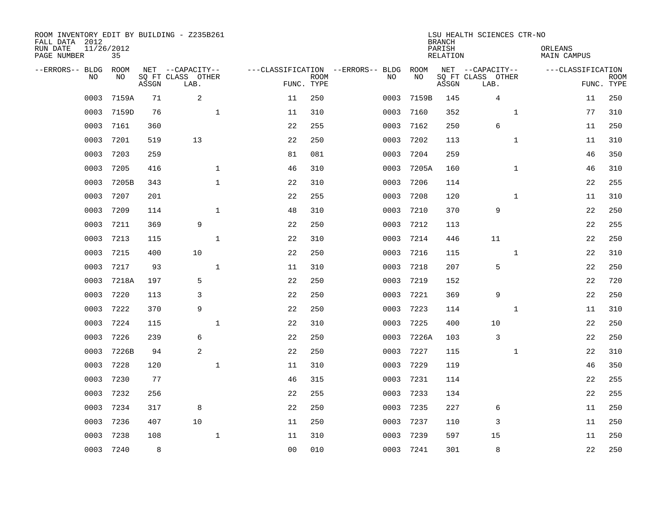| ROOM INVENTORY EDIT BY BUILDING - Z235B261<br>FALL DATA 2012<br>RUN DATE<br>PAGE NUMBER | 11/26/2012<br>35  |       |                                               |                |                           |                                         |            | <b>BRANCH</b><br>PARISH<br><b>RELATION</b> | LSU HEALTH SCIENCES CTR-NO                    | ORLEANS<br><b>MAIN CAMPUS</b> |                           |
|-----------------------------------------------------------------------------------------|-------------------|-------|-----------------------------------------------|----------------|---------------------------|-----------------------------------------|------------|--------------------------------------------|-----------------------------------------------|-------------------------------|---------------------------|
| --ERRORS-- BLDG<br>NO.                                                                  | <b>ROOM</b><br>NO | ASSGN | NET --CAPACITY--<br>SQ FT CLASS OTHER<br>LAB. |                | <b>ROOM</b><br>FUNC. TYPE | ---CLASSIFICATION --ERRORS-- BLDG<br>NO | ROOM<br>NO | ASSGN                                      | NET --CAPACITY--<br>SQ FT CLASS OTHER<br>LAB. | ---CLASSIFICATION             | <b>ROOM</b><br>FUNC. TYPE |
| 0003                                                                                    | 7159A             | 71    | 2                                             | 11             | 250                       | 0003                                    | 7159B      | 145                                        | $\overline{4}$                                | 11                            | 250                       |
| 0003                                                                                    | 7159D             | 76    | $\mathbf 1$                                   | 11             | 310                       | 0003                                    | 7160       | 352                                        | $\mathbf{1}$                                  | 77                            | 310                       |
| 0003                                                                                    | 7161              | 360   |                                               | 22             | 255                       | 0003                                    | 7162       | 250                                        | 6                                             | 11                            | 250                       |
| 0003                                                                                    | 7201              | 519   | 13                                            | 22             | 250                       | 0003                                    | 7202       | 113                                        | $\mathbf{1}$                                  | 11                            | 310                       |
| 0003                                                                                    | 7203              | 259   |                                               | 81             | 081                       | 0003                                    | 7204       | 259                                        |                                               | 46                            | 350                       |
| 0003                                                                                    | 7205              | 416   | $\mathbf{1}$                                  | 46             | 310                       | 0003                                    | 7205A      | 160                                        | $\mathbf{1}$                                  | 46                            | 310                       |
| 0003                                                                                    | 7205B             | 343   | $\mathbf{1}$                                  | 22             | 310                       | 0003                                    | 7206       | 114                                        |                                               | 22                            | 255                       |
| 0003                                                                                    | 7207              | 201   |                                               | 22             | 255                       | 0003                                    | 7208       | 120                                        | $\mathbf{1}$                                  | 11                            | 310                       |
| 0003                                                                                    | 7209              | 114   | $\mathbf{1}$                                  | 48             | 310                       | 0003                                    | 7210       | 370                                        | 9                                             | 22                            | 250                       |
| 0003                                                                                    | 7211              | 369   | 9                                             | 22             | 250                       | 0003                                    | 7212       | 113                                        |                                               | 22                            | 255                       |
| 0003                                                                                    | 7213              | 115   | $\mathbf 1$                                   | 22             | 310                       | 0003                                    | 7214       | 446                                        | 11                                            | 22                            | 250                       |
| 0003                                                                                    | 7215              | 400   | 10                                            | 22             | 250                       | 0003                                    | 7216       | 115                                        | $\mathbf{1}$                                  | 22                            | 310                       |
| 0003                                                                                    | 7217              | 93    | $\mathbf{1}$                                  | 11             | 310                       | 0003                                    | 7218       | 207                                        | 5                                             | 22                            | 250                       |
| 0003                                                                                    | 7218A             | 197   | 5                                             | 22             | 250                       | 0003                                    | 7219       | 152                                        |                                               | 22                            | 720                       |
| 0003                                                                                    | 7220              | 113   | 3                                             | 22             | 250                       | 0003                                    | 7221       | 369                                        | 9                                             | 22                            | 250                       |
| 0003                                                                                    | 7222              | 370   | 9                                             | 22             | 250                       | 0003                                    | 7223       | 114                                        | $\mathbf{1}$                                  | 11                            | 310                       |
| 0003                                                                                    | 7224              | 115   | $\mathbf{1}$                                  | 22             | 310                       | 0003                                    | 7225       | 400                                        | 10                                            | 22                            | 250                       |
| 0003                                                                                    | 7226              | 239   | 6                                             | 22             | 250                       | 0003                                    | 7226A      | 103                                        | 3                                             | 22                            | 250                       |
| 0003                                                                                    | 7226B             | 94    | 2                                             | 22             | 250                       | 0003                                    | 7227       | 115                                        | $\mathbf{1}$                                  | 22                            | 310                       |
| 0003                                                                                    | 7228              | 120   | $\mathbf 1$                                   | 11             | 310                       | 0003                                    | 7229       | 119                                        |                                               | 46                            | 350                       |
| 0003                                                                                    | 7230              | 77    |                                               | 46             | 315                       | 0003                                    | 7231       | 114                                        |                                               | 22                            | 255                       |
| 0003                                                                                    | 7232              | 256   |                                               | 22             | 255                       | 0003                                    | 7233       | 134                                        |                                               | 22                            | 255                       |
| 0003                                                                                    | 7234              | 317   | 8                                             | 22             | 250                       | 0003                                    | 7235       | 227                                        | 6                                             | 11                            | 250                       |
| 0003                                                                                    | 7236              | 407   | 10                                            | 11             | 250                       | 0003                                    | 7237       | 110                                        | 3                                             | 11                            | 250                       |
| 0003                                                                                    | 7238              | 108   | $\mathbf 1$                                   | 11             | 310                       | 0003                                    | 7239       | 597                                        | 15                                            | 11                            | 250                       |
| 0003                                                                                    | 7240              | 8     |                                               | 0 <sub>0</sub> | 010                       | 0003                                    | 7241       | 301                                        | 8                                             | 22                            | 250                       |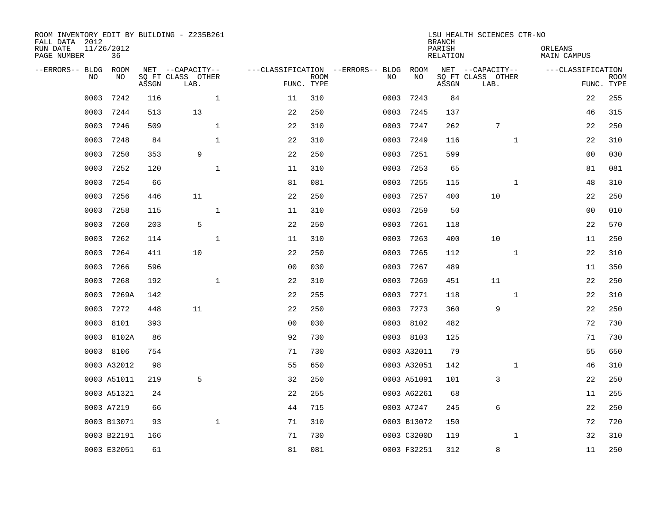| ROOM INVENTORY EDIT BY BUILDING - Z235B261<br>FALL DATA 2012<br>RUN DATE<br>PAGE NUMBER | 11/26/2012<br>36 |       |                           |                |                           |                                   |             | <b>BRANCH</b><br>PARISH<br><b>RELATION</b> | LSU HEALTH SCIENCES CTR-NO | ORLEANS<br>MAIN CAMPUS |                           |
|-----------------------------------------------------------------------------------------|------------------|-------|---------------------------|----------------|---------------------------|-----------------------------------|-------------|--------------------------------------------|----------------------------|------------------------|---------------------------|
| --ERRORS-- BLDG                                                                         | ROOM             |       | NET --CAPACITY--          |                |                           | ---CLASSIFICATION --ERRORS-- BLDG | ROOM        |                                            | NET --CAPACITY--           | ---CLASSIFICATION      |                           |
| NO.                                                                                     | NO               | ASSGN | SQ FT CLASS OTHER<br>LAB. |                | <b>ROOM</b><br>FUNC. TYPE | NO                                | NO          | ASSGN                                      | SQ FT CLASS OTHER<br>LAB.  |                        | <b>ROOM</b><br>FUNC. TYPE |
| 0003                                                                                    | 7242             | 116   | $\mathbf{1}$              | 11             | 310                       | 0003                              | 7243        | 84                                         |                            | 22                     | 255                       |
| 0003                                                                                    | 7244             | 513   | 13                        | 22             | 250                       | 0003                              | 7245        | 137                                        |                            | 46                     | 315                       |
| 0003                                                                                    | 7246             | 509   | $\mathbf{1}$              | 22             | 310                       | 0003                              | 7247        | 262                                        | $\sqrt{ }$                 | 22                     | 250                       |
| 0003                                                                                    | 7248             | 84    | $\mathbf 1$               | 22             | 310                       | 0003                              | 7249        | 116                                        | $\mathbf{1}$               | 22                     | 310                       |
| 0003                                                                                    | 7250             | 353   | 9                         | 22             | 250                       | 0003                              | 7251        | 599                                        |                            | 0 <sub>0</sub>         | 030                       |
| 0003                                                                                    | 7252             | 120   | $\mathbf{1}$              | 11             | 310                       | 0003                              | 7253        | 65                                         |                            | 81                     | 081                       |
| 0003                                                                                    | 7254             | 66    |                           | 81             | 081                       | 0003                              | 7255        | 115                                        | $\mathbf{1}$               | 48                     | 310                       |
| 0003                                                                                    | 7256             | 446   | 11                        | 22             | 250                       | 0003                              | 7257        | 400                                        | 10                         | 22                     | 250                       |
| 0003                                                                                    | 7258             | 115   | $\mathbf{1}$              | 11             | 310                       | 0003                              | 7259        | 50                                         |                            | 0 <sub>0</sub>         | 010                       |
| 0003                                                                                    | 7260             | 203   | 5                         | 22             | 250                       | 0003                              | 7261        | 118                                        |                            | 22                     | 570                       |
| 0003                                                                                    | 7262             | 114   | $\mathbf 1$               | 11             | 310                       | 0003                              | 7263        | 400                                        | 10                         | 11                     | 250                       |
| 0003                                                                                    | 7264             | 411   | 10                        | 22             | 250                       | 0003                              | 7265        | 112                                        | $\mathbf{1}$               | 22                     | 310                       |
| 0003                                                                                    | 7266             | 596   |                           | 0 <sub>0</sub> | 030                       | 0003                              | 7267        | 489                                        |                            | 11                     | 350                       |
| 0003                                                                                    | 7268             | 192   | $\mathbf 1$               | 22             | 310                       | 0003                              | 7269        | 451                                        | 11                         | 22                     | 250                       |
| 0003                                                                                    | 7269A            | 142   |                           | 22             | 255                       | 0003                              | 7271        | 118                                        | $\mathbf{1}$               | 22                     | 310                       |
| 0003                                                                                    | 7272             | 448   | 11                        | 22             | 250                       | 0003                              | 7273        | 360                                        | 9                          | 22                     | 250                       |
| 0003                                                                                    | 8101             | 393   |                           | 0 <sub>0</sub> | 030                       | 0003                              | 8102        | 482                                        |                            | 72                     | 730                       |
| 0003                                                                                    | 8102A            | 86    |                           | 92             | 730                       |                                   | 0003 8103   | 125                                        |                            | 71                     | 730                       |
|                                                                                         | 0003 8106        | 754   |                           | 71             | 730                       |                                   | 0003 A32011 | 79                                         |                            | 55                     | 650                       |
|                                                                                         | 0003 A32012      | 98    |                           | 55             | 650                       |                                   | 0003 A32051 | 142                                        | $\mathbf{1}$               | 46                     | 310                       |
|                                                                                         | 0003 A51011      | 219   | 5                         | 32             | 250                       |                                   | 0003 A51091 | 101                                        | 3                          | 22                     | 250                       |
|                                                                                         | 0003 A51321      | 24    |                           | 22             | 255                       |                                   | 0003 A62261 | 68                                         |                            | 11                     | 255                       |
|                                                                                         | 0003 A7219       | 66    |                           | 44             | 715                       |                                   | 0003 A7247  | 245                                        | 6                          | 22                     | 250                       |
|                                                                                         | 0003 B13071      | 93    | $\mathbf{1}$              | 71             | 310                       |                                   | 0003 B13072 | 150                                        |                            | 72                     | 720                       |
|                                                                                         | 0003 B22191      | 166   |                           | 71             | 730                       |                                   | 0003 C3200D | 119                                        | $\mathbf{1}$               | 32                     | 310                       |
|                                                                                         | 0003 E32051      | 61    |                           | 81             | 081                       |                                   | 0003 F32251 | 312                                        | 8                          | 11                     | 250                       |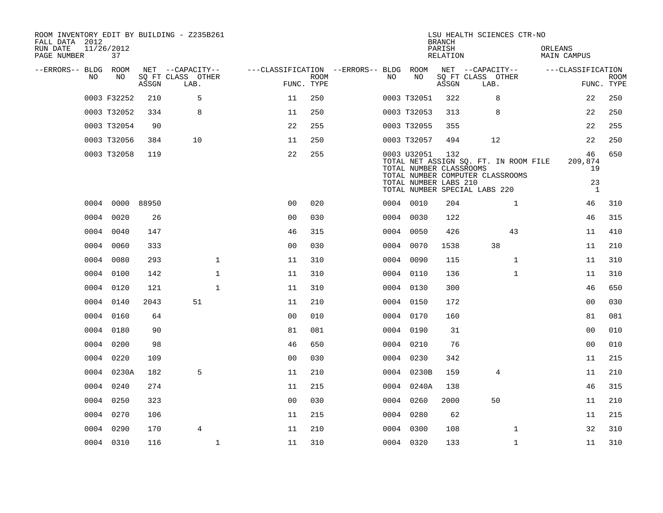| ROOM INVENTORY EDIT BY BUILDING - Z235B261<br>FALL DATA 2012<br>RUN DATE<br>PAGE NUMBER | 11/26/2012<br>37 |       |                           |                                        |                           |    |                                                                 | <b>BRANCH</b><br>PARISH<br>RELATION | LSU HEALTH SCIENCES CTR-NO                                                                                 | ORLEANS<br>MAIN CAMPUS                    |                           |
|-----------------------------------------------------------------------------------------|------------------|-------|---------------------------|----------------------------------------|---------------------------|----|-----------------------------------------------------------------|-------------------------------------|------------------------------------------------------------------------------------------------------------|-------------------------------------------|---------------------------|
| --ERRORS-- BLDG ROOM                                                                    |                  |       | NET --CAPACITY--          | ---CLASSIFICATION --ERRORS-- BLDG ROOM |                           |    |                                                                 |                                     | NET --CAPACITY--                                                                                           | ---CLASSIFICATION                         |                           |
| NO                                                                                      | NO               | ASSGN | SQ FT CLASS OTHER<br>LAB. |                                        | <b>ROOM</b><br>FUNC. TYPE | NO | NO                                                              | ASSGN                               | SQ FT CLASS OTHER<br>LAB.                                                                                  |                                           | <b>ROOM</b><br>FUNC. TYPE |
|                                                                                         | 0003 F32252      | 210   | 5                         | 11                                     | 250                       |    | 0003 T32051                                                     | 322                                 | 8                                                                                                          | 22                                        | 250                       |
|                                                                                         | 0003 T32052      | 334   | 8                         | 11                                     | 250                       |    | 0003 T32053                                                     | 313                                 | 8                                                                                                          | 22                                        | 250                       |
|                                                                                         | 0003 T32054      | 90    |                           | 22                                     | 255                       |    | 0003 T32055                                                     | 355                                 |                                                                                                            | 22                                        | 255                       |
|                                                                                         | 0003 T32056      | 384   | 10                        | 11                                     | 250                       |    | 0003 T32057                                                     | 494                                 | 12                                                                                                         | 22                                        | 250                       |
|                                                                                         | 0003 T32058      | 119   |                           | 22                                     | 255                       |    | 0003 U32051<br>TOTAL NUMBER CLASSROOMS<br>TOTAL NUMBER LABS 210 | 132                                 | TOTAL NET ASSIGN SQ. FT. IN ROOM FILE<br>TOTAL NUMBER COMPUTER CLASSROOMS<br>TOTAL NUMBER SPECIAL LABS 220 | 46<br>209,874<br>19<br>23<br><sup>1</sup> | 650                       |
|                                                                                         | 0004 0000 88950  |       |                           | 0 <sup>0</sup>                         | 020                       |    | 0004 0010                                                       | 204                                 | $\mathbf{1}$                                                                                               | 46                                        | 310                       |
|                                                                                         | 0004 0020        | 26    |                           | 0 <sub>0</sub>                         | 030                       |    | 0004 0030                                                       | 122                                 |                                                                                                            | 46                                        | 315                       |
|                                                                                         | 0004 0040        | 147   |                           | 46                                     | 315                       |    | 0004 0050                                                       | 426                                 | 43                                                                                                         | 11                                        | 410                       |
|                                                                                         | 0004 0060        | 333   |                           | 0 <sub>0</sub>                         | 030                       |    | 0004 0070                                                       | 1538                                | 38                                                                                                         | 11                                        | 210                       |
|                                                                                         | 0004 0080        | 293   | $\mathbf{1}$              | 11                                     | 310                       |    | 0004 0090                                                       | 115                                 | $\mathbf{1}$                                                                                               | 11                                        | 310                       |
|                                                                                         | 0004 0100        | 142   | $\mathbf{1}$              | 11                                     | 310                       |    | 0004 0110                                                       | 136                                 | $\mathbf{1}$                                                                                               | 11                                        | 310                       |
|                                                                                         | 0004 0120        | 121   | $\mathbf{1}$              | 11                                     | 310                       |    | 0004 0130                                                       | 300                                 |                                                                                                            | 46                                        | 650                       |
|                                                                                         | 0004 0140        | 2043  | 51                        | 11                                     | 210                       |    | 0004 0150                                                       | 172                                 |                                                                                                            | 00                                        | 030                       |
| 0004                                                                                    | 0160             | 64    |                           | 0 <sub>0</sub>                         | 010                       |    | 0004 0170                                                       | 160                                 |                                                                                                            | 81                                        | 081                       |
| 0004                                                                                    | 0180             | 90    |                           | 81                                     | 081                       |    | 0004 0190                                                       | 31                                  |                                                                                                            | 0 <sub>0</sub>                            | 010                       |
|                                                                                         | 0004 0200        | 98    |                           | 46                                     | 650                       |    | 0004 0210                                                       | 76                                  |                                                                                                            | 0 <sub>0</sub>                            | 010                       |
|                                                                                         | 0004 0220        | 109   |                           | 0 <sub>0</sub>                         | 030                       |    | 0004 0230                                                       | 342                                 |                                                                                                            | 11                                        | 215                       |
|                                                                                         | 0004 0230A       | 182   | 5                         | 11                                     | 210                       |    | 0004 0230B                                                      | 159                                 | 4                                                                                                          | 11                                        | 210                       |
|                                                                                         | 0004 0240        | 274   |                           | 11                                     | 215                       |    | 0004 0240A                                                      | 138                                 |                                                                                                            | 46                                        | 315                       |
|                                                                                         | 0004 0250        | 323   |                           | 0 <sub>0</sub>                         | 030                       |    | 0004 0260                                                       | 2000                                | 50                                                                                                         | 11                                        | 210                       |
|                                                                                         | 0004 0270        | 106   |                           | 11                                     | 215                       |    | 0004 0280                                                       | 62                                  |                                                                                                            | 11                                        | 215                       |
|                                                                                         | 0004 0290        | 170   | $\overline{4}$            | 11                                     | 210                       |    | 0004 0300                                                       | 108                                 | $\mathbf{1}$                                                                                               | 32                                        | 310                       |
|                                                                                         | 0004 0310        | 116   | $\mathbf{1}$              | 11                                     | 310                       |    | 0004 0320                                                       | 133                                 | $\mathbf{1}$                                                                                               | 11                                        | 310                       |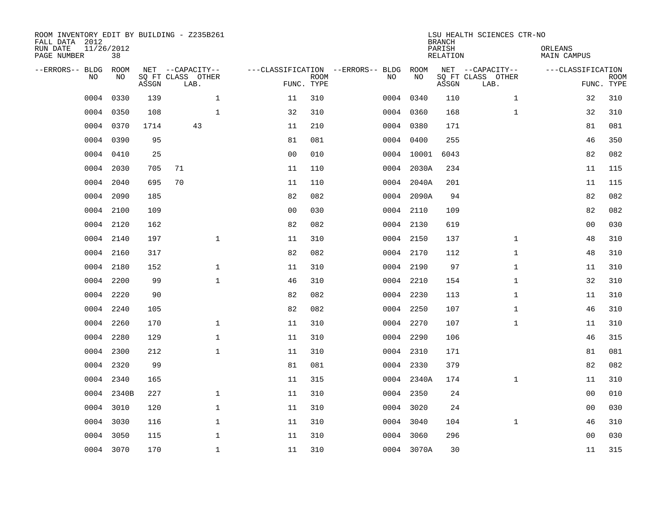| ROOM INVENTORY EDIT BY BUILDING - Z235B261<br>FALL DATA 2012<br>RUN DATE<br>PAGE NUMBER | 11/26/2012<br>38 |       |                           |                |                           |                                   |            | <b>BRANCH</b><br>PARISH<br><b>RELATION</b> | LSU HEALTH SCIENCES CTR-NO | ORLEANS<br><b>MAIN CAMPUS</b> |                           |
|-----------------------------------------------------------------------------------------|------------------|-------|---------------------------|----------------|---------------------------|-----------------------------------|------------|--------------------------------------------|----------------------------|-------------------------------|---------------------------|
| --ERRORS-- BLDG                                                                         | ROOM             |       | NET --CAPACITY--          |                |                           | ---CLASSIFICATION --ERRORS-- BLDG | ROOM       |                                            | NET --CAPACITY--           | ---CLASSIFICATION             |                           |
| NO                                                                                      | NO               | ASSGN | SQ FT CLASS OTHER<br>LAB. |                | <b>ROOM</b><br>FUNC. TYPE | NO                                | NO         | ASSGN                                      | SQ FT CLASS OTHER<br>LAB.  |                               | <b>ROOM</b><br>FUNC. TYPE |
| 0004                                                                                    | 0330             | 139   | $\mathbf{1}$              | 11             | 310                       | 0004                              | 0340       | 110                                        | $\mathbf{1}$               | 32                            | 310                       |
| 0004                                                                                    | 0350             | 108   | $\mathbf{1}$              | 32             | 310                       |                                   | 0004 0360  | 168                                        | $\mathbf{1}$               | 32                            | 310                       |
| 0004                                                                                    | 0370             | 1714  | 43                        | 11             | 210                       |                                   | 0004 0380  | 171                                        |                            | 81                            | 081                       |
| 0004                                                                                    | 0390             | 95    |                           | 81             | 081                       |                                   | 0004 0400  | 255                                        |                            | 46                            | 350                       |
| 0004                                                                                    | 0410             | 25    |                           | 0 <sub>0</sub> | 010                       |                                   | 0004 10001 | 6043                                       |                            | 82                            | 082                       |
| 0004                                                                                    | 2030             | 705   | 71                        | 11             | 110                       |                                   | 0004 2030A | 234                                        |                            | 11                            | 115                       |
| 0004                                                                                    | 2040             | 695   | 70                        | 11             | 110                       |                                   | 0004 2040A | 201                                        |                            | 11                            | 115                       |
| 0004                                                                                    | 2090             | 185   |                           | 82             | 082                       |                                   | 0004 2090A | 94                                         |                            | 82                            | 082                       |
| 0004                                                                                    | 2100             | 109   |                           | 0 <sub>0</sub> | 030                       |                                   | 0004 2110  | 109                                        |                            | 82                            | 082                       |
|                                                                                         | 0004 2120        | 162   |                           | 82             | 082                       |                                   | 0004 2130  | 619                                        |                            | 0 <sub>0</sub>                | 030                       |
| 0004                                                                                    | 2140             | 197   | $\mathbf{1}$              | 11             | 310                       |                                   | 0004 2150  | 137                                        | $\mathbf{1}$               | 48                            | 310                       |
|                                                                                         | 0004 2160        | 317   |                           | 82             | 082                       |                                   | 0004 2170  | 112                                        | $\mathbf{1}$               | 48                            | 310                       |
| 0004                                                                                    | 2180             | 152   | $\mathbf{1}$              | 11             | 310                       |                                   | 0004 2190  | 97                                         | $\mathbf{1}$               | 11                            | 310                       |
| 0004                                                                                    | 2200             | 99    | $\mathbf{1}$              | 46             | 310                       |                                   | 0004 2210  | 154                                        | $\mathbf{1}$               | 32                            | 310                       |
| 0004                                                                                    | 2220             | 90    |                           | 82             | 082                       |                                   | 0004 2230  | 113                                        | $\mathbf{1}$               | 11                            | 310                       |
| 0004                                                                                    | 2240             | 105   |                           | 82             | 082                       |                                   | 0004 2250  | 107                                        | $\mathbf{1}$               | 46                            | 310                       |
| 0004                                                                                    | 2260             | 170   | $\mathbf 1$               | 11             | 310                       |                                   | 0004 2270  | 107                                        | $\mathbf{1}$               | 11                            | 310                       |
| 0004                                                                                    | 2280             | 129   | $\mathbf 1$               | 11             | 310                       |                                   | 0004 2290  | 106                                        |                            | 46                            | 315                       |
| 0004                                                                                    | 2300             | 212   | $\mathbf{1}$              | 11             | 310                       |                                   | 0004 2310  | 171                                        |                            | 81                            | 081                       |
| 0004                                                                                    | 2320             | 99    |                           | 81             | 081                       |                                   | 0004 2330  | 379                                        |                            | 82                            | 082                       |
| 0004                                                                                    | 2340             | 165   |                           | 11             | 315                       |                                   | 0004 2340A | 174                                        | $\mathbf{1}$               | 11                            | 310                       |
| 0004                                                                                    | 2340B            | 227   | $\mathbf{1}$              | 11             | 310                       |                                   | 0004 2350  | 24                                         |                            | 0 <sub>0</sub>                | 010                       |
| 0004                                                                                    | 3010             | 120   | $\mathbf{1}$              | 11             | 310                       |                                   | 0004 3020  | 24                                         |                            | 0 <sub>0</sub>                | 030                       |
| 0004                                                                                    | 3030             | 116   | $\mathbf 1$               | 11             | 310                       |                                   | 0004 3040  | 104                                        | $\mathbf{1}$               | 46                            | 310                       |
| 0004                                                                                    | 3050             | 115   | $\mathbf 1$               | 11             | 310                       |                                   | 0004 3060  | 296                                        |                            | 0 <sub>0</sub>                | 030                       |
|                                                                                         | 0004 3070        | 170   | $\mathbf 1$               | 11             | 310                       |                                   | 0004 3070A | 30                                         |                            | 11                            | 315                       |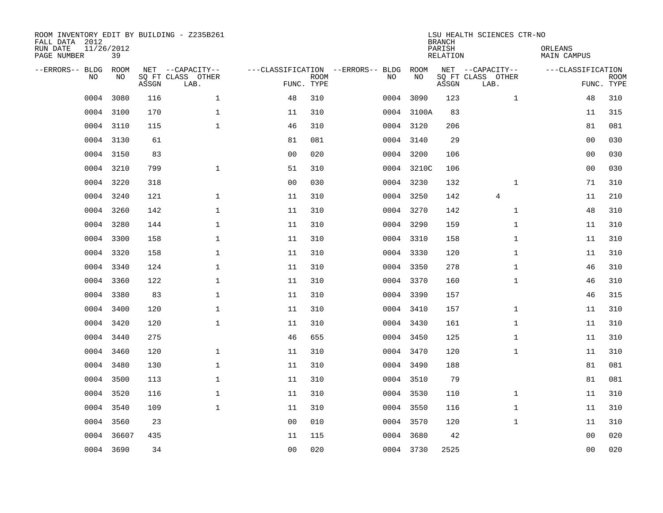| FALL DATA 2012<br>RUN DATE<br>PAGE NUMBER | 11/26/2012 | 39         |       | ROOM INVENTORY EDIT BY BUILDING - Z235B261    |                                                 |             |           |            | <b>BRANCH</b><br>PARISH<br>RELATION | LSU HEALTH SCIENCES CTR-NO                    | ORLEANS<br>MAIN CAMPUS |                |                           |
|-------------------------------------------|------------|------------|-------|-----------------------------------------------|-------------------------------------------------|-------------|-----------|------------|-------------------------------------|-----------------------------------------------|------------------------|----------------|---------------------------|
| --ERRORS-- BLDG                           | NO         | ROOM<br>NO | ASSGN | NET --CAPACITY--<br>SQ FT CLASS OTHER<br>LAB. | ---CLASSIFICATION --ERRORS-- BLDG<br>FUNC. TYPE | <b>ROOM</b> | NO        | ROOM<br>NO | ASSGN                               | NET --CAPACITY--<br>SQ FT CLASS OTHER<br>LAB. | ---CLASSIFICATION      |                | <b>ROOM</b><br>FUNC. TYPE |
|                                           | 0004       | 3080       | 116   | $\mathbf{1}$                                  | 48                                              | 310         | 0004      | 3090       | 123                                 | $\mathbf{1}$                                  |                        | 48             | 310                       |
|                                           | 0004       | 3100       | 170   | $\mathbf{1}$                                  | 11                                              | 310         |           | 0004 3100A | 83                                  |                                               |                        | 11             | 315                       |
|                                           | 0004       | 3110       | 115   | $\mathbf 1$                                   | 46                                              | 310         |           | 0004 3120  | 206                                 |                                               |                        | 81             | 081                       |
|                                           | 0004 3130  |            | 61    |                                               | 81                                              | 081         |           | 0004 3140  | 29                                  |                                               |                        | 0 <sub>0</sub> | 030                       |
|                                           | 0004       | 3150       | 83    |                                               | 0 <sub>0</sub>                                  | 020         |           | 0004 3200  | 106                                 |                                               |                        | 0 <sub>0</sub> | 030                       |
|                                           | 0004       | 3210       | 799   | $\mathbf{1}$                                  | 51                                              | 310         |           | 0004 3210C | 106                                 |                                               |                        | 0 <sub>0</sub> | 030                       |
|                                           | 0004       | 3220       | 318   |                                               | 0 <sub>0</sub>                                  | 030         |           | 0004 3230  | 132                                 | $\mathbf{1}$                                  |                        | 71             | 310                       |
|                                           | 0004 3240  |            | 121   | $\mathbf{1}$                                  | 11                                              | 310         |           | 0004 3250  | 142                                 | $\overline{4}$                                |                        | 11             | 210                       |
|                                           | 0004       | 3260       | 142   | $\mathbf{1}$                                  | 11                                              | 310         |           | 0004 3270  | 142                                 | $\mathbf{1}$                                  |                        | 48             | 310                       |
|                                           | 0004       | 3280       | 144   | $\mathbf 1$                                   | 11                                              | 310         |           | 0004 3290  | 159                                 | $\mathbf{1}$                                  |                        | 11             | 310                       |
|                                           | 0004       | 3300       | 158   | $\mathbf{1}$                                  | 11                                              | 310         | 0004 3310 |            | 158                                 | $\mathbf{1}$                                  |                        | 11             | 310                       |
|                                           | 0004 3320  |            | 158   | $\mathbf{1}$                                  | 11                                              | 310         |           | 0004 3330  | 120                                 | $\mathbf{1}$                                  |                        | 11             | 310                       |
|                                           | 0004       | 3340       | 124   | $\mathbf{1}$                                  | 11                                              | 310         |           | 0004 3350  | 278                                 | $\mathbf{1}$                                  |                        | 46             | 310                       |
|                                           | 0004       | 3360       | 122   | $\mathbf{1}$                                  | 11                                              | 310         |           | 0004 3370  | 160                                 | $\mathbf{1}$                                  |                        | 46             | 310                       |
|                                           | 0004       | 3380       | 83    | $\mathbf 1$                                   | 11                                              | 310         | 0004 3390 |            | 157                                 |                                               |                        | 46             | 315                       |
|                                           | 0004       | 3400       | 120   | $\mathbf{1}$                                  | 11                                              | 310         |           | 0004 3410  | 157                                 | $\mathbf{1}$                                  |                        | 11             | 310                       |
|                                           | 0004       | 3420       | 120   | $\mathbf 1$                                   | 11                                              | 310         |           | 0004 3430  | 161                                 | $\mathbf{1}$                                  |                        | 11             | 310                       |
|                                           | 0004       | 3440       | 275   |                                               | 46                                              | 655         |           | 0004 3450  | 125                                 | $\mathbf{1}$                                  |                        | 11             | 310                       |
|                                           | 0004       | 3460       | 120   | $\mathbf{1}$                                  | 11                                              | 310         | 0004 3470 |            | 120                                 | $\mathbf{1}$                                  |                        | 11             | 310                       |
|                                           | 0004       | 3480       | 130   | $\mathbf{1}$                                  | 11                                              | 310         |           | 0004 3490  | 188                                 |                                               |                        | 81             | 081                       |
|                                           | 0004       | 3500       | 113   | $\mathbf 1$                                   | 11                                              | 310         | 0004 3510 |            | 79                                  |                                               |                        | 81             | 081                       |
|                                           | 0004       | 3520       | 116   | $\mathbf 1$                                   | 11                                              | 310         |           | 0004 3530  | 110                                 | $\mathbf{1}$                                  |                        | 11             | 310                       |
|                                           | 0004       | 3540       | 109   | $\mathbf 1$                                   | 11                                              | 310         | 0004 3550 |            | 116                                 | $\mathbf{1}$                                  |                        | 11             | 310                       |
|                                           | 0004       | 3560       | 23    |                                               | 0 <sub>0</sub>                                  | 010         | 0004 3570 |            | 120                                 | $\mathbf{1}$                                  |                        | 11             | 310                       |
|                                           | 0004       | 36607      | 435   |                                               | 11                                              | 115         |           | 0004 3680  | 42                                  |                                               |                        | 00             | 020                       |
|                                           | 0004 3690  |            | 34    |                                               | 0 <sub>0</sub>                                  | 020         |           | 0004 3730  | 2525                                |                                               |                        | 0 <sub>0</sub> | 020                       |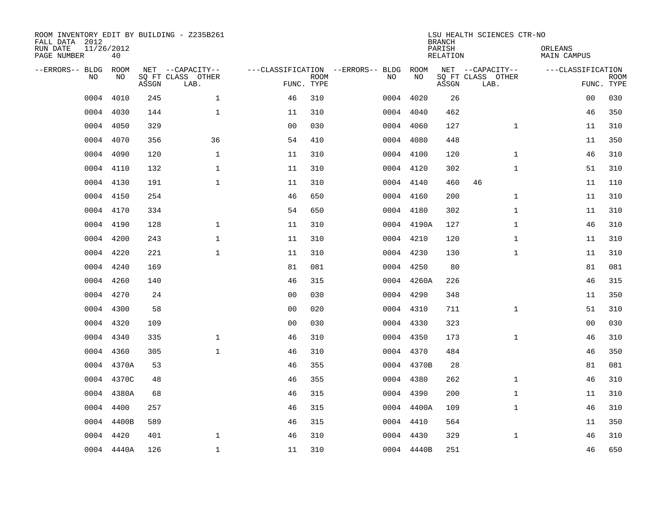| ROOM INVENTORY EDIT BY BUILDING - Z235B261<br>FALL DATA 2012<br>RUN DATE<br>PAGE NUMBER | 11/26/2012<br>40 |       |                                               |                |             |                                              |            | <b>BRANCH</b><br>PARISH<br><b>RELATION</b> | LSU HEALTH SCIENCES CTR-NO                    | ORLEANS<br><b>MAIN CAMPUS</b> |                           |
|-----------------------------------------------------------------------------------------|------------------|-------|-----------------------------------------------|----------------|-------------|----------------------------------------------|------------|--------------------------------------------|-----------------------------------------------|-------------------------------|---------------------------|
| --ERRORS-- BLDG<br>NO                                                                   | ROOM<br>NO       | ASSGN | NET --CAPACITY--<br>SQ FT CLASS OTHER<br>LAB. | FUNC. TYPE     | <b>ROOM</b> | ---CLASSIFICATION --ERRORS-- BLDG ROOM<br>NO | NO         | ASSGN                                      | NET --CAPACITY--<br>SQ FT CLASS OTHER<br>LAB. | ---CLASSIFICATION             | <b>ROOM</b><br>FUNC. TYPE |
| 0004                                                                                    | 4010             | 245   | $\mathbf 1$                                   | 46             | 310         |                                              | 0004 4020  | 26                                         |                                               | 00                            | 030                       |
| 0004                                                                                    | 4030             | 144   | $\mathbf{1}$                                  | 11             | 310         |                                              | 0004 4040  | 462                                        |                                               | 46                            | 350                       |
| 0004                                                                                    | 4050             | 329   |                                               | 0 <sub>0</sub> | 030         |                                              | 0004 4060  | 127                                        | $\mathbf{1}$                                  | 11                            | 310                       |
| 0004                                                                                    | 4070             | 356   | 36                                            | 54             | 410         |                                              | 0004 4080  | 448                                        |                                               | 11                            | 350                       |
| 0004                                                                                    | 4090             | 120   | $\mathbf{1}$                                  | 11             | 310         |                                              | 0004 4100  | 120                                        | $\mathbf{1}$                                  | 46                            | 310                       |
|                                                                                         | 0004 4110        | 132   | $\mathbf{1}$                                  | 11             | 310         |                                              | 0004 4120  | 302                                        | $\mathbf{1}$                                  | 51                            | 310                       |
|                                                                                         | 0004 4130        | 191   | $\mathbf{1}$                                  | 11             | 310         |                                              | 0004 4140  | 460                                        | 46                                            | 11                            | 110                       |
|                                                                                         | 0004 4150        | 254   |                                               | 46             | 650         |                                              | 0004 4160  | 200                                        | $\mathbf{1}$                                  | 11                            | 310                       |
|                                                                                         | 0004 4170        | 334   |                                               | 54             | 650         |                                              | 0004 4180  | 302                                        | $\mathbf{1}$                                  | 11                            | 310                       |
|                                                                                         | 0004 4190        | 128   | $\mathbf{1}$                                  | 11             | 310         |                                              | 0004 4190A | 127                                        | $\mathbf{1}$                                  | 46                            | 310                       |
|                                                                                         | 0004 4200        | 243   | $\mathbf{1}$                                  | 11             | 310         |                                              | 0004 4210  | 120                                        | $\mathbf{1}$                                  | 11                            | 310                       |
|                                                                                         | 0004 4220        | 221   | $\mathbf{1}$                                  | 11             | 310         |                                              | 0004 4230  | 130                                        | $\mathbf{1}$                                  | 11                            | 310                       |
| 0004                                                                                    | 4240             | 169   |                                               | 81             | 081         | 0004                                         | 4250       | 80                                         |                                               | 81                            | 081                       |
| 0004                                                                                    | 4260             | 140   |                                               | 46             | 315         |                                              | 0004 4260A | 226                                        |                                               | 46                            | 315                       |
| 0004                                                                                    | 4270             | 24    |                                               | 0 <sub>0</sub> | 030         | 0004                                         | 4290       | 348                                        |                                               | 11                            | 350                       |
| 0004                                                                                    | 4300             | 58    |                                               | 0 <sub>0</sub> | 020         |                                              | 0004 4310  | 711                                        | $\mathbf{1}$                                  | 51                            | 310                       |
| 0004                                                                                    | 4320             | 109   |                                               | 0 <sub>0</sub> | 030         | 0004                                         | 4330       | 323                                        |                                               | 00                            | 030                       |
| 0004                                                                                    | 4340             | 335   | $\mathbf{1}$                                  | 46             | 310         |                                              | 0004 4350  | 173                                        | $\mathbf{1}$                                  | 46                            | 310                       |
| 0004                                                                                    | 4360             | 305   | $\mathbf{1}$                                  | 46             | 310         |                                              | 0004 4370  | 484                                        |                                               | 46                            | 350                       |
|                                                                                         | 0004 4370A       | 53    |                                               | 46             | 355         |                                              | 0004 4370B | 28                                         |                                               | 81                            | 081                       |
|                                                                                         | 0004 4370C       | 48    |                                               | 46             | 355         |                                              | 0004 4380  | 262                                        | $\mathbf{1}$                                  | 46                            | 310                       |
| 0004                                                                                    | 4380A            | 68    |                                               | 46             | 315         |                                              | 0004 4390  | 200                                        | $\mathbf{1}$                                  | 11                            | 310                       |
| 0004                                                                                    | 4400             | 257   |                                               | 46             | 315         |                                              | 0004 4400A | 109                                        | $\mathbf{1}$                                  | 46                            | 310                       |
|                                                                                         | 0004 4400B       | 589   |                                               | 46             | 315         |                                              | 0004 4410  | 564                                        |                                               | 11                            | 350                       |
| 0004                                                                                    | 4420             | 401   | $\mathbf 1$                                   | 46             | 310         |                                              | 0004 4430  | 329                                        | $\mathbf{1}$                                  | 46                            | 310                       |
|                                                                                         | 0004 4440A       | 126   | $\mathbf{1}$                                  | 11             | 310         |                                              | 0004 4440B | 251                                        |                                               | 46                            | 650                       |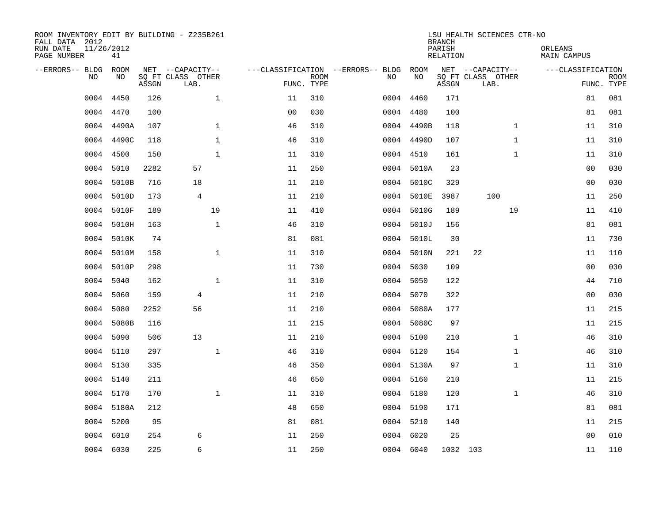| ROOM INVENTORY EDIT BY BUILDING - Z235B261<br>FALL DATA 2012<br>RUN DATE<br>PAGE NUMBER | 11/26/2012<br>41 |       |                                               |              |                |                           |                                         |            | <b>BRANCH</b><br>PARISH<br><b>RELATION</b> | LSU HEALTH SCIENCES CTR-NO                    |              | ORLEANS<br><b>MAIN CAMPUS</b> |                           |
|-----------------------------------------------------------------------------------------|------------------|-------|-----------------------------------------------|--------------|----------------|---------------------------|-----------------------------------------|------------|--------------------------------------------|-----------------------------------------------|--------------|-------------------------------|---------------------------|
| --ERRORS-- BLDG<br>NO                                                                   | ROOM<br>NO       | ASSGN | NET --CAPACITY--<br>SQ FT CLASS OTHER<br>LAB. |              |                | <b>ROOM</b><br>FUNC. TYPE | ---CLASSIFICATION --ERRORS-- BLDG<br>NO | ROOM<br>NO | ASSGN                                      | NET --CAPACITY--<br>SQ FT CLASS OTHER<br>LAB. |              | ---CLASSIFICATION             | <b>ROOM</b><br>FUNC. TYPE |
| 0004                                                                                    | 4450             | 126   |                                               | $\mathbf 1$  | 11             | 310                       |                                         | 0004 4460  | 171                                        |                                               |              | 81                            | 081                       |
| 0004                                                                                    | 4470             | 100   |                                               |              | 0 <sub>0</sub> | 030                       |                                         | 0004 4480  | 100                                        |                                               |              | 81                            | 081                       |
| 0004                                                                                    | 4490A            | 107   |                                               | $\mathbf 1$  | 46             | 310                       |                                         | 0004 4490B | 118                                        |                                               | $\mathbf{1}$ | 11                            | 310                       |
| 0004                                                                                    | 4490C            | 118   |                                               | $\mathbf 1$  | 46             | 310                       |                                         | 0004 4490D | 107                                        |                                               | $\mathbf{1}$ | 11                            | 310                       |
| 0004                                                                                    | 4500             | 150   |                                               | $\mathbf{1}$ | 11             | 310                       |                                         | 0004 4510  | 161                                        |                                               | $\mathbf{1}$ | 11                            | 310                       |
| 0004                                                                                    | 5010             | 2282  | 57                                            |              | 11             | 250                       |                                         | 0004 5010A | 23                                         |                                               |              | 0 <sub>0</sub>                | 030                       |
| 0004                                                                                    | 5010B            | 716   | 18                                            |              | 11             | 210                       |                                         | 0004 5010C | 329                                        |                                               |              | 00                            | 030                       |
| 0004                                                                                    | 5010D            | 173   | $\overline{4}$                                |              | 11             | 210                       |                                         | 0004 5010E | 3987                                       | 100                                           |              | 11                            | 250                       |
| 0004                                                                                    | 5010F            | 189   |                                               | 19           | 11             | 410                       | 0004                                    | 5010G      | 189                                        |                                               | 19           | 11                            | 410                       |
| 0004                                                                                    | 5010H            | 163   |                                               | $\mathbf{1}$ | 46             | 310                       |                                         | 0004 5010J | 156                                        |                                               |              | 81                            | 081                       |
| 0004                                                                                    | 5010K            | 74    |                                               |              | 81             | 081                       |                                         | 0004 5010L | 30                                         |                                               |              | 11                            | 730                       |
| 0004                                                                                    | 5010M            | 158   |                                               | $\mathbf{1}$ | 11             | 310                       |                                         | 0004 5010N | 221                                        | 22                                            |              | 11                            | 110                       |
| 0004                                                                                    | 5010P            | 298   |                                               |              | 11             | 730                       | 0004                                    | 5030       | 109                                        |                                               |              | 00                            | 030                       |
| 0004                                                                                    | 5040             | 162   |                                               | $\mathbf 1$  | 11             | 310                       | 0004                                    | 5050       | 122                                        |                                               |              | 44                            | 710                       |
| 0004                                                                                    | 5060             | 159   | 4                                             |              | 11             | 210                       | 0004                                    | 5070       | 322                                        |                                               |              | 0 <sub>0</sub>                | 030                       |
| 0004                                                                                    | 5080             | 2252  | 56                                            |              | 11             | 210                       | 0004                                    | 5080A      | 177                                        |                                               |              | 11                            | 215                       |
| 0004                                                                                    | 5080B            | 116   |                                               |              | 11             | 215                       |                                         | 0004 5080C | 97                                         |                                               |              | 11                            | 215                       |
| 0004                                                                                    | 5090             | 506   | 13                                            |              | 11             | 210                       |                                         | 0004 5100  | 210                                        |                                               | $\mathbf{1}$ | 46                            | 310                       |
| 0004                                                                                    | 5110             | 297   |                                               | $\mathbf{1}$ | 46             | 310                       |                                         | 0004 5120  | 154                                        |                                               | $\mathbf{1}$ | 46                            | 310                       |
| 0004                                                                                    | 5130             | 335   |                                               |              | 46             | 350                       |                                         | 0004 5130A | 97                                         |                                               | $\mathbf{1}$ | 11                            | 310                       |
| 0004                                                                                    | 5140             | 211   |                                               |              | 46             | 650                       |                                         | 0004 5160  | 210                                        |                                               |              | 11                            | 215                       |
| 0004                                                                                    | 5170             | 170   |                                               | $\mathbf{1}$ | 11             | 310                       |                                         | 0004 5180  | 120                                        |                                               | $\mathbf{1}$ | 46                            | 310                       |
|                                                                                         | 0004 5180A       | 212   |                                               |              | 48             | 650                       |                                         | 0004 5190  | 171                                        |                                               |              | 81                            | 081                       |
| 0004                                                                                    | 5200             | 95    |                                               |              | 81             | 081                       |                                         | 0004 5210  | 140                                        |                                               |              | 11                            | 215                       |
| 0004                                                                                    | 6010             | 254   | 6                                             |              | 11             | 250                       |                                         | 0004 6020  | 25                                         |                                               |              | 0 <sub>0</sub>                | 010                       |
|                                                                                         | 0004 6030        | 225   | 6                                             |              | 11             | 250                       |                                         | 0004 6040  |                                            | 1032 103                                      |              | 11                            | 110                       |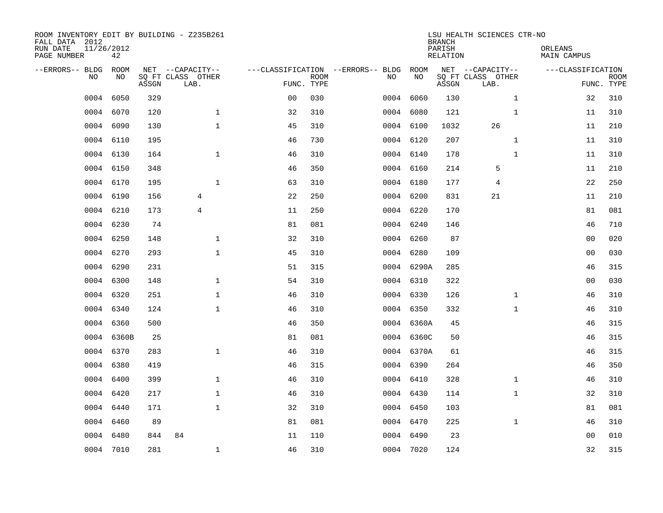| ROOM INVENTORY EDIT BY BUILDING - Z235B261<br>FALL DATA 2012<br>RUN DATE<br>PAGE NUMBER | 11/26/2012<br>42 |       |                                               |                |             |                                         |            | <b>BRANCH</b><br>PARISH<br><b>RELATION</b> | LSU HEALTH SCIENCES CTR-NO                    | ORLEANS<br><b>MAIN CAMPUS</b> |                           |
|-----------------------------------------------------------------------------------------|------------------|-------|-----------------------------------------------|----------------|-------------|-----------------------------------------|------------|--------------------------------------------|-----------------------------------------------|-------------------------------|---------------------------|
| --ERRORS-- BLDG<br>NO                                                                   | ROOM<br>NO       | ASSGN | NET --CAPACITY--<br>SQ FT CLASS OTHER<br>LAB. | FUNC. TYPE     | <b>ROOM</b> | ---CLASSIFICATION --ERRORS-- BLDG<br>NO | ROOM<br>NO | ASSGN                                      | NET --CAPACITY--<br>SQ FT CLASS OTHER<br>LAB. | ---CLASSIFICATION             | <b>ROOM</b><br>FUNC. TYPE |
| 0004                                                                                    | 6050             | 329   |                                               | 0 <sub>0</sub> | 030         |                                         | 0004 6060  | 130                                        | $\mathbf{1}$                                  | 32                            | 310                       |
| 0004                                                                                    | 6070             | 120   | $\mathbf 1$                                   | 32             | 310         |                                         | 0004 6080  | 121                                        | $\mathbf{1}$                                  | 11                            | 310                       |
| 0004                                                                                    | 6090             | 130   | $\mathbf 1$                                   | 45             | 310         |                                         | 0004 6100  | 1032                                       | 26                                            | 11                            | 210                       |
| 0004                                                                                    | 6110             | 195   |                                               | 46             | 730         |                                         | 0004 6120  | 207                                        | $\mathbf{1}$                                  | 11                            | 310                       |
| 0004                                                                                    | 6130             | 164   | $\mathbf{1}$                                  | 46             | 310         |                                         | 0004 6140  | 178                                        | $\mathbf{1}$                                  | 11                            | 310                       |
| 0004                                                                                    | 6150             | 348   |                                               | 46             | 350         |                                         | 0004 6160  | 214                                        | 5                                             | 11                            | 210                       |
| 0004                                                                                    | 6170             | 195   | $\mathbf{1}$                                  | 63             | 310         |                                         | 0004 6180  | 177                                        | 4                                             | 22                            | 250                       |
|                                                                                         | 0004 6190        | 156   | 4                                             | 22             | 250         |                                         | 0004 6200  | 831                                        | 21                                            | 11                            | 210                       |
| 0004                                                                                    | 6210             | 173   | $\overline{4}$                                | 11             | 250         |                                         | 0004 6220  | 170                                        |                                               | 81                            | 081                       |
|                                                                                         | 0004 6230        | 74    |                                               | 81             | 081         |                                         | 0004 6240  | 146                                        |                                               | 46                            | 710                       |
|                                                                                         | 0004 6250        | 148   | $\mathbf{1}$                                  | 32             | 310         |                                         | 0004 6260  | 87                                         |                                               | 0 <sub>0</sub>                | 020                       |
|                                                                                         | 0004 6270        | 293   | $\mathbf{1}$                                  | 45             | 310         |                                         | 0004 6280  | 109                                        |                                               | 0 <sub>0</sub>                | 030                       |
| 0004                                                                                    | 6290             | 231   |                                               | 51             | 315         |                                         | 0004 6290A | 285                                        |                                               | 46                            | 315                       |
| 0004                                                                                    | 6300             | 148   | $\mathbf 1$                                   | 54             | 310         |                                         | 0004 6310  | 322                                        |                                               | 0 <sub>0</sub>                | 030                       |
| 0004                                                                                    | 6320             | 251   | $\mathbf 1$                                   | 46             | 310         |                                         | 0004 6330  | 126                                        | $\mathbf{1}$                                  | 46                            | 310                       |
| 0004                                                                                    | 6340             | 124   | $\mathbf{1}$                                  | 46             | 310         |                                         | 0004 6350  | 332                                        | $\mathbf{1}$                                  | 46                            | 310                       |
| 0004                                                                                    | 6360             | 500   |                                               | 46             | 350         |                                         | 0004 6360A | 45                                         |                                               | 46                            | 315                       |
| 0004                                                                                    | 6360B            | 25    |                                               | 81             | 081         |                                         | 0004 6360C | 50                                         |                                               | 46                            | 315                       |
| 0004                                                                                    | 6370             | 283   | $\mathbf{1}$                                  | 46             | 310         |                                         | 0004 6370A | 61                                         |                                               | 46                            | 315                       |
| 0004                                                                                    | 6380             | 419   |                                               | 46             | 315         |                                         | 0004 6390  | 264                                        |                                               | 46                            | 350                       |
| 0004                                                                                    | 6400             | 399   | $\mathbf 1$                                   | 46             | 310         |                                         | 0004 6410  | 328                                        | $\mathbf{1}$                                  | 46                            | 310                       |
| 0004                                                                                    | 6420             | 217   | $\mathbf{1}$                                  | 46             | 310         |                                         | 0004 6430  | 114                                        | $\mathbf{1}$                                  | 32                            | 310                       |
| 0004                                                                                    | 6440             | 171   | $\mathbf{1}$                                  | 32             | 310         |                                         | 0004 6450  | 103                                        |                                               | 81                            | 081                       |
| 0004                                                                                    | 6460             | 89    |                                               | 81             | 081         |                                         | 0004 6470  | 225                                        | $\mathbf{1}$                                  | 46                            | 310                       |
| 0004                                                                                    | 6480             | 844   | 84                                            | 11             | 110         |                                         | 0004 6490  | 23                                         |                                               | 00                            | 010                       |
|                                                                                         | 0004 7010        | 281   | $\mathbf 1$                                   | 46             | 310         |                                         | 0004 7020  | 124                                        |                                               | 32                            | 315                       |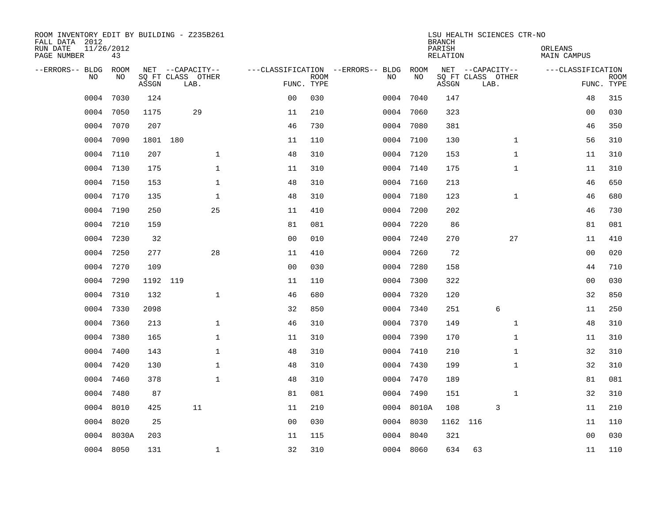| ROOM INVENTORY EDIT BY BUILDING - Z235B261<br>FALL DATA 2012<br>RUN DATE<br>PAGE NUMBER | 11/26/2012<br>43 |          |                   |                |             |                                          |            | <b>BRANCH</b><br>PARISH<br>RELATION | LSU HEALTH SCIENCES CTR-NO | ORLEANS<br>MAIN CAMPUS |             |
|-----------------------------------------------------------------------------------------|------------------|----------|-------------------|----------------|-------------|------------------------------------------|------------|-------------------------------------|----------------------------|------------------------|-------------|
|                                                                                         | <b>ROOM</b>      |          | NET --CAPACITY--  |                |             |                                          | ROOM       |                                     | NET --CAPACITY--           | ---CLASSIFICATION      |             |
| --ERRORS-- BLDG<br>N <sub>O</sub>                                                       | NO.              |          | SO FT CLASS OTHER |                | <b>ROOM</b> | ---CLASSIFICATION --ERRORS-- BLDG<br>NO. | NO         |                                     | SQ FT CLASS OTHER          |                        | <b>ROOM</b> |
|                                                                                         |                  | ASSGN    | LAB.              | FUNC. TYPE     |             |                                          |            | ASSGN                               | LAB.                       |                        | FUNC. TYPE  |
| 0004                                                                                    | 7030             | 124      |                   | 0 <sub>0</sub> | 030         | 0004                                     | 7040       | 147                                 |                            | 48                     | 315         |
| 0004                                                                                    | 7050             | 1175     | 29                | 11             | 210         |                                          | 0004 7060  | 323                                 |                            | 0 <sub>0</sub>         | 030         |
| 0004                                                                                    | 7070             | 207      |                   | 46             | 730         |                                          | 0004 7080  | 381                                 |                            | 46                     | 350         |
| 0004                                                                                    | 7090             | 1801 180 |                   | 11             | 110         | 0004                                     | 7100       | 130                                 | $\mathbf{1}$               | 56                     | 310         |
| 0004                                                                                    | 7110             | 207      | $\mathbf 1$       | 48             | 310         |                                          | 0004 7120  | 153                                 | $\mathbf{1}$               | 11                     | 310         |
| 0004                                                                                    | 7130             | 175      | $\mathbf 1$       | 11             | 310         |                                          | 0004 7140  | 175                                 | $\mathbf{1}$               | 11                     | 310         |
| 0004                                                                                    | 7150             | 153      | $\mathbf{1}$      | 48             | 310         |                                          | 0004 7160  | 213                                 |                            | 46                     | 650         |
| 0004                                                                                    | 7170             | 135      | $\mathbf{1}$      | 48             | 310         | 0004                                     | 7180       | 123                                 | $\mathbf{1}$               | 46                     | 680         |
| 0004                                                                                    | 7190             | 250      | 25                | 11             | 410         | 0004                                     | 7200       | 202                                 |                            | 46                     | 730         |
| 0004                                                                                    | 7210             | 159      |                   | 81             | 081         |                                          | 0004 7220  | 86                                  |                            | 81                     | 081         |
| 0004                                                                                    | 7230             | 32       |                   | 0 <sub>0</sub> | 010         | 0004                                     | 7240       | 270                                 | 27                         | 11                     | 410         |
| 0004                                                                                    | 7250             | 277      | 28                | 11             | 410         |                                          | 0004 7260  | 72                                  |                            | 0 <sub>0</sub>         | 020         |
| 0004                                                                                    | 7270             | 109      |                   | 0 <sub>0</sub> | 030         | 0004                                     | 7280       | 158                                 |                            | 44                     | 710         |
| 0004                                                                                    | 7290             | 1192 119 |                   | 11             | 110         | 0004                                     | 7300       | 322                                 |                            | 0 <sub>0</sub>         | 030         |
| 0004                                                                                    | 7310             | 132      | $\mathbf{1}$      | 46             | 680         | 0004                                     | 7320       | 120                                 |                            | 32                     | 850         |
| 0004                                                                                    | 7330             | 2098     |                   | 32             | 850         | 0004                                     | 7340       | 251                                 | 6                          | 11                     | 250         |
| 0004                                                                                    | 7360             | 213      | $\mathbf 1$       | 46             | 310         | 0004                                     | 7370       | 149                                 | $\mathbf{1}$               | 48                     | 310         |
| 0004                                                                                    | 7380             | 165      | $\mathbf{1}$      | 11             | 310         |                                          | 0004 7390  | 170                                 | $\mathbf{1}$               | 11                     | 310         |
| 0004                                                                                    | 7400             | 143      | $\mathbf{1}$      | 48             | 310         |                                          | 0004 7410  | 210                                 | $\mathbf{1}$               | 32                     | 310         |
| 0004                                                                                    | 7420             | 130      | $\mathbf{1}$      | 48             | 310         |                                          | 0004 7430  | 199                                 | $\mathbf{1}$               | 32                     | 310         |
| 0004                                                                                    | 7460             | 378      | $\mathbf 1$       | 48             | 310         |                                          | 0004 7470  | 189                                 |                            | 81                     | 081         |
| 0004                                                                                    | 7480             | 87       |                   | 81             | 081         |                                          | 0004 7490  | 151                                 | $\mathbf{1}$               | 32                     | 310         |
| 0004                                                                                    | 8010             | 425      | 11                | 11             | 210         |                                          | 0004 8010A | 108                                 | 3                          | 11                     | 210         |
| 0004                                                                                    | 8020             | 25       |                   | 0 <sub>0</sub> | 030         |                                          | 0004 8030  | 1162 116                            |                            | 11                     | 110         |
| 0004                                                                                    | 8030A            | 203      |                   | 11             | 115         | 0004                                     | 8040       | 321                                 |                            | 00                     | 030         |
|                                                                                         | 0004 8050        | 131      | $\mathbf{1}$      | 32             | 310         |                                          | 0004 8060  | 634                                 | 63                         | 11                     | 110         |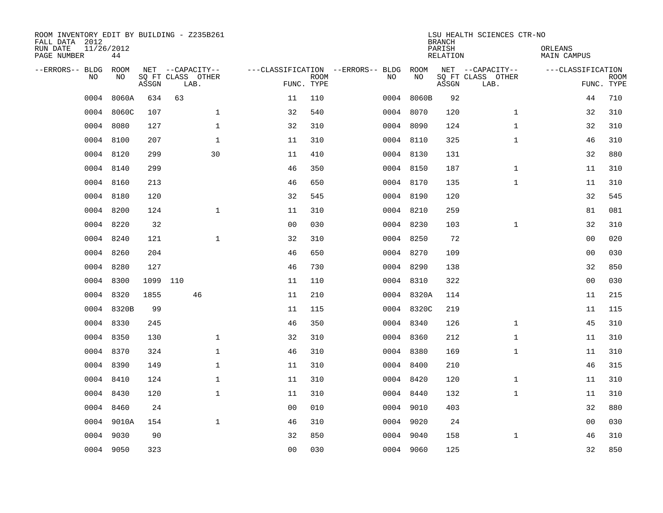| ROOM INVENTORY EDIT BY BUILDING - Z235B261<br>FALL DATA 2012<br>RUN DATE<br>PAGE NUMBER | 11/26/2012<br>44 |          |                           |              |                                   |             |      |            | <b>BRANCH</b><br>PARISH<br><b>RELATION</b> | LSU HEALTH SCIENCES CTR-NO | ORLEANS<br><b>MAIN CAMPUS</b> |                           |
|-----------------------------------------------------------------------------------------|------------------|----------|---------------------------|--------------|-----------------------------------|-------------|------|------------|--------------------------------------------|----------------------------|-------------------------------|---------------------------|
| --ERRORS-- BLDG                                                                         | ROOM             |          | NET --CAPACITY--          |              | ---CLASSIFICATION --ERRORS-- BLDG |             |      | ROOM       |                                            | NET --CAPACITY--           | ---CLASSIFICATION             |                           |
| NO.                                                                                     | NO               | ASSGN    | SQ FT CLASS OTHER<br>LAB. |              | FUNC. TYPE                        | <b>ROOM</b> | NO   | NO         | ASSGN                                      | SQ FT CLASS OTHER<br>LAB.  |                               | <b>ROOM</b><br>FUNC. TYPE |
| 0004                                                                                    | 8060A            | 634      | 63                        |              | 11                                | 110         | 0004 | 8060B      | 92                                         |                            | 44                            | 710                       |
| 0004                                                                                    | 8060C            | 107      |                           | $\mathbf 1$  | 32                                | 540         |      | 0004 8070  | 120                                        | $\mathbf{1}$               | 32                            | 310                       |
| 0004                                                                                    | 8080             | 127      |                           | $\mathbf 1$  | 32                                | 310         |      | 0004 8090  | 124                                        | $\mathbf{1}$               | 32                            | 310                       |
|                                                                                         | 0004 8100        | 207      |                           | $\mathbf{1}$ | 11                                | 310         |      | 0004 8110  | 325                                        | $\mathbf{1}$               | 46                            | 310                       |
| 0004                                                                                    | 8120             | 299      |                           | 30           | 11                                | 410         |      | 0004 8130  | 131                                        |                            | 32                            | 880                       |
|                                                                                         | 0004 8140        | 299      |                           |              | 46                                | 350         |      | 0004 8150  | 187                                        | $\mathbf{1}$               | 11                            | 310                       |
|                                                                                         | 0004 8160        | 213      |                           |              | 46                                | 650         |      | 0004 8170  | 135                                        | $\mathbf{1}$               | 11                            | 310                       |
|                                                                                         | 0004 8180        | 120      |                           |              | 32                                | 545         |      | 0004 8190  | 120                                        |                            | 32                            | 545                       |
| 0004                                                                                    | 8200             | 124      |                           | $\mathbf{1}$ | 11                                | 310         |      | 0004 8210  | 259                                        |                            | 81                            | 081                       |
|                                                                                         | 0004 8220        | 32       |                           |              | 0 <sub>0</sub>                    | 030         |      | 0004 8230  | 103                                        | $\mathbf{1}$               | 32                            | 310                       |
|                                                                                         | 0004 8240        | 121      |                           | $\mathbf 1$  | 32                                | 310         |      | 0004 8250  | 72                                         |                            | 00                            | 020                       |
|                                                                                         | 0004 8260        | 204      |                           |              | 46                                | 650         |      | 0004 8270  | 109                                        |                            | 00                            | 030                       |
| 0004                                                                                    | 8280             | 127      |                           |              | 46                                | 730         |      | 0004 8290  | 138                                        |                            | 32                            | 850                       |
| 0004                                                                                    | 8300             | 1099 110 |                           |              | 11                                | 110         |      | 0004 8310  | 322                                        |                            | 0 <sub>0</sub>                | 030                       |
| 0004                                                                                    | 8320             | 1855     | 46                        |              | 11                                | 210         |      | 0004 8320A | 114                                        |                            | 11                            | 215                       |
| 0004                                                                                    | 8320B            | 99       |                           |              | 11                                | 115         |      | 0004 8320C | 219                                        |                            | 11                            | 115                       |
| 0004                                                                                    | 8330             | 245      |                           |              | 46                                | 350         |      | 0004 8340  | 126                                        | $\mathbf{1}$               | 45                            | 310                       |
| 0004                                                                                    | 8350             | 130      |                           | $\mathbf 1$  | 32                                | 310         |      | 0004 8360  | 212                                        | $\mathbf{1}$               | 11                            | 310                       |
|                                                                                         | 0004 8370        | 324      |                           | $\mathbf 1$  | 46                                | 310         |      | 0004 8380  | 169                                        | $\mathbf{1}$               | 11                            | 310                       |
| 0004                                                                                    | 8390             | 149      |                           | $\mathbf 1$  | 11                                | 310         |      | 0004 8400  | 210                                        |                            | 46                            | 315                       |
|                                                                                         | 0004 8410        | 124      |                           | $\mathbf 1$  | 11                                | 310         |      | 0004 8420  | 120                                        | $\mathbf{1}$               | 11                            | 310                       |
| 0004                                                                                    | 8430             | 120      |                           | $\mathbf 1$  | 11                                | 310         |      | 0004 8440  | 132                                        | $\mathbf{1}$               | 11                            | 310                       |
|                                                                                         | 0004 8460        | 24       |                           |              | 0 <sub>0</sub>                    | 010         |      | 0004 9010  | 403                                        |                            | 32                            | 880                       |
|                                                                                         | 0004 9010A       | 154      |                           | $\mathbf{1}$ | 46                                | 310         |      | 0004 9020  | 24                                         |                            | 00                            | 030                       |
| 0004                                                                                    | 9030             | 90       |                           |              | 32                                | 850         |      | 0004 9040  | 158                                        | $\mathbf{1}$               | 46                            | 310                       |
|                                                                                         | 0004 9050        | 323      |                           |              | 0 <sub>0</sub>                    | 030         |      | 0004 9060  | 125                                        |                            | 32                            | 850                       |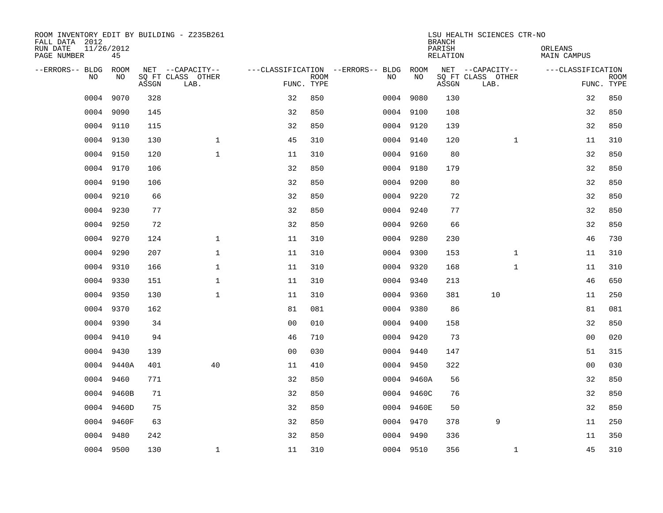| ROOM INVENTORY EDIT BY BUILDING - Z235B261<br>FALL DATA 2012 |                  |       |                           |                |             |                                        |            | <b>BRANCH</b>      | LSU HEALTH SCIENCES CTR-NO |                        |                           |
|--------------------------------------------------------------|------------------|-------|---------------------------|----------------|-------------|----------------------------------------|------------|--------------------|----------------------------|------------------------|---------------------------|
| RUN DATE<br>PAGE NUMBER                                      | 11/26/2012<br>45 |       |                           |                |             |                                        |            | PARISH<br>RELATION |                            | ORLEANS<br>MAIN CAMPUS |                           |
| --ERRORS-- BLDG                                              | ROOM             |       | NET --CAPACITY--          |                |             | ---CLASSIFICATION --ERRORS-- BLDG ROOM |            |                    | NET --CAPACITY--           | ---CLASSIFICATION      |                           |
| N <sub>O</sub>                                               | NO.              | ASSGN | SO FT CLASS OTHER<br>LAB. | FUNC. TYPE     | <b>ROOM</b> | NO.                                    | NO         | ASSGN              | SQ FT CLASS OTHER<br>LAB.  |                        | <b>ROOM</b><br>FUNC. TYPE |
| 0004                                                         | 9070             | 328   |                           | 32             | 850         |                                        | 0004 9080  | 130                |                            | 32                     | 850                       |
|                                                              | 0004 9090        | 145   |                           | 32             | 850         |                                        | 0004 9100  | 108                |                            | 32                     | 850                       |
|                                                              | 0004 9110        | 115   |                           | 32             | 850         |                                        | 0004 9120  | 139                |                            | 32                     | 850                       |
|                                                              | 0004 9130        | 130   | $\mathbf 1$               | 45             | 310         |                                        | 0004 9140  | 120                | $\mathbf{1}$               | 11                     | 310                       |
| 0004                                                         | 9150             | 120   | $\mathbf{1}$              | 11             | 310         |                                        | 0004 9160  | 80                 |                            | 32                     | 850                       |
|                                                              | 0004 9170        | 106   |                           | 32             | 850         |                                        | 0004 9180  | 179                |                            | 32                     | 850                       |
| 0004                                                         | 9190             | 106   |                           | 32             | 850         |                                        | 0004 9200  | 80                 |                            | 32                     | 850                       |
|                                                              | 0004 9210        | 66    |                           | 32             | 850         |                                        | 0004 9220  | 72                 |                            | 32                     | 850                       |
| 0004                                                         | 9230             | 77    |                           | 32             | 850         |                                        | 0004 9240  | 77                 |                            | 32                     | 850                       |
|                                                              | 0004 9250        | 72    |                           | 32             | 850         |                                        | 0004 9260  | 66                 |                            | 32                     | 850                       |
|                                                              | 0004 9270        | 124   | $\mathbf{1}$              | 11             | 310         |                                        | 0004 9280  | 230                |                            | 46                     | 730                       |
|                                                              | 0004 9290        | 207   | $\mathbf{1}$              | 11             | 310         |                                        | 0004 9300  | 153                | $\mathbf{1}$               | 11                     | 310                       |
| 0004                                                         | 9310             | 166   | $\mathbf 1$               | 11             | 310         |                                        | 0004 9320  | 168                | $\mathbf{1}$               | 11                     | 310                       |
| 0004                                                         | 9330             | 151   | $\mathbf 1$               | 11             | 310         |                                        | 0004 9340  | 213                |                            | 46                     | 650                       |
| 0004                                                         | 9350             | 130   | $\mathbf{1}$              | 11             | 310         |                                        | 0004 9360  | 381                | 10                         | 11                     | 250                       |
|                                                              | 0004 9370        | 162   |                           | 81             | 081         |                                        | 0004 9380  | 86                 |                            | 81                     | 081                       |
|                                                              | 0004 9390        | 34    |                           | 0 <sub>0</sub> | 010         |                                        | 0004 9400  | 158                |                            | 32                     | 850                       |
| 0004                                                         | 9410             | 94    |                           | 46             | 710         |                                        | 0004 9420  | 73                 |                            | 00                     | 020                       |
|                                                              | 0004 9430        | 139   |                           | 0 <sub>0</sub> | 030         |                                        | 0004 9440  | 147                |                            | 51                     | 315                       |
|                                                              | 0004 9440A       | 401   | 40                        | 11             | 410         |                                        | 0004 9450  | 322                |                            | 0 <sub>0</sub>         | 030                       |
|                                                              | 0004 9460        | 771   |                           | 32             | 850         |                                        | 0004 9460A | 56                 |                            | 32                     | 850                       |
|                                                              | 0004 9460B       | 71    |                           | 32             | 850         |                                        | 0004 9460C | 76                 |                            | 32                     | 850                       |
|                                                              | 0004 9460D       | 75    |                           | 32             | 850         |                                        | 0004 9460E | 50                 |                            | 32                     | 850                       |
| 0004                                                         | 9460F            | 63    |                           | 32             | 850         |                                        | 0004 9470  | 378                | 9                          | 11                     | 250                       |
| 0004                                                         | 9480             | 242   |                           | 32             | 850         |                                        | 0004 9490  | 336                |                            | 11                     | 350                       |
|                                                              | 0004 9500        | 130   | $\mathbf{1}$              | 11             | 310         |                                        | 0004 9510  | 356                | $\mathbf{1}$               | 45                     | 310                       |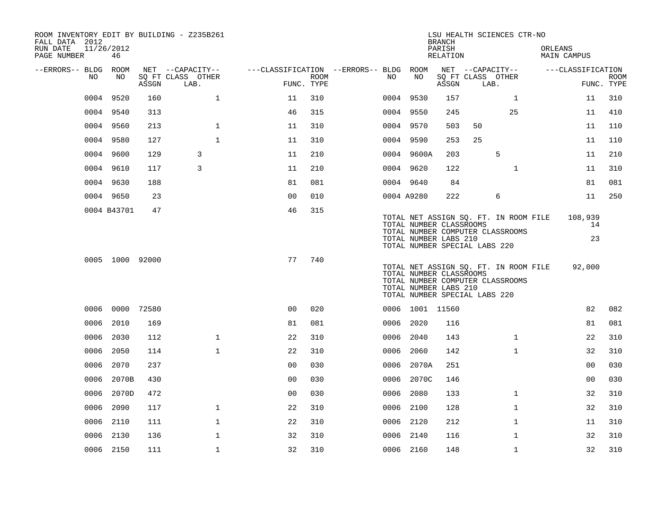| ROOM INVENTORY EDIT BY BUILDING - Z235B261<br>FALL DATA 2012<br>RUN DATE | 11/26/2012      |       |                                       |                                        |      |      |                 | <b>BRANCH</b><br>PARISH                          |                               | LSU HEALTH SCIENCES CTR-NO                                                | ORLEANS |                     |                           |
|--------------------------------------------------------------------------|-----------------|-------|---------------------------------------|----------------------------------------|------|------|-----------------|--------------------------------------------------|-------------------------------|---------------------------------------------------------------------------|---------|---------------------|---------------------------|
| PAGE NUMBER                                                              | 46              |       |                                       |                                        |      |      |                 | RELATION                                         |                               |                                                                           |         | MAIN CAMPUS         |                           |
| --ERRORS-- BLDG ROOM<br>NO.                                              | NO              |       | NET --CAPACITY--<br>SQ FT CLASS OTHER | ---CLASSIFICATION --ERRORS-- BLDG ROOM |      | NO   | NO              |                                                  |                               | NET --CAPACITY--<br>SQ FT CLASS OTHER                                     |         | ---CLASSIFICATION   |                           |
|                                                                          |                 | ASSGN | LAB.                                  | FUNC. TYPE                             | ROOM |      |                 | ASSGN                                            | LAB.                          |                                                                           |         |                     | <b>ROOM</b><br>FUNC. TYPE |
| 0004                                                                     | 9520            | 160   | $\mathbf 1$                           | 11                                     | 310  |      | 0004 9530       | 157                                              |                               | $\mathbf{1}$                                                              |         | 11                  | 310                       |
|                                                                          | 0004 9540       | 313   |                                       | 46                                     | 315  |      | 0004 9550       | 245                                              |                               | 25                                                                        |         | 11                  | 410                       |
|                                                                          | 0004 9560       | 213   | $\mathbf 1$                           | 11                                     | 310  |      | 0004 9570       | 503                                              | 50                            |                                                                           |         | 11                  | 110                       |
|                                                                          | 0004 9580       | 127   | $\mathbf{1}$                          | 11                                     | 310  |      | 0004 9590       | 253                                              | 25                            |                                                                           |         | 11                  | 110                       |
|                                                                          | 0004 9600       | 129   | 3                                     | 11                                     | 210  |      | 0004 9600A      | 203                                              |                               | 5                                                                         |         | 11                  | 210                       |
|                                                                          | 0004 9610       | 117   | 3                                     | 11                                     | 210  |      | 0004 9620       | 122                                              |                               | $\mathbf{1}$                                                              |         | 11                  | 310                       |
|                                                                          | 0004 9630       | 188   |                                       | 81                                     | 081  |      | 0004 9640       | 84                                               |                               |                                                                           |         | 81                  | 081                       |
|                                                                          | 0004 9650       | 23    |                                       | 0 <sub>0</sub>                         | 010  |      | 0004 A9280      | 222                                              |                               | 6                                                                         |         | 11                  | 250                       |
|                                                                          | 0004 B43701     | 47    |                                       | 46                                     | 315  |      |                 | TOTAL NUMBER CLASSROOMS<br>TOTAL NUMBER LABS 210 | TOTAL NUMBER SPECIAL LABS 220 | TOTAL NET ASSIGN SQ. FT. IN ROOM FILE<br>TOTAL NUMBER COMPUTER CLASSROOMS |         | 108,939<br>14<br>23 |                           |
|                                                                          | 0005 1000 92000 |       |                                       | 77                                     | 740  |      |                 | TOTAL NUMBER CLASSROOMS<br>TOTAL NUMBER LABS 210 | TOTAL NUMBER SPECIAL LABS 220 | TOTAL NET ASSIGN SQ. FT. IN ROOM FILE<br>TOTAL NUMBER COMPUTER CLASSROOMS |         | 92,000              |                           |
|                                                                          | 0006 0000 72580 |       |                                       | 0 <sub>0</sub>                         | 020  |      | 0006 1001 11560 |                                                  |                               |                                                                           |         | 82                  | 082                       |
|                                                                          | 0006 2010       | 169   |                                       | 81                                     | 081  |      | 0006 2020       | 116                                              |                               |                                                                           |         | 81                  | 081                       |
| 0006                                                                     | 2030            | 112   | $\mathbf{1}$                          | 22                                     | 310  |      | 0006 2040       | 143                                              |                               | $\mathbf{1}$                                                              |         | 22                  | 310                       |
| 0006                                                                     | 2050            | 114   | $\mathbf{1}$                          | 22                                     | 310  | 0006 | 2060            | 142                                              |                               | $\mathbf{1}$                                                              |         | 32                  | 310                       |
| 0006                                                                     | 2070            | 237   |                                       | 00                                     | 030  |      | 0006 2070A      | 251                                              |                               |                                                                           |         | 0 <sub>0</sub>      | 030                       |
| 0006                                                                     | 2070B           | 430   |                                       | 0 <sub>0</sub>                         | 030  | 0006 | 2070C           | 146                                              |                               |                                                                           |         | 0 <sub>0</sub>      | 030                       |
| 0006                                                                     | 2070D           | 472   |                                       | 00                                     | 030  | 0006 | 2080            | 133                                              |                               | $\mathbf{1}$                                                              |         | 32                  | 310                       |
|                                                                          | 0006 2090       | 117   | $\mathbf{1}$                          | 22                                     | 310  |      | 0006 2100       | 128                                              |                               | $\mathbf{1}$                                                              |         | 32                  | 310                       |
|                                                                          | 0006 2110       | 111   | $\mathbf 1$                           | 22                                     | 310  |      | 0006 2120       | 212                                              |                               | $\mathbf{1}$                                                              |         | 11                  | 310                       |
|                                                                          | 0006 2130       | 136   | $\mathbf 1$                           | 32                                     | 310  |      | 0006 2140       | 116                                              |                               | $\mathbf{1}$                                                              |         | 32                  | 310                       |
|                                                                          | 0006 2150       | 111   | $\mathbf 1$                           | 32                                     | 310  |      | 0006 2160       | 148                                              |                               | $\mathbf{1}$                                                              |         | 32                  | 310                       |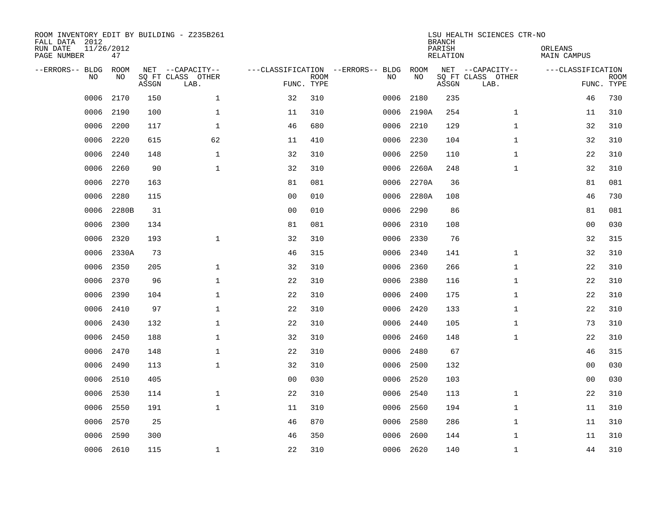| ROOM INVENTORY EDIT BY BUILDING - Z235B261<br>FALL DATA 2012<br>RUN DATE<br>PAGE NUMBER | 11/26/2012<br>47 |       |                           |                                   |             |      |           | <b>BRANCH</b><br>PARISH<br><b>RELATION</b> | LSU HEALTH SCIENCES CTR-NO | ORLEANS<br><b>MAIN CAMPUS</b> |                           |
|-----------------------------------------------------------------------------------------|------------------|-------|---------------------------|-----------------------------------|-------------|------|-----------|--------------------------------------------|----------------------------|-------------------------------|---------------------------|
| --ERRORS-- BLDG                                                                         | ROOM             |       | NET --CAPACITY--          | ---CLASSIFICATION --ERRORS-- BLDG |             |      | ROOM      |                                            | NET --CAPACITY--           | ---CLASSIFICATION             |                           |
| NO.                                                                                     | NO               | ASSGN | SQ FT CLASS OTHER<br>LAB. | FUNC. TYPE                        | <b>ROOM</b> | NO   | NO        | ASSGN                                      | SQ FT CLASS OTHER<br>LAB.  |                               | <b>ROOM</b><br>FUNC. TYPE |
| 0006                                                                                    | 2170             | 150   | $\mathbf{1}$              | 32                                | 310         | 0006 | 2180      | 235                                        |                            | 46                            | 730                       |
| 0006                                                                                    | 2190             | 100   | $\mathbf{1}$              | 11                                | 310         | 0006 | 2190A     | 254                                        | $\mathbf{1}$               | 11                            | 310                       |
| 0006                                                                                    | 2200             | 117   | $\mathbf 1$               | 46                                | 680         | 0006 | 2210      | 129                                        | $\mathbf{1}$               | 32                            | 310                       |
| 0006                                                                                    | 2220             | 615   | 62                        | 11                                | 410         | 0006 | 2230      | 104                                        | $\mathbf{1}$               | 32                            | 310                       |
| 0006                                                                                    | 2240             | 148   | $\mathbf{1}$              | 32                                | 310         | 0006 | 2250      | 110                                        | $\mathbf{1}$               | 22                            | 310                       |
| 0006                                                                                    | 2260             | 90    | $\mathbf{1}$              | 32                                | 310         | 0006 | 2260A     | 248                                        | $\mathbf{1}$               | 32                            | 310                       |
| 0006                                                                                    | 2270             | 163   |                           | 81                                | 081         | 0006 | 2270A     | 36                                         |                            | 81                            | 081                       |
| 0006                                                                                    | 2280             | 115   |                           | 0 <sub>0</sub>                    | 010         | 0006 | 2280A     | 108                                        |                            | 46                            | 730                       |
| 0006                                                                                    | 2280B            | 31    |                           | 0 <sub>0</sub>                    | 010         | 0006 | 2290      | 86                                         |                            | 81                            | 081                       |
| 0006                                                                                    | 2300             | 134   |                           | 81                                | 081         | 0006 | 2310      | 108                                        |                            | 0 <sub>0</sub>                | 030                       |
| 0006                                                                                    | 2320             | 193   | $\mathbf 1$               | 32                                | 310         | 0006 | 2330      | 76                                         |                            | 32                            | 315                       |
| 0006                                                                                    | 2330A            | 73    |                           | 46                                | 315         | 0006 | 2340      | 141                                        | $\mathbf{1}$               | 32                            | 310                       |
| 0006                                                                                    | 2350             | 205   | $\mathbf 1$               | 32                                | 310         | 0006 | 2360      | 266                                        | $\mathbf{1}$               | 22                            | 310                       |
| 0006                                                                                    | 2370             | 96    | $\mathbf{1}$              | 22                                | 310         | 0006 | 2380      | 116                                        | $\mathbf{1}$               | 22                            | 310                       |
| 0006                                                                                    | 2390             | 104   | $\mathbf 1$               | 22                                | 310         | 0006 | 2400      | 175                                        | $\mathbf{1}$               | 22                            | 310                       |
| 0006                                                                                    | 2410             | 97    | $\mathbf{1}$              | 22                                | 310         | 0006 | 2420      | 133                                        | $\mathbf{1}$               | 22                            | 310                       |
| 0006                                                                                    | 2430             | 132   | $\mathbf{1}$              | 22                                | 310         | 0006 | 2440      | 105                                        | $\mathbf{1}$               | 73                            | 310                       |
| 0006                                                                                    | 2450             | 188   | $\mathbf 1$               | 32                                | 310         | 0006 | 2460      | 148                                        | $\mathbf{1}$               | 22                            | 310                       |
| 0006                                                                                    | 2470             | 148   | $\mathbf{1}$              | 22                                | 310         | 0006 | 2480      | 67                                         |                            | 46                            | 315                       |
| 0006                                                                                    | 2490             | 113   | $\mathbf 1$               | 32                                | 310         | 0006 | 2500      | 132                                        |                            | 00                            | 030                       |
| 0006                                                                                    | 2510             | 405   |                           | 0 <sub>0</sub>                    | 030         | 0006 | 2520      | 103                                        |                            | 00                            | 030                       |
| 0006                                                                                    | 2530             | 114   | $\mathbf{1}$              | 22                                | 310         | 0006 | 2540      | 113                                        | $\mathbf{1}$               | 22                            | 310                       |
| 0006                                                                                    | 2550             | 191   | $\mathbf{1}$              | 11                                | 310         | 0006 | 2560      | 194                                        | $\mathbf{1}$               | 11                            | 310                       |
| 0006                                                                                    | 2570             | 25    |                           | 46                                | 870         | 0006 | 2580      | 286                                        | $\mathbf{1}$               | 11                            | 310                       |
| 0006                                                                                    | 2590             | 300   |                           | 46                                | 350         | 0006 | 2600      | 144                                        | $\mathbf{1}$               | 11                            | 310                       |
|                                                                                         | 0006 2610        | 115   | $\mathbf 1$               | 22                                | 310         |      | 0006 2620 | 140                                        | $\mathbf{1}$               | 44                            | 310                       |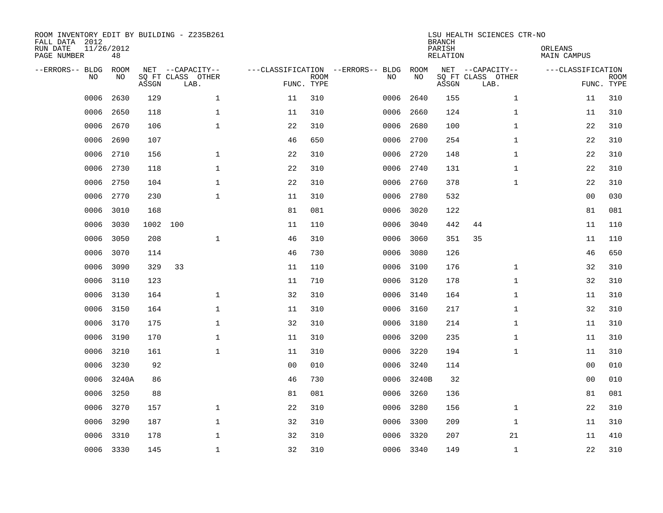| ROOM INVENTORY EDIT BY BUILDING - Z235B261<br>FALL DATA 2012<br>RUN DATE<br>PAGE NUMBER | 11/26/2012<br>48 |       |                           |                |                           |                                   |           | <b>BRANCH</b><br>PARISH<br><b>RELATION</b> | LSU HEALTH SCIENCES CTR-NO | ORLEANS<br><b>MAIN CAMPUS</b> |                           |
|-----------------------------------------------------------------------------------------|------------------|-------|---------------------------|----------------|---------------------------|-----------------------------------|-----------|--------------------------------------------|----------------------------|-------------------------------|---------------------------|
| --ERRORS-- BLDG                                                                         | ROOM             |       | NET --CAPACITY--          |                |                           | ---CLASSIFICATION --ERRORS-- BLDG | ROOM      |                                            | NET --CAPACITY--           | ---CLASSIFICATION             |                           |
| NO                                                                                      | NO               | ASSGN | SQ FT CLASS OTHER<br>LAB. |                | <b>ROOM</b><br>FUNC. TYPE | NO                                | NO        | ASSGN                                      | SQ FT CLASS OTHER<br>LAB.  |                               | <b>ROOM</b><br>FUNC. TYPE |
| 0006                                                                                    | 2630             | 129   | $\mathbf{1}$              | 11             | 310                       | 0006                              | 2640      | 155                                        | $\mathbf{1}$               | 11                            | 310                       |
| 0006                                                                                    | 2650             | 118   | $\mathbf{1}$              | 11             | 310                       | 0006                              | 2660      | 124                                        | $\mathbf{1}$               | 11                            | 310                       |
| 0006                                                                                    | 2670             | 106   | $\mathbf 1$               | 22             | 310                       | 0006                              | 2680      | 100                                        | $\mathbf{1}$               | 22                            | 310                       |
| 0006                                                                                    | 2690             | 107   |                           | 46             | 650                       | 0006                              | 2700      | 254                                        | $\mathbf{1}$               | 22                            | 310                       |
| 0006                                                                                    | 2710             | 156   | $\mathbf{1}$              | 22             | 310                       | 0006                              | 2720      | 148                                        | $\mathbf{1}$               | 22                            | 310                       |
| 0006                                                                                    | 2730             | 118   | $\mathbf 1$               | 22             | 310                       |                                   | 0006 2740 | 131                                        | $\mathbf{1}$               | 22                            | 310                       |
| 0006                                                                                    | 2750             | 104   | $\mathbf{1}$              | 22             | 310                       | 0006                              | 2760      | 378                                        | $\mathbf{1}$               | 22                            | 310                       |
| 0006                                                                                    | 2770             | 230   | $\mathbf{1}$              | 11             | 310                       | 0006                              | 2780      | 532                                        |                            | 0 <sub>0</sub>                | 030                       |
| 0006                                                                                    | 3010             | 168   |                           | 81             | 081                       | 0006                              | 3020      | 122                                        |                            | 81                            | 081                       |
| 0006                                                                                    | 3030             | 1002  | 100                       | 11             | 110                       | 0006                              | 3040      | 442                                        | 44                         | 11                            | 110                       |
| 0006                                                                                    | 3050             | 208   | $\mathbf 1$               | 46             | 310                       | 0006                              | 3060      | 351                                        | 35                         | 11                            | 110                       |
| 0006                                                                                    | 3070             | 114   |                           | 46             | 730                       | 0006                              | 3080      | 126                                        |                            | 46                            | 650                       |
| 0006                                                                                    | 3090             | 329   | 33                        | 11             | 110                       | 0006                              | 3100      | 176                                        | $\mathbf{1}$               | 32                            | 310                       |
| 0006                                                                                    | 3110             | 123   |                           | 11             | 710                       |                                   | 0006 3120 | 178                                        | $\mathbf{1}$               | 32                            | 310                       |
| 0006                                                                                    | 3130             | 164   | $\mathbf 1$               | 32             | 310                       | 0006                              | 3140      | 164                                        | $\mathbf{1}$               | 11                            | 310                       |
| 0006                                                                                    | 3150             | 164   | $\mathbf{1}$              | 11             | 310                       |                                   | 0006 3160 | 217                                        | $\mathbf{1}$               | 32                            | 310                       |
| 0006                                                                                    | 3170             | 175   | 1                         | 32             | 310                       | 0006                              | 3180      | 214                                        | $\mathbf{1}$               | 11                            | 310                       |
| 0006                                                                                    | 3190             | 170   | $\mathbf 1$               | 11             | 310                       | 0006                              | 3200      | 235                                        | $\mathbf{1}$               | 11                            | 310                       |
| 0006                                                                                    | 3210             | 161   | 1                         | 11             | 310                       | 0006                              | 3220      | 194                                        | $\mathbf{1}$               | 11                            | 310                       |
| 0006                                                                                    | 3230             | 92    |                           | 0 <sub>0</sub> | 010                       | 0006                              | 3240      | 114                                        |                            | 00                            | 010                       |
| 0006                                                                                    | 3240A            | 86    |                           | 46             | 730                       | 0006                              | 3240B     | 32                                         |                            | 00                            | 010                       |
| 0006                                                                                    | 3250             | 88    |                           | 81             | 081                       | 0006                              | 3260      | 136                                        |                            | 81                            | 081                       |
| 0006                                                                                    | 3270             | 157   | $\mathbf{1}$              | 22             | 310                       | 0006                              | 3280      | 156                                        | $\mathbf{1}$               | 22                            | 310                       |
| 0006                                                                                    | 3290             | 187   | $\mathbf{1}$              | 32             | 310                       | 0006                              | 3300      | 209                                        | $\mathbf{1}$               | 11                            | 310                       |
| 0006                                                                                    | 3310             | 178   | $\mathbf 1$               | 32             | 310                       | 0006                              | 3320      | 207                                        | 21                         | 11                            | 410                       |
|                                                                                         | 0006 3330        | 145   | $\mathbf{1}$              | 32             | 310                       |                                   | 0006 3340 | 149                                        | $\mathbf{1}$               | 22                            | 310                       |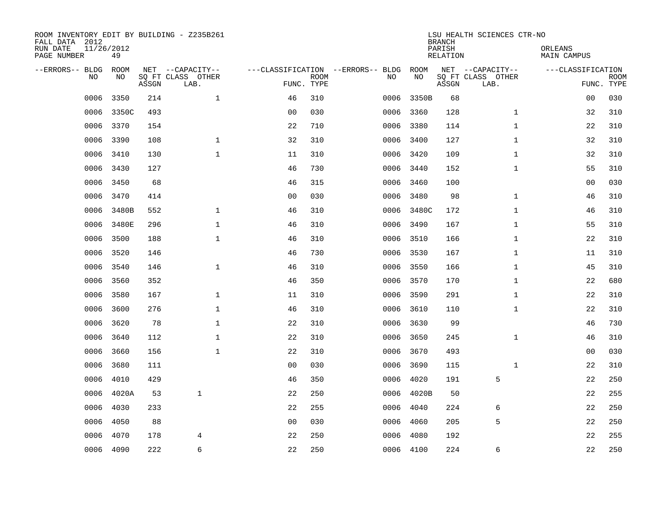| ROOM INVENTORY EDIT BY BUILDING - Z235B261<br>FALL DATA 2012<br>RUN DATE<br>PAGE NUMBER | 11/26/2012<br>49 |       |                                               |                |                           |                                         |            | <b>BRANCH</b><br>PARISH<br><b>RELATION</b> | LSU HEALTH SCIENCES CTR-NO                    | ORLEANS<br><b>MAIN CAMPUS</b> |                           |
|-----------------------------------------------------------------------------------------|------------------|-------|-----------------------------------------------|----------------|---------------------------|-----------------------------------------|------------|--------------------------------------------|-----------------------------------------------|-------------------------------|---------------------------|
| --ERRORS-- BLDG<br>NO                                                                   | ROOM<br>NO       | ASSGN | NET --CAPACITY--<br>SQ FT CLASS OTHER<br>LAB. |                | <b>ROOM</b><br>FUNC. TYPE | ---CLASSIFICATION --ERRORS-- BLDG<br>NO | ROOM<br>NO | ASSGN                                      | NET --CAPACITY--<br>SQ FT CLASS OTHER<br>LAB. | ---CLASSIFICATION             | <b>ROOM</b><br>FUNC. TYPE |
| 0006                                                                                    | 3350             | 214   | $\mathbf{1}$                                  | 46             | 310                       | 0006                                    | 3350B      | 68                                         |                                               | 0 <sub>0</sub>                | 030                       |
| 0006                                                                                    | 3350C            | 493   |                                               | 0 <sub>0</sub> | 030                       | 0006                                    | 3360       | 128                                        | $\mathbf{1}$                                  | 32                            | 310                       |
| 0006                                                                                    | 3370             | 154   |                                               | 22             | 710                       | 0006                                    | 3380       | 114                                        | $\mathbf{1}$                                  | 22                            | 310                       |
| 0006                                                                                    | 3390             | 108   | $\mathbf 1$                                   | 32             | 310                       |                                         | 0006 3400  | 127                                        | $\mathbf{1}$                                  | 32                            | 310                       |
| 0006                                                                                    | 3410             | 130   | $\mathbf{1}$                                  | 11             | 310                       |                                         | 0006 3420  | 109                                        | $\mathbf{1}$                                  | 32                            | 310                       |
| 0006                                                                                    | 3430             | 127   |                                               | 46             | 730                       |                                         | 0006 3440  | 152                                        | $\mathbf{1}$                                  | 55                            | 310                       |
| 0006                                                                                    | 3450             | 68    |                                               | 46             | 315                       |                                         | 0006 3460  | 100                                        |                                               | 00                            | 030                       |
| 0006                                                                                    | 3470             | 414   |                                               | 0 <sub>0</sub> | 030                       |                                         | 0006 3480  | 98                                         | $\mathbf{1}$                                  | 46                            | 310                       |
| 0006                                                                                    | 3480B            | 552   | $\mathbf{1}$                                  | 46             | 310                       | 0006                                    | 3480C      | 172                                        | $\mathbf{1}$                                  | 46                            | 310                       |
| 0006                                                                                    | 3480E            | 296   | $\mathbf 1$                                   | 46             | 310                       | 0006                                    | 3490       | 167                                        | $\mathbf{1}$                                  | 55                            | 310                       |
| 0006                                                                                    | 3500             | 188   | $\mathbf{1}$                                  | 46             | 310                       | 0006                                    | 3510       | 166                                        | $\mathbf{1}$                                  | 22                            | 310                       |
| 0006                                                                                    | 3520             | 146   |                                               | 46             | 730                       |                                         | 0006 3530  | 167                                        | $\mathbf{1}$                                  | 11                            | 310                       |
| 0006                                                                                    | 3540             | 146   | $\mathbf{1}$                                  | 46             | 310                       | 0006                                    | 3550       | 166                                        | $\mathbf{1}$                                  | 45                            | 310                       |
| 0006                                                                                    | 3560             | 352   |                                               | 46             | 350                       | 0006                                    | 3570       | 170                                        | $\mathbf{1}$                                  | 22                            | 680                       |
| 0006                                                                                    | 3580             | 167   | 1                                             | 11             | 310                       | 0006                                    | 3590       | 291                                        | $\mathbf{1}$                                  | 22                            | 310                       |
| 0006                                                                                    | 3600             | 276   | $\mathbf 1$                                   | 46             | 310                       | 0006                                    | 3610       | 110                                        | $\mathbf{1}$                                  | 22                            | 310                       |
| 0006                                                                                    | 3620             | 78    | $\mathbf 1$                                   | 22             | 310                       | 0006                                    | 3630       | 99                                         |                                               | 46                            | 730                       |
| 0006                                                                                    | 3640             | 112   | $\mathbf 1$                                   | 22             | 310                       | 0006                                    | 3650       | 245                                        | $\mathbf{1}$                                  | 46                            | 310                       |
| 0006                                                                                    | 3660             | 156   | $\mathbf{1}$                                  | 22             | 310                       | 0006                                    | 3670       | 493                                        |                                               | 00                            | 030                       |
| 0006                                                                                    | 3680             | 111   |                                               | 0 <sub>0</sub> | 030                       | 0006                                    | 3690       | 115                                        | $\mathbf{1}$                                  | 22                            | 310                       |
| 0006                                                                                    | 4010             | 429   |                                               | 46             | 350                       | 0006                                    | 4020       | 191                                        | 5                                             | 22                            | 250                       |
| 0006                                                                                    | 4020A            | 53    | $\mathbf{1}$                                  | 22             | 250                       | 0006                                    | 4020B      | 50                                         |                                               | 22                            | 255                       |
| 0006                                                                                    | 4030             | 233   |                                               | 22             | 255                       | 0006                                    | 4040       | 224                                        | 6                                             | 22                            | 250                       |
| 0006                                                                                    | 4050             | 88    |                                               | 0 <sub>0</sub> | 030                       | 0006                                    | 4060       | 205                                        | 5                                             | 22                            | 250                       |
| 0006                                                                                    | 4070             | 178   | 4                                             | 22             | 250                       | 0006                                    | 4080       | 192                                        |                                               | 22                            | 255                       |
|                                                                                         | 0006 4090        | 222   | 6                                             | 22             | 250                       |                                         | 0006 4100  | 224                                        | 6                                             | 22                            | 250                       |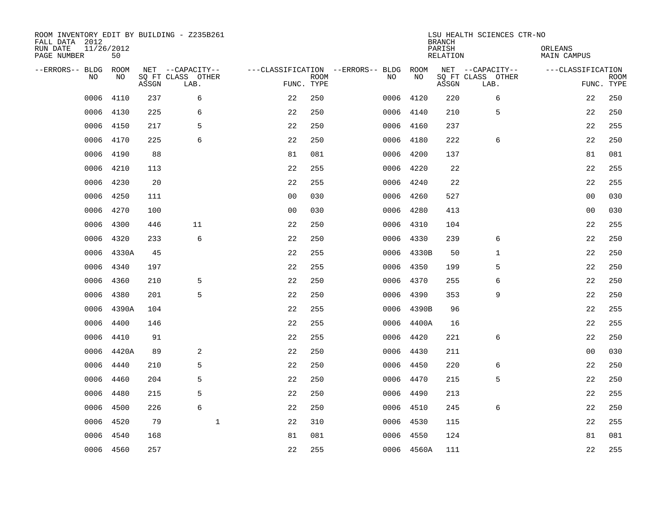| ROOM INVENTORY EDIT BY BUILDING - Z235B261<br>FALL DATA 2012<br>RUN DATE<br>PAGE NUMBER | 11/26/2012<br>50 |       |                                               |                |                           |                                         |            | <b>BRANCH</b><br>PARISH<br><b>RELATION</b> | LSU HEALTH SCIENCES CTR-NO                    | ORLEANS<br><b>MAIN CAMPUS</b> |                           |
|-----------------------------------------------------------------------------------------|------------------|-------|-----------------------------------------------|----------------|---------------------------|-----------------------------------------|------------|--------------------------------------------|-----------------------------------------------|-------------------------------|---------------------------|
| --ERRORS-- BLDG<br>NO                                                                   | ROOM<br>NO       | ASSGN | NET --CAPACITY--<br>SQ FT CLASS OTHER<br>LAB. |                | <b>ROOM</b><br>FUNC. TYPE | ---CLASSIFICATION --ERRORS-- BLDG<br>NO | ROOM<br>NO | ASSGN                                      | NET --CAPACITY--<br>SQ FT CLASS OTHER<br>LAB. | ---CLASSIFICATION             | <b>ROOM</b><br>FUNC. TYPE |
| 0006                                                                                    | 4110             | 237   | 6                                             | 22             | 250                       | 0006                                    | 4120       | 220                                        | 6                                             | 22                            | 250                       |
| 0006                                                                                    | 4130             | 225   | 6                                             | 22             | 250                       | 0006                                    | 4140       | 210                                        | 5                                             | 22                            | 250                       |
| 0006                                                                                    | 4150             | 217   | 5                                             | 22             | 250                       | 0006                                    | 4160       | 237                                        |                                               | 22                            | 255                       |
| 0006                                                                                    | 4170             | 225   | 6                                             | 22             | 250                       | 0006                                    | 4180       | 222                                        | 6                                             | 22                            | 250                       |
| 0006                                                                                    | 4190             | 88    |                                               | 81             | 081                       | 0006                                    | 4200       | 137                                        |                                               | 81                            | 081                       |
| 0006                                                                                    | 4210             | 113   |                                               | 22             | 255                       |                                         | 0006 4220  | 22                                         |                                               | 22                            | 255                       |
| 0006                                                                                    | 4230             | 20    |                                               | 22             | 255                       | 0006                                    | 4240       | 22                                         |                                               | 22                            | 255                       |
| 0006                                                                                    | 4250             | 111   |                                               | 0 <sub>0</sub> | 030                       | 0006                                    | 4260       | 527                                        |                                               | 0 <sub>0</sub>                | 030                       |
| 0006                                                                                    | 4270             | 100   |                                               | 0 <sub>0</sub> | 030                       | 0006                                    | 4280       | 413                                        |                                               | 0 <sub>0</sub>                | 030                       |
| 0006                                                                                    | 4300             | 446   | 11                                            | 22             | 250                       | 0006                                    | 4310       | 104                                        |                                               | 22                            | 255                       |
| 0006                                                                                    | 4320             | 233   | 6                                             | 22             | 250                       | 0006                                    | 4330       | 239                                        | 6                                             | 22                            | 250                       |
| 0006                                                                                    | 4330A            | 45    |                                               | 22             | 255                       |                                         | 0006 4330B | 50                                         | 1                                             | 22                            | 250                       |
| 0006                                                                                    | 4340             | 197   |                                               | 22             | 255                       | 0006                                    | 4350       | 199                                        | 5                                             | 22                            | 250                       |
| 0006                                                                                    | 4360             | 210   | 5                                             | 22             | 250                       | 0006                                    | 4370       | 255                                        | 6                                             | 22                            | 250                       |
| 0006                                                                                    | 4380             | 201   | 5                                             | 22             | 250                       | 0006                                    | 4390       | 353                                        | 9                                             | 22                            | 250                       |
| 0006                                                                                    | 4390A            | 104   |                                               | 22             | 255                       |                                         | 0006 4390B | 96                                         |                                               | 22                            | 255                       |
| 0006                                                                                    | 4400             | 146   |                                               | 22             | 255                       | 0006                                    | 4400A      | 16                                         |                                               | 22                            | 255                       |
| 0006                                                                                    | 4410             | 91    |                                               | 22             | 255                       | 0006                                    | 4420       | 221                                        | 6                                             | 22                            | 250                       |
| 0006                                                                                    | 4420A            | 89    | 2                                             | 22             | 250                       | 0006                                    | 4430       | 211                                        |                                               | 00                            | 030                       |
| 0006                                                                                    | 4440             | 210   | 5                                             | 22             | 250                       | 0006                                    | 4450       | 220                                        | 6                                             | 22                            | 250                       |
| 0006                                                                                    | 4460             | 204   | 5                                             | 22             | 250                       |                                         | 0006 4470  | 215                                        | 5                                             | 22                            | 250                       |
| 0006                                                                                    | 4480             | 215   | 5                                             | 22             | 250                       | 0006                                    | 4490       | 213                                        |                                               | 22                            | 255                       |
| 0006                                                                                    | 4500             | 226   | 6                                             | 22             | 250                       |                                         | 0006 4510  | 245                                        | 6                                             | 22                            | 250                       |
| 0006                                                                                    | 4520             | 79    | $\mathbf{1}$                                  | 22             | 310                       | 0006                                    | 4530       | 115                                        |                                               | 22                            | 255                       |
| 0006                                                                                    | 4540             | 168   |                                               | 81             | 081                       |                                         | 0006 4550  | 124                                        |                                               | 81                            | 081                       |
|                                                                                         | 0006 4560        | 257   |                                               | 22             | 255                       |                                         | 0006 4560A | 111                                        |                                               | 22                            | 255                       |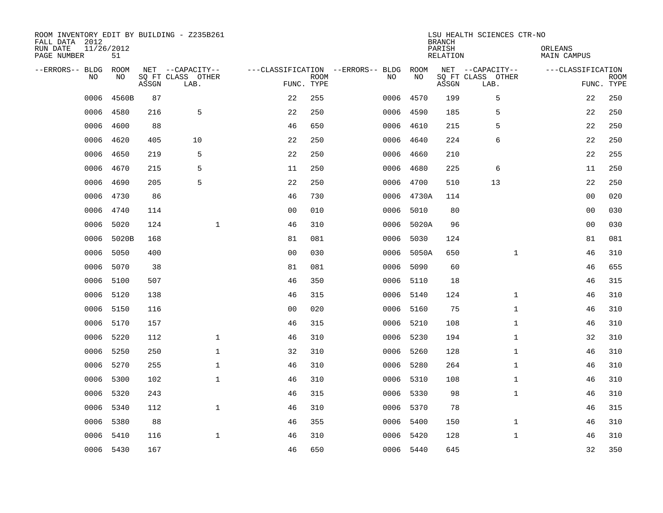| ROOM INVENTORY EDIT BY BUILDING - Z235B261<br>FALL DATA 2012<br>RUN DATE<br>PAGE NUMBER | 11/26/2012<br>51 |       |                                               |                |                           |                                         |      |            | <b>BRANCH</b><br>PARISH<br><b>RELATION</b> | LSU HEALTH SCIENCES CTR-NO                    | ORLEANS<br><b>MAIN CAMPUS</b> |                           |
|-----------------------------------------------------------------------------------------|------------------|-------|-----------------------------------------------|----------------|---------------------------|-----------------------------------------|------|------------|--------------------------------------------|-----------------------------------------------|-------------------------------|---------------------------|
| --ERRORS-- BLDG<br>NO                                                                   | ROOM<br>NO       | ASSGN | NET --CAPACITY--<br>SQ FT CLASS OTHER<br>LAB. |                | <b>ROOM</b><br>FUNC. TYPE | ---CLASSIFICATION --ERRORS-- BLDG<br>NO |      | ROOM<br>NO | ASSGN                                      | NET --CAPACITY--<br>SQ FT CLASS OTHER<br>LAB. | ---CLASSIFICATION             | <b>ROOM</b><br>FUNC. TYPE |
| 0006                                                                                    | 4560B            | 87    |                                               | 22             | 255                       |                                         | 0006 | 4570       | 199                                        | 5                                             | 22                            | 250                       |
| 0006                                                                                    | 4580             | 216   | 5                                             | 22             | 250                       |                                         | 0006 | 4590       | 185                                        | 5                                             | 22                            | 250                       |
| 0006                                                                                    | 4600             | 88    |                                               | 46             | 650                       |                                         | 0006 | 4610       | 215                                        | 5                                             | 22                            | 250                       |
| 0006                                                                                    | 4620             | 405   | 10                                            | 22             | 250                       |                                         | 0006 | 4640       | 224                                        | 6                                             | 22                            | 250                       |
| 0006                                                                                    | 4650             | 219   | 5                                             | 22             | 250                       |                                         | 0006 | 4660       | 210                                        |                                               | 22                            | 255                       |
| 0006                                                                                    | 4670             | 215   | 5                                             | 11             | 250                       |                                         | 0006 | 4680       | 225                                        | 6                                             | 11                            | 250                       |
| 0006                                                                                    | 4690             | 205   | 5                                             | 22             | 250                       |                                         | 0006 | 4700       | 510                                        | 13                                            | 22                            | 250                       |
| 0006                                                                                    | 4730             | 86    |                                               | 46             | 730                       |                                         |      | 0006 4730A | 114                                        |                                               | 0 <sub>0</sub>                | 020                       |
| 0006                                                                                    | 4740             | 114   |                                               | 0 <sub>0</sub> | 010                       |                                         | 0006 | 5010       | 80                                         |                                               | 0 <sub>0</sub>                | 030                       |
| 0006                                                                                    | 5020             | 124   | $\mathbf{1}$                                  | 46             | 310                       |                                         |      | 0006 5020A | 96                                         |                                               | 0 <sub>0</sub>                | 030                       |
| 0006                                                                                    | 5020B            | 168   |                                               | 81             | 081                       |                                         | 0006 | 5030       | 124                                        |                                               | 81                            | 081                       |
| 0006                                                                                    | 5050             | 400   |                                               | 0 <sub>0</sub> | 030                       |                                         | 0006 | 5050A      | 650                                        | $\mathbf{1}$                                  | 46                            | 310                       |
| 0006                                                                                    | 5070             | 38    |                                               | 81             | 081                       |                                         | 0006 | 5090       | 60                                         |                                               | 46                            | 655                       |
| 0006                                                                                    | 5100             | 507   |                                               | 46             | 350                       |                                         | 0006 | 5110       | 18                                         |                                               | 46                            | 315                       |
| 0006                                                                                    | 5120             | 138   |                                               | 46             | 315                       |                                         | 0006 | 5140       | 124                                        | $\mathbf{1}$                                  | 46                            | 310                       |
| 0006                                                                                    | 5150             | 116   |                                               | 0 <sub>0</sub> | 020                       |                                         | 0006 | 5160       | 75                                         | $\mathbf{1}$                                  | 46                            | 310                       |
| 0006                                                                                    | 5170             | 157   |                                               | 46             | 315                       |                                         | 0006 | 5210       | 108                                        | $\mathbf{1}$                                  | 46                            | 310                       |
| 0006                                                                                    | 5220             | 112   | $\mathbf{1}$                                  | 46             | 310                       |                                         |      | 0006 5230  | 194                                        | $\mathbf{1}$                                  | 32                            | 310                       |
| 0006                                                                                    | 5250             | 250   | $\mathbf{1}$                                  | 32             | 310                       |                                         |      | 0006 5260  | 128                                        | $\mathbf{1}$                                  | 46                            | 310                       |
| 0006                                                                                    | 5270             | 255   | $\mathbf 1$                                   | 46             | 310                       |                                         |      | 0006 5280  | 264                                        | $\mathbf{1}$                                  | 46                            | 310                       |
| 0006                                                                                    | 5300             | 102   | $\mathbf 1$                                   | 46             | 310                       |                                         |      | 0006 5310  | 108                                        | $\mathbf{1}$                                  | 46                            | 310                       |
| 0006                                                                                    | 5320             | 243   |                                               | 46             | 315                       |                                         | 0006 | 5330       | 98                                         | $\mathbf{1}$                                  | 46                            | 310                       |
| 0006                                                                                    | 5340             | 112   | $\mathbf{1}$                                  | 46             | 310                       |                                         |      | 0006 5370  | 78                                         |                                               | 46                            | 315                       |
| 0006                                                                                    | 5380             | 88    |                                               | 46             | 355                       |                                         | 0006 | 5400       | 150                                        | $\mathbf{1}$                                  | 46                            | 310                       |
| 0006                                                                                    | 5410             | 116   | $\mathbf 1$                                   | 46             | 310                       |                                         |      | 0006 5420  | 128                                        | $\mathbf{1}$                                  | 46                            | 310                       |
|                                                                                         | 0006 5430        | 167   |                                               | 46             | 650                       |                                         |      | 0006 5440  | 645                                        |                                               | 32                            | 350                       |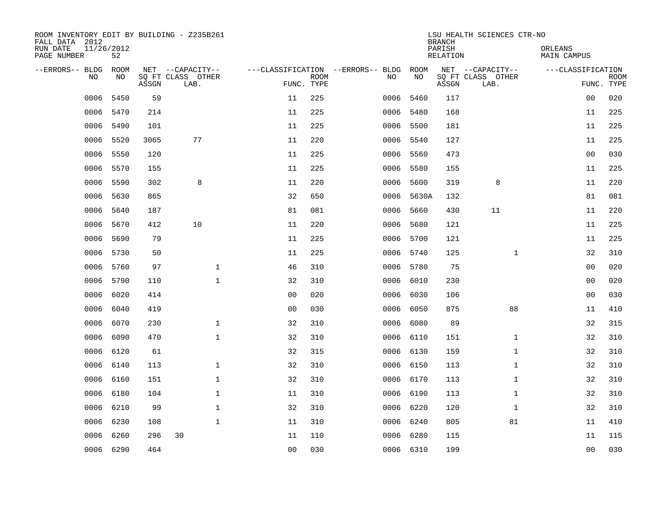| ROOM INVENTORY EDIT BY BUILDING - Z235B261<br>FALL DATA 2012 |                  |       |                           |                |             |                                        |            | <b>BRANCH</b>      | LSU HEALTH SCIENCES CTR-NO |                        |                           |
|--------------------------------------------------------------|------------------|-------|---------------------------|----------------|-------------|----------------------------------------|------------|--------------------|----------------------------|------------------------|---------------------------|
| RUN DATE<br>PAGE NUMBER                                      | 11/26/2012<br>52 |       |                           |                |             |                                        |            | PARISH<br>RELATION |                            | ORLEANS<br>MAIN CAMPUS |                           |
| --ERRORS-- BLDG ROOM                                         |                  |       | NET --CAPACITY--          |                |             | ---CLASSIFICATION --ERRORS-- BLDG ROOM |            |                    | NET --CAPACITY--           | ---CLASSIFICATION      |                           |
| NO.                                                          | NO.              | ASSGN | SQ FT CLASS OTHER<br>LAB. | FUNC. TYPE     | <b>ROOM</b> | NO.                                    | NO         | ASSGN              | SQ FT CLASS OTHER<br>LAB.  |                        | <b>ROOM</b><br>FUNC. TYPE |
| 0006                                                         | 5450             | 59    |                           | 11             | 225         | 0006                                   | 5460       | 117                |                            | 0 <sub>0</sub>         | 020                       |
| 0006                                                         | 5470             | 214   |                           | 11             | 225         |                                        | 0006 5480  | 168                |                            | 11                     | 225                       |
| 0006                                                         | 5490             | 101   |                           | 11             | 225         |                                        | 0006 5500  | 181                |                            | 11                     | 225                       |
| 0006                                                         | 5520             | 3065  | 77                        | 11             | 220         |                                        | 0006 5540  | 127                |                            | 11                     | 225                       |
| 0006                                                         | 5550             | 120   |                           | 11             | 225         | 0006                                   | 5560       | 473                |                            | 0 <sub>0</sub>         | 030                       |
| 0006                                                         | 5570             | 155   |                           | 11             | 225         |                                        | 0006 5580  | 155                |                            | 11                     | 225                       |
| 0006                                                         | 5590             | 302   | 8                         | 11             | 220         | 0006                                   | 5600       | 319                | 8                          | 11                     | 220                       |
| 0006                                                         | 5630             | 865   |                           | 32             | 650         |                                        | 0006 5630A | 132                |                            | 81                     | 081                       |
| 0006                                                         | 5640             | 187   |                           | 81             | 081         | 0006                                   | 5660       | 430                | 11                         | 11                     | 220                       |
| 0006                                                         | 5670             | 412   | 10                        | 11             | 220         |                                        | 0006 5680  | 121                |                            | 11                     | 225                       |
| 0006                                                         | 5690             | 79    |                           | 11             | 225         |                                        | 0006 5700  | 121                |                            | 11                     | 225                       |
| 0006                                                         | 5730             | 50    |                           | 11             | 225         |                                        | 0006 5740  | 125                | $\mathbf{1}$               | 32                     | 310                       |
| 0006                                                         | 5760             | 97    | $\mathbf{1}$              | 46             | 310         |                                        | 0006 5780  | 75                 |                            | 0 <sub>0</sub>         | 020                       |
| 0006                                                         | 5790             | 110   | $\mathbf{1}$              | 32             | 310         |                                        | 0006 6010  | 230                |                            | 00                     | 020                       |
| 0006                                                         | 6020             | 414   |                           | 0 <sub>0</sub> | 020         | 0006                                   | 6030       | 106                |                            | 0 <sub>0</sub>         | 030                       |
| 0006                                                         | 6040             | 419   |                           | 0 <sub>0</sub> | 030         | 0006                                   | 6050       | 875                | 88                         | 11                     | 410                       |
| 0006                                                         | 6070             | 230   | $\mathbf 1$               | 32             | 310         | 0006                                   | 6080       | 89                 |                            | 32                     | 315                       |
| 0006                                                         | 6090             | 470   | $\mathbf{1}$              | 32             | 310         |                                        | 0006 6110  | 151                | $\mathbf{1}$               | 32                     | 310                       |
| 0006                                                         | 6120             | 61    |                           | 32             | 315         |                                        | 0006 6130  | 159                | $\mathbf{1}$               | 32                     | 310                       |
| 0006                                                         | 6140             | 113   | $\mathbf{1}$              | 32             | 310         |                                        | 0006 6150  | 113                | $\mathbf{1}$               | 32                     | 310                       |
| 0006                                                         | 6160             | 151   | $\mathbf{1}$              | 32             | 310         |                                        | 0006 6170  | 113                | $\mathbf{1}$               | 32                     | 310                       |
| 0006                                                         | 6180             | 104   | $\mathbf 1$               | 11             | 310         |                                        | 0006 6190  | 113                | $\mathbf{1}$               | 32                     | 310                       |
| 0006                                                         | 6210             | 99    | $\mathbf 1$               | 32             | 310         |                                        | 0006 6220  | 120                | $\mathbf{1}$               | 32                     | 310                       |
| 0006                                                         | 6230             | 108   | $\mathbf{1}$              | 11             | 310         | 0006                                   | 6240       | 805                | 81                         | 11                     | 410                       |
| 0006                                                         | 6260             | 296   | 30                        | 11             | 110         | 0006                                   | 6280       | 115                |                            | 11                     | 115                       |
|                                                              | 0006 6290        | 464   |                           | 0 <sub>0</sub> | 030         |                                        | 0006 6310  | 199                |                            | 0 <sub>0</sub>         | 030                       |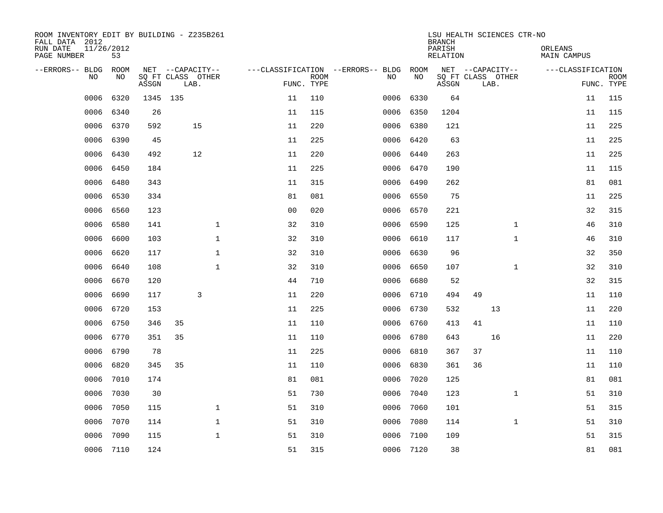| ROOM INVENTORY EDIT BY BUILDING - Z235B261<br>FALL DATA 2012 |                  |          |                           |              |    |                           |                                   |           | LSU HEALTH SCIENCES CTR-NO<br><b>BRANCH</b> |    |                           |              |                        |                           |
|--------------------------------------------------------------|------------------|----------|---------------------------|--------------|----|---------------------------|-----------------------------------|-----------|---------------------------------------------|----|---------------------------|--------------|------------------------|---------------------------|
| RUN DATE<br>PAGE NUMBER                                      | 11/26/2012<br>53 |          |                           |              |    |                           |                                   |           | PARISH<br>RELATION                          |    |                           |              | ORLEANS<br>MAIN CAMPUS |                           |
| --ERRORS-- BLDG                                              | ROOM             |          | NET --CAPACITY--          |              |    |                           | ---CLASSIFICATION --ERRORS-- BLDG | ROOM      |                                             |    | NET --CAPACITY--          |              | ---CLASSIFICATION      |                           |
| <b>NO</b>                                                    | NO.              | ASSGN    | SQ FT CLASS OTHER<br>LAB. |              |    | <b>ROOM</b><br>FUNC. TYPE | NO.                               | NO        | ASSGN                                       |    | SQ FT CLASS OTHER<br>LAB. |              |                        | <b>ROOM</b><br>FUNC. TYPE |
| 0006                                                         | 6320             | 1345 135 |                           |              | 11 | 110                       | 0006                              | 6330      | 64                                          |    |                           |              | 11                     | 115                       |
| 0006                                                         | 6340             | 26       |                           |              | 11 | 115                       | 0006                              | 6350      | 1204                                        |    |                           |              | 11                     | 115                       |
| 0006                                                         | 6370             | 592      | 15                        |              | 11 | 220                       | 0006                              | 6380      | 121                                         |    |                           |              | 11                     | 225                       |
| 0006                                                         | 6390             | 45       |                           |              | 11 | 225                       |                                   | 0006 6420 | 63                                          |    |                           |              | 11                     | 225                       |
| 0006                                                         | 6430             | 492      | 12                        |              | 11 | 220                       | 0006                              | 6440      | 263                                         |    |                           |              | 11                     | 225                       |
| 0006                                                         | 6450             | 184      |                           |              | 11 | 225                       |                                   | 0006 6470 | 190                                         |    |                           |              | 11                     | 115                       |
| 0006                                                         | 6480             | 343      |                           |              | 11 | 315                       | 0006                              | 6490      | 262                                         |    |                           |              | 81                     | 081                       |
| 0006                                                         | 6530             | 334      |                           |              | 81 | 081                       |                                   | 0006 6550 | 75                                          |    |                           |              | 11                     | 225                       |
| 0006                                                         | 6560             | 123      |                           |              | 00 | 020                       | 0006                              | 6570      | 221                                         |    |                           |              | 32                     | 315                       |
| 0006                                                         | 6580             | 141      |                           | $\mathbf 1$  | 32 | 310                       | 0006                              | 6590      | 125                                         |    |                           | $\mathbf{1}$ | 46                     | 310                       |
| 0006                                                         | 6600             | 103      |                           | $\mathbf 1$  | 32 | 310                       | 0006                              | 6610      | 117                                         |    |                           | $\mathbf{1}$ | 46                     | 310                       |
| 0006                                                         | 6620             | 117      |                           | $\mathbf{1}$ | 32 | 310                       | 0006                              | 6630      | 96                                          |    |                           |              | 32                     | 350                       |
| 0006                                                         | 6640             | 108      |                           | $\mathbf 1$  | 32 | 310                       | 0006                              | 6650      | 107                                         |    |                           | $\mathbf{1}$ | 32                     | 310                       |
| 0006                                                         | 6670             | 120      |                           |              | 44 | 710                       | 0006                              | 6680      | 52                                          |    |                           |              | 32                     | 315                       |
| 0006                                                         | 6690             | 117      | 3                         |              | 11 | 220                       |                                   | 0006 6710 | 494                                         | 49 |                           |              | 11                     | 110                       |
| 0006                                                         | 6720             | 153      |                           |              | 11 | 225                       |                                   | 0006 6730 | 532                                         |    | 13                        |              | 11                     | 220                       |
| 0006                                                         | 6750             | 346      | 35                        |              | 11 | 110                       | 0006                              | 6760      | 413                                         | 41 |                           |              | 11                     | 110                       |
| 0006                                                         | 6770             | 351      | 35                        |              | 11 | 110                       | 0006                              | 6780      | 643                                         |    | 16                        |              | 11                     | 220                       |
| 0006                                                         | 6790             | 78       |                           |              | 11 | 225                       | 0006                              | 6810      | 367                                         | 37 |                           |              | 11                     | 110                       |
| 0006                                                         | 6820             | 345      | 35                        |              | 11 | 110                       | 0006                              | 6830      | 361                                         | 36 |                           |              | 11                     | 110                       |
| 0006                                                         | 7010             | 174      |                           |              | 81 | 081                       | 0006                              | 7020      | 125                                         |    |                           |              | 81                     | 081                       |
| 0006                                                         | 7030             | 30       |                           |              | 51 | 730                       | 0006                              | 7040      | 123                                         |    |                           | $\mathbf{1}$ | 51                     | 310                       |
| 0006                                                         | 7050             | 115      |                           | $\mathbf 1$  | 51 | 310                       | 0006                              | 7060      | 101                                         |    |                           |              | 51                     | 315                       |
| 0006                                                         | 7070             | 114      |                           | $\mathbf 1$  | 51 | 310                       | 0006                              | 7080      | 114                                         |    |                           | $\mathbf{1}$ | 51                     | 310                       |
| 0006                                                         | 7090             | 115      |                           | $\mathbf{1}$ | 51 | 310                       | 0006                              | 7100      | 109                                         |    |                           |              | 51                     | 315                       |
|                                                              | 0006 7110        | 124      |                           |              | 51 | 315                       |                                   | 0006 7120 | 38                                          |    |                           |              | 81                     | 081                       |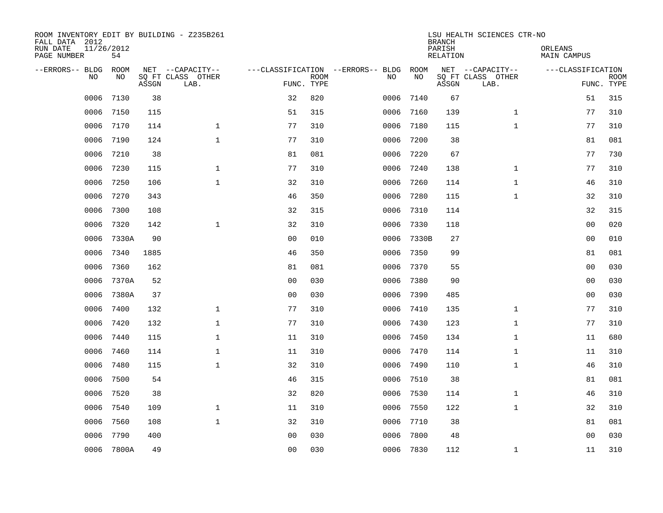| ROOM INVENTORY EDIT BY BUILDING - Z235B261<br>FALL DATA 2012<br>RUN DATE<br>PAGE NUMBER | 11/26/2012<br>54 |       |                                               |                |                           |                                         |            | <b>BRANCH</b><br>PARISH<br><b>RELATION</b> | LSU HEALTH SCIENCES CTR-NO                    | ORLEANS<br><b>MAIN CAMPUS</b> |                           |
|-----------------------------------------------------------------------------------------|------------------|-------|-----------------------------------------------|----------------|---------------------------|-----------------------------------------|------------|--------------------------------------------|-----------------------------------------------|-------------------------------|---------------------------|
| --ERRORS-- BLDG<br>NO.                                                                  | ROOM<br>NO       | ASSGN | NET --CAPACITY--<br>SQ FT CLASS OTHER<br>LAB. |                | <b>ROOM</b><br>FUNC. TYPE | ---CLASSIFICATION --ERRORS-- BLDG<br>NO | ROOM<br>NO | ASSGN                                      | NET --CAPACITY--<br>SQ FT CLASS OTHER<br>LAB. | ---CLASSIFICATION             | <b>ROOM</b><br>FUNC. TYPE |
| 0006                                                                                    | 7130             | 38    |                                               | 32             | 820                       | 0006                                    | 7140       | 67                                         |                                               | 51                            | 315                       |
| 0006                                                                                    | 7150             | 115   |                                               | 51             | 315                       | 0006                                    | 7160       | 139                                        | $\mathbf{1}$                                  | 77                            | 310                       |
| 0006                                                                                    | 7170             | 114   | $\mathbf{1}$                                  | 77             | 310                       | 0006                                    | 7180       | 115                                        | $\mathbf{1}$                                  | 77                            | 310                       |
| 0006                                                                                    | 7190             | 124   | $\mathbf{1}$                                  | 77             | 310                       | 0006                                    | 7200       | 38                                         |                                               | 81                            | 081                       |
| 0006                                                                                    | 7210             | 38    |                                               | 81             | 081                       | 0006                                    | 7220       | 67                                         |                                               | 77                            | 730                       |
| 0006                                                                                    | 7230             | 115   | $\mathbf{1}$                                  | 77             | 310                       | 0006                                    | 7240       | 138                                        | $\mathbf{1}$                                  | 77                            | 310                       |
| 0006                                                                                    | 7250             | 106   | $\mathbf{1}$                                  | 32             | 310                       | 0006                                    | 7260       | 114                                        | $\mathbf{1}$                                  | 46                            | 310                       |
| 0006                                                                                    | 7270             | 343   |                                               | 46             | 350                       | 0006                                    | 7280       | 115                                        | $\mathbf{1}$                                  | 32                            | 310                       |
| 0006                                                                                    | 7300             | 108   |                                               | 32             | 315                       | 0006                                    | 7310       | 114                                        |                                               | 32                            | 315                       |
| 0006                                                                                    | 7320             | 142   | $\mathbf 1$                                   | 32             | 310                       | 0006                                    | 7330       | 118                                        |                                               | 0 <sub>0</sub>                | 020                       |
| 0006                                                                                    | 7330A            | 90    |                                               | 0 <sub>0</sub> | 010                       | 0006                                    | 7330B      | 27                                         |                                               | 0 <sub>0</sub>                | 010                       |
| 0006                                                                                    | 7340             | 1885  |                                               | 46             | 350                       | 0006                                    | 7350       | 99                                         |                                               | 81                            | 081                       |
| 0006                                                                                    | 7360             | 162   |                                               | 81             | 081                       | 0006                                    | 7370       | 55                                         |                                               | 0 <sub>0</sub>                | 030                       |
| 0006                                                                                    | 7370A            | 52    |                                               | 00             | 030                       | 0006                                    | 7380       | 90                                         |                                               | 0 <sub>0</sub>                | 030                       |
| 0006                                                                                    | 7380A            | 37    |                                               | 0 <sub>0</sub> | 030                       | 0006                                    | 7390       | 485                                        |                                               | 0 <sub>0</sub>                | 030                       |
| 0006                                                                                    | 7400             | 132   | $\mathbf 1$                                   | 77             | 310                       | 0006                                    | 7410       | 135                                        | $\mathbf{1}$                                  | 77                            | 310                       |
| 0006                                                                                    | 7420             | 132   | $\mathbf 1$                                   | 77             | 310                       | 0006                                    | 7430       | 123                                        | $\mathbf{1}$                                  | 77                            | 310                       |
| 0006                                                                                    | 7440             | 115   | $\mathbf 1$                                   | 11             | 310                       | 0006                                    | 7450       | 134                                        | $\mathbf{1}$                                  | 11                            | 680                       |
| 0006                                                                                    | 7460             | 114   | $\mathbf 1$                                   | 11             | 310                       |                                         | 0006 7470  | 114                                        | $\mathbf{1}$                                  | 11                            | 310                       |
| 0006                                                                                    | 7480             | 115   | $\mathbf{1}$                                  | 32             | 310                       | 0006                                    | 7490       | 110                                        | $\mathbf{1}$                                  | 46                            | 310                       |
| 0006                                                                                    | 7500             | 54    |                                               | 46             | 315                       | 0006                                    | 7510       | 38                                         |                                               | 81                            | 081                       |
| 0006                                                                                    | 7520             | 38    |                                               | 32             | 820                       | 0006                                    | 7530       | 114                                        | $\mathbf{1}$                                  | 46                            | 310                       |
| 0006                                                                                    | 7540             | 109   | $\mathbf{1}$                                  | 11             | 310                       | 0006                                    | 7550       | 122                                        | $\mathbf{1}$                                  | 32                            | 310                       |
| 0006                                                                                    | 7560             | 108   | $\mathbf{1}$                                  | 32             | 310                       | 0006                                    | 7710       | 38                                         |                                               | 81                            | 081                       |
| 0006                                                                                    | 7790             | 400   |                                               | 0 <sub>0</sub> | 030                       | 0006                                    | 7800       | 48                                         |                                               | 0 <sub>0</sub>                | 030                       |
|                                                                                         | 0006 7800A       | 49    |                                               | 00             | 030                       |                                         | 0006 7830  | 112                                        | $\mathbf{1}$                                  | 11                            | 310                       |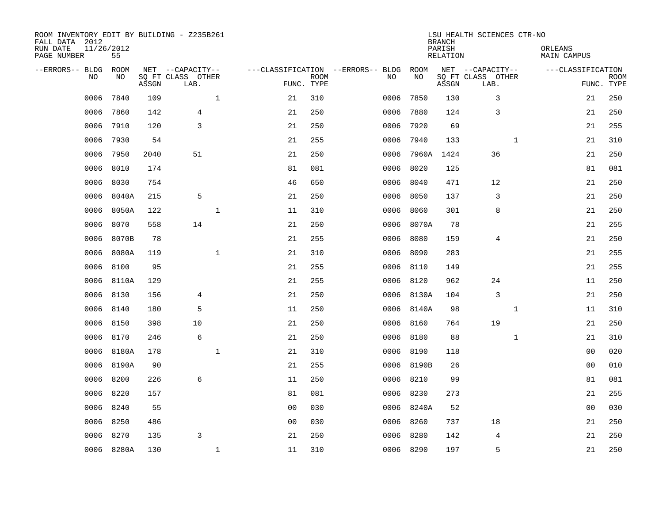| ROOM INVENTORY EDIT BY BUILDING - Z235B261<br>FALL DATA 2012<br>RUN DATE<br>PAGE NUMBER | 11/26/2012<br>55 |       |                                               |              |                                   |                           |      |            | <b>BRANCH</b><br>PARISH<br><b>RELATION</b> | LSU HEALTH SCIENCES CTR-NO                    | ORLEANS      | <b>MAIN CAMPUS</b> |                           |
|-----------------------------------------------------------------------------------------|------------------|-------|-----------------------------------------------|--------------|-----------------------------------|---------------------------|------|------------|--------------------------------------------|-----------------------------------------------|--------------|--------------------|---------------------------|
| --ERRORS-- BLDG<br>NO                                                                   | ROOM<br>NO       | ASSGN | NET --CAPACITY--<br>SQ FT CLASS OTHER<br>LAB. |              | ---CLASSIFICATION --ERRORS-- BLDG | <b>ROOM</b><br>FUNC. TYPE | NO   | ROOM<br>NO | ASSGN                                      | NET --CAPACITY--<br>SQ FT CLASS OTHER<br>LAB. |              | ---CLASSIFICATION  | <b>ROOM</b><br>FUNC. TYPE |
| 0006                                                                                    | 7840             | 109   |                                               | $\mathbf{1}$ | 21                                | 310                       | 0006 | 7850       | 130                                        | 3                                             |              | 21                 | 250                       |
| 0006                                                                                    | 7860             | 142   | 4                                             |              | 21                                | 250                       | 0006 | 7880       | 124                                        | 3                                             |              | 21                 | 250                       |
| 0006                                                                                    | 7910             | 120   | 3                                             |              | 21                                | 250                       | 0006 | 7920       | 69                                         |                                               |              | 21                 | 255                       |
| 0006                                                                                    | 7930             | 54    |                                               |              | 21                                | 255                       | 0006 | 7940       | 133                                        |                                               | $\mathbf{1}$ | 21                 | 310                       |
| 0006                                                                                    | 7950             | 2040  | 51                                            |              | 21                                | 250                       | 0006 | 7960A      | 1424                                       | 36                                            |              | 21                 | 250                       |
| 0006                                                                                    | 8010             | 174   |                                               |              | 81                                | 081                       | 0006 | 8020       | 125                                        |                                               |              | 81                 | 081                       |
| 0006                                                                                    | 8030             | 754   |                                               |              | 46                                | 650                       | 0006 | 8040       | 471                                        | 12                                            |              | 21                 | 250                       |
| 0006                                                                                    | 8040A            | 215   | 5                                             |              | 21                                | 250                       | 0006 | 8050       | 137                                        | 3                                             |              | 21                 | 250                       |
| 0006                                                                                    | 8050A            | 122   |                                               | $\mathbf 1$  | 11                                | 310                       | 0006 | 8060       | 301                                        | 8                                             |              | 21                 | 250                       |
| 0006                                                                                    | 8070             | 558   | 14                                            |              | 21                                | 250                       |      | 0006 8070A | 78                                         |                                               |              | 21                 | 255                       |
| 0006                                                                                    | 8070B            | 78    |                                               |              | 21                                | 255                       | 0006 | 8080       | 159                                        | 4                                             |              | 21                 | 250                       |
| 0006                                                                                    | 8080A            | 119   |                                               | $\mathbf 1$  | 21                                | 310                       | 0006 | 8090       | 283                                        |                                               |              | 21                 | 255                       |
| 0006                                                                                    | 8100             | 95    |                                               |              | 21                                | 255                       | 0006 | 8110       | 149                                        |                                               |              | 21                 | 255                       |
| 0006                                                                                    | 8110A            | 129   |                                               |              | 21                                | 255                       | 0006 | 8120       | 962                                        | 24                                            |              | 11                 | 250                       |
| 0006                                                                                    | 8130             | 156   | $\overline{4}$                                |              | 21                                | 250                       |      | 0006 8130A | 104                                        | 3                                             |              | 21                 | 250                       |
| 0006                                                                                    | 8140             | 180   | 5                                             |              | 11                                | 250                       |      | 0006 8140A | 98                                         |                                               | $\mathbf{1}$ | 11                 | 310                       |
| 0006                                                                                    | 8150             | 398   | 10                                            |              | 21                                | 250                       |      | 0006 8160  | 764                                        | 19                                            |              | 21                 | 250                       |
| 0006                                                                                    | 8170             | 246   | 6                                             |              | 21                                | 250                       | 0006 | 8180       | 88                                         |                                               | $\mathbf{1}$ | 21                 | 310                       |
| 0006                                                                                    | 8180A            | 178   |                                               | $\mathbf{1}$ | 21                                | 310                       |      | 0006 8190  | 118                                        |                                               |              | 0 <sub>0</sub>     | 020                       |
| 0006                                                                                    | 8190A            | 90    |                                               |              | 21                                | 255                       |      | 0006 8190B | 26                                         |                                               |              | 0 <sub>0</sub>     | 010                       |
| 0006                                                                                    | 8200             | 226   | 6                                             |              | 11                                | 250                       |      | 0006 8210  | 99                                         |                                               |              | 81                 | 081                       |
| 0006                                                                                    | 8220             | 157   |                                               |              | 81                                | 081                       | 0006 | 8230       | 273                                        |                                               |              | 21                 | 255                       |
| 0006                                                                                    | 8240             | 55    |                                               |              | 0 <sub>0</sub>                    | 030                       |      | 0006 8240A | 52                                         |                                               |              | 0 <sub>0</sub>     | 030                       |
| 0006                                                                                    | 8250             | 486   |                                               |              | 00                                | 030                       | 0006 | 8260       | 737                                        | 18                                            |              | 21                 | 250                       |
| 0006                                                                                    | 8270             | 135   | 3                                             |              | 21                                | 250                       | 0006 | 8280       | 142                                        | 4                                             |              | 21                 | 250                       |
|                                                                                         | 0006 8280A       | 130   |                                               | $\mathbf{1}$ | 11                                | 310                       |      | 0006 8290  | 197                                        | 5                                             |              | 21                 | 250                       |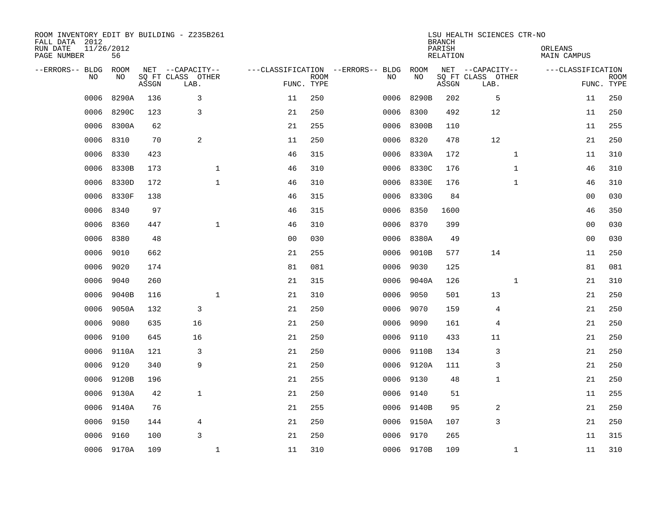| ROOM INVENTORY EDIT BY BUILDING - Z235B261<br>FALL DATA 2012<br>RUN DATE<br>PAGE NUMBER | 11/26/2012<br>56 |       |                                               |                |                           |                                         |            | <b>BRANCH</b><br>PARISH<br><b>RELATION</b> | LSU HEALTH SCIENCES CTR-NO                    | ORLEANS<br><b>MAIN CAMPUS</b> |                           |
|-----------------------------------------------------------------------------------------|------------------|-------|-----------------------------------------------|----------------|---------------------------|-----------------------------------------|------------|--------------------------------------------|-----------------------------------------------|-------------------------------|---------------------------|
| --ERRORS-- BLDG<br>NO                                                                   | ROOM<br>NO       | ASSGN | NET --CAPACITY--<br>SQ FT CLASS OTHER<br>LAB. |                | <b>ROOM</b><br>FUNC. TYPE | ---CLASSIFICATION --ERRORS-- BLDG<br>NO | ROOM<br>NO | ASSGN                                      | NET --CAPACITY--<br>SQ FT CLASS OTHER<br>LAB. | ---CLASSIFICATION             | <b>ROOM</b><br>FUNC. TYPE |
| 0006                                                                                    | 8290A            | 136   | 3                                             | 11             | 250                       | 0006                                    | 8290B      | 202                                        | 5                                             | 11                            | 250                       |
| 0006                                                                                    | 8290C            | 123   | 3                                             | 21             | 250                       | 0006                                    | 8300       | 492                                        | 12                                            | 11                            | 250                       |
| 0006                                                                                    | 8300A            | 62    |                                               | 21             | 255                       | 0006                                    | 8300B      | 110                                        |                                               | 11                            | 255                       |
| 0006                                                                                    | 8310             | 70    | 2                                             | 11             | 250                       |                                         | 0006 8320  | 478                                        | 12                                            | 21                            | 250                       |
| 0006                                                                                    | 8330             | 423   |                                               | 46             | 315                       | 0006                                    | 8330A      | 172                                        | $\mathbf{1}$                                  | 11                            | 310                       |
| 0006                                                                                    | 8330B            | 173   | $\mathbf 1$                                   | 46             | 310                       |                                         | 0006 8330C | 176                                        | $\mathbf{1}$                                  | 46                            | 310                       |
| 0006                                                                                    | 8330D            | 172   | $\mathbf{1}$                                  | 46             | 310                       |                                         | 0006 8330E | 176                                        | $\mathbf{1}$                                  | 46                            | 310                       |
| 0006                                                                                    | 8330F            | 138   |                                               | 46             | 315                       |                                         | 0006 8330G | 84                                         |                                               | 0 <sub>0</sub>                | 030                       |
| 0006                                                                                    | 8340             | 97    |                                               | 46             | 315                       | 0006                                    | 8350       | 1600                                       |                                               | 46                            | 350                       |
| 0006                                                                                    | 8360             | 447   | $\mathbf{1}$                                  | 46             | 310                       |                                         | 0006 8370  | 399                                        |                                               | 0 <sub>0</sub>                | 030                       |
| 0006                                                                                    | 8380             | 48    |                                               | 0 <sub>0</sub> | 030                       | 0006                                    | 8380A      | 49                                         |                                               | 0 <sub>0</sub>                | 030                       |
| 0006                                                                                    | 9010             | 662   |                                               | 21             | 255                       | 0006                                    | 9010B      | 577                                        | 14                                            | 11                            | 250                       |
| 0006                                                                                    | 9020             | 174   |                                               | 81             | 081                       | 0006                                    | 9030       | 125                                        |                                               | 81                            | 081                       |
| 0006                                                                                    | 9040             | 260   |                                               | 21             | 315                       | 0006                                    | 9040A      | 126                                        | 1                                             | 21                            | 310                       |
| 0006                                                                                    | 9040B            | 116   | $\mathbf 1$                                   | 21             | 310                       | 0006                                    | 9050       | 501                                        | 13                                            | 21                            | 250                       |
| 0006                                                                                    | 9050A            | 132   | 3                                             | 21             | 250                       | 0006                                    | 9070       | 159                                        | 4                                             | 21                            | 250                       |
| 0006                                                                                    | 9080             | 635   | 16                                            | 21             | 250                       | 0006                                    | 9090       | 161                                        | 4                                             | 21                            | 250                       |
| 0006                                                                                    | 9100             | 645   | 16                                            | 21             | 250                       |                                         | 0006 9110  | 433                                        | 11                                            | 21                            | 250                       |
| 0006                                                                                    | 9110A            | 121   | 3                                             | 21             | 250                       |                                         | 0006 9110B | 134                                        | 3                                             | 21                            | 250                       |
| 0006                                                                                    | 9120             | 340   | 9                                             | 21             | 250                       |                                         | 0006 9120A | 111                                        | 3                                             | 21                            | 250                       |
| 0006                                                                                    | 9120B            | 196   |                                               | 21             | 255                       |                                         | 0006 9130  | 48                                         | 1                                             | 21                            | 250                       |
| 0006                                                                                    | 9130A            | 42    | $\mathbf{1}$                                  | 21             | 250                       |                                         | 0006 9140  | 51                                         |                                               | 11                            | 255                       |
| 0006                                                                                    | 9140A            | 76    |                                               | 21             | 255                       |                                         | 0006 9140B | 95                                         | 2                                             | 21                            | 250                       |
| 0006                                                                                    | 9150             | 144   | 4                                             | 21             | 250                       |                                         | 0006 9150A | 107                                        | 3                                             | 21                            | 250                       |
| 0006                                                                                    | 9160             | 100   | 3                                             | 21             | 250                       |                                         | 0006 9170  | 265                                        |                                               | 11                            | 315                       |
|                                                                                         | 0006 9170A       | 109   | $\mathbf{1}$                                  | 11             | 310                       |                                         | 0006 9170B | 109                                        | $\mathbf{1}$                                  | 11                            | 310                       |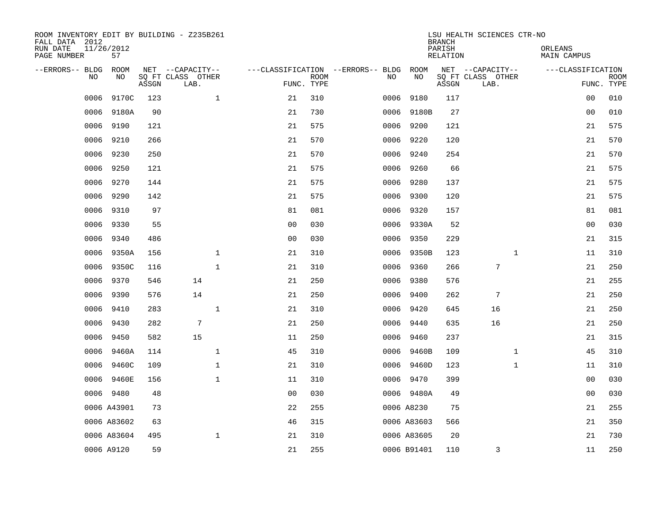| ROOM INVENTORY EDIT BY BUILDING - Z235B261<br>FALL DATA 2012 |                  |       |                           |                |             |                                   |             | <b>BRANCH</b>             | LSU HEALTH SCIENCES CTR-NO |                               |                |             |
|--------------------------------------------------------------|------------------|-------|---------------------------|----------------|-------------|-----------------------------------|-------------|---------------------------|----------------------------|-------------------------------|----------------|-------------|
| RUN DATE<br>PAGE NUMBER                                      | 11/26/2012<br>57 |       |                           |                |             |                                   |             | PARISH<br><b>RELATION</b> |                            | ORLEANS<br><b>MAIN CAMPUS</b> |                |             |
| --ERRORS-- BLDG                                              | ROOM             |       | NET --CAPACITY--          |                |             | ---CLASSIFICATION --ERRORS-- BLDG | ROOM        |                           | NET --CAPACITY--           | ---CLASSIFICATION             |                |             |
| NO                                                           | NO               | ASSGN | SQ FT CLASS OTHER<br>LAB. | FUNC. TYPE     | <b>ROOM</b> | NO                                | NO          | ASSGN                     | SQ FT CLASS OTHER<br>LAB.  |                               | FUNC. TYPE     | <b>ROOM</b> |
| 0006                                                         | 9170C            | 123   | $\mathbf 1$               | 21             | 310         |                                   | 0006 9180   | 117                       |                            |                               | 00             | 010         |
| 0006                                                         | 9180A            | 90    |                           | 21             | 730         |                                   | 0006 9180B  | 27                        |                            |                               | 00             | 010         |
| 0006                                                         | 9190             | 121   |                           | 21             | 575         |                                   | 0006 9200   | 121                       |                            |                               | 21             | 575         |
| 0006                                                         | 9210             | 266   |                           | 21             | 570         |                                   | 0006 9220   | 120                       |                            |                               | 21             | 570         |
| 0006                                                         | 9230             | 250   |                           | 21             | 570         | 0006                              | 9240        | 254                       |                            |                               | 21             | 570         |
| 0006                                                         | 9250             | 121   |                           | 21             | 575         |                                   | 0006 9260   | 66                        |                            |                               | 21             | 575         |
| 0006                                                         | 9270             | 144   |                           | 21             | 575         |                                   | 0006 9280   | 137                       |                            |                               | 21             | 575         |
| 0006                                                         | 9290             | 142   |                           | 21             | 575         |                                   | 0006 9300   | 120                       |                            |                               | 21             | 575         |
| 0006                                                         | 9310             | 97    |                           | 81             | 081         |                                   | 0006 9320   | 157                       |                            |                               | 81             | 081         |
| 0006                                                         | 9330             | 55    |                           | 0 <sub>0</sub> | 030         |                                   | 0006 9330A  | 52                        |                            |                               | 0 <sub>0</sub> | 030         |
| 0006                                                         | 9340             | 486   |                           | 0 <sub>0</sub> | 030         |                                   | 0006 9350   | 229                       |                            |                               | 21             | 315         |
| 0006                                                         | 9350A            | 156   | $\mathbf{1}$              | 21             | 310         |                                   | 0006 9350B  | 123                       | $\mathbf{1}$               |                               | 11             | 310         |
| 0006                                                         | 9350C            | 116   | $\mathbf 1$               | 21             | 310         | 0006                              | 9360        | 266                       | 7                          |                               | 21             | 250         |
| 0006                                                         | 9370             | 546   | 14                        | 21             | 250         |                                   | 0006 9380   | 576                       |                            |                               | 21             | 255         |
| 0006                                                         | 9390             | 576   | 14                        | 21             | 250         | 0006                              | 9400        | 262                       | 7                          |                               | 21             | 250         |
| 0006                                                         | 9410             | 283   | $\mathbf{1}$              | 21             | 310         |                                   | 0006 9420   | 645                       | 16                         |                               | 21             | 250         |
| 0006                                                         | 9430             | 282   | $7\phantom{.0}$           | 21             | 250         | 0006                              | 9440        | 635                       | 16                         |                               | 21             | 250         |
| 0006                                                         | 9450             | 582   | 15                        | 11             | 250         |                                   | 0006 9460   | 237                       |                            |                               | 21             | 315         |
| 0006                                                         | 9460A            | 114   | $\mathbf{1}$              | 45             | 310         |                                   | 0006 9460B  | 109                       | $\mathbf{1}$               |                               | 45             | 310         |
| 0006                                                         | 9460C            | 109   | $\mathbf 1$               | 21             | 310         |                                   | 0006 9460D  | 123                       | $\mathbf{1}$               |                               | 11             | 310         |
|                                                              | 0006 9460E       | 156   | $\mathbf 1$               | 11             | 310         |                                   | 0006 9470   | 399                       |                            |                               | 00             | 030         |
|                                                              | 0006 9480        | 48    |                           | 0 <sub>0</sub> | 030         |                                   | 0006 9480A  | 49                        |                            |                               | 00             | 030         |
|                                                              | 0006 A43901      | 73    |                           | 22             | 255         |                                   | 0006 A8230  | 75                        |                            |                               | 21             | 255         |
|                                                              | 0006 A83602      | 63    |                           | 46             | 315         |                                   | 0006 A83603 | 566                       |                            |                               | 21             | 350         |
|                                                              | 0006 A83604      | 495   | $\mathbf 1$               | 21             | 310         |                                   | 0006 A83605 | 20                        |                            |                               | 21             | 730         |
|                                                              | 0006 A9120       | 59    |                           | 21             | 255         |                                   | 0006 B91401 | 110                       | 3                          |                               | 11             | 250         |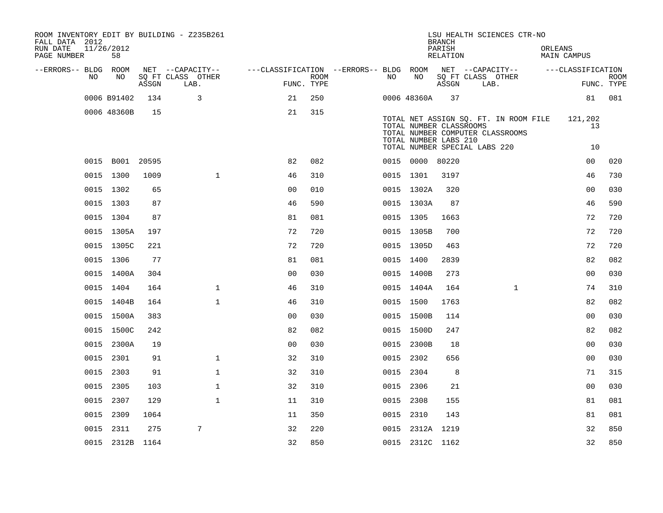| ROOM INVENTORY EDIT BY BUILDING - Z235B261<br>FALL DATA 2012<br>RUN DATE<br>PAGE NUMBER | 11/26/2012<br>58 |       |                           |                                                                             |                           |           |                                                  | <b>BRANCH</b><br>PARISH<br>RELATION |                               | LSU HEALTH SCIENCES CTR-NO                                                | ORLEANS | MAIN CAMPUS    |                           |
|-----------------------------------------------------------------------------------------|------------------|-------|---------------------------|-----------------------------------------------------------------------------|---------------------------|-----------|--------------------------------------------------|-------------------------------------|-------------------------------|---------------------------------------------------------------------------|---------|----------------|---------------------------|
| --ERRORS-- BLDG ROOM                                                                    |                  |       | NET --CAPACITY--          | ---CLASSIFICATION --ERRORS-- BLDG ROOM NET --CAPACITY-- -----CLASSIFICATION |                           |           |                                                  |                                     |                               |                                                                           |         |                |                           |
| NO                                                                                      | NO               | ASSGN | SO FT CLASS OTHER<br>LAB. |                                                                             | <b>ROOM</b><br>FUNC. TYPE | NO        | NO                                               | ASSGN                               |                               | SQ FT CLASS OTHER<br>LAB.                                                 |         |                | <b>ROOM</b><br>FUNC. TYPE |
|                                                                                         | 0006 B91402      | 134   | $\mathbf{3}$              | 21                                                                          | 250                       |           | 0006 48360A                                      | 37                                  |                               |                                                                           |         |                | 81 081                    |
|                                                                                         | 0006 48360B      | 15    |                           | 21                                                                          | 315                       |           |                                                  |                                     |                               |                                                                           |         |                |                           |
|                                                                                         |                  |       |                           |                                                                             |                           |           | TOTAL NUMBER CLASSROOMS<br>TOTAL NUMBER LABS 210 |                                     |                               | TOTAL NET ASSIGN SQ. FT. IN ROOM FILE<br>TOTAL NUMBER COMPUTER CLASSROOMS |         | 121,202<br>13  |                           |
|                                                                                         |                  |       |                           |                                                                             |                           |           |                                                  |                                     | TOTAL NUMBER SPECIAL LABS 220 |                                                                           |         | 10             |                           |
|                                                                                         | 0015 B001 20595  |       |                           | 82                                                                          | 082                       |           | 0015 0000 80220                                  |                                     |                               |                                                                           |         | 00             | 020                       |
|                                                                                         | 0015 1300        | 1009  | $\mathbf{1}$              | 46                                                                          | 310                       |           | 0015 1301                                        | 3197                                |                               |                                                                           |         | 46             | 730                       |
|                                                                                         | 0015 1302        | 65    |                           | 0 <sub>0</sub>                                                              | 010                       |           | 0015 1302A                                       | 320                                 |                               |                                                                           |         | 00             | 030                       |
|                                                                                         | 0015 1303        | 87    |                           | 46                                                                          | 590                       |           | 0015 1303A                                       | 87                                  |                               |                                                                           |         | 46             | 590                       |
|                                                                                         | 0015 1304        | 87    |                           | 81                                                                          | 081                       |           | 0015 1305                                        | 1663                                |                               |                                                                           |         | 72             | 720                       |
|                                                                                         | 0015 1305A       | 197   |                           | 72                                                                          | 720                       |           | 0015 1305B                                       | 700                                 |                               |                                                                           |         | 72             | 720                       |
|                                                                                         | 0015 1305C       | 221   |                           | 72                                                                          | 720                       |           | 0015 1305D                                       | 463                                 |                               |                                                                           |         | 72             | 720                       |
|                                                                                         | 0015 1306        | 77    |                           | 81                                                                          | 081                       |           | 0015 1400                                        | 2839                                |                               |                                                                           |         | 82             | 082                       |
|                                                                                         | 0015 1400A       | 304   |                           | 00                                                                          | 030                       |           | 0015 1400B                                       | 273                                 |                               |                                                                           |         | 0 <sub>0</sub> | 030                       |
|                                                                                         | 0015 1404        | 164   | $\mathbf{1}$              | 46                                                                          | 310                       |           | 0015 1404A                                       | 164                                 |                               | $\mathbf{1}$                                                              |         | 74             | 310                       |
|                                                                                         | 0015 1404B       | 164   | $\mathbf{1}$              | 46                                                                          | 310                       |           | 0015 1500                                        | 1763                                |                               |                                                                           |         | 82             | 082                       |
|                                                                                         | 0015 1500A       | 383   |                           | 0 <sub>0</sub>                                                              | 030                       |           | 0015 1500B                                       | 114                                 |                               |                                                                           |         | 0 <sub>0</sub> | 030                       |
|                                                                                         | 0015 1500C       | 242   |                           | 82                                                                          | 082                       |           | 0015 1500D                                       | 247                                 |                               |                                                                           |         | 82             | 082                       |
|                                                                                         | 0015 2300A       | 19    |                           | 0 <sub>0</sub>                                                              | 030                       |           | 0015 2300B                                       | 18                                  |                               |                                                                           |         | 0 <sub>0</sub> | 030                       |
|                                                                                         | 0015 2301        | 91    | $\mathbf{1}$              | 32                                                                          | 310                       | 0015 2302 |                                                  | 656                                 |                               |                                                                           |         | 0 <sub>0</sub> | 030                       |
|                                                                                         | 0015 2303        | 91    | $\mathbf{1}$              | 32                                                                          | 310                       | 0015 2304 |                                                  | 8                                   |                               |                                                                           |         | 71             | 315                       |
|                                                                                         | 0015 2305        | 103   | $\mathbf{1}$              | 32                                                                          | 310                       | 0015 2306 |                                                  | 21                                  |                               |                                                                           |         | 0 <sub>0</sub> | 030                       |
|                                                                                         | 0015 2307        | 129   | $\mathbf{1}$              | 11                                                                          | 310                       | 0015 2308 |                                                  | 155                                 |                               |                                                                           |         | 81             | 081                       |
|                                                                                         | 0015 2309        | 1064  |                           | 11                                                                          | 350                       | 0015 2310 |                                                  | 143                                 |                               |                                                                           |         | 81             | 081                       |
|                                                                                         | 0015 2311        | 275   | 7                         | 32                                                                          | 220                       |           | 0015 2312A 1219                                  |                                     |                               |                                                                           |         | 32             | 850                       |
|                                                                                         | 0015 2312B 1164  |       |                           | 32                                                                          | 850                       |           | 0015 2312C 1162                                  |                                     |                               |                                                                           |         | 32             | 850                       |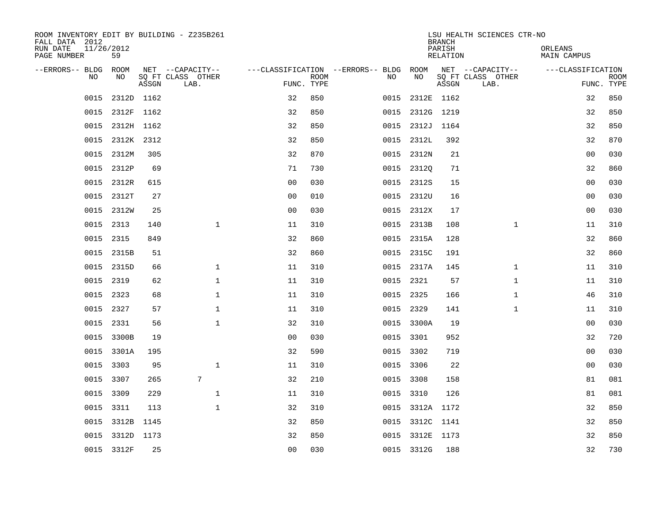| ROOM INVENTORY EDIT BY BUILDING - Z235B261<br>FALL DATA 2012 |                 |       |                           |                                        |             |      | <b>BRANCH</b>   | LSU HEALTH SCIENCES CTR-NO |                           |                        |             |
|--------------------------------------------------------------|-----------------|-------|---------------------------|----------------------------------------|-------------|------|-----------------|----------------------------|---------------------------|------------------------|-------------|
| 11/26/2012<br>RUN DATE<br>PAGE NUMBER                        | 59              |       |                           |                                        |             |      |                 | PARISH<br>RELATION         |                           | ORLEANS<br>MAIN CAMPUS |             |
| --ERRORS-- BLDG ROOM                                         |                 |       | NET --CAPACITY--          | ---CLASSIFICATION --ERRORS-- BLDG ROOM |             |      |                 |                            | NET --CAPACITY--          | ---CLASSIFICATION      |             |
| NO.                                                          | NO.             | ASSGN | SQ FT CLASS OTHER<br>LAB. | FUNC. TYPE                             | <b>ROOM</b> | NO.  | NO              | ASSGN                      | SQ FT CLASS OTHER<br>LAB. | FUNC. TYPE             | <b>ROOM</b> |
| 0015                                                         | 2312D 1162      |       |                           | 32                                     | 850         | 0015 | 2312E 1162      |                            |                           | 32                     | 850         |
| 0015                                                         | 2312F 1162      |       |                           | 32                                     | 850         | 0015 | 2312G 1219      |                            |                           | 32                     | 850         |
| 0015                                                         | 2312H 1162      |       |                           | 32                                     | 850         |      | 0015 2312J 1164 |                            |                           | 32                     | 850         |
| 0015                                                         | 2312K 2312      |       |                           | 32                                     | 850         |      | 0015 2312L      | 392                        |                           | 32                     | 870         |
| 0015                                                         | 2312M           | 305   |                           | 32                                     | 870         |      | 0015 2312N      | 21                         |                           | 0 <sub>0</sub>         | 030         |
|                                                              | 0015 2312P      | 69    |                           | 71                                     | 730         |      | 0015 23120      | 71                         |                           | 32                     | 860         |
| 0015                                                         | 2312R           | 615   |                           | 0 <sub>0</sub>                         | 030         |      | 0015 2312S      | 15                         |                           | 0 <sub>0</sub>         | 030         |
| 0015                                                         | 2312T           | 27    |                           | 0 <sub>0</sub>                         | 010         |      | 0015 2312U      | 16                         |                           | 00                     | 030         |
| 0015                                                         | 2312W           | 25    |                           | 0 <sub>0</sub>                         | 030         |      | 0015 2312X      | 17                         |                           | 0 <sub>0</sub>         | 030         |
|                                                              | 0015 2313       | 140   | $\mathbf{1}$              | 11                                     | 310         |      | 0015 2313B      | 108                        | $\mathbf{1}$              | 11                     | 310         |
| 0015                                                         | 2315            | 849   |                           | 32                                     | 860         |      | 0015 2315A      | 128                        |                           | 32                     | 860         |
|                                                              | 0015 2315B      | 51    |                           | 32                                     | 860         |      | 0015 2315C      | 191                        |                           | 32                     | 860         |
| 0015                                                         | 2315D           | 66    | $\mathbf{1}$              | 11                                     | 310         |      | 0015 2317A      | 145                        | $\mathbf{1}$              | 11                     | 310         |
|                                                              | 0015 2319       | 62    | $\mathbf 1$               | 11                                     | 310         |      | 0015 2321       | 57                         | $\mathbf{1}$              | 11                     | 310         |
| 0015                                                         | 2323            | 68    | $\mathbf{1}$              | 11                                     | 310         |      | 0015 2325       | 166                        | $\mathbf{1}$              | 46                     | 310         |
|                                                              | 0015 2327       | 57    | $\mathbf{1}$              | 11                                     | 310         |      | 0015 2329       | 141                        | $\mathbf{1}$              | 11                     | 310         |
| 0015                                                         | 2331            | 56    | 1                         | 32                                     | 310         |      | 0015 3300A      | 19                         |                           | 00                     | 030         |
| 0015                                                         | 3300B           | 19    |                           | 0 <sub>0</sub>                         | 030         |      | 0015 3301       | 952                        |                           | 32                     | 720         |
|                                                              | 0015 3301A      | 195   |                           | 32                                     | 590         |      | 0015 3302       | 719                        |                           | 0 <sub>0</sub>         | 030         |
|                                                              | 0015 3303       | 95    | $\mathbf{1}$              | 11                                     | 310         |      | 0015 3306       | 22                         |                           | 0 <sub>0</sub>         | 030         |
|                                                              | 0015 3307       | 265   | 7                         | 32                                     | 210         |      | 0015 3308       | 158                        |                           | 81                     | 081         |
| 0015                                                         | 3309            | 229   | $\mathbf 1$               | 11                                     | 310         |      | 0015 3310       | 126                        |                           | 81                     | 081         |
|                                                              | 0015 3311       | 113   | $\mathbf{1}$              | 32                                     | 310         |      | 0015 3312A 1172 |                            |                           | 32                     | 850         |
| 0015                                                         | 3312B           | 1145  |                           | 32                                     | 850         |      | 0015 3312C 1141 |                            |                           | 32                     | 850         |
|                                                              | 0015 3312D 1173 |       |                           | 32                                     | 850         |      | 0015 3312E 1173 |                            |                           | 32                     | 850         |
|                                                              | 0015 3312F      | 25    |                           | 0 <sub>0</sub>                         | 030         |      | 0015 3312G      | 188                        |                           | 32                     | 730         |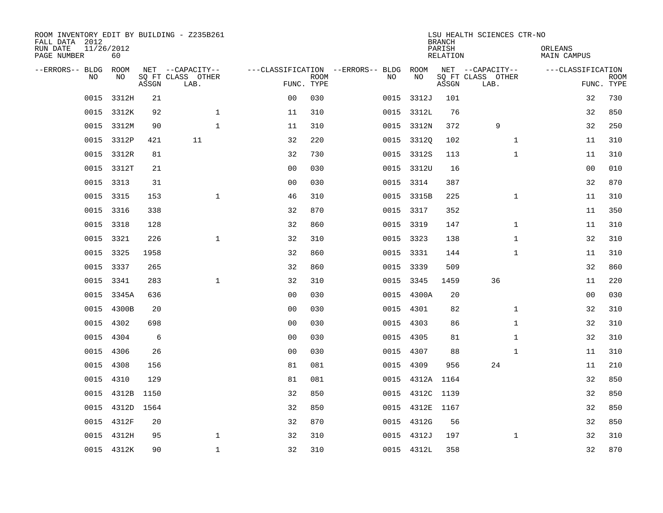| ROOM INVENTORY EDIT BY BUILDING - Z235B261<br>FALL DATA 2012<br>RUN DATE<br>PAGE NUMBER | 11/26/2012<br>60 |       |                                               |                |             |                                              |                 | <b>BRANCH</b><br>PARISH<br><b>RELATION</b> | LSU HEALTH SCIENCES CTR-NO                    | ORLEANS<br><b>MAIN CAMPUS</b> |                           |
|-----------------------------------------------------------------------------------------|------------------|-------|-----------------------------------------------|----------------|-------------|----------------------------------------------|-----------------|--------------------------------------------|-----------------------------------------------|-------------------------------|---------------------------|
| --ERRORS-- BLDG ROOM<br>NO                                                              | NO               | ASSGN | NET --CAPACITY--<br>SQ FT CLASS OTHER<br>LAB. | FUNC. TYPE     | <b>ROOM</b> | ---CLASSIFICATION --ERRORS-- BLDG ROOM<br>NO | NO              | ASSGN                                      | NET --CAPACITY--<br>SQ FT CLASS OTHER<br>LAB. | ---CLASSIFICATION             | <b>ROOM</b><br>FUNC. TYPE |
| 0015                                                                                    | 3312H            | 21    |                                               | 0 <sub>0</sub> | 030         | 0015                                         | 3312J           | 101                                        |                                               | 32                            | 730                       |
|                                                                                         | 0015 3312K       | 92    | $\mathbf 1$                                   | 11             | 310         |                                              | 0015 3312L      | 76                                         |                                               | 32                            | 850                       |
| 0015                                                                                    | 3312M            | 90    | $\mathbf{1}$                                  | 11             | 310         |                                              | 0015 3312N      | 372                                        | 9                                             | 32                            | 250                       |
| 0015                                                                                    | 3312P            | 421   | 11                                            | 32             | 220         |                                              | 0015 33120      | 102                                        | $\mathbf{1}$                                  | 11                            | 310                       |
| 0015                                                                                    | 3312R            | 81    |                                               | 32             | 730         |                                              | 0015 3312S      | 113                                        | $\mathbf{1}$                                  | 11                            | 310                       |
|                                                                                         | 0015 3312T       | 21    |                                               | 0 <sub>0</sub> | 030         |                                              | 0015 3312U      | 16                                         |                                               | 0 <sub>0</sub>                | 010                       |
| 0015                                                                                    | 3313             | 31    |                                               | 0 <sub>0</sub> | 030         |                                              | 0015 3314       | 387                                        |                                               | 32                            | 870                       |
|                                                                                         | 0015 3315        | 153   | $\mathbf{1}$                                  | 46             | 310         |                                              | 0015 3315B      | 225                                        | $\mathbf{1}$                                  | 11                            | 310                       |
| 0015                                                                                    | 3316             | 338   |                                               | 32             | 870         |                                              | 0015 3317       | 352                                        |                                               | 11                            | 350                       |
|                                                                                         | 0015 3318        | 128   |                                               | 32             | 860         |                                              | 0015 3319       | 147                                        | $\mathbf{1}$                                  | 11                            | 310                       |
| 0015                                                                                    | 3321             | 226   | $\mathbf{1}$                                  | 32             | 310         |                                              | 0015 3323       | 138                                        | $\mathbf{1}$                                  | 32                            | 310                       |
|                                                                                         | 0015 3325        | 1958  |                                               | 32             | 860         |                                              | 0015 3331       | 144                                        | $\mathbf{1}$                                  | 11                            | 310                       |
| 0015                                                                                    | 3337             | 265   |                                               | 32             | 860         |                                              | 0015 3339       | 509                                        |                                               | 32                            | 860                       |
| 0015                                                                                    | 3341             | 283   | $\mathbf 1$                                   | 32             | 310         |                                              | 0015 3345       | 1459                                       | 36                                            | 11                            | 220                       |
| 0015                                                                                    | 3345A            | 636   |                                               | 0 <sub>0</sub> | 030         |                                              | 0015 4300A      | 20                                         |                                               | 00                            | 030                       |
| 0015                                                                                    | 4300B            | 20    |                                               | 0 <sub>0</sub> | 030         |                                              | 0015 4301       | 82                                         | $\mathbf{1}$                                  | 32                            | 310                       |
| 0015                                                                                    | 4302             | 698   |                                               | 0 <sub>0</sub> | 030         | 0015                                         | 4303            | 86                                         | $\mathbf{1}$                                  | 32                            | 310                       |
| 0015                                                                                    | 4304             | 6     |                                               | 0 <sub>0</sub> | 030         |                                              | 0015 4305       | 81                                         | $\mathbf{1}$                                  | 32                            | 310                       |
| 0015                                                                                    | 4306             | 26    |                                               | 0 <sub>0</sub> | 030         |                                              | 0015 4307       | 88                                         | $\mathbf{1}$                                  | 11                            | 310                       |
| 0015                                                                                    | 4308             | 156   |                                               | 81             | 081         |                                              | 0015 4309       | 956                                        | 24                                            | 11                            | 210                       |
| 0015                                                                                    | 4310             | 129   |                                               | 81             | 081         |                                              | 0015 4312A 1164 |                                            |                                               | 32                            | 850                       |
| 0015                                                                                    | 4312B            | 1150  |                                               | 32             | 850         | 0015                                         | 4312C 1139      |                                            |                                               | 32                            | 850                       |
|                                                                                         | 0015 4312D 1564  |       |                                               | 32             | 850         |                                              | 0015 4312E 1167 |                                            |                                               | 32                            | 850                       |
| 0015                                                                                    | 4312F            | 20    |                                               | 32             | 870         |                                              | 0015 4312G      | 56                                         |                                               | 32                            | 850                       |
|                                                                                         | 0015 4312H       | 95    | $\mathbf 1$                                   | 32             | 310         |                                              | 0015 4312J      | 197                                        | $\mathbf{1}$                                  | 32                            | 310                       |
|                                                                                         | 0015 4312K       | 90    | $\mathbf{1}$                                  | 32             | 310         |                                              | 0015 4312L      | 358                                        |                                               | 32                            | 870                       |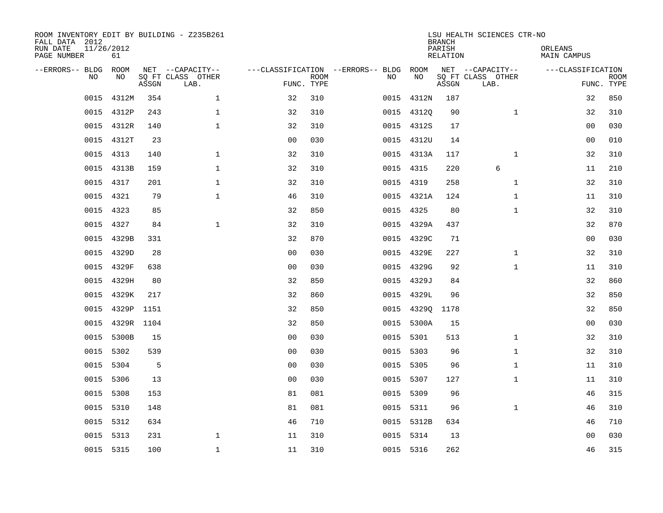| ROOM INVENTORY EDIT BY BUILDING - Z235B261<br>FALL DATA 2012<br>RUN DATE<br>PAGE NUMBER | 11/26/2012<br>61 |       |                                               |                |             |                                              |           |            | <b>BRANCH</b><br>PARISH<br><b>RELATION</b> | LSU HEALTH SCIENCES CTR-NO                    | ORLEANS<br><b>MAIN CAMPUS</b> |                           |
|-----------------------------------------------------------------------------------------|------------------|-------|-----------------------------------------------|----------------|-------------|----------------------------------------------|-----------|------------|--------------------------------------------|-----------------------------------------------|-------------------------------|---------------------------|
| --ERRORS-- BLDG ROOM<br>NO                                                              | NO               | ASSGN | NET --CAPACITY--<br>SQ FT CLASS OTHER<br>LAB. | FUNC. TYPE     | <b>ROOM</b> | ---CLASSIFICATION --ERRORS-- BLDG ROOM<br>NO |           | NO         | ASSGN                                      | NET --CAPACITY--<br>SQ FT CLASS OTHER<br>LAB. | ---CLASSIFICATION             | <b>ROOM</b><br>FUNC. TYPE |
| 0015                                                                                    | 4312M            | 354   | $\mathbf 1$                                   | 32             | 310         | 0015                                         |           | 4312N      | 187                                        |                                               | 32                            | 850                       |
|                                                                                         | 0015 4312P       | 243   | $\mathbf 1$                                   | 32             | 310         |                                              |           | 0015 43120 | 90                                         | $\mathbf{1}$                                  | 32                            | 310                       |
| 0015                                                                                    | 4312R            | 140   | $\mathbf 1$                                   | 32             | 310         |                                              |           | 0015 4312S | 17                                         |                                               | 00                            | 030                       |
|                                                                                         | 0015 4312T       | 23    |                                               | 0 <sub>0</sub> | 030         |                                              |           | 0015 4312U | 14                                         |                                               | 0 <sub>0</sub>                | 010                       |
| 0015                                                                                    | 4313             | 140   | $\mathbf{1}$                                  | 32             | 310         |                                              |           | 0015 4313A | 117                                        | $\mathbf{1}$                                  | 32                            | 310                       |
|                                                                                         | 0015 4313B       | 159   | $\mathbf{1}$                                  | 32             | 310         |                                              | 0015 4315 |            | 220                                        | 6                                             | 11                            | 210                       |
| 0015                                                                                    | 4317             | 201   | $\mathbf{1}$                                  | 32             | 310         |                                              | 0015 4319 |            | 258                                        | $\mathbf{1}$                                  | 32                            | 310                       |
|                                                                                         | 0015 4321        | 79    | $\mathbf{1}$                                  | 46             | 310         |                                              |           | 0015 4321A | 124                                        | $\mathbf{1}$                                  | 11                            | 310                       |
| 0015                                                                                    | 4323             | 85    |                                               | 32             | 850         |                                              | 0015      | 4325       | 80                                         | $\mathbf{1}$                                  | 32                            | 310                       |
|                                                                                         | 0015 4327        | 84    | $\mathbf{1}$                                  | 32             | 310         |                                              |           | 0015 4329A | 437                                        |                                               | 32                            | 870                       |
|                                                                                         | 0015 4329B       | 331   |                                               | 32             | 870         |                                              |           | 0015 4329C | 71                                         |                                               | 0 <sub>0</sub>                | 030                       |
| 0015                                                                                    | 4329D            | 28    |                                               | 0 <sub>0</sub> | 030         |                                              |           | 0015 4329E | 227                                        | $\mathbf{1}$                                  | 32                            | 310                       |
| 0015                                                                                    | 4329F            | 638   |                                               | 0 <sub>0</sub> | 030         | 0015                                         |           | 4329G      | 92                                         | $\mathbf{1}$                                  | 11                            | 310                       |
| 0015                                                                                    | 4329H            | 80    |                                               | 32             | 850         |                                              |           | 0015 4329J | 84                                         |                                               | 32                            | 860                       |
| 0015                                                                                    | 4329K            | 217   |                                               | 32             | 860         |                                              | 0015      | 4329L      | 96                                         |                                               | 32                            | 850                       |
| 0015                                                                                    | 4329P            | 1151  |                                               | 32             | 850         |                                              |           |            | 0015 43290 1178                            |                                               | 32                            | 850                       |
| 0015                                                                                    | 4329R 1104       |       |                                               | 32             | 850         |                                              | 0015      | 5300A      | 15                                         |                                               | 0 <sub>0</sub>                | 030                       |
| 0015                                                                                    | 5300B            | 15    |                                               | 0 <sub>0</sub> | 030         |                                              | 0015 5301 |            | 513                                        | $\mathbf{1}$                                  | 32                            | 310                       |
|                                                                                         | 0015 5302        | 539   |                                               | 0 <sub>0</sub> | 030         |                                              | 0015 5303 |            | 96                                         | $\mathbf{1}$                                  | 32                            | 310                       |
| 0015                                                                                    | 5304             | 5     |                                               | 0 <sub>0</sub> | 030         |                                              | 0015 5305 |            | 96                                         | $\mathbf{1}$                                  | 11                            | 310                       |
|                                                                                         | 0015 5306        | 13    |                                               | 0 <sub>0</sub> | 030         |                                              | 0015 5307 |            | 127                                        | $\mathbf{1}$                                  | 11                            | 310                       |
| 0015                                                                                    | 5308             | 153   |                                               | 81             | 081         |                                              | 0015 5309 |            | 96                                         |                                               | 46                            | 315                       |
|                                                                                         | 0015 5310        | 148   |                                               | 81             | 081         |                                              | 0015 5311 |            | 96                                         | $\mathbf{1}$                                  | 46                            | 310                       |
| 0015                                                                                    | 5312             | 634   |                                               | 46             | 710         |                                              |           | 0015 5312B | 634                                        |                                               | 46                            | 710                       |
|                                                                                         | 0015 5313        | 231   | $\mathbf 1$                                   | 11             | 310         |                                              | 0015 5314 |            | 13                                         |                                               | 0 <sub>0</sub>                | 030                       |
|                                                                                         | 0015 5315        | 100   | $\mathbf{1}$                                  | 11             | 310         |                                              | 0015 5316 |            | 262                                        |                                               | 46                            | 315                       |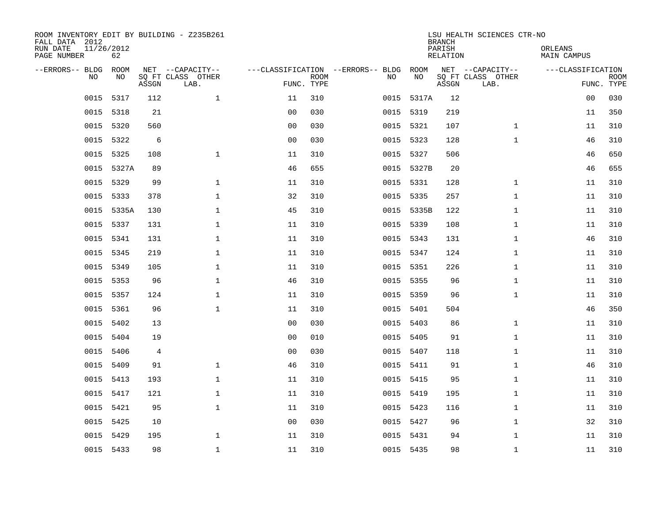| ROOM INVENTORY EDIT BY BUILDING - Z235B261<br>FALL DATA 2012<br>RUN DATE<br>PAGE NUMBER | 11/26/2012<br>62 |       |                                               |                |                           |                                         |            | <b>BRANCH</b><br>PARISH<br><b>RELATION</b> | LSU HEALTH SCIENCES CTR-NO                    | ORLEANS<br><b>MAIN CAMPUS</b> |                           |
|-----------------------------------------------------------------------------------------|------------------|-------|-----------------------------------------------|----------------|---------------------------|-----------------------------------------|------------|--------------------------------------------|-----------------------------------------------|-------------------------------|---------------------------|
| --ERRORS-- BLDG<br>NO.                                                                  | ROOM<br>NO       | ASSGN | NET --CAPACITY--<br>SQ FT CLASS OTHER<br>LAB. |                | <b>ROOM</b><br>FUNC. TYPE | ---CLASSIFICATION --ERRORS-- BLDG<br>NO | ROOM<br>NO | ASSGN                                      | NET --CAPACITY--<br>SQ FT CLASS OTHER<br>LAB. | ---CLASSIFICATION             | <b>ROOM</b><br>FUNC. TYPE |
| 0015                                                                                    | 5317             | 112   | $\mathbf{1}$                                  | 11             | 310                       |                                         | 0015 5317A | 12                                         |                                               | 0 <sub>0</sub>                | 030                       |
| 0015                                                                                    | 5318             | 21    |                                               | 0 <sub>0</sub> | 030                       |                                         | 0015 5319  | 219                                        |                                               | 11                            | 350                       |
| 0015                                                                                    | 5320             | 560   |                                               | 0 <sub>0</sub> | 030                       |                                         | 0015 5321  | 107                                        | $\mathbf{1}$                                  | 11                            | 310                       |
| 0015                                                                                    | 5322             | 6     |                                               | 0 <sub>0</sub> | 030                       |                                         | 0015 5323  | 128                                        | $\mathbf{1}$                                  | 46                            | 310                       |
| 0015                                                                                    | 5325             | 108   | $\mathbf{1}$                                  | 11             | 310                       | 0015                                    | 5327       | 506                                        |                                               | 46                            | 650                       |
| 0015                                                                                    | 5327A            | 89    |                                               | 46             | 655                       |                                         | 0015 5327B | 20                                         |                                               | 46                            | 655                       |
| 0015                                                                                    | 5329             | 99    | $\mathbf{1}$                                  | 11             | 310                       |                                         | 0015 5331  | 128                                        | $\mathbf{1}$                                  | 11                            | 310                       |
|                                                                                         | 0015 5333        | 378   | $\mathbf{1}$                                  | 32             | 310                       |                                         | 0015 5335  | 257                                        | $\mathbf{1}$                                  | 11                            | 310                       |
| 0015                                                                                    | 5335A            | 130   | $\mathbf{1}$                                  | 45             | 310                       |                                         | 0015 5335B | 122                                        | $\mathbf{1}$                                  | 11                            | 310                       |
| 0015                                                                                    | 5337             | 131   | $\mathbf 1$                                   | 11             | 310                       |                                         | 0015 5339  | 108                                        | $\mathbf{1}$                                  | 11                            | 310                       |
| 0015                                                                                    | 5341             | 131   | $\mathbf 1$                                   | 11             | 310                       |                                         | 0015 5343  | 131                                        | $\mathbf{1}$                                  | 46                            | 310                       |
| 0015                                                                                    | 5345             | 219   | $\mathbf 1$                                   | 11             | 310                       |                                         | 0015 5347  | 124                                        | $\mathbf{1}$                                  | 11                            | 310                       |
| 0015                                                                                    | 5349             | 105   | $\mathbf 1$                                   | 11             | 310                       | 0015                                    | 5351       | 226                                        | $\mathbf{1}$                                  | 11                            | 310                       |
| 0015                                                                                    | 5353             | 96    | $\mathbf{1}$                                  | 46             | 310                       |                                         | 0015 5355  | 96                                         | $\mathbf{1}$                                  | 11                            | 310                       |
| 0015                                                                                    | 5357             | 124   | $\mathbf 1$                                   | 11             | 310                       | 0015                                    | 5359       | 96                                         | $\mathbf{1}$                                  | 11                            | 310                       |
| 0015                                                                                    | 5361             | 96    | $\mathbf{1}$                                  | 11             | 310                       |                                         | 0015 5401  | 504                                        |                                               | 46                            | 350                       |
| 0015                                                                                    | 5402             | 13    |                                               | 0 <sub>0</sub> | 030                       |                                         | 0015 5403  | 86                                         | $\mathbf{1}$                                  | 11                            | 310                       |
| 0015                                                                                    | 5404             | 19    |                                               | 0 <sub>0</sub> | 010                       |                                         | 0015 5405  | 91                                         | $\mathbf{1}$                                  | 11                            | 310                       |
| 0015                                                                                    | 5406             | 4     |                                               | 0 <sub>0</sub> | 030                       |                                         | 0015 5407  | 118                                        | $\mathbf{1}$                                  | 11                            | 310                       |
| 0015                                                                                    | 5409             | 91    | $\mathbf 1$                                   | 46             | 310                       |                                         | 0015 5411  | 91                                         | $\mathbf{1}$                                  | 46                            | 310                       |
|                                                                                         | 0015 5413        | 193   | $\mathbf 1$                                   | 11             | 310                       |                                         | 0015 5415  | 95                                         | $\mathbf{1}$                                  | 11                            | 310                       |
| 0015                                                                                    | 5417             | 121   | $\mathbf{1}$                                  | 11             | 310                       |                                         | 0015 5419  | 195                                        | $\mathbf{1}$                                  | 11                            | 310                       |
|                                                                                         | 0015 5421        | 95    | $\mathbf{1}$                                  | 11             | 310                       |                                         | 0015 5423  | 116                                        | $\mathbf{1}$                                  | 11                            | 310                       |
| 0015                                                                                    | 5425             | 10    |                                               | 0 <sub>0</sub> | 030                       |                                         | 0015 5427  | 96                                         | $\mathbf{1}$                                  | 32                            | 310                       |
| 0015                                                                                    | 5429             | 195   | $\mathbf 1$                                   | 11             | 310                       |                                         | 0015 5431  | 94                                         | $\mathbf{1}$                                  | 11                            | 310                       |
|                                                                                         | 0015 5433        | 98    | $\mathbf{1}$                                  | 11             | 310                       |                                         | 0015 5435  | 98                                         | $\mathbf{1}$                                  | 11                            | 310                       |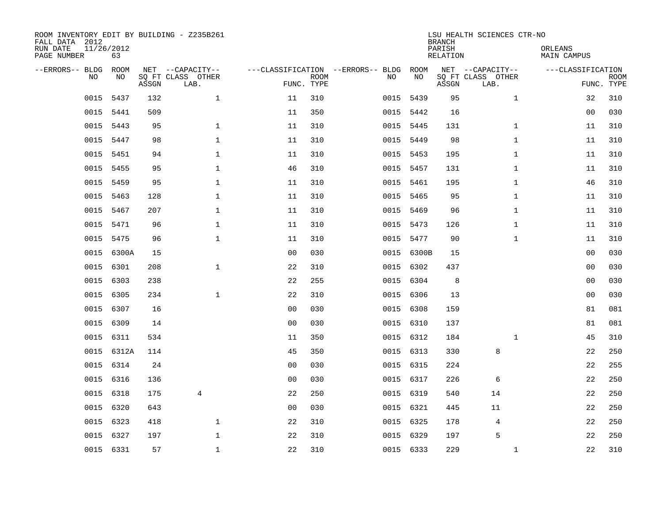| ROOM INVENTORY EDIT BY BUILDING - Z235B261<br>FALL DATA 2012<br>RUN DATE<br>PAGE NUMBER | 11/26/2012<br>63 |       |                                               |                                                 |             |      |            | <b>BRANCH</b><br>PARISH<br>RELATION | LSU HEALTH SCIENCES CTR-NO                    | ORLEANS<br>MAIN CAMPUS |                           |
|-----------------------------------------------------------------------------------------|------------------|-------|-----------------------------------------------|-------------------------------------------------|-------------|------|------------|-------------------------------------|-----------------------------------------------|------------------------|---------------------------|
| --ERRORS-- BLDG<br><b>NO</b>                                                            | ROOM<br>NO.      | ASSGN | NET --CAPACITY--<br>SO FT CLASS OTHER<br>LAB. | ---CLASSIFICATION --ERRORS-- BLDG<br>FUNC. TYPE | <b>ROOM</b> | NO   | ROOM<br>NO | ASSGN                               | NET --CAPACITY--<br>SQ FT CLASS OTHER<br>LAB. | ---CLASSIFICATION      | <b>ROOM</b><br>FUNC. TYPE |
| 0015                                                                                    | 5437             | 132   | $\mathbf{1}$                                  | 11                                              | 310         | 0015 | 5439       | 95                                  | $\mathbf{1}$                                  | 32                     | 310                       |
| 0015                                                                                    | 5441             | 509   |                                               | 11                                              | 350         |      | 0015 5442  | 16                                  |                                               | 0 <sub>0</sub>         | 030                       |
| 0015                                                                                    | 5443             | 95    | $\mathbf{1}$                                  | 11                                              | 310         |      | 0015 5445  | 131                                 | $\mathbf{1}$                                  | 11                     | 310                       |
|                                                                                         | 0015 5447        | 98    | $\mathbf{1}$                                  | 11                                              | 310         |      | 0015 5449  | 98                                  | $\mathbf{1}$                                  | 11                     | 310                       |
| 0015                                                                                    | 5451             | 94    | $\mathbf{1}$                                  | 11                                              | 310         |      | 0015 5453  | 195                                 | $\mathbf{1}$                                  | 11                     | 310                       |
| 0015                                                                                    | 5455             | 95    | $\mathbf{1}$                                  | 46                                              | 310         |      | 0015 5457  | 131                                 | $\mathbf{1}$                                  | 11                     | 310                       |
| 0015                                                                                    | 5459             | 95    | $\mathbf{1}$                                  | 11                                              | 310         |      | 0015 5461  | 195                                 | $\mathbf{1}$                                  | 46                     | 310                       |
| 0015                                                                                    | 5463             | 128   | $\mathbf 1$                                   | 11                                              | 310         |      | 0015 5465  | 95                                  | $\mathbf{1}$                                  | 11                     | 310                       |
| 0015                                                                                    | 5467             | 207   | $\mathbf{1}$                                  | 11                                              | 310         | 0015 | 5469       | 96                                  | $\mathbf{1}$                                  | 11                     | 310                       |
| 0015                                                                                    | 5471             | 96    | $\mathbf 1$                                   | 11                                              | 310         |      | 0015 5473  | 126                                 | $\mathbf{1}$                                  | 11                     | 310                       |
| 0015                                                                                    | 5475             | 96    | $\mathbf 1$                                   | 11                                              | 310         | 0015 | 5477       | 90                                  | $\mathbf{1}$                                  | 11                     | 310                       |
| 0015                                                                                    | 6300A            | 15    |                                               | 0 <sub>0</sub>                                  | 030         |      | 0015 6300B | 15                                  |                                               | 00                     | 030                       |
| 0015                                                                                    | 6301             | 208   | $\mathbf 1$                                   | 22                                              | 310         | 0015 | 6302       | 437                                 |                                               | 00                     | 030                       |
| 0015                                                                                    | 6303             | 238   |                                               | 22                                              | 255         | 0015 | 6304       | 8                                   |                                               | 00                     | 030                       |
| 0015                                                                                    | 6305             | 234   | $\mathbf{1}$                                  | 22                                              | 310         | 0015 | 6306       | 13                                  |                                               | 0 <sub>0</sub>         | 030                       |
| 0015                                                                                    | 6307             | 16    |                                               | 0 <sub>0</sub>                                  | 030         |      | 0015 6308  | 159                                 |                                               | 81                     | 081                       |
| 0015                                                                                    | 6309             | 14    |                                               | 0 <sub>0</sub>                                  | 030         | 0015 | 6310       | 137                                 |                                               | 81                     | 081                       |
| 0015                                                                                    | 6311             | 534   |                                               | 11                                              | 350         |      | 0015 6312  | 184                                 | $\mathbf{1}$                                  | 45                     | 310                       |
|                                                                                         | 0015 6312A       | 114   |                                               | 45                                              | 350         |      | 0015 6313  | 330                                 | 8                                             | 22                     | 250                       |
| 0015                                                                                    | 6314             | 24    |                                               | 0 <sub>0</sub>                                  | 030         |      | 0015 6315  | 224                                 |                                               | 22                     | 255                       |
|                                                                                         | 0015 6316        | 136   |                                               | 0 <sub>0</sub>                                  | 030         |      | 0015 6317  | 226                                 | 6                                             | 22                     | 250                       |
| 0015                                                                                    | 6318             | 175   | $\overline{4}$                                | 22                                              | 250         |      | 0015 6319  | 540                                 | 14                                            | 22                     | 250                       |
| 0015                                                                                    | 6320             | 643   |                                               | 0 <sub>0</sub>                                  | 030         |      | 0015 6321  | 445                                 | 11                                            | 22                     | 250                       |
| 0015                                                                                    | 6323             | 418   | $\mathbf{1}$                                  | 22                                              | 310         |      | 0015 6325  | 178                                 | 4                                             | 22                     | 250                       |
| 0015                                                                                    | 6327             | 197   | 1                                             | 22                                              | 310         |      | 0015 6329  | 197                                 | 5                                             | 22                     | 250                       |
|                                                                                         | 0015 6331        | 57    | $\mathbf 1$                                   | 22                                              | 310         |      | 0015 6333  | 229                                 | $\mathbf{1}$                                  | 22                     | 310                       |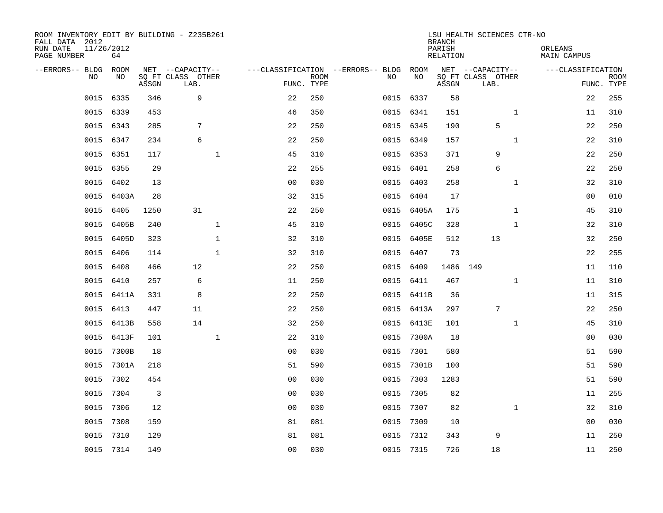| ROOM INVENTORY EDIT BY BUILDING - Z235B261<br>FALL DATA 2012<br>RUN DATE<br>PAGE NUMBER | 11/26/2012<br>64 |       |                                               |                |                           |                                         |            | <b>BRANCH</b><br>PARISH<br><b>RELATION</b> | LSU HEALTH SCIENCES CTR-NO                    | ORLEANS<br><b>MAIN CAMPUS</b> |                           |
|-----------------------------------------------------------------------------------------|------------------|-------|-----------------------------------------------|----------------|---------------------------|-----------------------------------------|------------|--------------------------------------------|-----------------------------------------------|-------------------------------|---------------------------|
| --ERRORS-- BLDG<br>NO.                                                                  | ROOM<br>NO       | ASSGN | NET --CAPACITY--<br>SQ FT CLASS OTHER<br>LAB. |                | <b>ROOM</b><br>FUNC. TYPE | ---CLASSIFICATION --ERRORS-- BLDG<br>NO | ROOM<br>NO | ASSGN                                      | NET --CAPACITY--<br>SQ FT CLASS OTHER<br>LAB. | ---CLASSIFICATION             | <b>ROOM</b><br>FUNC. TYPE |
| 0015                                                                                    | 6335             | 346   | 9                                             | 22             | 250                       | 0015                                    | 6337       | 58                                         |                                               |                               | 22<br>255                 |
| 0015                                                                                    | 6339             | 453   |                                               | 46             | 350                       |                                         | 0015 6341  | 151                                        | $\mathbf{1}$                                  |                               | 310<br>11                 |
| 0015                                                                                    | 6343             | 285   | 7                                             | 22             | 250                       |                                         | 0015 6345  | 190                                        | 5                                             |                               | 22<br>250                 |
| 0015                                                                                    | 6347             | 234   | 6                                             | 22             | 250                       |                                         | 0015 6349  | 157                                        | $\mathbf{1}$                                  |                               | 22<br>310                 |
| 0015                                                                                    | 6351             | 117   | $\mathbf{1}$                                  | 45             | 310                       |                                         | 0015 6353  | 371                                        | 9                                             |                               | 250<br>22                 |
| 0015                                                                                    | 6355             | 29    |                                               | 22             | 255                       |                                         | 0015 6401  | 258                                        | 6                                             |                               | 22<br>250                 |
| 0015                                                                                    | 6402             | 13    |                                               | 0 <sub>0</sub> | 030                       |                                         | 0015 6403  | 258                                        | $\mathbf{1}$                                  |                               | 32<br>310                 |
| 0015                                                                                    | 6403A            | 28    |                                               | 32             | 315                       |                                         | 0015 6404  | 17                                         |                                               |                               | 00<br>010                 |
| 0015                                                                                    | 6405             | 1250  | 31                                            | 22             | 250                       | 0015                                    | 6405A      | 175                                        | $\mathbf{1}$                                  |                               | 45<br>310                 |
| 0015                                                                                    | 6405B            | 240   | $\mathbf 1$                                   | 45             | 310                       | 0015                                    | 6405C      | 328                                        | $\mathbf{1}$                                  |                               | 32<br>310                 |
| 0015                                                                                    | 6405D            | 323   | $\mathbf{1}$                                  | 32             | 310                       |                                         | 0015 6405E | 512                                        | 13                                            |                               | 250<br>32                 |
| 0015                                                                                    | 6406             | 114   | $\mathbf{1}$                                  | 32             | 310                       | 0015                                    | 6407       | 73                                         |                                               |                               | 255<br>22                 |
| 0015                                                                                    | 6408             | 466   | 12                                            | 22             | 250                       | 0015                                    | 6409       | 1486                                       | 149                                           |                               | 11<br>110                 |
| 0015                                                                                    | 6410             | 257   | 6                                             | 11             | 250                       | 0015                                    | 6411       | 467                                        | $\mathbf{1}$                                  |                               | 310<br>11                 |
| 0015                                                                                    | 6411A            | 331   | 8                                             | 22             | 250                       |                                         | 0015 6411B | 36                                         |                                               |                               | 315<br>11                 |
| 0015                                                                                    | 6413             | 447   | 11                                            | 22             | 250                       |                                         | 0015 6413A | 297                                        | $7\phantom{.0}$                               |                               | 22<br>250                 |
| 0015                                                                                    | 6413B            | 558   | 14                                            | 32             | 250                       |                                         | 0015 6413E | 101                                        | $\mathbf{1}$                                  |                               | 45<br>310                 |
| 0015                                                                                    | 6413F            | 101   | $\mathbf{1}$                                  | 22             | 310                       | 0015                                    | 7300A      | 18                                         |                                               |                               | 0 <sub>0</sub><br>030     |
| 0015                                                                                    | 7300B            | 18    |                                               | 0 <sub>0</sub> | 030                       |                                         | 0015 7301  | 580                                        |                                               |                               | 51<br>590                 |
| 0015                                                                                    | 7301A            | 218   |                                               | 51             | 590                       | 0015                                    | 7301B      | 100                                        |                                               |                               | 51<br>590                 |
| 0015                                                                                    | 7302             | 454   |                                               | 0 <sub>0</sub> | 030                       | 0015                                    | 7303       | 1283                                       |                                               |                               | 51<br>590                 |
| 0015                                                                                    | 7304             | 3     |                                               | 00             | 030                       | 0015                                    | 7305       | 82                                         |                                               |                               | 11<br>255                 |
| 0015                                                                                    | 7306             | 12    |                                               | 0 <sub>0</sub> | 030                       |                                         | 0015 7307  | 82                                         | $\mathbf{1}$                                  |                               | 32<br>310                 |
| 0015                                                                                    | 7308             | 159   |                                               | 81             | 081                       | 0015                                    | 7309       | 10                                         |                                               |                               | 030<br>00                 |
| 0015                                                                                    | 7310             | 129   |                                               | 81             | 081                       | 0015                                    | 7312       | 343                                        | 9                                             |                               | 250<br>11                 |
|                                                                                         | 0015 7314        | 149   |                                               | 0 <sub>0</sub> | 030                       |                                         | 0015 7315  | 726                                        | 18                                            |                               | 11<br>250                 |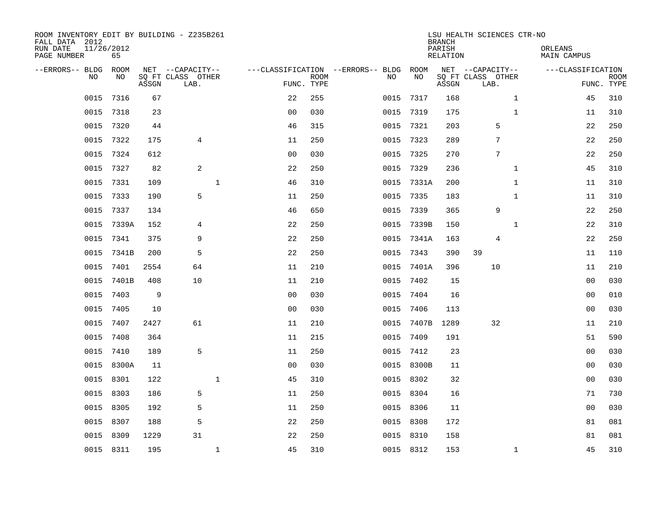| ROOM INVENTORY EDIT BY BUILDING - Z235B261<br>FALL DATA 2012<br>RUN DATE<br>PAGE NUMBER | 11/26/2012<br>65 |       |                           |                    |                           |                                   |            | <b>BRANCH</b><br>PARISH<br>RELATION | LSU HEALTH SCIENCES CTR-NO | ORLEANS<br>MAIN CAMPUS |                           |
|-----------------------------------------------------------------------------------------|------------------|-------|---------------------------|--------------------|---------------------------|-----------------------------------|------------|-------------------------------------|----------------------------|------------------------|---------------------------|
| --ERRORS-- BLDG                                                                         | ROOM             |       | NET --CAPACITY--          |                    |                           | ---CLASSIFICATION --ERRORS-- BLDG | ROOM       |                                     | NET --CAPACITY--           | ---CLASSIFICATION      |                           |
| N <sub>O</sub>                                                                          | NO.              | ASSGN | SO FT CLASS OTHER<br>LAB. |                    | <b>ROOM</b><br>FUNC. TYPE | NO.                               | NO         | ASSGN                               | SQ FT CLASS OTHER<br>LAB.  |                        | <b>ROOM</b><br>FUNC. TYPE |
| 0015                                                                                    | 7316             | 67    |                           | 22                 | 255                       | 0015                              | 7317       | 168                                 | $\mathbf{1}$               | 45                     | 310                       |
| 0015                                                                                    | 7318             | 23    |                           | 0 <sub>0</sub>     | 030                       |                                   | 0015 7319  | 175                                 | $\mathbf{1}$               | 11                     | 310                       |
| 0015                                                                                    | 7320             | 44    |                           | 46                 | 315                       |                                   | 0015 7321  | 203                                 | 5                          | 22                     | 250                       |
| 0015                                                                                    | 7322             | 175   | $\overline{4}$            | 11                 | 250                       | 0015                              | 7323       | 289                                 | $7\phantom{.0}$            | 22                     | 250                       |
| 0015                                                                                    | 7324             | 612   |                           | 0 <sub>0</sub>     | 030                       | 0015                              | 7325       | 270                                 | 7                          | 22                     | 250                       |
| 0015                                                                                    | 7327             | 82    | $\overline{c}$            | 22                 | 250                       | 0015                              | 7329       | 236                                 | $\mathbf{1}$               | 45                     | 310                       |
| 0015                                                                                    | 7331             | 109   |                           | $\mathbf{1}$<br>46 | 310                       | 0015                              | 7331A      | 200                                 | $\mathbf{1}$               | 11                     | 310                       |
| 0015                                                                                    | 7333             | 190   | 5                         | 11                 | 250                       | 0015                              | 7335       | 183                                 | $\mathbf{1}$               | 11                     | 310                       |
| 0015                                                                                    | 7337             | 134   |                           | 46                 | 650                       | 0015                              | 7339       | 365                                 | 9                          | 22                     | 250                       |
| 0015                                                                                    | 7339A            | 152   | 4                         | 22                 | 250                       | 0015                              | 7339B      | 150                                 | $\mathbf{1}$               | 22                     | 310                       |
| 0015                                                                                    | 7341             | 375   | 9                         | 22                 | 250                       |                                   | 0015 7341A | 163                                 | 4                          | 22                     | 250                       |
| 0015                                                                                    | 7341B            | 200   | 5                         | 22                 | 250                       | 0015                              | 7343       | 390                                 | 39                         | 11                     | 110                       |
| 0015                                                                                    | 7401             | 2554  | 64                        | 11                 | 210                       | 0015                              | 7401A      | 396                                 | 10                         | 11                     | 210                       |
| 0015                                                                                    | 7401B            | 408   | 10                        | 11                 | 210                       | 0015                              | 7402       | 15                                  |                            | 0 <sub>0</sub>         | 030                       |
| 0015                                                                                    | 7403             | 9     |                           | 0 <sub>0</sub>     | 030                       |                                   | 0015 7404  | 16                                  |                            | 00                     | 010                       |
| 0015                                                                                    | 7405             | 10    |                           | 0 <sub>0</sub>     | 030                       |                                   | 0015 7406  | 113                                 |                            | 00                     | 030                       |
| 0015                                                                                    | 7407             | 2427  | 61                        | 11                 | 210                       |                                   | 0015 7407B | 1289                                | 32                         | 11                     | 210                       |
| 0015                                                                                    | 7408             | 364   |                           | 11                 | 215                       | 0015                              | 7409       | 191                                 |                            | 51                     | 590                       |
| 0015                                                                                    | 7410             | 189   | 5                         | 11                 | 250                       |                                   | 0015 7412  | 23                                  |                            | 0 <sub>0</sub>         | 030                       |
| 0015                                                                                    | 8300A            | 11    |                           | 0 <sub>0</sub>     | 030                       |                                   | 0015 8300B | 11                                  |                            | 00                     | 030                       |
| 0015                                                                                    | 8301             | 122   |                           | $\mathbf{1}$<br>45 | 310                       |                                   | 0015 8302  | 32                                  |                            | 0 <sub>0</sub>         | 030                       |
| 0015                                                                                    | 8303             | 186   | 5                         | 11                 | 250                       |                                   | 0015 8304  | 16                                  |                            | 71                     | 730                       |
| 0015                                                                                    | 8305             | 192   | 5                         | 11                 | 250                       |                                   | 0015 8306  | 11                                  |                            | 00                     | 030                       |
| 0015                                                                                    | 8307             | 188   | 5                         | 22                 | 250                       |                                   | 0015 8308  | 172                                 |                            | 81                     | 081                       |
| 0015                                                                                    | 8309             | 1229  | 31                        | 22                 | 250                       |                                   | 0015 8310  | 158                                 |                            | 81                     | 081                       |
|                                                                                         | 0015 8311        | 195   |                           | $\mathbf{1}$<br>45 | 310                       |                                   | 0015 8312  | 153                                 | $\mathbf{1}$               | 45                     | 310                       |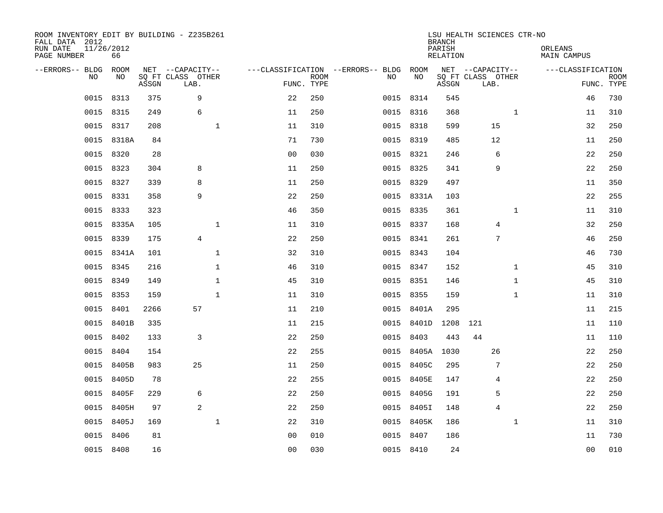| ROOM INVENTORY EDIT BY BUILDING - Z235B261<br>FALL DATA 2012<br>RUN DATE<br>PAGE NUMBER | 11/26/2012<br>66 |       |                           |                                   |                           |           |            | <b>BRANCH</b><br>PARISH<br><b>RELATION</b> | LSU HEALTH SCIENCES CTR-NO |              | ORLEANS<br><b>MAIN CAMPUS</b> |                |                           |
|-----------------------------------------------------------------------------------------|------------------|-------|---------------------------|-----------------------------------|---------------------------|-----------|------------|--------------------------------------------|----------------------------|--------------|-------------------------------|----------------|---------------------------|
| --ERRORS-- BLDG                                                                         | ROOM             |       | NET --CAPACITY--          | ---CLASSIFICATION --ERRORS-- BLDG |                           |           | ROOM       |                                            | NET --CAPACITY--           |              | ---CLASSIFICATION             |                |                           |
| NO.                                                                                     | NO               | ASSGN | SQ FT CLASS OTHER<br>LAB. |                                   | <b>ROOM</b><br>FUNC. TYPE | NO        | NO         | ASSGN                                      | SQ FT CLASS OTHER<br>LAB.  |              |                               |                | <b>ROOM</b><br>FUNC. TYPE |
| 0015                                                                                    | 8313             | 375   | 9                         | 22                                | 250                       | 0015 8314 |            | 545                                        |                            |              |                               | 46             | 730                       |
| 0015                                                                                    | 8315             | 249   | 6                         | 11                                | 250                       | 0015 8316 |            | 368                                        |                            | 1            |                               | 11             | 310                       |
| 0015                                                                                    | 8317             | 208   | $\mathbf 1$               | 11                                | 310                       | 0015 8318 |            | 599                                        | 15                         |              |                               | 32             | 250                       |
| 0015                                                                                    | 8318A            | 84    |                           | 71                                | 730                       | 0015 8319 |            | 485                                        | 12                         |              |                               | 11             | 250                       |
| 0015                                                                                    | 8320             | 28    |                           | 0 <sub>0</sub>                    | 030                       | 0015 8321 |            | 246                                        | 6                          |              |                               | 22             | 250                       |
|                                                                                         | 0015 8323        | 304   | 8                         | 11                                | 250                       | 0015 8325 |            | 341                                        | 9                          |              |                               | 22             | 250                       |
| 0015                                                                                    | 8327             | 339   | 8                         | 11                                | 250                       | 0015 8329 |            | 497                                        |                            |              |                               | 11             | 350                       |
| 0015                                                                                    | 8331             | 358   | 9                         | 22                                | 250                       |           | 0015 8331A | 103                                        |                            |              |                               | 22             | 255                       |
| 0015                                                                                    | 8333             | 323   |                           | 46                                | 350                       | 0015 8335 |            | 361                                        |                            | $\mathbf{1}$ |                               | 11             | 310                       |
| 0015                                                                                    | 8335A            | 105   | $\mathbf{1}$              | 11                                | 310                       | 0015 8337 |            | 168                                        | 4                          |              |                               | 32             | 250                       |
| 0015                                                                                    | 8339             | 175   | $\overline{4}$            | 22                                | 250                       | 0015 8341 |            | 261                                        | 7                          |              |                               | 46             | 250                       |
| 0015                                                                                    | 8341A            | 101   | $\mathbf 1$               | 32                                | 310                       | 0015 8343 |            | 104                                        |                            |              |                               | 46             | 730                       |
| 0015                                                                                    | 8345             | 216   | $\mathbf 1$               | 46                                | 310                       | 0015 8347 |            | 152                                        |                            | $\mathbf{1}$ |                               | 45             | 310                       |
| 0015                                                                                    | 8349             | 149   | $\mathbf{1}$              | 45                                | 310                       | 0015 8351 |            | 146                                        |                            | $\mathbf{1}$ |                               | 45             | 310                       |
| 0015                                                                                    | 8353             | 159   | $\mathbf{1}$              | 11                                | 310                       | 0015 8355 |            | 159                                        |                            | $\mathbf{1}$ |                               | 11             | 310                       |
| 0015                                                                                    | 8401             | 2266  | 57                        | 11                                | 210                       |           | 0015 8401A | 295                                        |                            |              |                               | 11             | 215                       |
| 0015                                                                                    | 8401B            | 335   |                           | 11                                | 215                       | 0015      | 8401D      | 1208                                       | 121                        |              |                               | 11             | 110                       |
| 0015                                                                                    | 8402             | 133   | 3                         | 22                                | 250                       | 0015      | 8403       | 443                                        | 44                         |              |                               | 11             | 110                       |
| 0015                                                                                    | 8404             | 154   |                           | 22                                | 255                       |           | 0015 8405A | 1030                                       | 26                         |              |                               | 22             | 250                       |
| 0015                                                                                    | 8405B            | 983   | 25                        | 11                                | 250                       | 0015      | 8405C      | 295                                        | 7                          |              |                               | 22             | 250                       |
|                                                                                         | 0015 8405D       | 78    |                           | 22                                | 255                       |           | 0015 8405E | 147                                        | 4                          |              |                               | 22             | 250                       |
| 0015                                                                                    | 8405F            | 229   | 6                         | 22                                | 250                       | 0015      | 8405G      | 191                                        | 5                          |              |                               | 22             | 250                       |
| 0015                                                                                    | 8405H            | 97    | 2                         | 22                                | 250                       |           | 0015 8405I | 148                                        | $\overline{4}$             |              |                               | 22             | 250                       |
| 0015                                                                                    | 8405J            | 169   | $\mathbf{1}$              | 22                                | 310                       |           | 0015 8405K | 186                                        |                            | $\mathbf{1}$ |                               | 11             | 310                       |
| 0015                                                                                    | 8406             | 81    |                           | 0 <sub>0</sub>                    | 010                       | 0015 8407 |            | 186                                        |                            |              |                               | 11             | 730                       |
|                                                                                         | 0015 8408        | 16    |                           | 0 <sub>0</sub>                    | 030                       | 0015 8410 |            | 24                                         |                            |              |                               | 0 <sub>0</sub> | 010                       |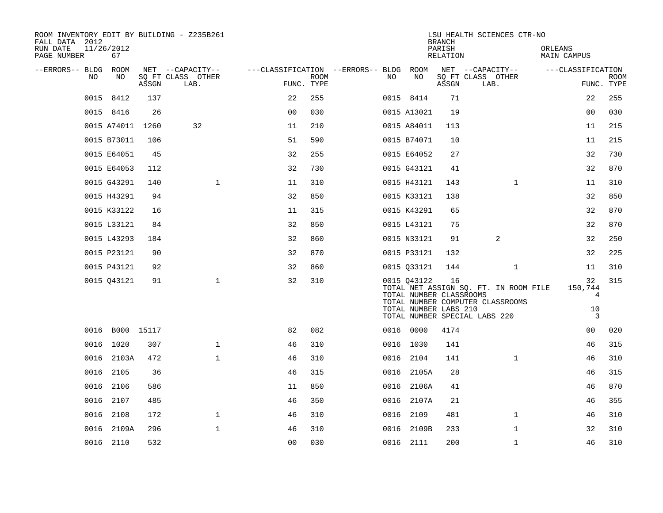| ROOM INVENTORY EDIT BY BUILDING - Z235B261<br>FALL DATA 2012<br>RUN DATE<br>PAGE NUMBER | 11/26/2012<br>67 |       |                                       |                                        |             |      |                                                                 | <b>BRANCH</b><br>PARISH<br>RELATION | LSU HEALTH SCIENCES CTR-NO                                                                                 | ORLEANS<br><b>MAIN CAMPUS</b>              |             |
|-----------------------------------------------------------------------------------------|------------------|-------|---------------------------------------|----------------------------------------|-------------|------|-----------------------------------------------------------------|-------------------------------------|------------------------------------------------------------------------------------------------------------|--------------------------------------------|-------------|
| --ERRORS-- BLDG ROOM<br>NO                                                              | NO               |       | NET --CAPACITY--<br>SQ FT CLASS OTHER | ---CLASSIFICATION --ERRORS-- BLDG ROOM | <b>ROOM</b> | NO   | NO                                                              |                                     | NET --CAPACITY--<br>SQ FT CLASS OTHER                                                                      | ---CLASSIFICATION                          | <b>ROOM</b> |
|                                                                                         |                  | ASSGN | LAB.                                  | FUNC. TYPE                             |             |      |                                                                 | ASSGN                               | LAB.                                                                                                       |                                            | FUNC. TYPE  |
|                                                                                         | 0015 8412        | 137   |                                       | 22                                     | 255         |      | 0015 8414                                                       | 71                                  |                                                                                                            | 22                                         | 255         |
|                                                                                         | 0015 8416        | 26    |                                       | 0 <sub>0</sub>                         | 030         |      | 0015 A13021                                                     | 19                                  |                                                                                                            | 0 <sub>0</sub>                             | 030         |
|                                                                                         | 0015 A74011 1260 |       | 32                                    | 11                                     | 210         |      | 0015 A84011                                                     | 113                                 |                                                                                                            | 11                                         | 215         |
|                                                                                         | 0015 B73011      | 106   |                                       | 51                                     | 590         |      | 0015 B74071                                                     | 10                                  |                                                                                                            | 11                                         | 215         |
|                                                                                         | 0015 E64051      | 45    |                                       | 32                                     | 255         |      | 0015 E64052                                                     | 27                                  |                                                                                                            | 32                                         | 730         |
|                                                                                         | 0015 E64053      | 112   |                                       | 32                                     | 730         |      | 0015 G43121                                                     | 41                                  |                                                                                                            | 32                                         | 870         |
|                                                                                         | 0015 G43291      | 140   | $\mathbf{1}$                          | 11                                     | 310         |      | 0015 H43121                                                     | 143                                 | $\mathbf{1}$                                                                                               | 11                                         | 310         |
|                                                                                         | 0015 H43291      | 94    |                                       | 32                                     | 850         |      | 0015 K33121                                                     | 138                                 |                                                                                                            | 32                                         | 850         |
|                                                                                         | 0015 K33122      | 16    |                                       | 11                                     | 315         |      | 0015 K43291                                                     | 65                                  |                                                                                                            | 32                                         | 870         |
|                                                                                         | 0015 L33121      | 84    |                                       | 32                                     | 850         |      | 0015 L43121                                                     | 75                                  |                                                                                                            | 32                                         | 870         |
|                                                                                         | 0015 L43293      | 184   |                                       | 32                                     | 860         |      | 0015 N33121                                                     | 91                                  | 2                                                                                                          | 32                                         | 250         |
|                                                                                         | 0015 P23121      | 90    |                                       | 32                                     | 870         |      | 0015 P33121                                                     | 132                                 |                                                                                                            | 32                                         | 225         |
|                                                                                         | 0015 P43121      | 92    |                                       | 32                                     | 860         |      | 0015 Q33121                                                     | 144                                 | $\mathbf{1}$                                                                                               | 11                                         | 310         |
|                                                                                         | 0015 Q43121      | 91    | $\mathbf{1}$                          | 32                                     | 310         |      | 0015 043122<br>TOTAL NUMBER CLASSROOMS<br>TOTAL NUMBER LABS 210 | 16                                  | TOTAL NET ASSIGN SQ. FT. IN ROOM FILE<br>TOTAL NUMBER COMPUTER CLASSROOMS<br>TOTAL NUMBER SPECIAL LABS 220 | 32<br>150,744<br>$\overline{4}$<br>10<br>3 | 315         |
|                                                                                         | 0016 B000 15117  |       |                                       | 82                                     | 082         |      | 0016 0000                                                       | 4174                                |                                                                                                            | 00                                         | 020         |
|                                                                                         | 0016 1020        | 307   | $\mathbf 1$                           | 46                                     | 310         |      | 0016 1030                                                       | 141                                 |                                                                                                            | 46                                         | 315         |
|                                                                                         | 0016 2103A       | 472   | $\mathbf{1}$                          | 46                                     | 310         |      | 0016 2104                                                       | 141                                 | $\mathbf{1}$                                                                                               | 46                                         | 310         |
|                                                                                         | 0016 2105        | 36    |                                       | 46                                     | 315         |      | 0016 2105A                                                      | 28                                  |                                                                                                            | 46                                         | 315         |
|                                                                                         | 0016 2106        | 586   |                                       | 11                                     | 850         |      | 0016 2106A                                                      | 41                                  |                                                                                                            | 46                                         | 870         |
|                                                                                         | 0016 2107        | 485   |                                       | 46                                     | 350         |      | 0016 2107A                                                      | 21                                  |                                                                                                            | 46                                         | 355         |
|                                                                                         | 0016 2108        | 172   | $\mathbf{1}$                          | 46                                     | 310         | 0016 | 2109                                                            | 481                                 | $\mathbf{1}$                                                                                               | 46                                         | 310         |
|                                                                                         | 0016 2109A       | 296   | $\mathbf{1}$                          | 46                                     | 310         |      | 0016 2109B                                                      | 233                                 | $\mathbf{1}$                                                                                               | 32                                         | 310         |
|                                                                                         | 0016 2110        | 532   |                                       | 00                                     | 030         |      | 0016 2111                                                       | 200                                 | $\mathbf{1}$                                                                                               | 46                                         | 310         |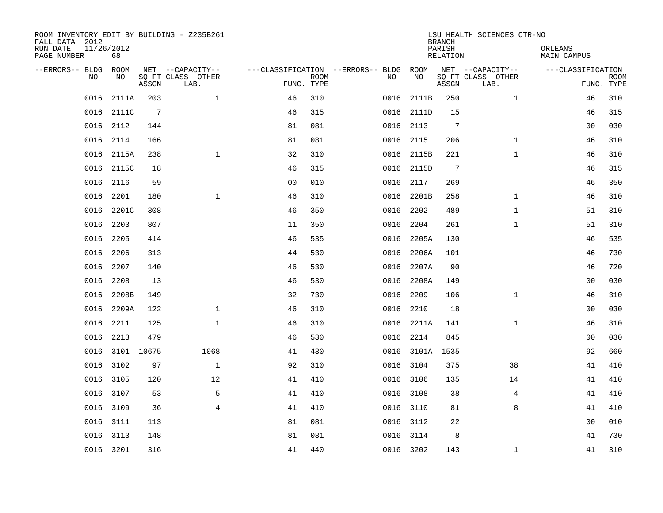| ROOM INVENTORY EDIT BY BUILDING - Z235B261<br>FALL DATA 2012<br>RUN DATE<br>PAGE NUMBER | 11/26/2012<br>68 |                 |                                               |                                                      |             |      |            | <b>BRANCH</b><br>PARISH<br><b>RELATION</b> | LSU HEALTH SCIENCES CTR-NO                    | ORLEANS<br><b>MAIN CAMPUS</b> |                           |
|-----------------------------------------------------------------------------------------|------------------|-----------------|-----------------------------------------------|------------------------------------------------------|-------------|------|------------|--------------------------------------------|-----------------------------------------------|-------------------------------|---------------------------|
| --ERRORS-- BLDG ROOM<br>NO                                                              | NO               | ASSGN           | NET --CAPACITY--<br>SQ FT CLASS OTHER<br>LAB. | ---CLASSIFICATION --ERRORS-- BLDG ROOM<br>FUNC. TYPE | <b>ROOM</b> | NO   | NO         | ASSGN                                      | NET --CAPACITY--<br>SQ FT CLASS OTHER<br>LAB. | ---CLASSIFICATION             | <b>ROOM</b><br>FUNC. TYPE |
| 0016                                                                                    | 2111A            | 203             | $\mathbf 1$                                   | 46                                                   | 310         | 0016 | 2111B      | 250                                        | $\mathbf{1}$                                  | 46                            | 310                       |
| 0016                                                                                    | 2111C            | $7\phantom{.0}$ |                                               | 46                                                   | 315         |      | 0016 2111D | 15                                         |                                               | 46                            | 315                       |
| 0016                                                                                    | 2112             | 144             |                                               | 81                                                   | 081         |      | 0016 2113  | $7\phantom{.0}$                            |                                               | 00                            | 030                       |
| 0016                                                                                    | 2114             | 166             |                                               | 81                                                   | 081         |      | 0016 2115  | 206                                        | $\mathbf{1}$                                  | 46                            | 310                       |
| 0016                                                                                    | 2115A            | 238             | $\mathbf{1}$                                  | 32                                                   | 310         |      | 0016 2115B | 221                                        | $\mathbf{1}$                                  | 46                            | 310                       |
| 0016                                                                                    | 2115C            | 18              |                                               | 46                                                   | 315         |      | 0016 2115D | 7                                          |                                               | 46                            | 315                       |
| 0016                                                                                    | 2116             | 59              |                                               | 0 <sub>0</sub>                                       | 010         |      | 0016 2117  | 269                                        |                                               | 46                            | 350                       |
| 0016                                                                                    | 2201             | 180             | $\mathbf{1}$                                  | 46                                                   | 310         |      | 0016 2201B | 258                                        | $\mathbf{1}$                                  | 46                            | 310                       |
| 0016                                                                                    | 2201C            | 308             |                                               | 46                                                   | 350         | 0016 | 2202       | 489                                        | $\mathbf{1}$                                  | 51                            | 310                       |
| 0016                                                                                    | 2203             | 807             |                                               | 11                                                   | 350         |      | 0016 2204  | 261                                        | $\mathbf{1}$                                  | 51                            | 310                       |
| 0016                                                                                    | 2205             | 414             |                                               | 46                                                   | 535         | 0016 | 2205A      | 130                                        |                                               | 46                            | 535                       |
| 0016                                                                                    | 2206             | 313             |                                               | 44                                                   | 530         | 0016 | 2206A      | 101                                        |                                               | 46                            | 730                       |
| 0016                                                                                    | 2207             | 140             |                                               | 46                                                   | 530         | 0016 | 2207A      | 90                                         |                                               | 46                            | 720                       |
| 0016                                                                                    | 2208             | 13              |                                               | 46                                                   | 530         |      | 0016 2208A | 149                                        |                                               | 00                            | 030                       |
| 0016                                                                                    | 2208B            | 149             |                                               | 32                                                   | 730         | 0016 | 2209       | 106                                        | $\mathbf{1}$                                  | 46                            | 310                       |
| 0016                                                                                    | 2209A            | 122             | $\mathbf{1}$                                  | 46                                                   | 310         |      | 0016 2210  | 18                                         |                                               | 0 <sub>0</sub>                | 030                       |
| 0016                                                                                    | 2211             | 125             | $\mathbf{1}$                                  | 46                                                   | 310         |      | 0016 2211A | 141                                        | $\mathbf{1}$                                  | 46                            | 310                       |
| 0016                                                                                    | 2213             | 479             |                                               | 46                                                   | 530         |      | 0016 2214  | 845                                        |                                               | 0 <sub>0</sub>                | 030                       |
|                                                                                         | 0016 3101 10675  |                 | 1068                                          | 41                                                   | 430         |      | 0016 3101A | 1535                                       |                                               | 92                            | 660                       |
| 0016                                                                                    | 3102             | 97              | $\mathbf 1$                                   | 92                                                   | 310         |      | 0016 3104  | 375                                        | 38                                            | 41                            | 410                       |
| 0016                                                                                    | 3105             | 120             | 12                                            | 41                                                   | 410         |      | 0016 3106  | 135                                        | 14                                            | 41                            | 410                       |
| 0016                                                                                    | 3107             | 53              | 5                                             | 41                                                   | 410         |      | 0016 3108  | 38                                         | 4                                             | 41                            | 410                       |
| 0016                                                                                    | 3109             | 36              | $\overline{4}$                                | 41                                                   | 410         |      | 0016 3110  | 81                                         | 8                                             | 41                            | 410                       |
| 0016                                                                                    | 3111             | 113             |                                               | 81                                                   | 081         |      | 0016 3112  | 22                                         |                                               | 0 <sub>0</sub>                | 010                       |
| 0016                                                                                    | 3113             | 148             |                                               | 81                                                   | 081         |      | 0016 3114  | 8                                          |                                               | 41                            | 730                       |
|                                                                                         | 0016 3201        | 316             |                                               | 41                                                   | 440         |      | 0016 3202  | 143                                        | $\mathbf{1}$                                  | 41                            | 310                       |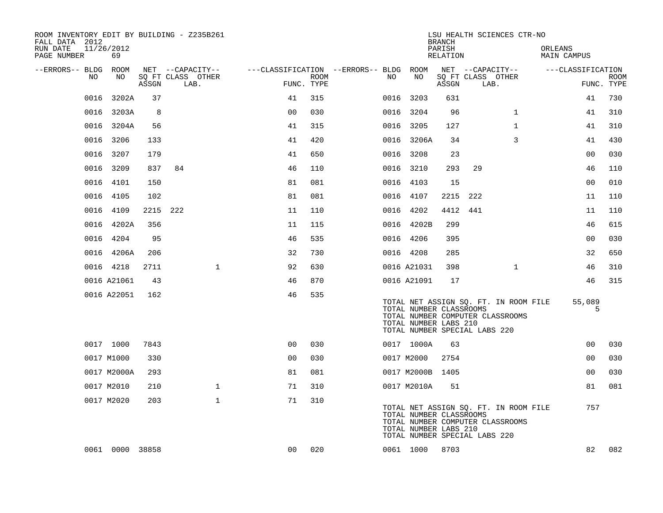| ROOM INVENTORY EDIT BY BUILDING - Z235B261<br>FALL DATA 2012 |                  |       |                                       |                |             |                                              |                                                                                   | <b>BRANCH</b>      |          | LSU HEALTH SCIENCES CTR-NO                                                |                        |                |             |
|--------------------------------------------------------------|------------------|-------|---------------------------------------|----------------|-------------|----------------------------------------------|-----------------------------------------------------------------------------------|--------------------|----------|---------------------------------------------------------------------------|------------------------|----------------|-------------|
| RUN DATE<br>PAGE NUMBER                                      | 11/26/2012<br>69 |       |                                       |                |             |                                              |                                                                                   | PARISH<br>RELATION |          |                                                                           | ORLEANS<br>MAIN CAMPUS |                |             |
| --ERRORS-- BLDG ROOM<br>NO                                   | NO               |       | NET --CAPACITY--<br>SQ FT CLASS OTHER |                | <b>ROOM</b> | ---CLASSIFICATION --ERRORS-- BLDG ROOM<br>NO | NO                                                                                |                    |          | NET --CAPACITY--                                                          | ---CLASSIFICATION      |                | <b>ROOM</b> |
|                                                              |                  | ASSGN | LAB.                                  | FUNC. TYPE     |             |                                              |                                                                                   | ASSGN              |          | SQ FT CLASS OTHER<br>LAB.                                                 |                        | FUNC. TYPE     |             |
| 0016                                                         | 3202A            | 37    |                                       | 41             | 315         |                                              | 0016 3203                                                                         | 631                |          |                                                                           |                        | 41             | 730         |
|                                                              | 0016 3203A       | 8     |                                       | 0 <sub>0</sub> | 030         |                                              | 0016 3204                                                                         | 96                 |          | $\mathbf{1}$                                                              |                        | 41             | 310         |
|                                                              | 0016 3204A       | 56    |                                       | 41             | 315         |                                              | 0016 3205                                                                         | 127                |          | $\mathbf{1}$                                                              |                        | 41             | 310         |
|                                                              | 0016 3206        | 133   |                                       | 41             | 420         |                                              | 0016 3206A                                                                        | 34                 |          | 3                                                                         |                        | 41             | 430         |
| 0016                                                         | 3207             | 179   |                                       | 41             | 650         |                                              | 0016 3208                                                                         | 23                 |          |                                                                           |                        | 00             | 030         |
|                                                              | 0016 3209        | 837   | 84                                    | 46             | 110         |                                              | 0016 3210                                                                         | 293                | 29       |                                                                           |                        | 46             | 110         |
|                                                              | 0016 4101        | 150   |                                       | 81             | 081         |                                              | 0016 4103                                                                         | 15                 |          |                                                                           |                        | 0 <sub>0</sub> | 010         |
|                                                              | 0016 4105        | 102   |                                       | 81             | 081         |                                              | 0016 4107                                                                         |                    | 2215 222 |                                                                           |                        | 11             | 110         |
|                                                              | 0016 4109        | 2215  | 222                                   | 11             | 110         |                                              | 0016 4202                                                                         | 4412               | 441      |                                                                           |                        | 11             | 110         |
|                                                              | 0016 4202A       | 356   |                                       | 11             | 115         |                                              | 0016 4202B                                                                        | 299                |          |                                                                           |                        | 46             | 615         |
|                                                              | 0016 4204        | 95    |                                       | 46             | 535         |                                              | 0016 4206                                                                         | 395                |          |                                                                           |                        | 0 <sub>0</sub> | 030         |
|                                                              | 0016 4206A       | 206   |                                       | 32             | 730         |                                              | 0016 4208                                                                         | 285                |          |                                                                           |                        | 32             | 650         |
|                                                              | 0016 4218        | 2711  | $\mathbf{1}$                          | 92             | 630         |                                              | 0016 A21031                                                                       | 398                |          | $\mathbf{1}$                                                              |                        | 46             | 310         |
|                                                              | 0016 A21061      | 43    |                                       | 46             | 870         |                                              | 0016 A21091                                                                       | 17                 |          |                                                                           |                        | 46             | 315         |
|                                                              | 0016 A22051      | 162   |                                       | 46             | 535         |                                              |                                                                                   |                    |          |                                                                           |                        |                |             |
|                                                              |                  |       |                                       |                |             |                                              | TOTAL NUMBER CLASSROOMS<br>TOTAL NUMBER LABS 210<br>TOTAL NUMBER SPECIAL LABS 220 |                    |          | TOTAL NET ASSIGN SQ. FT. IN ROOM FILE<br>TOTAL NUMBER COMPUTER CLASSROOMS |                        | 55,089<br>5    |             |
|                                                              | 0017 1000        | 7843  |                                       | 0 <sub>0</sub> | 030         |                                              | 0017 1000A                                                                        | 63                 |          |                                                                           |                        | 0 <sub>0</sub> | 030         |
|                                                              | 0017 M1000       | 330   |                                       | 0 <sub>0</sub> | 030         |                                              | 0017 M2000                                                                        | 2754               |          |                                                                           |                        | 00             | 030         |
|                                                              | 0017 M2000A      | 293   |                                       | 81             | 081         |                                              | 0017 M2000B 1405                                                                  |                    |          |                                                                           |                        | 0 <sub>0</sub> | 030         |
|                                                              | 0017 M2010       | 210   | $\mathbf{1}$                          | 71             | 310         |                                              | 0017 M2010A                                                                       | 51                 |          |                                                                           |                        | 81             | 081         |
|                                                              | 0017 M2020       | 203   | $\mathbf 1$                           | 71             | 310         |                                              | TOTAL NUMBER CLASSROOMS<br>TOTAL NUMBER LABS 210<br>TOTAL NUMBER SPECIAL LABS 220 |                    |          | TOTAL NET ASSIGN SQ. FT. IN ROOM FILE<br>TOTAL NUMBER COMPUTER CLASSROOMS |                        | 757            |             |
|                                                              | 0061 0000 38858  |       |                                       | 0 <sub>0</sub> | 020         |                                              | 0061 1000                                                                         | 8703               |          |                                                                           |                        | 82             | 082         |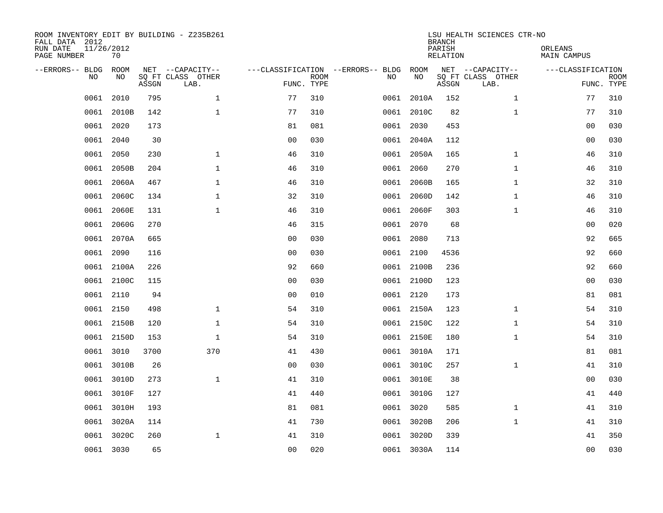| ROOM INVENTORY EDIT BY BUILDING - Z235B261<br>FALL DATA 2012<br>RUN DATE<br>PAGE NUMBER | 11/26/2012<br>70 |       |                                       |                |             |                                         |            | <b>BRANCH</b><br>PARISH<br><b>RELATION</b> | LSU HEALTH SCIENCES CTR-NO            | ORLEANS<br><b>MAIN CAMPUS</b> |             |
|-----------------------------------------------------------------------------------------|------------------|-------|---------------------------------------|----------------|-------------|-----------------------------------------|------------|--------------------------------------------|---------------------------------------|-------------------------------|-------------|
| --ERRORS-- BLDG<br>NO                                                                   | ROOM<br>NO       |       | NET --CAPACITY--<br>SQ FT CLASS OTHER |                | <b>ROOM</b> | ---CLASSIFICATION --ERRORS-- BLDG<br>NO | ROOM<br>NO |                                            | NET --CAPACITY--<br>SQ FT CLASS OTHER | ---CLASSIFICATION             | <b>ROOM</b> |
|                                                                                         |                  | ASSGN | LAB.                                  | FUNC. TYPE     |             |                                         |            | ASSGN                                      | LAB.                                  |                               | FUNC. TYPE  |
| 0061                                                                                    | 2010             | 795   | $\mathbf{1}$                          | 77             | 310         | 0061                                    | 2010A      | 152                                        | $\mathbf{1}$                          | 77                            | 310         |
| 0061                                                                                    | 2010B            | 142   | $\mathbf{1}$                          | 77             | 310         |                                         | 0061 2010C | 82                                         | $\mathbf{1}$                          | 77                            | 310         |
| 0061                                                                                    | 2020             | 173   |                                       | 81             | 081         |                                         | 0061 2030  | 453                                        |                                       | 0 <sub>0</sub>                | 030         |
|                                                                                         | 0061 2040        | 30    |                                       | 0 <sub>0</sub> | 030         |                                         | 0061 2040A | 112                                        |                                       | 0 <sub>0</sub>                | 030         |
| 0061                                                                                    | 2050             | 230   | $\mathbf{1}$                          | 46             | 310         |                                         | 0061 2050A | 165                                        | $\mathbf{1}$                          | 46                            | 310         |
|                                                                                         | 0061 2050B       | 204   | $\mathbf{1}$                          | 46             | 310         |                                         | 0061 2060  | 270                                        | $\mathbf{1}$                          | 46                            | 310         |
|                                                                                         | 0061 2060A       | 467   | $\mathbf{1}$                          | 46             | 310         |                                         | 0061 2060B | 165                                        | $\mathbf{1}$                          | 32                            | 310         |
|                                                                                         | 0061 2060C       | 134   | $\mathbf{1}$                          | 32             | 310         |                                         | 0061 2060D | 142                                        | $\mathbf{1}$                          | 46                            | 310         |
| 0061                                                                                    | 2060E            | 131   | $\mathbf{1}$                          | 46             | 310         |                                         | 0061 2060F | 303                                        | $\mathbf{1}$                          | 46                            | 310         |
| 0061                                                                                    | 2060G            | 270   |                                       | 46             | 315         |                                         | 0061 2070  | 68                                         |                                       | 00                            | 020         |
| 0061                                                                                    | 2070A            | 665   |                                       | 0 <sub>0</sub> | 030         |                                         | 0061 2080  | 713                                        |                                       | 92                            | 665         |
|                                                                                         | 0061 2090        | 116   |                                       | 0 <sub>0</sub> | 030         |                                         | 0061 2100  | 4536                                       |                                       | 92                            | 660         |
| 0061                                                                                    | 2100A            | 226   |                                       | 92             | 660         |                                         | 0061 2100B | 236                                        |                                       | 92                            | 660         |
| 0061                                                                                    | 2100C            | 115   |                                       | 00             | 030         |                                         | 0061 2100D | 123                                        |                                       | 0 <sub>0</sub>                | 030         |
| 0061                                                                                    | 2110             | 94    |                                       | 0 <sub>0</sub> | 010         |                                         | 0061 2120  | 173                                        |                                       | 81                            | 081         |
| 0061                                                                                    | 2150             | 498   | $\mathbf 1$                           | 54             | 310         |                                         | 0061 2150A | 123                                        | $\mathbf{1}$                          | 54                            | 310         |
| 0061                                                                                    | 2150B            | 120   | $\mathbf 1$                           | 54             | 310         |                                         | 0061 2150C | 122                                        | $\mathbf{1}$                          | 54                            | 310         |
| 0061                                                                                    | 2150D            | 153   | $\mathbf 1$                           | 54             | 310         |                                         | 0061 2150E | 180                                        | $\mathbf{1}$                          | 54                            | 310         |
|                                                                                         | 0061 3010        | 3700  | 370                                   | 41             | 430         |                                         | 0061 3010A | 171                                        |                                       | 81                            | 081         |
| 0061                                                                                    | 3010B            | 26    |                                       | 0 <sub>0</sub> | 030         |                                         | 0061 3010C | 257                                        | $\mathbf{1}$                          | 41                            | 310         |
|                                                                                         | 0061 3010D       | 273   | $\mathbf{1}$                          | 41             | 310         |                                         | 0061 3010E | 38                                         |                                       | 0 <sub>0</sub>                | 030         |
| 0061                                                                                    | 3010F            | 127   |                                       | 41             | 440         |                                         | 0061 3010G | 127                                        |                                       | 41                            | 440         |
|                                                                                         | 0061 3010H       | 193   |                                       | 81             | 081         |                                         | 0061 3020  | 585                                        | $\mathbf{1}$                          | 41                            | 310         |
| 0061                                                                                    | 3020A            | 114   |                                       | 41             | 730         |                                         | 0061 3020B | 206                                        | $\mathbf{1}$                          | 41                            | 310         |
|                                                                                         | 0061 3020C       | 260   | $\mathbf{1}$                          | 41             | 310         |                                         | 0061 3020D | 339                                        |                                       | 41                            | 350         |
|                                                                                         | 0061 3030        | 65    |                                       | 00             | 020         |                                         | 0061 3030A | 114                                        |                                       | 00                            | 030         |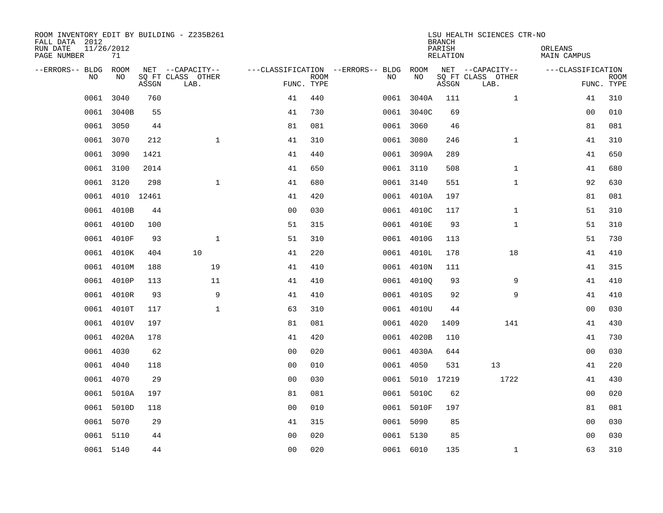| ROOM INVENTORY EDIT BY BUILDING - Z235B261<br>FALL DATA 2012<br>RUN DATE<br>PAGE NUMBER | 11/26/2012<br>71 |       |                           |                                        |             |      |                 | <b>BRANCH</b><br>PARISH<br><b>RELATION</b> | LSU HEALTH SCIENCES CTR-NO | ORLEANS<br><b>MAIN CAMPUS</b> |                           |
|-----------------------------------------------------------------------------------------|------------------|-------|---------------------------|----------------------------------------|-------------|------|-----------------|--------------------------------------------|----------------------------|-------------------------------|---------------------------|
| --ERRORS-- BLDG ROOM                                                                    |                  |       | NET --CAPACITY--          | ---CLASSIFICATION --ERRORS-- BLDG ROOM |             |      |                 |                                            | NET --CAPACITY--           | ---CLASSIFICATION             |                           |
| NO                                                                                      | NO               | ASSGN | SQ FT CLASS OTHER<br>LAB. | FUNC. TYPE                             | <b>ROOM</b> | NO   | NO              | ASSGN                                      | SQ FT CLASS OTHER<br>LAB.  |                               | <b>ROOM</b><br>FUNC. TYPE |
| 0061                                                                                    | 3040             | 760   |                           | 41                                     | 440         |      | 0061 3040A      | 111                                        | $\mathbf{1}$               | 41                            | 310                       |
|                                                                                         | 0061 3040B       | 55    |                           | 41                                     | 730         |      | 0061 3040C      | 69                                         |                            | 00                            | 010                       |
|                                                                                         | 0061 3050        | 44    |                           | 81                                     | 081         |      | 0061 3060       | 46                                         |                            | 81                            | 081                       |
|                                                                                         | 0061 3070        | 212   | $\mathbf{1}$              | 41                                     | 310         |      | 0061 3080       | 246                                        | $\mathbf{1}$               | 41                            | 310                       |
| 0061                                                                                    | 3090             | 1421  |                           | 41                                     | 440         |      | 0061 3090A      | 289                                        |                            | 41                            | 650                       |
|                                                                                         | 0061 3100        | 2014  |                           | 41                                     | 650         |      | 0061 3110       | 508                                        | $\mathbf{1}$               | 41                            | 680                       |
| 0061                                                                                    | 3120             | 298   | $\mathbf{1}$              | 41                                     | 680         |      | 0061 3140       | 551                                        | $\mathbf{1}$               | 92                            | 630                       |
|                                                                                         | 0061 4010 12461  |       |                           | 41                                     | 420         |      | 0061 4010A      | 197                                        |                            | 81                            | 081                       |
|                                                                                         | 0061 4010B       | 44    |                           | 0 <sub>0</sub>                         | 030         |      | 0061 4010C      | 117                                        | $\mathbf{1}$               | 51                            | 310                       |
|                                                                                         | 0061 4010D       | 100   |                           | 51                                     | 315         |      | 0061 4010E      | 93                                         | $\mathbf{1}$               | 51                            | 310                       |
|                                                                                         | 0061 4010F       | 93    | $\mathbf{1}$              | 51                                     | 310         |      | 0061 4010G      | 113                                        |                            | 51                            | 730                       |
|                                                                                         | 0061 4010K       | 404   | 10                        | 41                                     | 220         |      | 0061 4010L      | 178                                        | 18                         | 41                            | 410                       |
| 0061                                                                                    | 4010M            | 188   | 19                        | 41                                     | 410         |      | 0061 4010N      | 111                                        |                            | 41                            | 315                       |
| 0061                                                                                    | 4010P            | 113   | 11                        | 41                                     | 410         |      | 0061 40100      | 93                                         | 9                          | 41                            | 410                       |
| 0061                                                                                    | 4010R            | 93    | 9                         | 41                                     | 410         |      | 0061 4010S      | 92                                         | 9                          | 41                            | 410                       |
| 0061                                                                                    | 4010T            | 117   | $\mathbf{1}$              | 63                                     | 310         |      | 0061 4010U      | 44                                         |                            | 0 <sub>0</sub>                | 030                       |
| 0061                                                                                    | 4010V            | 197   |                           | 81                                     | 081         | 0061 | 4020            | 1409                                       | 141                        | 41                            | 430                       |
| 0061                                                                                    | 4020A            | 178   |                           | 41                                     | 420         |      | 0061 4020B      | 110                                        |                            | 41                            | 730                       |
|                                                                                         | 0061 4030        | 62    |                           | 0 <sub>0</sub>                         | 020         |      | 0061 4030A      | 644                                        |                            | 0 <sub>0</sub>                | 030                       |
| 0061                                                                                    | 4040             | 118   |                           | 0 <sub>0</sub>                         | 010         |      | 0061 4050       | 531                                        | 13                         | 41                            | 220                       |
|                                                                                         | 0061 4070        | 29    |                           | 0 <sub>0</sub>                         | 030         |      | 0061 5010 17219 |                                            | 1722                       | 41                            | 430                       |
| 0061                                                                                    | 5010A            | 197   |                           | 81                                     | 081         |      | 0061 5010C      | 62                                         |                            | 00                            | 020                       |
|                                                                                         | 0061 5010D       | 118   |                           | 0 <sub>0</sub>                         | 010         |      | 0061 5010F      | 197                                        |                            | 81                            | 081                       |
|                                                                                         | 0061 5070        | 29    |                           | 41                                     | 315         |      | 0061 5090       | 85                                         |                            | 0 <sub>0</sub>                | 030                       |
|                                                                                         | 0061 5110        | 44    |                           | 0 <sub>0</sub>                         | 020         |      | 0061 5130       | 85                                         |                            | 00                            | 030                       |
|                                                                                         | 0061 5140        | 44    |                           | 0 <sub>0</sub>                         | 020         |      | 0061 6010       | 135                                        | $\mathbf{1}$               | 63                            | 310                       |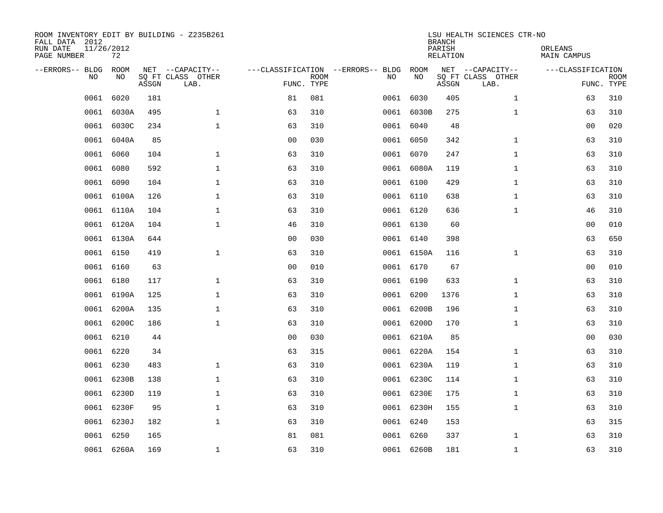| FALL DATA 2012<br>RUN DATE<br>PAGE NUMBER | 11/26/2012<br>72 |       | ROOM INVENTORY EDIT BY BUILDING - Z235B261    |                                                 |             |      |            | <b>BRANCH</b><br>PARISH<br>RELATION | LSU HEALTH SCIENCES CTR-NO                    | ORLEANS<br>MAIN CAMPUS |                           |
|-------------------------------------------|------------------|-------|-----------------------------------------------|-------------------------------------------------|-------------|------|------------|-------------------------------------|-----------------------------------------------|------------------------|---------------------------|
| --ERRORS-- BLDG<br><b>NO</b>              | ROOM<br>NO.      | ASSGN | NET --CAPACITY--<br>SO FT CLASS OTHER<br>LAB. | ---CLASSIFICATION --ERRORS-- BLDG<br>FUNC. TYPE | <b>ROOM</b> | NO   | ROOM<br>NO | ASSGN                               | NET --CAPACITY--<br>SQ FT CLASS OTHER<br>LAB. | ---CLASSIFICATION      | <b>ROOM</b><br>FUNC. TYPE |
| 0061                                      | 6020             | 181   |                                               | 81                                              | 081         | 0061 | 6030       | 405                                 | $\mathbf{1}$                                  | 63                     | 310                       |
| 0061                                      | 6030A            | 495   | $\mathbf{1}$                                  | 63                                              | 310         |      | 0061 6030B | 275                                 | $\mathbf{1}$                                  | 63                     | 310                       |
| 0061                                      | 6030C            | 234   | $\mathbf{1}$                                  | 63                                              | 310         |      | 0061 6040  | 48                                  |                                               | 0 <sub>0</sub>         | 020                       |
|                                           | 6040A<br>0061    | 85    |                                               | 0 <sub>0</sub>                                  | 030         |      | 0061 6050  | 342                                 | $\mathbf{1}$                                  | 63                     | 310                       |
| 0061                                      | 6060             | 104   | $\mathbf{1}$                                  | 63                                              | 310         |      | 0061 6070  | 247                                 | $\mathbf{1}$                                  | 63                     | 310                       |
|                                           | 0061 6080        | 592   | $\mathbf{1}$                                  | 63                                              | 310         |      | 0061 6080A | 119                                 | $\mathbf{1}$                                  | 63                     | 310                       |
|                                           | 0061<br>6090     | 104   | $\mathbf{1}$                                  | 63                                              | 310         |      | 0061 6100  | 429                                 | $\mathbf{1}$                                  | 63                     | 310                       |
|                                           | 0061 6100A       | 126   | $\mathbf 1$                                   | 63                                              | 310         |      | 0061 6110  | 638                                 | $\mathbf{1}$                                  | 63                     | 310                       |
|                                           | 0061<br>6110A    | 104   | $\mathbf{1}$                                  | 63                                              | 310         |      | 0061 6120  | 636                                 | $\mathbf{1}$                                  | 46                     | 310                       |
|                                           | 0061 6120A       | 104   | $\mathbf 1$                                   | 46                                              | 310         |      | 0061 6130  | 60                                  |                                               | 0 <sub>0</sub>         | 010                       |
|                                           | 0061 6130A       | 644   |                                               | 0 <sub>0</sub>                                  | 030         |      | 0061 6140  | 398                                 |                                               | 63                     | 650                       |
|                                           | 0061 6150        | 419   | $\mathbf 1$                                   | 63                                              | 310         |      | 0061 6150A | 116                                 | $\mathbf{1}$                                  | 63                     | 310                       |
|                                           | 0061<br>6160     | 63    |                                               | 0 <sub>0</sub>                                  | 010         |      | 0061 6170  | 67                                  |                                               | 00                     | 010                       |
| 0061                                      | 6180             | 117   | $\mathbf{1}$                                  | 63                                              | 310         |      | 0061 6190  | 633                                 | $\mathbf{1}$                                  | 63                     | 310                       |
| 0061                                      | 6190A            | 125   | $\mathbf 1$                                   | 63                                              | 310         |      | 0061 6200  | 1376                                | $\mathbf{1}$                                  | 63                     | 310                       |
| 0061                                      | 6200A            | 135   | $\mathbf 1$                                   | 63                                              | 310         |      | 0061 6200B | 196                                 | $\mathbf{1}$                                  | 63                     | 310                       |
| 0061                                      | 6200C            | 186   | $\mathbf{1}$                                  | 63                                              | 310         |      | 0061 6200D | 170                                 | $\mathbf{1}$                                  | 63                     | 310                       |
| 0061                                      | 6210             | 44    |                                               | 0 <sub>0</sub>                                  | 030         |      | 0061 6210A | 85                                  |                                               | 0 <sub>0</sub>         | 030                       |
|                                           | 0061 6220        | 34    |                                               | 63                                              | 315         |      | 0061 6220A | 154                                 | $\mathbf{1}$                                  | 63                     | 310                       |
|                                           | 6230<br>0061     | 483   | $\mathbf{1}$                                  | 63                                              | 310         |      | 0061 6230A | 119                                 | $\mathbf{1}$                                  | 63                     | 310                       |
|                                           | 0061<br>6230B    | 138   | $\mathbf{1}$                                  | 63                                              | 310         |      | 0061 6230C | 114                                 | $\mathbf{1}$                                  | 63                     | 310                       |
|                                           | 0061<br>6230D    | 119   | $\mathbf{1}$                                  | 63                                              | 310         |      | 0061 6230E | 175                                 | $\mathbf{1}$                                  | 63                     | 310                       |
|                                           | 0061 6230F       | 95    | $\mathbf{1}$                                  | 63                                              | 310         |      | 0061 6230H | 155                                 | $\mathbf{1}$                                  | 63                     | 310                       |
|                                           | 6230J<br>0061    | 182   | $\mathbf{1}$                                  | 63                                              | 310         |      | 0061 6240  | 153                                 |                                               | 63                     | 315                       |
|                                           | 0061 6250        | 165   |                                               | 81                                              | 081         |      | 0061 6260  | 337                                 | $\mathbf{1}$                                  | 63                     | 310                       |
|                                           | 0061 6260A       | 169   | 1                                             | 63                                              | 310         |      | 0061 6260B | 181                                 | $\mathbf{1}$                                  | 63                     | 310                       |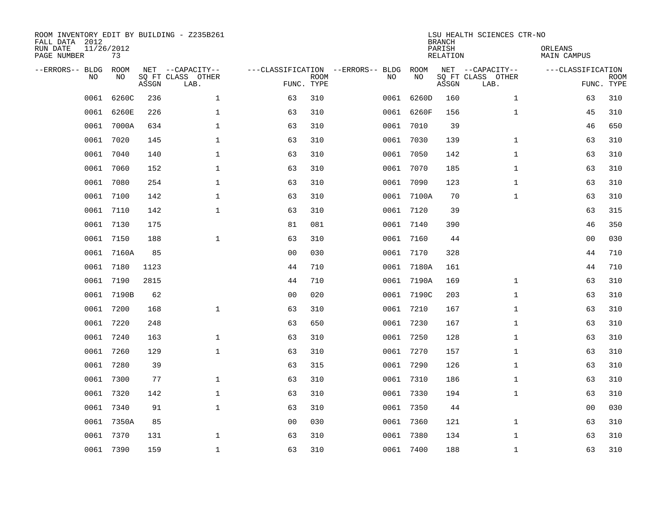| ROOM INVENTORY EDIT BY BUILDING - Z235B261<br>FALL DATA 2012<br>RUN DATE<br>PAGE NUMBER | 11/26/2012<br>73 |       |                                       |                |             |                                         |            | <b>BRANCH</b><br>PARISH<br><b>RELATION</b> | LSU HEALTH SCIENCES CTR-NO            | ORLEANS<br><b>MAIN CAMPUS</b> |             |
|-----------------------------------------------------------------------------------------|------------------|-------|---------------------------------------|----------------|-------------|-----------------------------------------|------------|--------------------------------------------|---------------------------------------|-------------------------------|-------------|
| --ERRORS-- BLDG<br>NO                                                                   | ROOM<br>NO       |       | NET --CAPACITY--<br>SQ FT CLASS OTHER |                | <b>ROOM</b> | ---CLASSIFICATION --ERRORS-- BLDG<br>NO | ROOM<br>NO |                                            | NET --CAPACITY--<br>SQ FT CLASS OTHER | ---CLASSIFICATION             | <b>ROOM</b> |
|                                                                                         |                  | ASSGN | LAB.                                  | FUNC. TYPE     |             |                                         |            | ASSGN                                      | LAB.                                  |                               | FUNC. TYPE  |
| 0061                                                                                    | 6260C            | 236   | $\mathbf{1}$                          | 63             | 310         | 0061                                    | 6260D      | 160                                        | $\mathbf{1}$                          | 63                            | 310         |
| 0061                                                                                    | 6260E            | 226   | $\mathbf{1}$                          | 63             | 310         |                                         | 0061 6260F | 156                                        | $\mathbf{1}$                          | 45                            | 310         |
| 0061                                                                                    | 7000A            | 634   | $\mathbf 1$                           | 63             | 310         | 0061                                    | 7010       | 39                                         |                                       | 46                            | 650         |
| 0061                                                                                    | 7020             | 145   | $\mathbf 1$                           | 63             | 310         |                                         | 0061 7030  | 139                                        | $\mathbf{1}$                          | 63                            | 310         |
| 0061                                                                                    | 7040             | 140   | $\mathbf{1}$                          | 63             | 310         |                                         | 0061 7050  | 142                                        | $\mathbf{1}$                          | 63                            | 310         |
| 0061                                                                                    | 7060             | 152   | $\mathbf 1$                           | 63             | 310         |                                         | 0061 7070  | 185                                        | $\mathbf{1}$                          | 63                            | 310         |
| 0061                                                                                    | 7080             | 254   | $\mathbf{1}$                          | 63             | 310         |                                         | 0061 7090  | 123                                        | $\mathbf{1}$                          | 63                            | 310         |
| 0061                                                                                    | 7100             | 142   | $\mathbf 1$                           | 63             | 310         |                                         | 0061 7100A | 70                                         | $\mathbf{1}$                          | 63                            | 310         |
| 0061                                                                                    | 7110             | 142   | $\mathbf 1$                           | 63             | 310         |                                         | 0061 7120  | 39                                         |                                       | 63                            | 315         |
| 0061                                                                                    | 7130             | 175   |                                       | 81             | 081         |                                         | 0061 7140  | 390                                        |                                       | 46                            | 350         |
| 0061                                                                                    | 7150             | 188   | $\mathbf 1$                           | 63             | 310         |                                         | 0061 7160  | 44                                         |                                       | 00                            | 030         |
| 0061                                                                                    | 7160A            | 85    |                                       | 0 <sub>0</sub> | 030         |                                         | 0061 7170  | 328                                        |                                       | 44                            | 710         |
| 0061                                                                                    | 7180             | 1123  |                                       | 44             | 710         |                                         | 0061 7180A | 161                                        |                                       | 44                            | 710         |
| 0061                                                                                    | 7190             | 2815  |                                       | 44             | 710         |                                         | 0061 7190A | 169                                        | $\mathbf{1}$                          | 63                            | 310         |
| 0061                                                                                    | 7190B            | 62    |                                       | 0 <sub>0</sub> | 020         |                                         | 0061 7190C | 203                                        | $\mathbf{1}$                          | 63                            | 310         |
| 0061                                                                                    | 7200             | 168   | $\mathbf{1}$                          | 63             | 310         |                                         | 0061 7210  | 167                                        | $\mathbf{1}$                          | 63                            | 310         |
| 0061                                                                                    | 7220             | 248   |                                       | 63             | 650         |                                         | 0061 7230  | 167                                        | $\mathbf{1}$                          | 63                            | 310         |
| 0061                                                                                    | 7240             | 163   | $\mathbf 1$                           | 63             | 310         |                                         | 0061 7250  | 128                                        | $\mathbf{1}$                          | 63                            | 310         |
| 0061                                                                                    | 7260             | 129   | $\mathbf 1$                           | 63             | 310         | 0061                                    | 7270       | 157                                        | $\mathbf{1}$                          | 63                            | 310         |
| 0061                                                                                    | 7280             | 39    |                                       | 63             | 315         |                                         | 0061 7290  | 126                                        | $\mathbf{1}$                          | 63                            | 310         |
| 0061                                                                                    | 7300             | 77    | $\mathbf 1$                           | 63             | 310         |                                         | 0061 7310  | 186                                        | $\mathbf{1}$                          | 63                            | 310         |
| 0061                                                                                    | 7320             | 142   | $\mathbf 1$                           | 63             | 310         |                                         | 0061 7330  | 194                                        | $\mathbf{1}$                          | 63                            | 310         |
| 0061                                                                                    | 7340             | 91    | $\mathbf{1}$                          | 63             | 310         |                                         | 0061 7350  | 44                                         |                                       | 0 <sub>0</sub>                | 030         |
| 0061                                                                                    | 7350A            | 85    |                                       | 0 <sub>0</sub> | 030         |                                         | 0061 7360  | 121                                        | $\mathbf{1}$                          | 63                            | 310         |
| 0061                                                                                    | 7370             | 131   | $\mathbf 1$                           | 63             | 310         | 0061                                    | 7380       | 134                                        | $\mathbf{1}$                          | 63                            | 310         |
|                                                                                         | 0061 7390        | 159   | $\mathbf{1}$                          | 63             | 310         |                                         | 0061 7400  | 188                                        | $\mathbf{1}$                          | 63                            | 310         |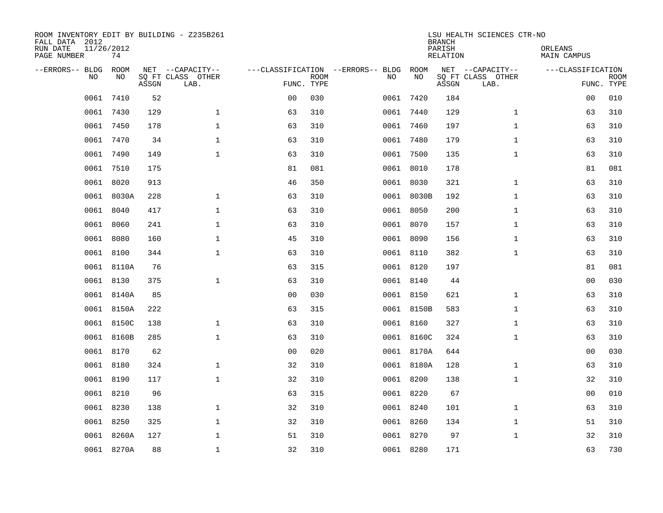| ROOM INVENTORY EDIT BY BUILDING - Z235B261<br>FALL DATA 2012<br>RUN DATE<br>PAGE NUMBER | 11/26/2012<br>74 |       |                                               |                |             |                                         |            | <b>BRANCH</b><br>PARISH<br><b>RELATION</b> | LSU HEALTH SCIENCES CTR-NO                    | ORLEANS<br><b>MAIN CAMPUS</b> |                           |
|-----------------------------------------------------------------------------------------|------------------|-------|-----------------------------------------------|----------------|-------------|-----------------------------------------|------------|--------------------------------------------|-----------------------------------------------|-------------------------------|---------------------------|
| --ERRORS-- BLDG<br>NO                                                                   | ROOM<br>NO       | ASSGN | NET --CAPACITY--<br>SQ FT CLASS OTHER<br>LAB. | FUNC. TYPE     | <b>ROOM</b> | ---CLASSIFICATION --ERRORS-- BLDG<br>NO | ROOM<br>NO | ASSGN                                      | NET --CAPACITY--<br>SQ FT CLASS OTHER<br>LAB. | ---CLASSIFICATION             | <b>ROOM</b><br>FUNC. TYPE |
| 0061                                                                                    | 7410             | 52    |                                               | 0 <sub>0</sub> | 030         |                                         | 0061 7420  | 184                                        |                                               | 0 <sub>0</sub>                | 010                       |
| 0061                                                                                    | 7430             | 129   | $\mathbf 1$                                   | 63             | 310         |                                         | 0061 7440  | 129                                        | $\mathbf{1}$                                  | 63                            | 310                       |
| 0061                                                                                    | 7450             | 178   | $\mathbf 1$                                   | 63             | 310         |                                         | 0061 7460  | 197                                        | $\mathbf{1}$                                  | 63                            | 310                       |
| 0061                                                                                    | 7470             | 34    | $\mathbf 1$                                   | 63             | 310         |                                         | 0061 7480  | 179                                        | $\mathbf{1}$                                  | 63                            | 310                       |
| 0061                                                                                    | 7490             | 149   | $\mathbf{1}$                                  | 63             | 310         |                                         | 0061 7500  | 135                                        | $\mathbf{1}$                                  | 63                            | 310                       |
| 0061                                                                                    | 7510             | 175   |                                               | 81             | 081         |                                         | 0061 8010  | 178                                        |                                               | 81                            | 081                       |
| 0061                                                                                    | 8020             | 913   |                                               | 46             | 350         |                                         | 0061 8030  | 321                                        | $\mathbf{1}$                                  | 63                            | 310                       |
|                                                                                         | 0061 8030A       | 228   | $\mathbf 1$                                   | 63             | 310         |                                         | 0061 8030B | 192                                        | $\mathbf{1}$                                  | 63                            | 310                       |
| 0061                                                                                    | 8040             | 417   | $\mathbf{1}$                                  | 63             | 310         |                                         | 0061 8050  | 200                                        | $\mathbf{1}$                                  | 63                            | 310                       |
|                                                                                         | 0061 8060        | 241   | $\mathbf{1}$                                  | 63             | 310         |                                         | 0061 8070  | 157                                        | $\mathbf{1}$                                  | 63                            | 310                       |
|                                                                                         | 0061 8080        | 160   | $\mathbf 1$                                   | 45             | 310         |                                         | 0061 8090  | 156                                        | $\mathbf{1}$                                  | 63                            | 310                       |
|                                                                                         | 0061 8100        | 344   | $\mathbf 1$                                   | 63             | 310         |                                         | 0061 8110  | 382                                        | $\mathbf{1}$                                  | 63                            | 310                       |
|                                                                                         | 0061 8110A       | 76    |                                               | 63             | 315         |                                         | 0061 8120  | 197                                        |                                               | 81                            | 081                       |
|                                                                                         | 0061 8130        | 375   | $\mathbf{1}$                                  | 63             | 310         |                                         | 0061 8140  | 44                                         |                                               | 00                            | 030                       |
| 0061                                                                                    | 8140A            | 85    |                                               | 0 <sub>0</sub> | 030         |                                         | 0061 8150  | 621                                        | $\mathbf{1}$                                  | 63                            | 310                       |
| 0061                                                                                    | 8150A            | 222   |                                               | 63             | 315         |                                         | 0061 8150B | 583                                        | $\mathbf{1}$                                  | 63                            | 310                       |
|                                                                                         | 0061 8150C       | 138   | $\mathbf{1}$                                  | 63             | 310         |                                         | 0061 8160  | 327                                        | $\mathbf{1}$                                  | 63                            | 310                       |
| 0061                                                                                    | 8160B            | 285   | $\mathbf{1}$                                  | 63             | 310         |                                         | 0061 8160C | 324                                        | $\mathbf{1}$                                  | 63                            | 310                       |
|                                                                                         | 0061 8170        | 62    |                                               | 0 <sub>0</sub> | 020         |                                         | 0061 8170A | 644                                        |                                               | 0 <sub>0</sub>                | 030                       |
|                                                                                         | 0061 8180        | 324   | $\mathbf 1$                                   | 32             | 310         |                                         | 0061 8180A | 128                                        | $\mathbf{1}$                                  | 63                            | 310                       |
|                                                                                         | 0061 8190        | 117   | $\mathbf 1$                                   | 32             | 310         |                                         | 0061 8200  | 138                                        | $\mathbf{1}$                                  | 32                            | 310                       |
|                                                                                         | 0061 8210        | 96    |                                               | 63             | 315         |                                         | 0061 8220  | 67                                         |                                               | 00                            | 010                       |
|                                                                                         | 0061 8230        | 138   | $\mathbf 1$                                   | 32             | 310         |                                         | 0061 8240  | 101                                        | $\mathbf{1}$                                  | 63                            | 310                       |
|                                                                                         | 0061 8250        | 325   | $\mathbf 1$                                   | 32             | 310         |                                         | 0061 8260  | 134                                        | $\mathbf{1}$                                  | 51                            | 310                       |
| 0061                                                                                    | 8260A            | 127   | $\mathbf 1$                                   | 51             | 310         |                                         | 0061 8270  | 97                                         | $\mathbf{1}$                                  | 32                            | 310                       |
|                                                                                         | 0061 8270A       | 88    | $\mathbf{1}$                                  | 32             | 310         |                                         | 0061 8280  | 171                                        |                                               | 63                            | 730                       |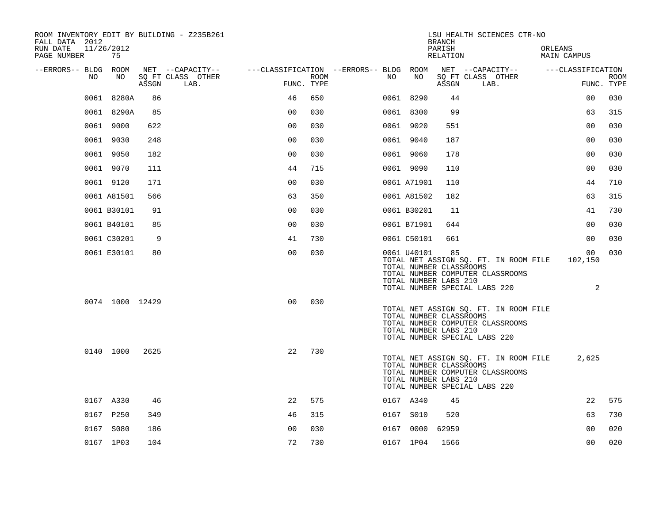| ROOM INVENTORY EDIT BY BUILDING - Z235B261<br>FALL DATA 2012 |                 |       |                           |                                        |      |    |                                                                 | <b>BRANCH</b>      |                                                                   | LSU HEALTH SCIENCES CTR-NO                                                |                        |                                |             |
|--------------------------------------------------------------|-----------------|-------|---------------------------|----------------------------------------|------|----|-----------------------------------------------------------------|--------------------|-------------------------------------------------------------------|---------------------------------------------------------------------------|------------------------|--------------------------------|-------------|
| RUN DATE<br>11/26/2012<br>PAGE NUMBER                        | 75              |       |                           |                                        |      |    |                                                                 | PARISH<br>RELATION |                                                                   |                                                                           | ORLEANS<br>MAIN CAMPUS |                                |             |
| --ERRORS-- BLDG ROOM                                         |                 |       | NET --CAPACITY--          | ---CLASSIFICATION --ERRORS-- BLDG ROOM |      |    |                                                                 |                    |                                                                   | NET --CAPACITY--                                                          | ---CLASSIFICATION      |                                |             |
| NO                                                           | NO              | ASSGN | SO FT CLASS OTHER<br>LAB. | FUNC. TYPE                             | ROOM | NO | NO                                                              | ASSGN              | SQ FT CLASS OTHER<br>LAB.                                         |                                                                           |                        | FUNC. TYPE                     | <b>ROOM</b> |
|                                                              | 0061 8280A      | 86    |                           | 46                                     | 650  |    | 0061 8290                                                       | 44                 |                                                                   |                                                                           |                        | 0 <sub>0</sub>                 | 030         |
|                                                              | 0061 8290A      | 85    |                           | 0 <sub>0</sub>                         | 030  |    | 0061 8300                                                       | 99                 |                                                                   |                                                                           |                        | 63                             | 315         |
| 0061 9000                                                    |                 | 622   |                           | 0 <sub>0</sub>                         | 030  |    | 0061 9020                                                       | 551                |                                                                   |                                                                           |                        | 0 <sub>0</sub>                 | 030         |
| 0061 9030                                                    |                 | 248   |                           | 0 <sub>0</sub>                         | 030  |    | 0061 9040                                                       | 187                |                                                                   |                                                                           |                        | 0 <sub>0</sub>                 | 030         |
| 0061 9050                                                    |                 | 182   |                           | 0 <sub>0</sub>                         | 030  |    | 0061 9060                                                       | 178                |                                                                   |                                                                           |                        | 0 <sub>0</sub>                 | 030         |
| 0061 9070                                                    |                 | 111   |                           | 44                                     | 715  |    | 0061 9090                                                       | 110                |                                                                   |                                                                           |                        | 0 <sub>0</sub>                 | 030         |
| 0061 9120                                                    |                 | 171   |                           | 0 <sub>0</sub>                         | 030  |    | 0061 A71901                                                     | 110                |                                                                   |                                                                           |                        | 44                             | 710         |
| 0061 A81501                                                  |                 | 566   |                           | 63                                     | 350  |    | 0061 A81502                                                     | 182                |                                                                   |                                                                           |                        | 63                             | 315         |
| 0061 B30101                                                  |                 | 91    |                           | 0 <sub>0</sub>                         | 030  |    | 0061 B30201                                                     | 11                 |                                                                   |                                                                           |                        | 41                             | 730         |
| 0061 B40101                                                  |                 | 85    |                           | 0 <sub>0</sub>                         | 030  |    | 0061 B71901                                                     | 644                |                                                                   |                                                                           |                        | 0 <sub>0</sub>                 | 030         |
| 0061 C30201                                                  |                 | 9     |                           | 41                                     | 730  |    | 0061 C50101                                                     | 661                |                                                                   |                                                                           |                        | 0 <sub>0</sub>                 | 030         |
|                                                              | 0061 E30101     | 80    |                           | 0 <sub>0</sub>                         | 030  |    | 0061 U40101<br>TOTAL NUMBER CLASSROOMS<br>TOTAL NUMBER LABS 210 | 85                 | TOTAL NUMBER SPECIAL LABS 220                                     | TOTAL NET ASSIGN SQ. FT. IN ROOM FILE<br>TOTAL NUMBER COMPUTER CLASSROOMS |                        | 0 <sub>0</sub><br>102,150<br>2 | 030         |
|                                                              | 0074 1000 12429 |       |                           | 0 <sub>0</sub>                         | 030  |    | TOTAL NUMBER CLASSROOMS<br>TOTAL NUMBER LABS 210                |                    | TOTAL NUMBER COMPUTER CLASSROOMS<br>TOTAL NUMBER SPECIAL LABS 220 | TOTAL NET ASSIGN SQ. FT. IN ROOM FILE                                     |                        |                                |             |
|                                                              | 0140 1000       | 2625  |                           | 22                                     | 730  |    | TOTAL NUMBER CLASSROOMS<br>TOTAL NUMBER LABS 210                |                    | TOTAL NUMBER COMPUTER CLASSROOMS<br>TOTAL NUMBER SPECIAL LABS 220 | TOTAL NET ASSIGN SQ. FT. IN ROOM FILE                                     |                        | 2,625                          |             |
| 0167 A330                                                    |                 | 46    |                           | 22                                     | 575  |    | 0167 A340                                                       | 45                 |                                                                   |                                                                           |                        | 22                             | 575         |
| 0167 P250                                                    |                 | 349   |                           | 46                                     | 315  |    | 0167 S010                                                       | 520                |                                                                   |                                                                           |                        | 63                             | 730         |
| 0167 S080                                                    |                 | 186   |                           | 0 <sub>0</sub>                         | 030  |    | 0167 0000                                                       | 62959              |                                                                   |                                                                           |                        | 0 <sub>0</sub>                 | 020         |
| 0167 1P03                                                    |                 | 104   |                           | 72                                     | 730  |    | 0167 1P04                                                       | 1566               |                                                                   |                                                                           |                        | 0 <sub>0</sub>                 | 020         |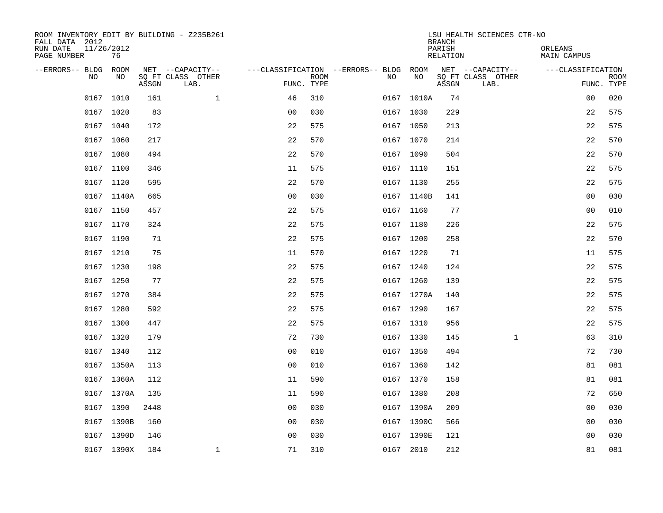| ROOM INVENTORY EDIT BY BUILDING - Z235B261<br>FALL DATA 2012 |                  |       |                           |                |                           |                                        |            |    | <b>BRANCH</b>             | LSU HEALTH SCIENCES CTR-NO |                               |                           |
|--------------------------------------------------------------|------------------|-------|---------------------------|----------------|---------------------------|----------------------------------------|------------|----|---------------------------|----------------------------|-------------------------------|---------------------------|
| RUN DATE<br>PAGE NUMBER                                      | 11/26/2012<br>76 |       |                           |                |                           |                                        |            |    | PARISH<br><b>RELATION</b> |                            | ORLEANS<br><b>MAIN CAMPUS</b> |                           |
| --ERRORS-- BLDG                                              | ROOM             |       | NET --CAPACITY--          |                |                           | ---CLASSIFICATION --ERRORS-- BLDG ROOM |            |    |                           | NET --CAPACITY--           | ---CLASSIFICATION             |                           |
| NO                                                           | NO               | ASSGN | SQ FT CLASS OTHER<br>LAB. |                | <b>ROOM</b><br>FUNC. TYPE | NO                                     |            | NO | ASSGN                     | SQ FT CLASS OTHER<br>LAB.  |                               | <b>ROOM</b><br>FUNC. TYPE |
| 0167                                                         | 1010             | 161   | $\mathbf{1}$              | 46             | 310                       |                                        | 0167 1010A |    | 74                        |                            | 0 <sub>0</sub>                | 020                       |
|                                                              | 0167 1020        | 83    |                           | 0 <sub>0</sub> | 030                       |                                        | 0167 1030  |    | 229                       |                            | 22                            | 575                       |
|                                                              | 0167 1040        | 172   |                           | 22             | 575                       |                                        | 0167 1050  |    | 213                       |                            | 22                            | 575                       |
|                                                              | 0167 1060        | 217   |                           | 22             | 570                       |                                        | 0167 1070  |    | 214                       |                            | 22                            | 570                       |
|                                                              | 0167 1080        | 494   |                           | 22             | 570                       |                                        | 0167 1090  |    | 504                       |                            | 22                            | 570                       |
|                                                              | 0167 1100        | 346   |                           | 11             | 575                       |                                        | 0167 1110  |    | 151                       |                            | 22                            | 575                       |
|                                                              | 0167 1120        | 595   |                           | 22             | 570                       |                                        | 0167 1130  |    | 255                       |                            | 22                            | 575                       |
|                                                              | 0167 1140A       | 665   |                           | 0 <sub>0</sub> | 030                       |                                        | 0167 1140B |    | 141                       |                            | 0 <sub>0</sub>                | 030                       |
|                                                              | 0167 1150        | 457   |                           | 22             | 575                       |                                        | 0167 1160  |    | 77                        |                            | 0 <sub>0</sub>                | 010                       |
|                                                              | 0167 1170        | 324   |                           | 22             | 575                       |                                        | 0167 1180  |    | 226                       |                            | 22                            | 575                       |
|                                                              | 0167 1190        | 71    |                           | 22             | 575                       |                                        | 0167 1200  |    | 258                       |                            | 22                            | 570                       |
|                                                              | 0167 1210        | 75    |                           | 11             | 570                       |                                        | 0167 1220  |    | 71                        |                            | 11                            | 575                       |
|                                                              | 0167 1230        | 198   |                           | 22             | 575                       |                                        | 0167 1240  |    | 124                       |                            | 22                            | 575                       |
|                                                              | 0167 1250        | 77    |                           | 22             | 575                       |                                        | 0167 1260  |    | 139                       |                            | 22                            | 575                       |
|                                                              | 0167 1270        | 384   |                           | 22             | 575                       |                                        | 0167 1270A |    | 140                       |                            | 22                            | 575                       |
|                                                              | 0167 1280        | 592   |                           | 22             | 575                       |                                        | 0167 1290  |    | 167                       |                            | 22                            | 575                       |
|                                                              | 0167 1300        | 447   |                           | 22             | 575                       |                                        | 0167 1310  |    | 956                       |                            | 22                            | 575                       |
|                                                              | 0167 1320        | 179   |                           | 72             | 730                       |                                        | 0167 1330  |    | 145                       | $\mathbf{1}$               | 63                            | 310                       |
|                                                              | 0167 1340        | 112   |                           | 0 <sup>0</sup> | 010                       |                                        | 0167 1350  |    | 494                       |                            | 72                            | 730                       |
|                                                              | 0167 1350A       | 113   |                           | 0 <sub>0</sub> | 010                       |                                        | 0167 1360  |    | 142                       |                            | 81                            | 081                       |
|                                                              | 0167 1360A       | 112   |                           | 11             | 590                       |                                        | 0167 1370  |    | 158                       |                            | 81                            | 081                       |
|                                                              | 0167 1370A       | 135   |                           | 11             | 590                       |                                        | 0167 1380  |    | 208                       |                            | 72                            | 650                       |
|                                                              | 0167 1390        | 2448  |                           | 0 <sub>0</sub> | 030                       |                                        | 0167 1390A |    | 209                       |                            | 0 <sub>0</sub>                | 030                       |
|                                                              | 0167 1390B       | 160   |                           | 00             | 030                       |                                        | 0167 1390C |    | 566                       |                            | 0 <sub>0</sub>                | 030                       |
|                                                              | 0167 1390D       | 146   |                           | 0 <sub>0</sub> | 030                       |                                        | 0167 1390E |    | 121                       |                            | 0 <sub>0</sub>                | 030                       |
|                                                              | 0167 1390X       | 184   | $\mathbf 1$               | 71             | 310                       |                                        | 0167 2010  |    | 212                       |                            | 81                            | 081                       |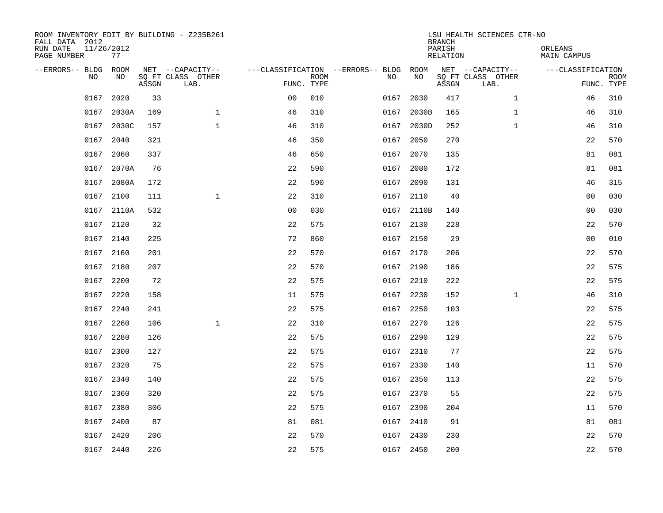| ROOM INVENTORY EDIT BY BUILDING - Z235B261<br>FALL DATA 2012<br>RUN DATE<br>PAGE NUMBER | 11/26/2012<br>77 |       |                                               |                                                      |             |           |            | <b>BRANCH</b><br>PARISH<br><b>RELATION</b> | LSU HEALTH SCIENCES CTR-NO                    | ORLEANS<br><b>MAIN CAMPUS</b> |                           |
|-----------------------------------------------------------------------------------------|------------------|-------|-----------------------------------------------|------------------------------------------------------|-------------|-----------|------------|--------------------------------------------|-----------------------------------------------|-------------------------------|---------------------------|
| --ERRORS-- BLDG ROOM<br>NO                                                              | NO               | ASSGN | NET --CAPACITY--<br>SQ FT CLASS OTHER<br>LAB. | ---CLASSIFICATION --ERRORS-- BLDG ROOM<br>FUNC. TYPE | <b>ROOM</b> | NO        | NO         | ASSGN                                      | NET --CAPACITY--<br>SQ FT CLASS OTHER<br>LAB. | ---CLASSIFICATION             | <b>ROOM</b><br>FUNC. TYPE |
| 0167                                                                                    | 2020             | 33    |                                               | 0 <sub>0</sub>                                       | 010         | 0167      | 2030       | 417                                        | $\mathbf{1}$                                  | 46                            | 310                       |
|                                                                                         | 0167 2030A       | 169   | $\mathbf 1$                                   | 46                                                   | 310         | 0167      | 2030B      | 165                                        | $\mathbf{1}$                                  | 46                            | 310                       |
| 0167                                                                                    | 2030C            | 157   | $\mathbf{1}$                                  | 46                                                   | 310         | 0167      | 2030D      | 252                                        | $\mathbf{1}$                                  | 46                            | 310                       |
|                                                                                         | 0167 2040        | 321   |                                               | 46                                                   | 350         | 0167      | 2050       | 270                                        |                                               | 22                            | 570                       |
| 0167                                                                                    | 2060             | 337   |                                               | 46                                                   | 650         | 0167      | 2070       | 135                                        |                                               | 81                            | 081                       |
|                                                                                         | 0167 2070A       | 76    |                                               | 22                                                   | 590         | 0167 2080 |            | 172                                        |                                               | 81                            | 081                       |
|                                                                                         | 0167 2080A       | 172   |                                               | 22                                                   | 590         | 0167      | 2090       | 131                                        |                                               | 46                            | 315                       |
|                                                                                         | 0167 2100        | 111   | $\mathbf{1}$                                  | 22                                                   | 310         | 0167 2110 |            | 40                                         |                                               | 0 <sub>0</sub>                | 030                       |
|                                                                                         | 0167 2110A       | 532   |                                               | 0 <sub>0</sub>                                       | 030         |           | 0167 2110B | 140                                        |                                               | 00                            | 030                       |
|                                                                                         | 0167 2120        | 32    |                                               | 22                                                   | 575         | 0167 2130 |            | 228                                        |                                               | 22                            | 570                       |
|                                                                                         | 0167 2140        | 225   |                                               | 72                                                   | 860         | 0167 2150 |            | 29                                         |                                               | 0 <sub>0</sub>                | 010                       |
|                                                                                         | 0167 2160        | 201   |                                               | 22                                                   | 570         | 0167 2170 |            | 206                                        |                                               | 22                            | 570                       |
|                                                                                         | 0167 2180        | 207   |                                               | 22                                                   | 570         | 0167 2190 |            | 186                                        |                                               | 22                            | 575                       |
|                                                                                         | 0167 2200        | 72    |                                               | 22                                                   | 575         | 0167 2210 |            | 222                                        |                                               | 22                            | 575                       |
|                                                                                         | 0167 2220        | 158   |                                               | 11                                                   | 575         | 0167 2230 |            | 152                                        | $\mathbf{1}$                                  | 46                            | 310                       |
|                                                                                         | 0167 2240        | 241   |                                               | 22                                                   | 575         | 0167 2250 |            | 103                                        |                                               | 22                            | 575                       |
|                                                                                         | 0167 2260        | 106   | $\mathbf{1}$                                  | 22                                                   | 310         | 0167 2270 |            | 126                                        |                                               | 22                            | 575                       |
| 0167                                                                                    | 2280             | 126   |                                               | 22                                                   | 575         | 0167 2290 |            | 129                                        |                                               | 22                            | 575                       |
|                                                                                         | 0167 2300        | 127   |                                               | 22                                                   | 575         | 0167 2310 |            | 77                                         |                                               | 22                            | 575                       |
| 0167                                                                                    | 2320             | 75    |                                               | 22                                                   | 575         | 0167 2330 |            | 140                                        |                                               | 11                            | 570                       |
|                                                                                         | 0167 2340        | 140   |                                               | 22                                                   | 575         | 0167 2350 |            | 113                                        |                                               | 22                            | 575                       |
| 0167                                                                                    | 2360             | 320   |                                               | 22                                                   | 575         | 0167 2370 |            | 55                                         |                                               | 22                            | 575                       |
|                                                                                         | 0167 2380        | 306   |                                               | 22                                                   | 575         | 0167 2390 |            | 204                                        |                                               | 11                            | 570                       |
| 0167                                                                                    | 2400             | 87    |                                               | 81                                                   | 081         | 0167      | 2410       | 91                                         |                                               | 81                            | 081                       |
|                                                                                         | 0167 2420        | 206   |                                               | 22                                                   | 570         | 0167 2430 |            | 230                                        |                                               | 22                            | 570                       |
|                                                                                         | 0167 2440        | 226   |                                               | 22                                                   | 575         | 0167 2450 |            | 200                                        |                                               | 22                            | 570                       |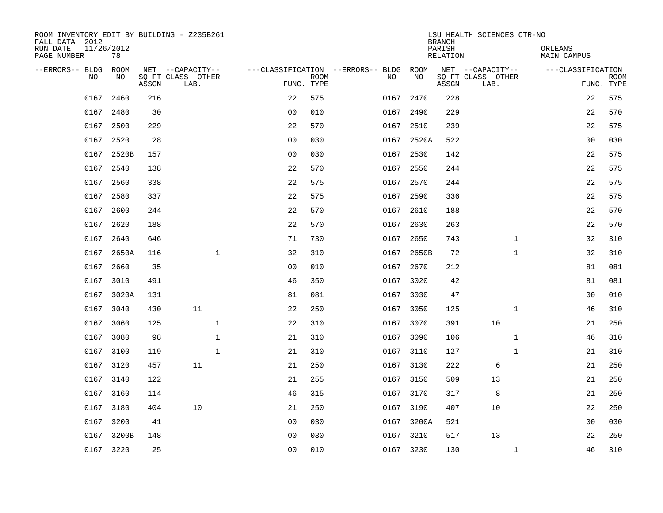| ROOM INVENTORY EDIT BY BUILDING - Z235B261<br>FALL DATA 2012 |                  |       |                           |              |                                        |             |      |            | <b>BRANCH</b>      | LSU HEALTH SCIENCES CTR-NO |              |                        |                           |
|--------------------------------------------------------------|------------------|-------|---------------------------|--------------|----------------------------------------|-------------|------|------------|--------------------|----------------------------|--------------|------------------------|---------------------------|
| RUN DATE<br>PAGE NUMBER                                      | 11/26/2012<br>78 |       |                           |              |                                        |             |      |            | PARISH<br>RELATION |                            |              | ORLEANS<br>MAIN CAMPUS |                           |
| --ERRORS-- BLDG ROOM                                         |                  |       | NET --CAPACITY--          |              | ---CLASSIFICATION --ERRORS-- BLDG ROOM |             |      |            |                    | NET --CAPACITY--           |              | ---CLASSIFICATION      |                           |
| NO.                                                          | NO.              | ASSGN | SO FT CLASS OTHER<br>LAB. |              | FUNC. TYPE                             | <b>ROOM</b> | NO.  | NO         | ASSGN              | SQ FT CLASS OTHER<br>LAB.  |              |                        | <b>ROOM</b><br>FUNC. TYPE |
| 0167                                                         | 2460             | 216   |                           |              | 22                                     | 575         | 0167 | 2470       | 228                |                            |              | 22                     | 575                       |
|                                                              | 0167 2480        | 30    |                           |              | 0 <sub>0</sub>                         | 010         |      | 0167 2490  | 229                |                            |              | 22                     | 570                       |
|                                                              | 0167 2500        | 229   |                           |              | 22                                     | 570         |      | 0167 2510  | 239                |                            |              | 22                     | 575                       |
|                                                              | 0167 2520        | 28    |                           |              | 0 <sub>0</sub>                         | 030         |      | 0167 2520A | 522                |                            |              | 0 <sub>0</sub>         | 030                       |
| 0167                                                         | 2520B            | 157   |                           |              | 00                                     | 030         |      | 0167 2530  | 142                |                            |              | 22                     | 575                       |
|                                                              | 0167 2540        | 138   |                           |              | 22                                     | 570         |      | 0167 2550  | 244                |                            |              | 22                     | 575                       |
| 0167                                                         | 2560             | 338   |                           |              | 22                                     | 575         |      | 0167 2570  | 244                |                            |              | 22                     | 575                       |
|                                                              | 0167 2580        | 337   |                           |              | 22                                     | 575         |      | 0167 2590  | 336                |                            |              | 22                     | 575                       |
| 0167                                                         | 2600             | 244   |                           |              | 22                                     | 570         | 0167 | 2610       | 188                |                            |              | 22                     | 570                       |
|                                                              | 0167 2620        | 188   |                           |              | 22                                     | 570         |      | 0167 2630  | 263                |                            |              | 22                     | 570                       |
|                                                              | 0167 2640        | 646   |                           |              | 71                                     | 730         | 0167 | 2650       | 743                |                            | $\mathbf{1}$ | 32                     | 310                       |
|                                                              | 0167 2650A       | 116   |                           | $\mathbf{1}$ | 32                                     | 310         |      | 0167 2650B | 72                 |                            | $\mathbf{1}$ | 32                     | 310                       |
|                                                              | 0167 2660        | 35    |                           |              | 0 <sub>0</sub>                         | 010         | 0167 | 2670       | 212                |                            |              | 81                     | 081                       |
|                                                              | 0167 3010        | 491   |                           |              | 46                                     | 350         |      | 0167 3020  | 42                 |                            |              | 81                     | 081                       |
|                                                              | 0167 3020A       | 131   |                           |              | 81                                     | 081         | 0167 | 3030       | 47                 |                            |              | 00                     | 010                       |
|                                                              | 0167 3040        | 430   | 11                        |              | 22                                     | 250         |      | 0167 3050  | 125                |                            | $\mathbf{1}$ | 46                     | 310                       |
| 0167                                                         | 3060             | 125   |                           | $\mathbf{1}$ | 22                                     | 310         |      | 0167 3070  | 391                | 10                         |              | 21                     | 250                       |
|                                                              | 0167 3080        | 98    |                           | $\mathbf 1$  | 21                                     | 310         |      | 0167 3090  | 106                |                            | $\mathbf{1}$ | 46                     | 310                       |
|                                                              | 0167 3100        | 119   |                           | $\mathbf{1}$ | 21                                     | 310         |      | 0167 3110  | 127                |                            | $\mathbf{1}$ | 21                     | 310                       |
|                                                              | 0167 3120        | 457   | 11                        |              | 21                                     | 250         |      | 0167 3130  | 222                | 6                          |              | 21                     | 250                       |
|                                                              | 0167 3140        | 122   |                           |              | 21                                     | 255         |      | 0167 3150  | 509                | 13                         |              | 21                     | 250                       |
| 0167                                                         | 3160             | 114   |                           |              | 46                                     | 315         |      | 0167 3170  | 317                | 8                          |              | 21                     | 250                       |
|                                                              | 0167 3180        | 404   | 10                        |              | 21                                     | 250         |      | 0167 3190  | 407                | 10                         |              | 22                     | 250                       |
| 0167                                                         | 3200             | 41    |                           |              | 0 <sub>0</sub>                         | 030         |      | 0167 3200A | 521                |                            |              | 0 <sub>0</sub>         | 030                       |
|                                                              | 0167 3200B       | 148   |                           |              | 0 <sub>0</sub>                         | 030         |      | 0167 3210  | 517                | 13                         |              | 22                     | 250                       |
|                                                              | 0167 3220        | 25    |                           |              | 0 <sub>0</sub>                         | 010         |      | 0167 3230  | 130                |                            | $\mathbf{1}$ | 46                     | 310                       |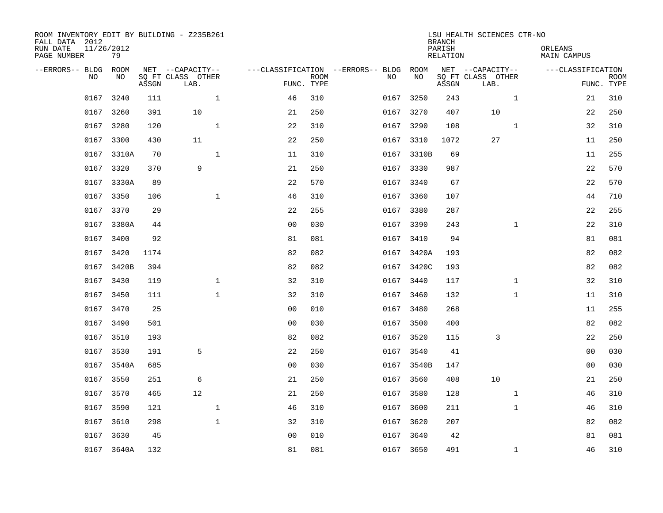| ROOM INVENTORY EDIT BY BUILDING - Z235B261<br>FALL DATA 2012<br>RUN DATE<br>PAGE NUMBER | 11/26/2012<br>79 |       |                                       |                |             |                                              |            | <b>BRANCH</b><br>PARISH<br><b>RELATION</b> | LSU HEALTH SCIENCES CTR-NO            | ORLEANS<br><b>MAIN CAMPUS</b> |                |             |
|-----------------------------------------------------------------------------------------|------------------|-------|---------------------------------------|----------------|-------------|----------------------------------------------|------------|--------------------------------------------|---------------------------------------|-------------------------------|----------------|-------------|
| --ERRORS-- BLDG ROOM<br>NO                                                              | NO               |       | NET --CAPACITY--<br>SQ FT CLASS OTHER |                | <b>ROOM</b> | ---CLASSIFICATION --ERRORS-- BLDG ROOM<br>NO | NO         |                                            | NET --CAPACITY--<br>SQ FT CLASS OTHER | ---CLASSIFICATION             |                | <b>ROOM</b> |
|                                                                                         |                  | ASSGN | LAB.                                  |                | FUNC. TYPE  |                                              |            | ASSGN                                      | LAB.                                  |                               |                | FUNC. TYPE  |
| 0167                                                                                    | 3240             | 111   | $\mathbf 1$                           | 46             | 310         | 0167                                         | 3250       | 243                                        | $\mathbf{1}$                          |                               | 21             | 310         |
|                                                                                         | 0167 3260        | 391   | 10                                    | 21             | 250         |                                              | 0167 3270  | 407                                        | 10                                    |                               | 22             | 250         |
| 0167                                                                                    | 3280             | 120   | $\mathbf{1}$                          | 22             | 310         |                                              | 0167 3290  | 108                                        | $\mathbf{1}$                          |                               | 32             | 310         |
|                                                                                         | 0167 3300        | 430   | 11                                    | 22             | 250         |                                              | 0167 3310  | 1072                                       | 27                                    |                               | 11             | 250         |
| 0167                                                                                    | 3310A            | 70    | $\mathbf{1}$                          | 11             | 310         |                                              | 0167 3310B | 69                                         |                                       |                               | 11             | 255         |
|                                                                                         | 0167 3320        | 370   | 9                                     | 21             | 250         |                                              | 0167 3330  | 987                                        |                                       |                               | 22             | 570         |
|                                                                                         | 0167 3330A       | 89    |                                       | 22             | 570         |                                              | 0167 3340  | 67                                         |                                       |                               | 22             | 570         |
|                                                                                         | 0167 3350        | 106   | $\mathbf{1}$                          | 46             | 310         |                                              | 0167 3360  | 107                                        |                                       |                               | 44             | 710         |
|                                                                                         | 0167 3370        | 29    |                                       | 22             | 255         | 0167                                         | 3380       | 287                                        |                                       |                               | 22             | 255         |
|                                                                                         | 0167 3380A       | 44    |                                       | 0 <sub>0</sub> | 030         |                                              | 0167 3390  | 243                                        | $\mathbf{1}$                          |                               | 22             | 310         |
|                                                                                         | 0167 3400        | 92    |                                       | 81             | 081         |                                              | 0167 3410  | 94                                         |                                       |                               | 81             | 081         |
|                                                                                         | 0167 3420        | 1174  |                                       | 82             | 082         |                                              | 0167 3420A | 193                                        |                                       |                               | 82             | 082         |
|                                                                                         | 0167 3420B       | 394   |                                       | 82             | 082         |                                              | 0167 3420C | 193                                        |                                       |                               | 82             | 082         |
|                                                                                         | 0167 3430        | 119   | $\mathbf 1$                           | 32             | 310         |                                              | 0167 3440  | 117                                        | $\mathbf{1}$                          |                               | 32             | 310         |
|                                                                                         | 0167 3450        | 111   | $\mathbf 1$                           | 32             | 310         |                                              | 0167 3460  | 132                                        | $\mathbf{1}$                          |                               | 11             | 310         |
|                                                                                         | 0167 3470        | 25    |                                       | 0 <sub>0</sub> | 010         |                                              | 0167 3480  | 268                                        |                                       |                               | 11             | 255         |
|                                                                                         | 0167 3490        | 501   |                                       | 0 <sub>0</sub> | 030         |                                              | 0167 3500  | 400                                        |                                       |                               | 82             | 082         |
|                                                                                         | 0167 3510        | 193   |                                       | 82             | 082         |                                              | 0167 3520  | 115                                        | 3                                     |                               | 22             | 250         |
|                                                                                         | 0167 3530        | 191   | 5                                     | 22             | 250         |                                              | 0167 3540  | 41                                         |                                       |                               | 0 <sub>0</sub> | 030         |
|                                                                                         | 0167 3540A       | 685   |                                       | 0 <sub>0</sub> | 030         |                                              | 0167 3540B | 147                                        |                                       |                               | 0 <sub>0</sub> | 030         |
|                                                                                         | 0167 3550        | 251   | 6                                     | 21             | 250         |                                              | 0167 3560  | 408                                        | 10                                    |                               | 21             | 250         |
| 0167                                                                                    | 3570             | 465   | 12                                    | 21             | 250         |                                              | 0167 3580  | 128                                        | $\mathbf{1}$                          |                               | 46             | 310         |
|                                                                                         | 0167 3590        | 121   | $\mathbf{1}$                          | 46             | 310         |                                              | 0167 3600  | 211                                        | $\mathbf{1}$                          |                               | 46             | 310         |
| 0167                                                                                    | 3610             | 298   | $\mathbf{1}$                          | 32             | 310         |                                              | 0167 3620  | 207                                        |                                       |                               | 82             | 082         |
|                                                                                         | 0167 3630        | 45    |                                       | 0 <sub>0</sub> | 010         |                                              | 0167 3640  | 42                                         |                                       |                               | 81             | 081         |
|                                                                                         | 0167 3640A       | 132   |                                       | 81             | 081         |                                              | 0167 3650  | 491                                        | $\mathbf{1}$                          |                               | 46             | 310         |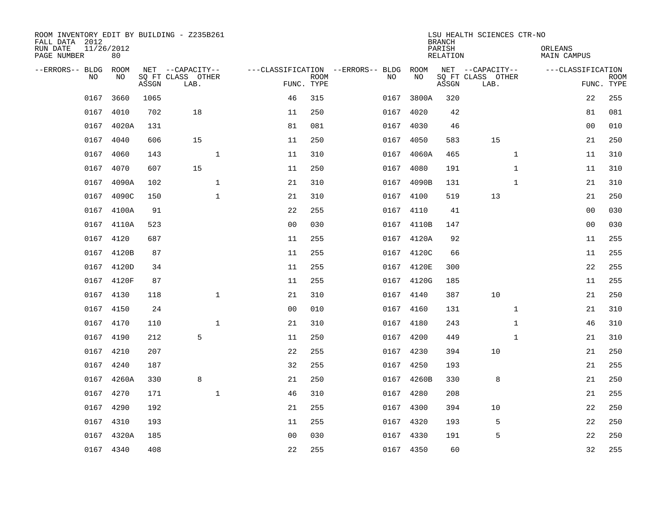| ROOM INVENTORY EDIT BY BUILDING - Z235B261<br>FALL DATA 2012<br>RUN DATE | 11/26/2012  |       |                                       |                |             |                                          |            | <b>BRANCH</b><br>PARISH | LSU HEALTH SCIENCES CTR-NO            | ORLEANS           |             |
|--------------------------------------------------------------------------|-------------|-------|---------------------------------------|----------------|-------------|------------------------------------------|------------|-------------------------|---------------------------------------|-------------------|-------------|
| PAGE NUMBER                                                              | 80          |       |                                       |                |             |                                          |            | RELATION                |                                       | MAIN CAMPUS       |             |
| --ERRORS-- BLDG<br>NO.                                                   | ROOM<br>NO. |       | NET --CAPACITY--<br>SO FT CLASS OTHER |                | <b>ROOM</b> | ---CLASSIFICATION --ERRORS-- BLDG<br>NO. | ROOM<br>NO |                         | NET --CAPACITY--<br>SQ FT CLASS OTHER | ---CLASSIFICATION | <b>ROOM</b> |
|                                                                          |             | ASSGN | LAB.                                  | FUNC. TYPE     |             |                                          |            | ASSGN                   | LAB.                                  |                   | FUNC. TYPE  |
| 0167                                                                     | 3660        | 1065  |                                       | 46             | 315         | 0167                                     | 3800A      | 320                     |                                       | 22                | 255         |
| 0167                                                                     | 4010        | 702   | 18                                    | 11             | 250         | 0167                                     | 4020       | 42                      |                                       | 81                | 081         |
| 0167                                                                     | 4020A       | 131   |                                       | 81             | 081         | 0167                                     | 4030       | 46                      |                                       | 00                | 010         |
| 0167                                                                     | 4040        | 606   | 15                                    | 11             | 250         | 0167                                     | 4050       | 583                     | 15                                    | 21                | 250         |
| 0167                                                                     | 4060        | 143   | $\mathbf{1}$                          | 11             | 310         | 0167                                     | 4060A      | 465                     | $\mathbf{1}$                          | 11                | 310         |
|                                                                          | 0167 4070   | 607   | 15                                    | 11             | 250         | 0167                                     | 4080       | 191                     | $\mathbf{1}$                          | 11                | 310         |
|                                                                          | 0167 4090A  | 102   | $\mathbf{1}$                          | 21             | 310         | 0167                                     | 4090B      | 131                     | $\mathbf{1}$                          | 21                | 310         |
|                                                                          | 0167 4090C  | 150   | $\mathbf 1$                           | 21             | 310         |                                          | 0167 4100  | 519                     | 13                                    | 21                | 250         |
|                                                                          | 0167 4100A  | 91    |                                       | 22             | 255         | 0167                                     | 4110       | 41                      |                                       | 0 <sub>0</sub>    | 030         |
|                                                                          | 0167 4110A  | 523   |                                       | 0 <sub>0</sub> | 030         |                                          | 0167 4110B | 147                     |                                       | 0 <sub>0</sub>    | 030         |
|                                                                          | 0167 4120   | 687   |                                       | 11             | 255         |                                          | 0167 4120A | 92                      |                                       | 11                | 255         |
|                                                                          | 0167 4120B  | 87    |                                       | 11             | 255         |                                          | 0167 4120C | 66                      |                                       | 11                | 255         |
|                                                                          | 0167 4120D  | 34    |                                       | 11             | 255         | 0167                                     | 4120E      | 300                     |                                       | 22                | 255         |
|                                                                          | 0167 4120F  | 87    |                                       | 11             | 255         |                                          | 0167 4120G | 185                     |                                       | 11                | 255         |
|                                                                          | 0167 4130   | 118   | $\mathbf{1}$                          | 21             | 310         | 0167                                     | 4140       | 387                     | 10                                    | 21                | 250         |
|                                                                          | 0167 4150   | 24    |                                       | 0 <sub>0</sub> | 010         |                                          | 0167 4160  | 131                     | $\mathbf{1}$                          | 21                | 310         |
|                                                                          | 0167 4170   | 110   | $\mathbf{1}$                          | 21             | 310         | 0167                                     | 4180       | 243                     | $\mathbf{1}$                          | 46                | 310         |
|                                                                          | 0167 4190   | 212   | 5                                     | 11             | 250         | 0167                                     | 4200       | 449                     | $\mathbf{1}$                          | 21                | 310         |
|                                                                          | 0167 4210   | 207   |                                       | 22             | 255         |                                          | 0167 4230  | 394                     | 10                                    | 21                | 250         |
| 0167                                                                     | 4240        | 187   |                                       | 32             | 255         | 0167                                     | 4250       | 193                     |                                       | 21                | 255         |
|                                                                          | 0167 4260A  | 330   | 8                                     | 21             | 250         |                                          | 0167 4260B | 330                     | 8                                     | 21                | 250         |
| 0167                                                                     | 4270        | 171   | $\mathbf 1$                           | 46             | 310         | 0167                                     | 4280       | 208                     |                                       | 21                | 255         |
|                                                                          | 0167 4290   | 192   |                                       | 21             | 255         |                                          | 0167 4300  | 394                     | 10                                    | 22                | 250         |
|                                                                          | 0167 4310   | 193   |                                       | 11             | 255         | 0167                                     | 4320       | 193                     | 5                                     | 22                | 250         |
|                                                                          | 0167 4320A  | 185   |                                       | 0 <sub>0</sub> | 030         |                                          | 0167 4330  | 191                     | 5                                     | 22                | 250         |
|                                                                          | 0167 4340   | 408   |                                       | 22             | 255         |                                          | 0167 4350  | 60                      |                                       | 32                | 255         |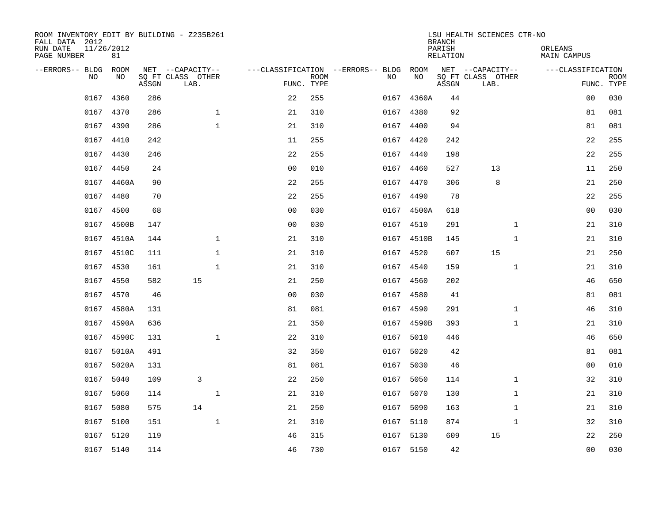| ROOM INVENTORY EDIT BY BUILDING - Z235B261<br>FALL DATA 2012<br>RUN DATE | 11/26/2012 |       |                                       |                |             |                                              |            | <b>BRANCH</b><br>PARISH | LSU HEALTH SCIENCES CTR-NO            | ORLEANS            |             |
|--------------------------------------------------------------------------|------------|-------|---------------------------------------|----------------|-------------|----------------------------------------------|------------|-------------------------|---------------------------------------|--------------------|-------------|
| PAGE NUMBER                                                              | 81         |       |                                       |                |             |                                              |            | <b>RELATION</b>         |                                       | <b>MAIN CAMPUS</b> |             |
| --ERRORS-- BLDG ROOM<br>NO                                               | NO         |       | NET --CAPACITY--<br>SQ FT CLASS OTHER |                | <b>ROOM</b> | ---CLASSIFICATION --ERRORS-- BLDG ROOM<br>NO | NO         |                         | NET --CAPACITY--<br>SQ FT CLASS OTHER | ---CLASSIFICATION  | <b>ROOM</b> |
|                                                                          |            | ASSGN | LAB.                                  |                | FUNC. TYPE  |                                              |            | ASSGN                   | LAB.                                  |                    | FUNC. TYPE  |
| 0167                                                                     | 4360       | 286   |                                       | 22             | 255         | 0167                                         | 4360A      | 44                      |                                       | 00                 | 030         |
|                                                                          | 0167 4370  | 286   | $\mathbf 1$                           | 21             | 310         | 0167                                         | 4380       | 92                      |                                       | 81                 | 081         |
|                                                                          | 0167 4390  | 286   | $\mathbf 1$                           | 21             | 310         |                                              | 0167 4400  | 94                      |                                       | 81                 | 081         |
|                                                                          | 0167 4410  | 242   |                                       | 11             | 255         |                                              | 0167 4420  | 242                     |                                       | 22                 | 255         |
| 0167                                                                     | 4430       | 246   |                                       | 22             | 255         | 0167                                         | 4440       | 198                     |                                       | 22                 | 255         |
|                                                                          | 0167 4450  | 24    |                                       | 0 <sub>0</sub> | 010         |                                              | 0167 4460  | 527                     | 13                                    | 11                 | 250         |
|                                                                          | 0167 4460A | 90    |                                       | 22             | 255         |                                              | 0167 4470  | 306                     | 8                                     | 21                 | 250         |
|                                                                          | 0167 4480  | 70    |                                       | 22             | 255         |                                              | 0167 4490  | 78                      |                                       | 22                 | 255         |
|                                                                          | 0167 4500  | 68    |                                       | 0 <sub>0</sub> | 030         |                                              | 0167 4500A | 618                     |                                       | 0 <sub>0</sub>     | 030         |
|                                                                          | 0167 4500B | 147   |                                       | 0 <sub>0</sub> | 030         |                                              | 0167 4510  | 291                     | $\mathbf{1}$                          | 21                 | 310         |
|                                                                          | 0167 4510A | 144   | $\mathbf{1}$                          | 21             | 310         |                                              | 0167 4510B | 145                     | $\mathbf{1}$                          | 21                 | 310         |
|                                                                          | 0167 4510C | 111   | $\mathbf{1}$                          | 21             | 310         |                                              | 0167 4520  | 607                     | 15                                    | 21                 | 250         |
|                                                                          | 0167 4530  | 161   | $\mathbf 1$                           | 21             | 310         | 0167                                         | 4540       | 159                     | $\mathbf{1}$                          | 21                 | 310         |
|                                                                          | 0167 4550  | 582   | 15                                    | 21             | 250         |                                              | 0167 4560  | 202                     |                                       | 46                 | 650         |
| 0167                                                                     | 4570       | 46    |                                       | 0 <sub>0</sub> | 030         | 0167                                         | 4580       | 41                      |                                       | 81                 | 081         |
| 0167                                                                     | 4580A      | 131   |                                       | 81             | 081         |                                              | 0167 4590  | 291                     | $\mathbf{1}$                          | 46                 | 310         |
| 0167                                                                     | 4590A      | 636   |                                       | 21             | 350         | 0167                                         | 4590B      | 393                     | $\mathbf{1}$                          | 21                 | 310         |
| 0167                                                                     | 4590C      | 131   | $\mathbf{1}$                          | 22             | 310         | 0167                                         | 5010       | 446                     |                                       | 46                 | 650         |
|                                                                          | 0167 5010A | 491   |                                       | 32             | 350         |                                              | 0167 5020  | 42                      |                                       | 81                 | 081         |
| 0167                                                                     | 5020A      | 131   |                                       | 81             | 081         | 0167                                         | 5030       | 46                      |                                       | 0 <sub>0</sub>     | 010         |
| 0167                                                                     | 5040       | 109   | 3                                     | 22             | 250         |                                              | 0167 5050  | 114                     | $\mathbf{1}$                          | 32                 | 310         |
| 0167                                                                     | 5060       | 114   | $\mathbf 1$                           | 21             | 310         | 0167                                         | 5070       | 130                     | $\mathbf{1}$                          | 21                 | 310         |
| 0167                                                                     | 5080       | 575   | 14                                    | 21             | 250         |                                              | 0167 5090  | 163                     | $\mathbf{1}$                          | 21                 | 310         |
| 0167                                                                     | 5100       | 151   | $\mathbf{1}$                          | 21             | 310         | 0167                                         | 5110       | 874                     | $\mathbf{1}$                          | 32                 | 310         |
|                                                                          | 0167 5120  | 119   |                                       | 46             | 315         |                                              | 0167 5130  | 609                     | 15                                    | 22                 | 250         |
|                                                                          | 0167 5140  | 114   |                                       | 46             | 730         |                                              | 0167 5150  | 42                      |                                       | 0 <sub>0</sub>     | 030         |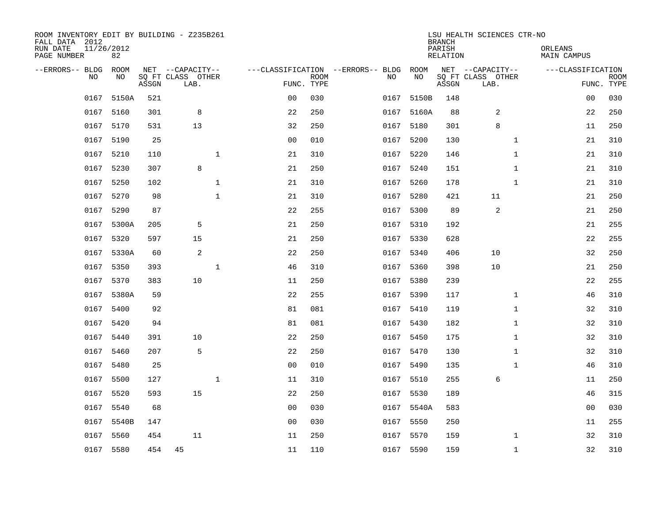| ROOM INVENTORY EDIT BY BUILDING - Z235B261<br>FALL DATA 2012<br>RUN DATE<br>PAGE NUMBER | 11/26/2012<br>82 |       |                                               |              |                |                           |                                         |           |            | <b>BRANCH</b><br>PARISH<br><b>RELATION</b> | LSU HEALTH SCIENCES CTR-NO                    | ORLEANS      | <b>MAIN CAMPUS</b> |                           |
|-----------------------------------------------------------------------------------------|------------------|-------|-----------------------------------------------|--------------|----------------|---------------------------|-----------------------------------------|-----------|------------|--------------------------------------------|-----------------------------------------------|--------------|--------------------|---------------------------|
| --ERRORS-- BLDG<br>NO                                                                   | ROOM<br>NO       | ASSGN | NET --CAPACITY--<br>SQ FT CLASS OTHER<br>LAB. |              |                | <b>ROOM</b><br>FUNC. TYPE | ---CLASSIFICATION --ERRORS-- BLDG<br>NO |           | ROOM<br>NO | ASSGN                                      | NET --CAPACITY--<br>SQ FT CLASS OTHER<br>LAB. |              | ---CLASSIFICATION  | <b>ROOM</b><br>FUNC. TYPE |
| 0167                                                                                    | 5150A            | 521   |                                               |              | 0 <sub>0</sub> | 030                       |                                         | 0167      | 5150B      | 148                                        |                                               |              | 0 <sub>0</sub>     | 030                       |
|                                                                                         | 0167 5160        | 301   | 8                                             |              | 22             | 250                       |                                         |           | 0167 5160A | 88                                         | 2                                             |              | 22                 | 250                       |
| 0167                                                                                    | 5170             | 531   | 13                                            |              | 32             | 250                       |                                         | 0167      | 5180       | 301                                        | 8                                             |              | 11                 | 250                       |
|                                                                                         | 0167 5190        | 25    |                                               |              | 0 <sub>0</sub> | 010                       |                                         | 0167      | 5200       | 130                                        |                                               | $\mathbf{1}$ | 21                 | 310                       |
| 0167                                                                                    | 5210             | 110   |                                               | $\mathbf{1}$ | 21             | 310                       |                                         | 0167      | 5220       | 146                                        |                                               | $\mathbf{1}$ | 21                 | 310                       |
|                                                                                         | 0167 5230        | 307   | 8                                             |              | 21             | 250                       |                                         | 0167 5240 |            | 151                                        |                                               | $\mathbf{1}$ | 21                 | 310                       |
| 0167                                                                                    | 5250             | 102   |                                               | $\mathbf{1}$ | 21             | 310                       |                                         | 0167      | 5260       | 178                                        |                                               | $\mathbf{1}$ | 21                 | 310                       |
|                                                                                         | 0167 5270        | 98    |                                               | $\mathbf{1}$ | 21             | 310                       |                                         | 0167 5280 |            | 421                                        | 11                                            |              | 21                 | 250                       |
| 0167                                                                                    | 5290             | 87    |                                               |              | 22             | 255                       |                                         | 0167      | 5300       | 89                                         | 2                                             |              | 21                 | 250                       |
|                                                                                         | 0167 5300A       | 205   | 5                                             |              | 21             | 250                       |                                         | 0167 5310 |            | 192                                        |                                               |              | 21                 | 255                       |
|                                                                                         | 0167 5320        | 597   | 15                                            |              | 21             | 250                       |                                         | 0167 5330 |            | 628                                        |                                               |              | 22                 | 255                       |
|                                                                                         | 0167 5330A       | 60    | 2                                             |              | 22             | 250                       |                                         | 0167 5340 |            | 406                                        | 10                                            |              | 32                 | 250                       |
|                                                                                         | 0167 5350        | 393   |                                               | $\mathbf{1}$ | 46             | 310                       |                                         | 0167      | 5360       | 398                                        | 10                                            |              | 21                 | 250                       |
|                                                                                         | 0167 5370        | 383   | 10                                            |              | 11             | 250                       |                                         | 0167 5380 |            | 239                                        |                                               |              | 22                 | 255                       |
|                                                                                         | 0167 5380A       | 59    |                                               |              | 22             | 255                       |                                         | 0167      | 5390       | 117                                        |                                               | $\mathbf{1}$ | 46                 | 310                       |
|                                                                                         | 0167 5400        | 92    |                                               |              | 81             | 081                       |                                         | 0167 5410 |            | 119                                        |                                               | $\mathbf{1}$ | 32                 | 310                       |
| 0167                                                                                    | 5420             | 94    |                                               |              | 81             | 081                       |                                         | 0167      | 5430       | 182                                        |                                               | $\mathbf{1}$ | 32                 | 310                       |
|                                                                                         | 0167 5440        | 391   | 10                                            |              | 22             | 250                       |                                         | 0167 5450 |            | 175                                        |                                               | $\mathbf{1}$ | 32                 | 310                       |
|                                                                                         | 0167 5460        | 207   | 5                                             |              | 22             | 250                       |                                         | 0167 5470 |            | 130                                        |                                               | $\mathbf{1}$ | 32                 | 310                       |
| 0167                                                                                    | 5480             | 25    |                                               |              | 0 <sub>0</sub> | 010                       |                                         | 0167 5490 |            | 135                                        |                                               | $\mathbf{1}$ | 46                 | 310                       |
| 0167                                                                                    | 5500             | 127   |                                               | $\mathbf{1}$ | 11             | 310                       |                                         | 0167 5510 |            | 255                                        | 6                                             |              | 11                 | 250                       |
| 0167                                                                                    | 5520             | 593   | 15                                            |              | 22             | 250                       |                                         | 0167 5530 |            | 189                                        |                                               |              | 46                 | 315                       |
|                                                                                         | 0167 5540        | 68    |                                               |              | 0 <sub>0</sub> | 030                       |                                         |           | 0167 5540A | 583                                        |                                               |              | 0 <sub>0</sub>     | 030                       |
| 0167                                                                                    | 5540B            | 147   |                                               |              | 0 <sub>0</sub> | 030                       |                                         | 0167 5550 |            | 250                                        |                                               |              | 11                 | 255                       |
| 0167                                                                                    | 5560             | 454   | 11                                            |              | 11             | 250                       |                                         | 0167 5570 |            | 159                                        |                                               | $\mathbf{1}$ | 32                 | 310                       |
|                                                                                         | 0167 5580        | 454   | 45                                            |              | 11             | 110                       |                                         | 0167 5590 |            | 159                                        |                                               | $\mathbf{1}$ | 32                 | 310                       |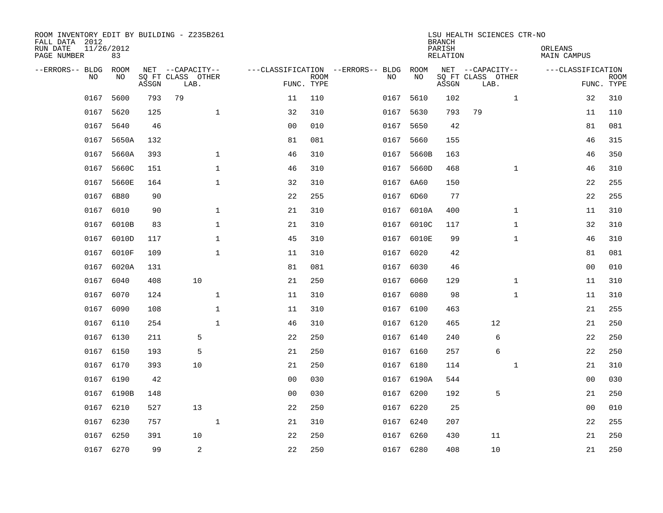| ROOM INVENTORY EDIT BY BUILDING - Z235B261<br>FALL DATA 2012<br>RUN DATE<br>PAGE NUMBER | 11/26/2012<br>83 |       |                                               |                |                           |                                         |            | <b>BRANCH</b><br>PARISH<br><b>RELATION</b> | LSU HEALTH SCIENCES CTR-NO                    |              | ORLEANS<br><b>MAIN CAMPUS</b> |                           |
|-----------------------------------------------------------------------------------------|------------------|-------|-----------------------------------------------|----------------|---------------------------|-----------------------------------------|------------|--------------------------------------------|-----------------------------------------------|--------------|-------------------------------|---------------------------|
| --ERRORS-- BLDG<br>NO                                                                   | ROOM<br>NO       | ASSGN | NET --CAPACITY--<br>SQ FT CLASS OTHER<br>LAB. |                | <b>ROOM</b><br>FUNC. TYPE | ---CLASSIFICATION --ERRORS-- BLDG<br>NO | ROOM<br>NO | ASSGN                                      | NET --CAPACITY--<br>SQ FT CLASS OTHER<br>LAB. |              | ---CLASSIFICATION             | <b>ROOM</b><br>FUNC. TYPE |
| 0167                                                                                    | 5600             | 793   | 79                                            | 11             | 110                       | 0167                                    | 5610       | 102                                        |                                               | $\mathbf{1}$ | 32                            | 310                       |
| 0167                                                                                    | 5620             | 125   | $\mathbf{1}$                                  | 32             | 310                       | 0167                                    | 5630       | 793                                        | 79                                            |              | 11                            | 110                       |
| 0167                                                                                    | 5640             | 46    |                                               | 0 <sub>0</sub> | 010                       | 0167                                    | 5650       | 42                                         |                                               |              | 81                            | 081                       |
|                                                                                         | 0167 5650A       | 132   |                                               | 81             | 081                       | 0167                                    | 5660       | 155                                        |                                               |              | 46                            | 315                       |
| 0167                                                                                    | 5660A            | 393   | $\mathbf{1}$                                  | 46             | 310                       | 0167                                    | 5660B      | 163                                        |                                               |              | 46                            | 350                       |
| 0167                                                                                    | 5660C            | 151   | $\mathbf{1}$                                  | 46             | 310                       | 0167                                    | 5660D      | 468                                        |                                               | $\mathbf{1}$ | 46                            | 310                       |
| 0167                                                                                    | 5660E            | 164   | $\mathbf{1}$                                  | 32             | 310                       | 0167                                    | 6A60       | 150                                        |                                               |              | 22                            | 255                       |
| 0167                                                                                    | 6B80             | 90    |                                               | 22             | 255                       | 0167                                    | 6D60       | 77                                         |                                               |              | 22                            | 255                       |
| 0167                                                                                    | 6010             | 90    | $\mathbf{1}$                                  | 21             | 310                       | 0167                                    | 6010A      | 400                                        |                                               | $\mathbf{1}$ | 11                            | 310                       |
|                                                                                         | 0167 6010B       | 83    | $\mathbf 1$                                   | 21             | 310                       |                                         | 0167 6010C | 117                                        |                                               | $\mathbf{1}$ | 32                            | 310                       |
|                                                                                         | 0167 6010D       | 117   | $\mathbf{1}$                                  | 45             | 310                       |                                         | 0167 6010E | 99                                         |                                               | $\mathbf{1}$ | 46                            | 310                       |
|                                                                                         | 0167 6010F       | 109   | $\mathbf{1}$                                  | 11             | 310                       |                                         | 0167 6020  | 42                                         |                                               |              | 81                            | 081                       |
| 0167                                                                                    | 6020A            | 131   |                                               | 81             | 081                       | 0167                                    | 6030       | 46                                         |                                               |              | 00                            | 010                       |
| 0167                                                                                    | 6040             | 408   | 10                                            | 21             | 250                       | 0167                                    | 6060       | 129                                        |                                               | $\mathbf{1}$ | 11                            | 310                       |
| 0167                                                                                    | 6070             | 124   | $\mathbf 1$                                   | 11             | 310                       | 0167                                    | 6080       | 98                                         |                                               | $\mathbf{1}$ | 11                            | 310                       |
| 0167                                                                                    | 6090             | 108   | $\mathbf{1}$                                  | 11             | 310                       |                                         | 0167 6100  | 463                                        |                                               |              | 21                            | 255                       |
| 0167                                                                                    | 6110             | 254   | $\mathbf{1}$                                  | 46             | 310                       | 0167                                    | 6120       | 465                                        | 12                                            |              | 21                            | 250                       |
| 0167                                                                                    | 6130             | 211   | 5                                             | 22             | 250                       |                                         | 0167 6140  | 240                                        | 6                                             |              | 22                            | 250                       |
|                                                                                         | 0167 6150        | 193   | 5                                             | 21             | 250                       |                                         | 0167 6160  | 257                                        | 6                                             |              | 22                            | 250                       |
| 0167                                                                                    | 6170             | 393   | 10                                            | 21             | 250                       |                                         | 0167 6180  | 114                                        |                                               | $\mathbf{1}$ | 21                            | 310                       |
| 0167                                                                                    | 6190             | 42    |                                               | 0 <sub>0</sub> | 030                       |                                         | 0167 6190A | 544                                        |                                               |              | 00                            | 030                       |
| 0167                                                                                    | 6190B            | 148   |                                               | 0 <sub>0</sub> | 030                       |                                         | 0167 6200  | 192                                        | 5                                             |              | 21                            | 250                       |
| 0167                                                                                    | 6210             | 527   | 13                                            | 22             | 250                       |                                         | 0167 6220  | 25                                         |                                               |              | 0 <sub>0</sub>                | 010                       |
| 0167                                                                                    | 6230             | 757   | $\mathbf{1}$                                  | 21             | 310                       | 0167                                    | 6240       | 207                                        |                                               |              | 22                            | 255                       |
| 0167                                                                                    | 6250             | 391   | 10                                            | 22             | 250                       | 0167                                    | 6260       | 430                                        | 11                                            |              | 21                            | 250                       |
|                                                                                         | 0167 6270        | 99    | 2                                             | 22             | 250                       |                                         | 0167 6280  | 408                                        | 10                                            |              | 21                            | 250                       |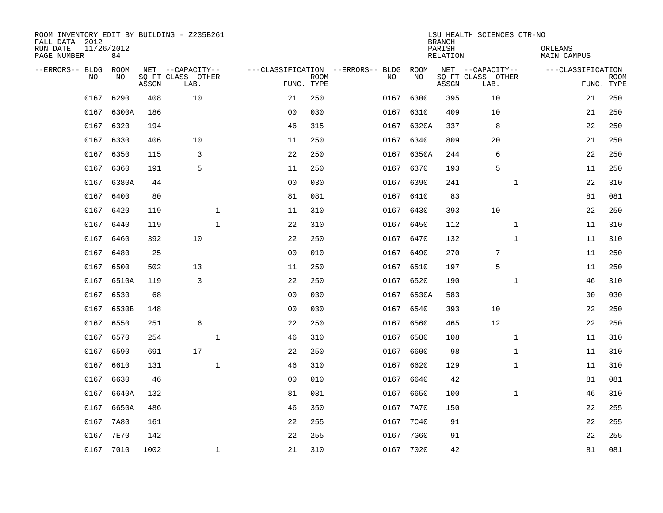| ROOM INVENTORY EDIT BY BUILDING - Z235B261<br>FALL DATA 2012<br>RUN DATE<br>PAGE NUMBER | 11/26/2012<br>84 |       |                                               |              |                                        |                           |           |            | <b>BRANCH</b><br>PARISH<br><b>RELATION</b> | LSU HEALTH SCIENCES CTR-NO                    | ORLEANS<br><b>MAIN CAMPUS</b> |            |             |
|-----------------------------------------------------------------------------------------|------------------|-------|-----------------------------------------------|--------------|----------------------------------------|---------------------------|-----------|------------|--------------------------------------------|-----------------------------------------------|-------------------------------|------------|-------------|
| --ERRORS-- BLDG ROOM<br>NO                                                              | NO               | ASSGN | NET --CAPACITY--<br>SQ FT CLASS OTHER<br>LAB. |              | ---CLASSIFICATION --ERRORS-- BLDG ROOM | <b>ROOM</b><br>FUNC. TYPE | NO        | NO         | ASSGN                                      | NET --CAPACITY--<br>SQ FT CLASS OTHER<br>LAB. | ---CLASSIFICATION             | FUNC. TYPE | <b>ROOM</b> |
| 0167                                                                                    | 6290             | 408   | 10                                            |              | 21                                     | 250                       | 0167      | 6300       | 395                                        | 10                                            |                               | 21         | 250         |
| 0167                                                                                    | 6300A            | 186   |                                               |              | 0 <sub>0</sub>                         | 030                       | 0167 6310 |            | 409                                        | 10                                            |                               | 21         | 250         |
| 0167                                                                                    | 6320             | 194   |                                               |              | 46                                     | 315                       |           | 0167 6320A | 337                                        | 8                                             |                               | 22         | 250         |
|                                                                                         | 0167 6330        | 406   | 10                                            |              | 11                                     | 250                       | 0167 6340 |            | 809                                        | 20                                            |                               | 21         | 250         |
| 0167                                                                                    | 6350             | 115   | 3                                             |              | 22                                     | 250                       | 0167      | 6350A      | 244                                        | 6                                             |                               | 22         | 250         |
| 0167                                                                                    | 6360             | 191   | 5                                             |              | 11                                     | 250                       | 0167 6370 |            | 193                                        | 5                                             |                               | 11         | 250         |
| 0167                                                                                    | 6380A            | 44    |                                               |              | 0 <sub>0</sub>                         | 030                       | 0167      | 6390       | 241                                        | $\mathbf{1}$                                  |                               | 22         | 310         |
|                                                                                         | 0167 6400        | 80    |                                               |              | 81                                     | 081                       | 0167 6410 |            | 83                                         |                                               |                               | 81         | 081         |
|                                                                                         | 0167 6420        | 119   |                                               | $\mathbf{1}$ | 11                                     | 310                       | 0167 6430 |            | 393                                        | 10                                            |                               | 22         | 250         |
|                                                                                         | 0167 6440        | 119   |                                               | $\mathbf{1}$ | 22                                     | 310                       | 0167 6450 |            | 112                                        | $\mathbf{1}$                                  |                               | 11         | 310         |
|                                                                                         | 0167 6460        | 392   | 10                                            |              | 22                                     | 250                       | 0167 6470 |            | 132                                        | $\mathbf{1}$                                  |                               | 11         | 310         |
|                                                                                         | 0167 6480        | 25    |                                               |              | 0 <sub>0</sub>                         | 010                       | 0167 6490 |            | 270                                        | $7\phantom{.0}$                               |                               | 11         | 250         |
| 0167                                                                                    | 6500             | 502   | 13                                            |              | 11                                     | 250                       | 0167      | 6510       | 197                                        | 5                                             |                               | 11         | 250         |
|                                                                                         | 0167 6510A       | 119   | 3                                             |              | 22                                     | 250                       | 0167 6520 |            | 190                                        | $\mathbf{1}$                                  |                               | 46         | 310         |
| 0167                                                                                    | 6530             | 68    |                                               |              | 0 <sub>0</sub>                         | 030                       |           | 0167 6530A | 583                                        |                                               |                               | 00         | 030         |
| 0167                                                                                    | 6530B            | 148   |                                               |              | 0 <sub>0</sub>                         | 030                       | 0167 6540 |            | 393                                        | 10                                            |                               | 22         | 250         |
| 0167                                                                                    | 6550             | 251   | $\epsilon$                                    |              | 22                                     | 250                       | 0167      | 6560       | 465                                        | 12                                            |                               | 22         | 250         |
| 0167                                                                                    | 6570             | 254   |                                               | $\mathbf{1}$ | 46                                     | 310                       | 0167      | 6580       | 108                                        | $\mathbf{1}$                                  |                               | 11         | 310         |
| 0167                                                                                    | 6590             | 691   | 17                                            |              | 22                                     | 250                       | 0167 6600 |            | 98                                         | $\mathbf{1}$                                  |                               | 11         | 310         |
| 0167                                                                                    | 6610             | 131   |                                               | $\mathbf 1$  | 46                                     | 310                       | 0167 6620 |            | 129                                        | $\mathbf{1}$                                  |                               | 11         | 310         |
| 0167                                                                                    | 6630             | 46    |                                               |              | 0 <sub>0</sub>                         | 010                       | 0167 6640 |            | 42                                         |                                               |                               | 81         | 081         |
| 0167                                                                                    | 6640A            | 132   |                                               |              | 81                                     | 081                       | 0167      | 6650       | 100                                        | $\mathbf{1}$                                  |                               | 46         | 310         |
| 0167                                                                                    | 6650A            | 486   |                                               |              | 46                                     | 350                       | 0167      | 7A70       | 150                                        |                                               |                               | 22         | 255         |
| 0167                                                                                    | 7A80             | 161   |                                               |              | 22                                     | 255                       | 0167      | 7C40       | 91                                         |                                               |                               | 22         | 255         |
| 0167                                                                                    | 7E70             | 142   |                                               |              | 22                                     | 255                       | 0167      | 7G60       | 91                                         |                                               |                               | 22         | 255         |
|                                                                                         | 0167 7010        | 1002  |                                               | $\mathbf 1$  | 21                                     | 310                       | 0167 7020 |            | 42                                         |                                               |                               | 81         | 081         |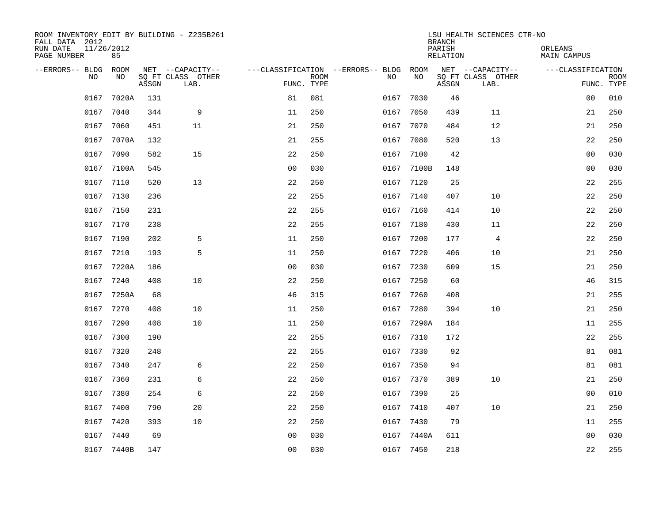| ROOM INVENTORY EDIT BY BUILDING - Z235B261<br>FALL DATA 2012<br>RUN DATE<br>PAGE NUMBER | 11/26/2012<br>85   |       |                                               | LSU HEALTH SCIENCES CTR-NO<br><b>BRANCH</b><br>PARISH<br>ORLEANS<br>RELATION<br>MAIN CAMPUS |                           |                                          |            |       |                                               |                   |                           |
|-----------------------------------------------------------------------------------------|--------------------|-------|-----------------------------------------------|---------------------------------------------------------------------------------------------|---------------------------|------------------------------------------|------------|-------|-----------------------------------------------|-------------------|---------------------------|
| --ERRORS-- BLDG<br>N <sub>O</sub>                                                       | <b>ROOM</b><br>NO. | ASSGN | NET --CAPACITY--<br>SO FT CLASS OTHER<br>LAB. |                                                                                             | <b>ROOM</b><br>FUNC. TYPE | ---CLASSIFICATION --ERRORS-- BLDG<br>NO. | ROOM<br>NO | ASSGN | NET --CAPACITY--<br>SQ FT CLASS OTHER<br>LAB. | ---CLASSIFICATION | <b>ROOM</b><br>FUNC. TYPE |
| 0167                                                                                    | 7020A              | 131   |                                               | 81                                                                                          | 081                       | 0167                                     | 7030       | 46    |                                               | 00                | 010                       |
| 0167                                                                                    | 7040               | 344   | 9                                             | 11                                                                                          | 250                       | 0167                                     | 7050       | 439   | 11                                            | 21                | 250                       |
| 0167                                                                                    | 7060               | 451   | 11                                            | 21                                                                                          | 250                       | 0167                                     | 7070       | 484   | 12                                            | 21                | 250                       |
| 0167                                                                                    | 7070A              | 132   |                                               | 21                                                                                          | 255                       | 0167                                     | 7080       | 520   | 13                                            | 22                | 250                       |
| 0167                                                                                    | 7090               | 582   | 15                                            | 22                                                                                          | 250                       | 0167                                     | 7100       | 42    |                                               | 00                | 030                       |
| 0167                                                                                    | 7100A              | 545   |                                               | 0 <sub>0</sub>                                                                              | 030                       |                                          | 0167 7100B | 148   |                                               | 0 <sub>0</sub>    | 030                       |
| 0167                                                                                    | 7110               | 520   | 13                                            | 22                                                                                          | 250                       | 0167                                     | 7120       | 25    |                                               | 22                | 255                       |
| 0167                                                                                    | 7130               | 236   |                                               | 22                                                                                          | 255                       |                                          | 0167 7140  | 407   | 10                                            | 22                | 250                       |
| 0167                                                                                    | 7150               | 231   |                                               | 22                                                                                          | 255                       | 0167                                     | 7160       | 414   | 10                                            | 22                | 250                       |
|                                                                                         | 0167 7170          | 238   |                                               | 22                                                                                          | 255                       | 0167                                     | 7180       | 430   | 11                                            | 22                | 250                       |
| 0167                                                                                    | 7190               | 202   | 5                                             | 11                                                                                          | 250                       | 0167                                     | 7200       | 177   | 4                                             | 22                | 250                       |
|                                                                                         | 0167 7210          | 193   | 5                                             | 11                                                                                          | 250                       | 0167                                     | 7220       | 406   | 10                                            | 21                | 250                       |
| 0167                                                                                    | 7220A              | 186   |                                               | 0 <sub>0</sub>                                                                              | 030                       | 0167                                     | 7230       | 609   | 15                                            | 21                | 250                       |
| 0167                                                                                    | 7240               | 408   | 10                                            | 22                                                                                          | 250                       | 0167                                     | 7250       | 60    |                                               | 46                | 315                       |
| 0167                                                                                    | 7250A              | 68    |                                               | 46                                                                                          | 315                       | 0167                                     | 7260       | 408   |                                               | 21                | 255                       |
| 0167                                                                                    | 7270               | 408   | 10                                            | 11                                                                                          | 250                       | 0167                                     | 7280       | 394   | 10                                            | 21                | 250                       |
| 0167                                                                                    | 7290               | 408   | 10                                            | 11                                                                                          | 250                       | 0167                                     | 7290A      | 184   |                                               | 11                | 255                       |
| 0167                                                                                    | 7300               | 190   |                                               | 22                                                                                          | 255                       |                                          | 0167 7310  | 172   |                                               | 22                | 255                       |
| 0167                                                                                    | 7320               | 248   |                                               | 22                                                                                          | 255                       |                                          | 0167 7330  | 92    |                                               | 81                | 081                       |
| 0167                                                                                    | 7340               | 247   | 6                                             | 22                                                                                          | 250                       | 0167                                     | 7350       | 94    |                                               | 81                | 081                       |
| 0167                                                                                    | 7360               | 231   | 6                                             | 22                                                                                          | 250                       |                                          | 0167 7370  | 389   | 10                                            | 21                | 250                       |
| 0167                                                                                    | 7380               | 254   | 6                                             | 22                                                                                          | 250                       | 0167                                     | 7390       | 25    |                                               | 00                | 010                       |
| 0167                                                                                    | 7400               | 790   | 20                                            | 22                                                                                          | 250                       |                                          | 0167 7410  | 407   | 10                                            | 21                | 250                       |
| 0167                                                                                    | 7420               | 393   | 10                                            | 22                                                                                          | 250                       | 0167                                     | 7430       | 79    |                                               | 11                | 255                       |
|                                                                                         | 0167 7440          | 69    |                                               | 0 <sub>0</sub>                                                                              | 030                       |                                          | 0167 7440A | 611   |                                               | 0 <sub>0</sub>    | 030                       |
|                                                                                         | 0167 7440B         | 147   |                                               | 0 <sub>0</sub>                                                                              | 030                       |                                          | 0167 7450  | 218   |                                               | 22                | 255                       |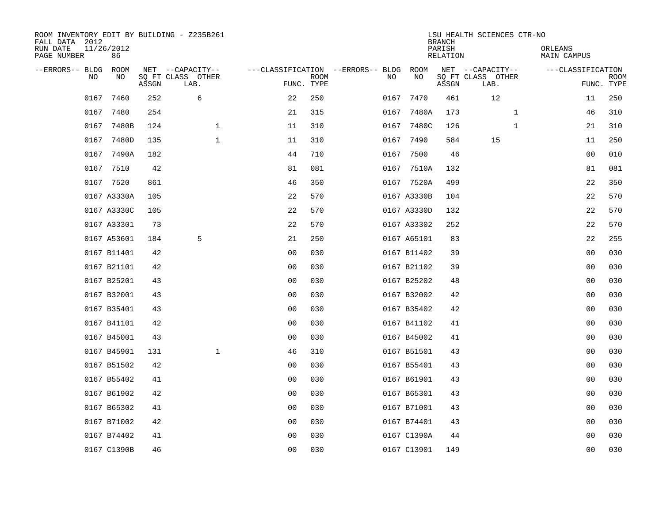| ROOM INVENTORY EDIT BY BUILDING - Z235B261<br>FALL DATA 2012<br>RUN DATE<br>PAGE NUMBER | 11/26/2012<br>86 |       |                                               |                |                           |                                              |             | <b>BRANCH</b><br>PARISH<br><b>RELATION</b> | LSU HEALTH SCIENCES CTR-NO                    | ORLEANS<br><b>MAIN CAMPUS</b> |                           |
|-----------------------------------------------------------------------------------------|------------------|-------|-----------------------------------------------|----------------|---------------------------|----------------------------------------------|-------------|--------------------------------------------|-----------------------------------------------|-------------------------------|---------------------------|
| --ERRORS-- BLDG<br>NO.                                                                  | ROOM<br>NO       | ASSGN | NET --CAPACITY--<br>SQ FT CLASS OTHER<br>LAB. |                | <b>ROOM</b><br>FUNC. TYPE | ---CLASSIFICATION --ERRORS-- BLDG ROOM<br>NO | NO          | ASSGN                                      | NET --CAPACITY--<br>SQ FT CLASS OTHER<br>LAB. | ---CLASSIFICATION             | <b>ROOM</b><br>FUNC. TYPE |
| 0167                                                                                    | 7460             | 252   | 6                                             | 22             | 250                       | 0167                                         | 7470        | 461                                        | 12                                            | 11                            | 250                       |
| 0167                                                                                    | 7480             | 254   |                                               | 21             | 315                       |                                              | 0167 7480A  | 173                                        | $\mathbf{1}$                                  | 46                            | 310                       |
| 0167                                                                                    | 7480B            | 124   | 1                                             | 11             | 310                       | 0167                                         | 7480C       | 126                                        | $\mathbf{1}$                                  | 21                            | 310                       |
|                                                                                         | 0167 7480D       | 135   | $\mathbf{1}$                                  | 11             | 310                       |                                              | 0167 7490   | 584                                        | 15                                            | 11                            | 250                       |
| 0167                                                                                    | 7490A            | 182   |                                               | 44             | 710                       | 0167                                         | 7500        | 46                                         |                                               | 0 <sub>0</sub>                | 010                       |
|                                                                                         | 0167 7510        | 42    |                                               | 81             | 081                       |                                              | 0167 7510A  | 132                                        |                                               | 81                            | 081                       |
|                                                                                         | 0167 7520        | 861   |                                               | 46             | 350                       |                                              | 0167 7520A  | 499                                        |                                               | 22                            | 350                       |
|                                                                                         | 0167 A3330A      | 105   |                                               | 22             | 570                       |                                              | 0167 A3330B | 104                                        |                                               | 22                            | 570                       |
|                                                                                         | 0167 A3330C      | 105   |                                               | 22             | 570                       |                                              | 0167 A3330D | 132                                        |                                               | 22                            | 570                       |
|                                                                                         | 0167 A33301      | 73    |                                               | 22             | 570                       |                                              | 0167 A33302 | 252                                        |                                               | 22                            | 570                       |
|                                                                                         | 0167 A53601      | 184   | 5                                             | 21             | 250                       |                                              | 0167 A65101 | 83                                         |                                               | 22                            | 255                       |
|                                                                                         | 0167 B11401      | 42    |                                               | 0 <sub>0</sub> | 030                       |                                              | 0167 B11402 | 39                                         |                                               | 0 <sub>0</sub>                | 030                       |
|                                                                                         | 0167 B21101      | 42    |                                               | 0 <sub>0</sub> | 030                       |                                              | 0167 B21102 | 39                                         |                                               | 00                            | 030                       |
|                                                                                         | 0167 B25201      | 43    |                                               | 0 <sub>0</sub> | 030                       |                                              | 0167 B25202 | 48                                         |                                               | 00                            | 030                       |
|                                                                                         | 0167 B32001      | 43    |                                               | 0 <sup>0</sup> | 030                       |                                              | 0167 B32002 | 42                                         |                                               | 00                            | 030                       |
|                                                                                         | 0167 B35401      | 43    |                                               | 0 <sub>0</sub> | 030                       |                                              | 0167 B35402 | 42                                         |                                               | 0 <sub>0</sub>                | 030                       |
|                                                                                         | 0167 B41101      | 42    |                                               | 0 <sub>0</sub> | 030                       |                                              | 0167 B41102 | 41                                         |                                               | 0 <sub>0</sub>                | 030                       |
|                                                                                         | 0167 B45001      | 43    |                                               | 0 <sub>0</sub> | 030                       |                                              | 0167 B45002 | 41                                         |                                               | 00                            | 030                       |
|                                                                                         | 0167 B45901      | 131   | $\mathbf 1$                                   | 46             | 310                       |                                              | 0167 B51501 | 43                                         |                                               | 00                            | 030                       |
|                                                                                         | 0167 B51502      | 42    |                                               | 0 <sub>0</sub> | 030                       |                                              | 0167 B55401 | 43                                         |                                               | 00                            | 030                       |
|                                                                                         | 0167 B55402      | 41    |                                               | 0 <sub>0</sub> | 030                       |                                              | 0167 B61901 | 43                                         |                                               | 00                            | 030                       |
|                                                                                         | 0167 B61902      | 42    |                                               | 00             | 030                       |                                              | 0167 B65301 | 43                                         |                                               | 0 <sub>0</sub>                | 030                       |
|                                                                                         | 0167 B65302      | 41    |                                               | 0 <sub>0</sub> | 030                       |                                              | 0167 B71001 | 43                                         |                                               | 00                            | 030                       |
|                                                                                         | 0167 B71002      | 42    |                                               | 0 <sub>0</sub> | 030                       |                                              | 0167 B74401 | 43                                         |                                               | 00                            | 030                       |
|                                                                                         | 0167 B74402      | 41    |                                               | 0 <sub>0</sub> | 030                       |                                              | 0167 C1390A | 44                                         |                                               | 00                            | 030                       |
|                                                                                         | 0167 C1390B      | 46    |                                               | 0 <sub>0</sub> | 030                       |                                              | 0167 C13901 | 149                                        |                                               | 0 <sub>0</sub>                | 030                       |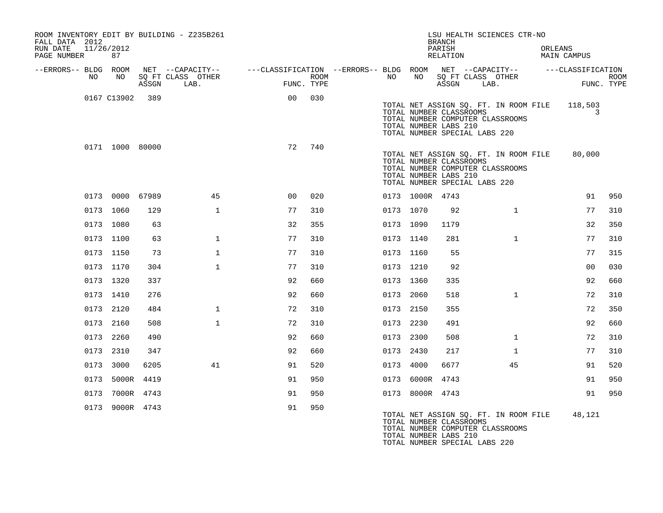| ROOM INVENTORY EDIT BY BUILDING - Z235B261<br>FALL DATA 2012<br>RUN DATE<br>PAGE NUMBER | 11/26/2012<br>87 |       |                                               |                                                         | LSU HEALTH SCIENCES CTR-NO<br><b>BRANCH</b><br>PARISH<br>RELATION |  |           |                 |                                                                                                                                                                | ORLEANS<br>MAIN CAMPUS |  |                   |                           |
|-----------------------------------------------------------------------------------------|------------------|-------|-----------------------------------------------|---------------------------------------------------------|-------------------------------------------------------------------|--|-----------|-----------------|----------------------------------------------------------------------------------------------------------------------------------------------------------------|------------------------|--|-------------------|---------------------------|
| --ERRORS-- BLDG ROOM<br>NO                                                              | NO               | ASSGN | NET --CAPACITY--<br>SQ FT CLASS OTHER<br>LAB. | ---CLASSIFICATION --ERRORS-- BLDG ROOM NET --CAPACITY-- | <b>ROOM</b><br>FUNC. TYPE                                         |  | NO        | NO              | SQ FT CLASS OTHER<br>ASSGN                                                                                                                                     | LAB.                   |  | ---CLASSIFICATION | <b>ROOM</b><br>FUNC. TYPE |
|                                                                                         | 0167 C13902      | 389   |                                               | 0 <sub>0</sub>                                          | 030                                                               |  |           |                 | TOTAL NET ASSIGN SQ. FT. IN ROOM FILE<br>TOTAL NUMBER CLASSROOMS<br>TOTAL NUMBER COMPUTER CLASSROOMS<br>TOTAL NUMBER LABS 210<br>TOTAL NUMBER SPECIAL LABS 220 |                        |  | 118,503<br>3      |                           |
|                                                                                         | 0171 1000 80000  |       |                                               | 72                                                      | 740                                                               |  |           |                 | TOTAL NET ASSIGN SQ. FT. IN ROOM FILE<br>TOTAL NUMBER CLASSROOMS<br>TOTAL NUMBER COMPUTER CLASSROOMS<br>TOTAL NUMBER LABS 210<br>TOTAL NUMBER SPECIAL LABS 220 |                        |  | 80,000            |                           |
|                                                                                         | 0173 0000 67989  |       | 45                                            | 0 <sub>0</sub>                                          | 020                                                               |  |           | 0173 1000R 4743 |                                                                                                                                                                |                        |  | 91                | 950                       |
|                                                                                         | 0173 1060        | 129   | $\mathbf{1}$                                  | 77                                                      | 310                                                               |  | 0173 1070 |                 | 92                                                                                                                                                             | $\mathbf{1}$           |  | 77                | 310                       |
|                                                                                         | 0173 1080        | 63    |                                               | 32                                                      | 355                                                               |  | 0173 1090 |                 | 1179                                                                                                                                                           |                        |  | 32                | 350                       |
|                                                                                         | 0173 1100        | 63    | $\mathbf{1}$                                  | 77                                                      | 310                                                               |  | 0173 1140 |                 | 281                                                                                                                                                            | $\mathbf{1}$           |  | 77                | 310                       |
|                                                                                         | 0173 1150        | 73    | $\mathbf{1}$                                  | 77                                                      | 310                                                               |  | 0173 1160 |                 | 55                                                                                                                                                             |                        |  | 77                | 315                       |
|                                                                                         | 0173 1170        | 304   | $\mathbf{1}$                                  | 77                                                      | 310                                                               |  | 0173 1210 |                 | 92                                                                                                                                                             |                        |  | 0 <sub>0</sub>    | 030                       |
|                                                                                         | 0173 1320        | 337   |                                               | 92                                                      | 660                                                               |  | 0173 1360 |                 | 335                                                                                                                                                            |                        |  | 92                | 660                       |
|                                                                                         | 0173 1410        | 276   |                                               | 92                                                      | 660                                                               |  | 0173 2060 |                 | 518                                                                                                                                                            | $\mathbf{1}$           |  | 72                | 310                       |
|                                                                                         | 0173 2120        | 484   | $\mathbf{1}$                                  | 72                                                      | 310                                                               |  | 0173 2150 |                 | 355                                                                                                                                                            |                        |  | 72                | 350                       |
|                                                                                         | 0173 2160        | 508   | $\mathbf{1}$                                  | 72                                                      | 310                                                               |  | 0173 2230 |                 | 491                                                                                                                                                            |                        |  | 92                | 660                       |
|                                                                                         | 0173 2260        | 490   |                                               | 92                                                      | 660                                                               |  | 0173 2300 |                 | 508                                                                                                                                                            | $\mathbf{1}$           |  | 72                | 310                       |
|                                                                                         | 0173 2310        | 347   |                                               | 92                                                      | 660                                                               |  | 0173 2430 |                 | 217                                                                                                                                                            | $\mathbf{1}$           |  | 77                | 310                       |
|                                                                                         | 0173 3000        | 6205  | 41                                            | 91                                                      | 520                                                               |  | 0173 4000 |                 | 6677                                                                                                                                                           | 45                     |  | 91                | 520                       |
|                                                                                         | 0173 5000R       | 4419  |                                               | 91                                                      | 950                                                               |  | 0173      | 6000R           | 4743                                                                                                                                                           |                        |  | 91                | 950                       |
|                                                                                         | 0173 7000R 4743  |       |                                               | 91                                                      | 950                                                               |  |           | 0173 8000R 4743 |                                                                                                                                                                |                        |  | 91                | 950                       |
|                                                                                         | 0173 9000R 4743  |       |                                               | 91                                                      | 950                                                               |  |           |                 | TOTAL NET ASSIGN SQ. FT. IN ROOM FILE<br>TOTAL NUMBER CLASSROOMS                                                                                               |                        |  | 48,121            |                           |

TOTAL NUMBER COMPUTER CLASSROOMS TOTAL NUMBER LABS 210 TOTAL NUMBER SPECIAL LABS 220